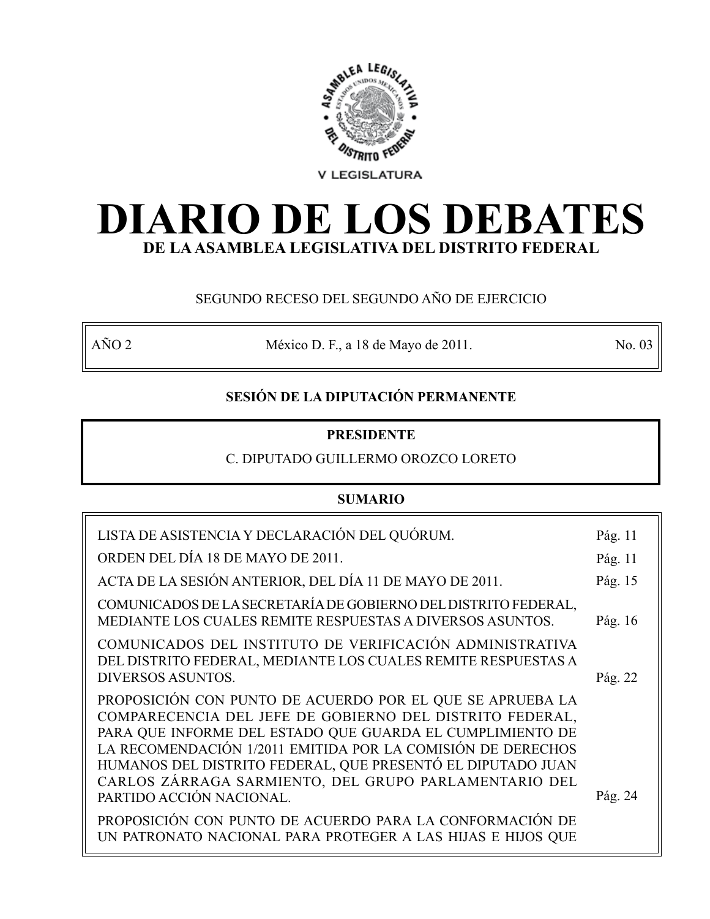

# **DIARIO DE LOS DEBATES DE LA ASAMBLEA LEGISLATIVA DEL DISTRITO FEDERAL**

# SEGUNDO RECESO DEL SEGUNDO AÑO DE EJERCICIO

AÑO 2 México D. F., a 18 de Mayo de 2011. No. 03

# **SESIÓN DE LA DIPUTACIÓN PERMANENTE**

# **PRESIDENTE**

# C. DIPUTADO GUILLERMO OROZCO LORETO

# **SUMARIO**

| LISTA DE ASISTENCIA Y DECLARACIÓN DEL QUÓRUM.                                                                                                                                                                                                                                                                                                                             | Pág. 11 |
|---------------------------------------------------------------------------------------------------------------------------------------------------------------------------------------------------------------------------------------------------------------------------------------------------------------------------------------------------------------------------|---------|
| ORDEN DEL DÍA 18 DE MAYO DE 2011.                                                                                                                                                                                                                                                                                                                                         | Pág. 11 |
| ACTA DE LA SESIÓN ANTERIOR, DEL DÍA 11 DE MAYO DE 2011.                                                                                                                                                                                                                                                                                                                   | Pág. 15 |
| COMUNICADOS DE LA SECRETARÍA DE GOBIERNO DEL DISTRITO FEDERAL,<br>MEDIANTE LOS CUALES REMITE RESPUESTAS A DIVERSOS ASUNTOS.                                                                                                                                                                                                                                               | Pág. 16 |
| COMUNICADOS DEL INSTITUTO DE VERIFICACIÓN ADMINISTRATIVA<br>DEL DISTRITO FEDERAL, MEDIANTE LOS CUALES REMITE RESPUESTAS A<br><b>DIVERSOS ASUNTOS.</b>                                                                                                                                                                                                                     | Pág. 22 |
| PROPOSICIÓN CON PUNTO DE ACUERDO POR EL QUE SE APRUEBA LA<br>COMPARECENCIA DEL JEFE DE GOBIERNO DEL DISTRITO FEDERAL,<br>PARA QUE INFORME DEL ESTADO QUE GUARDA EL CUMPLIMIENTO DE<br>LA RECOMENDACIÓN 1/2011 EMITIDA POR LA COMISIÓN DE DERECHOS<br>HUMANOS DEL DISTRITO FEDERAL, QUE PRESENTÓ EL DIPUTADO JUAN<br>CARLOS ZÁRRAGA SARMIENTO, DEL GRUPO PARLAMENTARIO DEL |         |
| PARTIDO ACCIÓN NACIONAL.                                                                                                                                                                                                                                                                                                                                                  | Pág. 24 |
| PROPOSICIÓN CON PUNTO DE ACUERDO PARA LA CONFORMACIÓN DE<br>UN PATRONATO NACIONAL PARA PROTEGER A LAS HIJAS E HIJOS QUE                                                                                                                                                                                                                                                   |         |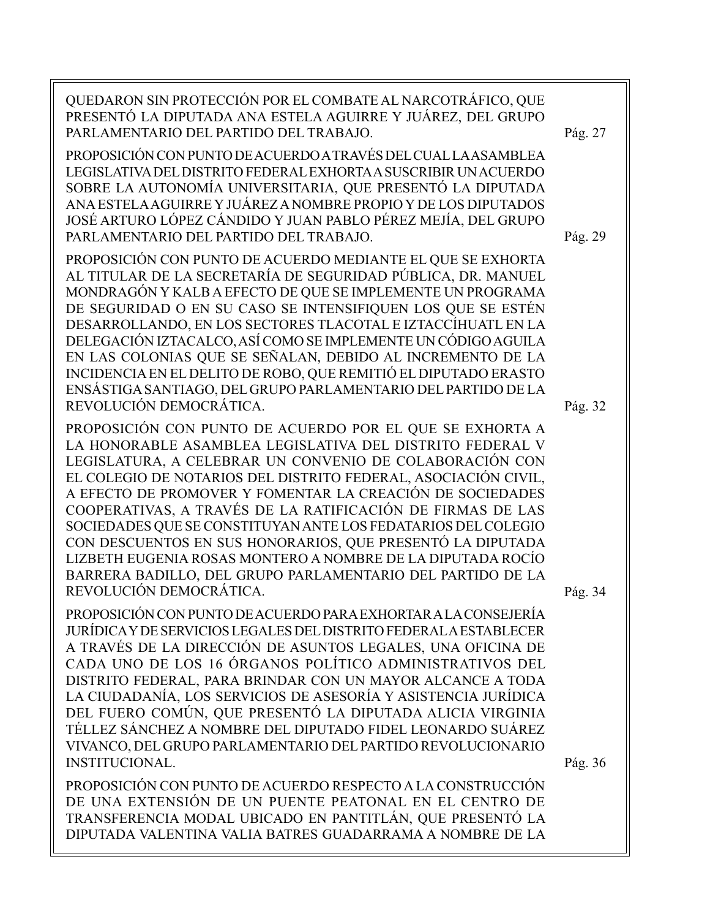QUEDARON SIN PROTECCIÓN POR EL COMBATE AL NARCOTRÁFICO, QUE PRESENTÓ LA DIPUTADA ANA ESTELA AGUIRRE Y JUÁREZ, DEL GRUPO PARLAMENTARIO DEL PARTIDO DEL TRABAJO. PROPOSICIÓN CON PUNTO DE ACUERDO A TRAVÉS DEL CUAL LA ASAMBLEA LEGISLATIVA DEL DISTRITO FEDERAL EXHORTA A SUSCRIBIR UN ACUERDO SOBRE LA AUTONOMÍA UNIVERSITARIA, QUE PRESENTÓ LA DIPUTADA ANA ESTELA AGUIRRE Y JUÁREZ A NOMBRE PROPIO Y DE LOS DIPUTADOS JOSÉ ARTURO LÓPEZ CÁNDIDO Y JUAN PABLO PÉREZ MEJÍA, DEL GRUPO PARLAMENTARIO DEL PARTIDO DEL TRABAJO. PROPOSICIÓN CON PUNTO DE ACUERDO MEDIANTE EL QUE SE EXHORTA AL TITULAR DE LA SECRETARÍA DE SEGURIDAD PÚBLICA, DR. MANUEL MONDRAGÓN Y KALB A EFECTO DE QUE SE IMPLEMENTE UN PROGRAMA DE SEGURIDAD O EN SU CASO SE INTENSIFIQUEN LOS QUE SE ESTÉN DESARROLLANDO, EN LOS SECTORES TLACOTAL E IZTACCÍHUATL EN LA DELEGACIÓN IZTACALCO, ASÍ COMO SE IMPLEMENTE UN CÓDIGO AGUILA EN LAS COLONIAS QUE SE SEÑALAN, DEBIDO AL INCREMENTO DE LA INCIDENCIA EN EL DELITO DE ROBO, QUE REMITIÓ EL DIPUTADO ERASTO ENSÁSTIGA SANTIAGO, DEL GRUPO PARLAMENTARIO DEL PARTIDO DE LA REVOLUCIÓN DEMOCRÁTICA. PROPOSICIÓN CON PUNTO DE ACUERDO POR EL QUE SE EXHORTA A LA HONORABLE ASAMBLEA LEGISLATIVA DEL DISTRITO FEDERAL V LEGISLATURA, A CELEBRAR UN CONVENIO DE COLABORACIÓN CON EL COLEGIO DE NOTARIOS DEL DISTRITO FEDERAL, ASOCIACIÓN CIVIL, A EFECTO DE PROMOVER Y FOMENTAR LA CREACIÓN DE SOCIEDADES COOPERATIVAS, A TRAVÉS DE LA RATIFICACIÓN DE FIRMAS DE LAS SOCIEDADES QUE SE CONSTITUYAN ANTE LOS FEDATARIOS DEL COLEGIO CON DESCUENTOS EN SUS HONORARIOS, QUE PRESENTÓ LA DIPUTADA LIZBETH EUGENIA ROSAS MONTERO A NOMBRE DE LA DIPUTADA ROCÍO BARRERA BADILLO, DEL GRUPO PARLAMENTARIO DEL PARTIDO DE LA REVOLUCIÓN DEMOCRÁTICA. PROPOSICIÓN CON PUNTO DE ACUERDO PARA EXHORTAR A LA CONSEJERÍA JURÍDICA Y DE SERVICIOS LEGALES DEL DISTRITO FEDERAL A ESTABLECER A TRAVÉS DE LA DIRECCIÓN DE ASUNTOS LEGALES, UNA OFICINA DE CADA UNO DE LOS 16 ÓRGANOS POLÍTICO ADMINISTRATIVOS DEL DISTRITO FEDERAL, PARA BRINDAR CON UN MAYOR ALCANCE A TODA LA CIUDADANÍA, LOS SERVICIOS DE ASESORÍA Y ASISTENCIA JURÍDICA DEL FUERO COMÚN, QUE PRESENTÓ LA DIPUTADA ALICIA VIRGINIA TÉLLEZ SÁNCHEZ A NOMBRE DEL DIPUTADO FIDEL LEONARDO SUÁREZ VIVANCO, DEL GRUPO PARLAMENTARIO DEL PARTIDO REVOLUCIONARIO INSTITUCIONAL. PROPOSICIÓN CON PUNTO DE ACUERDO RESPECTO A LA CONSTRUCCIÓN DE UNA EXTENSIÓN DE UN PUENTE PEATONAL EN EL CENTRO DE TRANSFERENCIA MODAL UBICADO EN PANTITLÁN, QUE PRESENTÓ LA Pág. 36 Pág. 34 Pág. 32 Pág. 29 Pág. 27

DIPUTADA VALENTINA VALIA BATRES GUADARRAMA A NOMBRE DE LA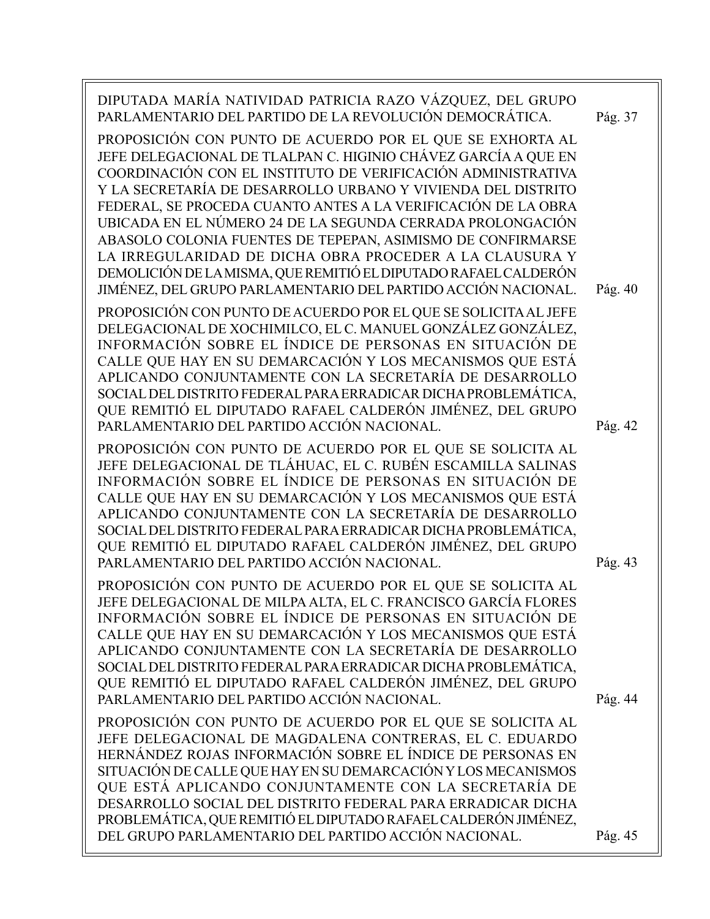| DIPUTADA MARÍA NATIVIDAD PATRICIA RAZO VÁZQUEZ, DEL GRUPO<br>PARLAMENTARIO DEL PARTIDO DE LA REVOLUCIÓN DEMOCRÁTICA.<br>PROPOSICIÓN CON PUNTO DE ACUERDO POR EL QUE SE EXHORTA AL                                                                                                                                                                                                                                                                                                                      | Pág. 37 |
|--------------------------------------------------------------------------------------------------------------------------------------------------------------------------------------------------------------------------------------------------------------------------------------------------------------------------------------------------------------------------------------------------------------------------------------------------------------------------------------------------------|---------|
| JEFE DELEGACIONAL DE TLALPAN C. HIGINIO CHÁVEZ GARCÍA A QUE EN<br>COORDINACIÓN CON EL INSTITUTO DE VERIFICACIÓN ADMINISTRATIVA<br>Y LA SECRETARÍA DE DESARROLLO URBANO Y VIVIENDA DEL DISTRITO<br>FEDERAL, SE PROCEDA CUANTO ANTES A LA VERIFICACIÓN DE LA OBRA                                                                                                                                                                                                                                        |         |
| UBICADA EN EL NÚMERO 24 DE LA SEGUNDA CERRADA PROLONGACIÓN<br>ABASOLO COLONIA FUENTES DE TEPEPAN, ASIMISMO DE CONFIRMARSE<br>LA IRREGULARIDAD DE DICHA OBRA PROCEDER A LA CLAUSURA Y<br>DEMOLICIÓN DE LA MISMA, QUE REMITIÓ EL DIPUTADO RAFAEL CALDERÓN                                                                                                                                                                                                                                                |         |
| JIMÉNEZ, DEL GRUPO PARLAMENTARIO DEL PARTIDO ACCIÓN NACIONAL.                                                                                                                                                                                                                                                                                                                                                                                                                                          | Pág. 40 |
| PROPOSICIÓN CON PUNTO DE ACUERDO POR EL QUE SE SOLICITA AL JEFE<br>DELEGACIONAL DE XOCHIMILCO, EL C. MANUEL GONZÁLEZ GONZÁLEZ,<br>INFORMACIÓN SOBRE EL ÍNDICE DE PERSONAS EN SITUACIÓN DE<br>CALLE QUE HAY EN SU DEMARCACIÓN Y LOS MECANISMOS QUE ESTÁ<br>APLICANDO CONJUNTAMENTE CON LA SECRETARÍA DE DESARROLLO<br>SOCIAL DEL DISTRITO FEDERAL PARA ERRADICAR DICHA PROBLEMÁTICA,<br>QUE REMITIÓ EL DIPUTADO RAFAEL CALDERÓN JIMÉNEZ, DEL GRUPO<br>PARLAMENTARIO DEL PARTIDO ACCIÓN NACIONAL.        | Pág. 42 |
| PROPOSICIÓN CON PUNTO DE ACUERDO POR EL QUE SE SOLICITA AL<br>JEFE DELEGACIONAL DE TLÁHUAC, EL C. RUBÉN ESCAMILLA SALINAS<br>INFORMACIÓN SOBRE EL ÍNDICE DE PERSONAS EN SITUACIÓN DE<br>CALLE QUE HAY EN SU DEMARCACIÓN Y LOS MECANISMOS QUE ESTÁ<br>APLICANDO CONJUNTAMENTE CON LA SECRETARÍA DE DESARROLLO<br>SOCIAL DEL DISTRITO FEDERAL PARA ERRADICAR DICHA PROBLEMÁTICA,<br>QUE REMITIÓ EL DIPUTADO RAFAEL CALDERÓN JIMÉNEZ, DEL GRUPO<br>PARLAMENTARIO DEL PARTIDO ACCIÓN NACIONAL.             | Pág. 43 |
| PROPOSICIÓN CON PUNTO DE ACUERDO POR EL QUE SE SOLICITA AL<br>JEFE DELEGACIONAL DE MILPA ALTA, EL C. FRANCISCO GARCÍA FLORES<br>INFORMACIÓN SOBRE EL ÍNDICE DE PERSONAS EN SITUACIÓN DE<br>CALLE QUE HAY EN SU DEMARCACIÓN Y LOS MECANISMOS QUE ESTÁ<br>APLICANDO CONJUNTAMENTE CON LA SECRETARÍA DE DESARROLLO<br>SOCIAL DEL DISTRITO FEDERAL PARA ERRADICAR DICHA PROBLEMÁTICA,<br>QUE REMITIÓ EL DIPUTADO RAFAEL CALDERÓN JIMÉNEZ, DEL GRUPO<br>PARLAMENTARIO DEL PARTIDO ACCIÓN NACIONAL.          | Pág. 44 |
| PROPOSICIÓN CON PUNTO DE ACUERDO POR EL QUE SE SOLICITA AL<br>JEFE DELEGACIONAL DE MAGDALENA CONTRERAS, EL C. EDUARDO<br>HERNÁNDEZ ROJAS INFORMACIÓN SOBRE EL ÍNDICE DE PERSONAS EN<br>SITUACIÓN DE CALLE QUE HAY EN SU DEMARCACIÓN Y LOS MECANISMOS<br>QUE ESTÁ APLICANDO CONJUNTAMENTE CON LA SECRETARÍA DE<br>DESARROLLO SOCIAL DEL DISTRITO FEDERAL PARA ERRADICAR DICHA<br>PROBLEMÁTICA, QUE REMITIÓ EL DIPUTADO RAFAEL CALDERÓN JIMÉNEZ,<br>DEL GRUPO PARLAMENTARIO DEL PARTIDO ACCIÓN NACIONAL. | Pág. 45 |
|                                                                                                                                                                                                                                                                                                                                                                                                                                                                                                        |         |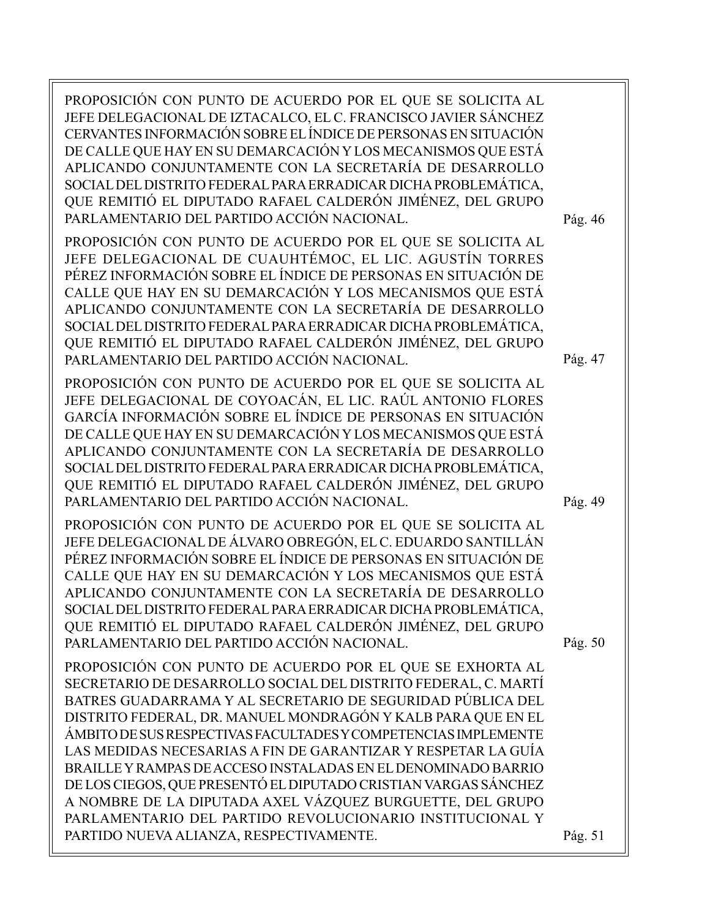| PROPOSICIÓN CON PUNTO DE ACUERDO POR EL QUE SE SOLICITA AL<br>JEFE DELEGACIONAL DE IZTACALCO, EL C. FRANCISCO JAVIER SÁNCHEZ<br>CERVANTES INFORMACIÓN SOBRE EL ÍNDICE DE PERSONAS EN SITUACIÓN<br>DE CALLE QUE HAY EN SU DEMARCACIÓN Y LOS MECANISMOS QUE ESTÁ<br>APLICANDO CONJUNTAMENTE CON LA SECRETARÍA DE DESARROLLO<br>SOCIAL DEL DISTRITO FEDERAL PARA ERRADICAR DICHA PROBLEMÁTICA,<br>QUE REMITIÓ EL DIPUTADO RAFAEL CALDERÓN JIMÉNEZ, DEL GRUPO<br>PARLAMENTARIO DEL PARTIDO ACCIÓN NACIONAL.                                                                                                                                                  | Pág. 46 |
|----------------------------------------------------------------------------------------------------------------------------------------------------------------------------------------------------------------------------------------------------------------------------------------------------------------------------------------------------------------------------------------------------------------------------------------------------------------------------------------------------------------------------------------------------------------------------------------------------------------------------------------------------------|---------|
| PROPOSICIÓN CON PUNTO DE ACUERDO POR EL QUE SE SOLICITA AL<br>JEFE DELEGACIONAL DE CUAUHTÉMOC, EL LIC. AGUSTÍN TORRES<br>PÉREZ INFORMACIÓN SOBRE EL ÍNDICE DE PERSONAS EN SITUACIÓN DE<br>CALLE QUE HAY EN SU DEMARCACIÓN Y LOS MECANISMOS QUE ESTÁ<br>APLICANDO CONJUNTAMENTE CON LA SECRETARÍA DE DESARROLLO<br>SOCIAL DEL DISTRITO FEDERAL PARA ERRADICAR DICHA PROBLEMÁTICA,<br>QUE REMITIÓ EL DIPUTADO RAFAEL CALDERÓN JIMÉNEZ, DEL GRUPO<br>PARLAMENTARIO DEL PARTIDO ACCIÓN NACIONAL.                                                                                                                                                             | Pág. 47 |
| PROPOSICIÓN CON PUNTO DE ACUERDO POR EL QUE SE SOLICITA AL<br>JEFE DELEGACIONAL DE COYOACÁN, EL LIC. RAÚL ANTONIO FLORES<br>GARCÍA INFORMACIÓN SOBRE EL ÍNDICE DE PERSONAS EN SITUACIÓN<br>DE CALLE QUE HAY EN SU DEMARCACIÓN Y LOS MECANISMOS QUE ESTÁ<br>APLICANDO CONJUNTAMENTE CON LA SECRETARÍA DE DESARROLLO<br>SOCIAL DEL DISTRITO FEDERAL PARA ERRADICAR DICHA PROBLEMÁTICA,<br>QUE REMITIÓ EL DIPUTADO RAFAEL CALDERÓN JIMÉNEZ, DEL GRUPO<br>PARLAMENTARIO DEL PARTIDO ACCIÓN NACIONAL.                                                                                                                                                         | Pág. 49 |
| PROPOSICIÓN CON PUNTO DE ACUERDO POR EL QUE SE SOLICITA AL<br>JEFE DELEGACIONAL DE ÁLVARO OBREGÓN, EL C. EDUARDO SANTILLÁN<br>PÉREZ INFORMACIÓN SOBRE EL ÍNDICE DE PERSONAS EN SITUACIÓN DE<br>CALLE QUE HAY EN SU DEMARCACIÓN Y LOS MECANISMOS QUE ESTÁ<br>APLICANDO CONJUNTAMENTE CON LA SECRETARÍA DE DESARROLLO<br>SOCIAL DEL DISTRITO FEDERAL PARA ERRADICAR DICHA PROBLEMÁTICA,<br>QUE REMITIÓ EL DIPUTADO RAFAEL CALDERÓN JIMÉNEZ, DEL GRUPO<br>PARLAMENTARIO DEL PARTIDO ACCIÓN NACIONAL.                                                                                                                                                        | Pág. 50 |
| PROPOSICIÓN CON PUNTO DE ACUERDO POR EL QUE SE EXHORTA AL<br>SECRETARIO DE DESARROLLO SOCIAL DEL DISTRITO FEDERAL, C. MARTÍ<br>BATRES GUADARRAMA Y AL SECRETARIO DE SEGURIDAD PÚBLICA DEL<br>DISTRITO FEDERAL, DR. MANUEL MONDRAGÓN Y KALB PARA QUE EN EL<br>ÁMBITO DE SUS RESPECTIVAS FACULTADES Y COMPETENCIAS IMPLEMENTE<br>LAS MEDIDAS NECESARIAS A FIN DE GARANTIZAR Y RESPETAR LA GUÍA<br>BRAILLEY RAMPAS DE ACCESO INSTALADAS EN EL DENOMINADO BARRIO<br>DE LOS CIEGOS, QUE PRESENTÓ EL DIPUTADO CRISTIAN VARGAS SÁNCHEZ<br>A NOMBRE DE LA DIPUTADA AXEL VÁZQUEZ BURGUETTE, DEL GRUPO<br>PARLAMENTARIO DEL PARTIDO REVOLUCIONARIO INSTITUCIONAL Y |         |
| PARTIDO NUEVA ALIANZA, RESPECTIVAMENTE.                                                                                                                                                                                                                                                                                                                                                                                                                                                                                                                                                                                                                  | Pág. 51 |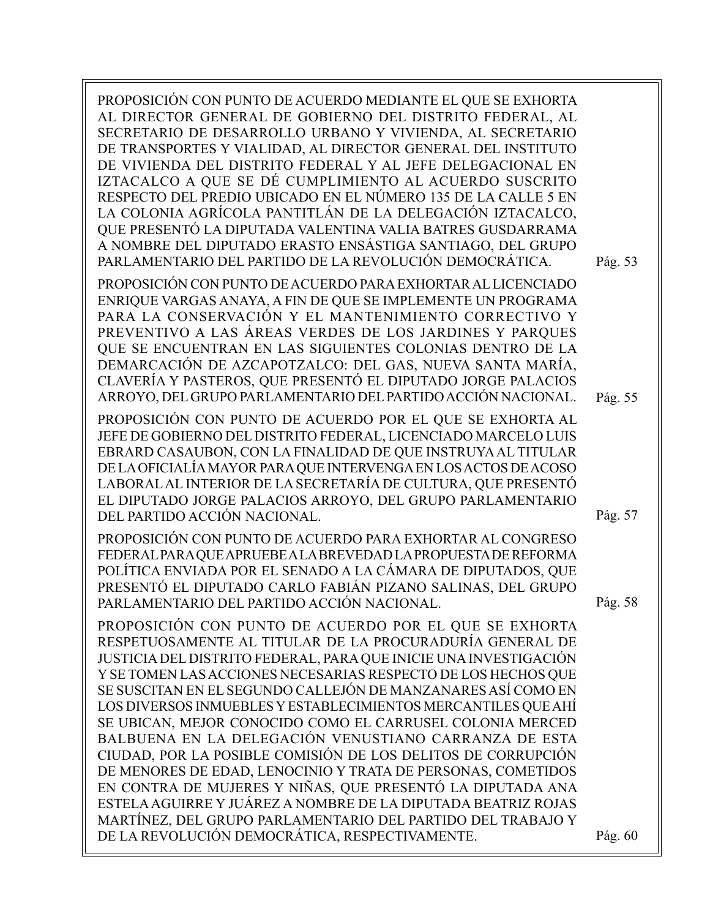| PROPOSICIÓN CON PUNTO DE ACUERDO MEDIANTE EL QUE SE EXHORTA<br>AL DIRECTOR GENERAL DE GOBIERNO DEL DISTRITO FEDERAL, AL<br>SECRETARIO DE DESARROLLO URBANO Y VIVIENDA, AL SECRETARIO<br>DE TRANSPORTES Y VIALIDAD, AL DIRECTOR GENERAL DEL INSTITUTO<br>DE VIVIENDA DEL DISTRITO FEDERAL Y AL JEFE DELEGACIONAL EN<br>IZTACALCO A QUE SE DÉ CUMPLIMIENTO AL ACUERDO SUSCRITO<br>RESPECTO DEL PREDIO UBICADO EN EL NÚMERO 135 DE LA CALLE 5 EN<br>LA COLONIA AGRÍCOLA PANTITLÁN DE LA DELEGACIÓN IZTACALCO,<br>QUE PRESENTÓ LA DIPUTADA VALENTINA VALIA BATRES GUSDARRAMA<br>A NOMBRE DEL DIPUTADO ERASTO ENSÁSTIGA SANTIAGO, DEL GRUPO<br>PARLAMENTARIO DEL PARTIDO DE LA REVOLUCIÓN DEMOCRÁTICA.                                                                                                                                            | Pág. 53 |
|----------------------------------------------------------------------------------------------------------------------------------------------------------------------------------------------------------------------------------------------------------------------------------------------------------------------------------------------------------------------------------------------------------------------------------------------------------------------------------------------------------------------------------------------------------------------------------------------------------------------------------------------------------------------------------------------------------------------------------------------------------------------------------------------------------------------------------------------|---------|
| PROPOSICIÓN CON PUNTO DE ACUERDO PARA EXHORTAR AL LICENCIADO<br>ENRIQUE VARGAS ANAYA, A FIN DE QUE SE IMPLEMENTE UN PROGRAMA<br>PARA LA CONSERVACIÓN Y EL MANTENIMIENTO CORRECTIVO Y<br>PREVENTIVO A LAS ÁREAS VERDES DE LOS JARDINES Y PARQUES<br>QUE SE ENCUENTRAN EN LAS SIGUIENTES COLONIAS DENTRO DE LA<br>DEMARCACIÓN DE AZCAPOTZALCO: DEL GAS, NUEVA SANTA MARÍA,<br>CLAVERÍA Y PASTEROS, QUE PRESENTÓ EL DIPUTADO JORGE PALACIOS<br>ARROYO, DEL GRUPO PARLAMENTARIO DEL PARTIDO ACCIÓN NACIONAL.                                                                                                                                                                                                                                                                                                                                     | Pág. 55 |
| PROPOSICIÓN CON PUNTO DE ACUERDO POR EL QUE SE EXHORTA AL<br>JEFE DE GOBIERNO DEL DISTRITO FEDERAL, LICENCIADO MARCELO LUIS<br>EBRARD CASAUBON, CON LA FINALIDAD DE QUE INSTRUYA AL TITULAR<br>DE LA OFICIALÍA MAYOR PARA QUE INTERVENGA EN LOS ACTOS DE ACOSO<br>LABORAL AL INTERIOR DE LA SECRETARÍA DE CULTURA, QUE PRESENTÓ<br>EL DIPUTADO JORGE PALACIOS ARROYO, DEL GRUPO PARLAMENTARIO<br>DEL PARTIDO ACCIÓN NACIONAL.                                                                                                                                                                                                                                                                                                                                                                                                                | Pág. 57 |
| PROPOSICIÓN CON PUNTO DE ACUERDO PARA EXHORTAR AL CONGRESO<br>FEDERAL PARA QUE APRUEBE A LA BREVEDAD LA PROPUESTA DE REFORMA<br>POLÍTICA ENVIADA POR EL SENADO A LA CÁMARA DE DIPUTADOS, QUE<br>PRESENTÓ EL DIPUTADO CARLO FABIÁN PIZANO SALINAS, DEL GRUPO<br>PARLAMENTARIO DEL PARTIDO ACCIÓN NACIONAL                                                                                                                                                                                                                                                                                                                                                                                                                                                                                                                                     | Pág. 58 |
| PROPOSICIÓN CON PUNTO DE ACUERDO POR EL QUE SE EXHORTA<br>RESPETUOSAMENTE AL TITULAR DE LA PROCURADURÍA GENERAL DE<br>JUSTICIA DEL DISTRITO FEDERAL, PARA QUE INICIE UNA INVESTIGACIÓN<br>Y SE TOMEN LAS ACCIONES NECESARIAS RESPECTO DE LOS HECHOS QUE<br>SE SUSCITAN EN EL SEGUNDO CALLEJÓN DE MANZANARES ASÍ COMO EN<br>LOS DIVERSOS INMUEBLES Y ESTABLECIMIENTOS MERCANTILES QUE AHÍ<br>SE UBICAN, MEJOR CONOCIDO COMO EL CARRUSEL COLONIA MERCED<br>BALBUENA EN LA DELEGACIÓN VENUSTIANO CARRANZA DE ESTA<br>CIUDAD, POR LA POSIBLE COMISIÓN DE LOS DELITOS DE CORRUPCIÓN<br>DE MENORES DE EDAD, LENOCINIO Y TRATA DE PERSONAS, COMETIDOS<br>EN CONTRA DE MUJERES Y NIÑAS, QUE PRESENTÓ LA DIPUTADA ANA<br>ESTELA AGUIRRE Y JUÁREZ A NOMBRE DE LA DIPUTADA BEATRIZ ROJAS<br>MARTÍNEZ, DEL GRUPO PARLAMENTARIO DEL PARTIDO DEL TRABAJO Y |         |
| DE LA REVOLUCIÓN DEMOCRÁTICA, RESPECTIVAMENTE.                                                                                                                                                                                                                                                                                                                                                                                                                                                                                                                                                                                                                                                                                                                                                                                               | Pág. 60 |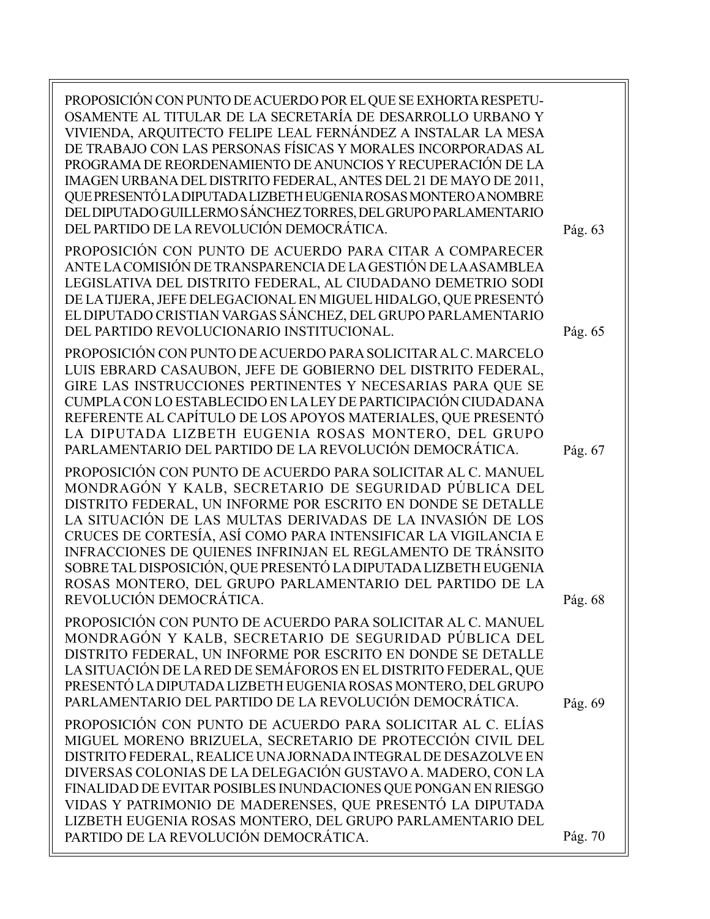| PROPOSICIÓN CON PUNTO DE ACUERDO POR EL QUE SE EXHORTA RESPETU-<br>OSAMENTE AL TITULAR DE LA SECRETARÍA DE DESARROLLO URBANO Y<br>VIVIENDA, ARQUITECTO FELIPE LEAL FERNÁNDEZ A INSTALAR LA MESA<br>DE TRABAJO CON LAS PERSONAS FÍSICAS Y MORALES INCORPORADAS AL<br>PROGRAMA DE REORDENAMIENTO DE ANUNCIOS Y RECUPERACIÓN DE LA<br>IMAGEN URBANA DEL DISTRITO FEDERAL, ANTES DEL 21 DE MAYO DE 2011,<br>QUE PRESENTÓ LA DIPUTADA LIZBETH EUGENIA ROSAS MONTERO A NOMBRE<br>DEL DIPUTADO GUILLERMO SÁNCHEZ TORRES, DEL GRUPO PARLAMENTARIO<br>DEL PARTIDO DE LA REVOLUCIÓN DEMOCRÁTICA. | Pág. 63 |
|----------------------------------------------------------------------------------------------------------------------------------------------------------------------------------------------------------------------------------------------------------------------------------------------------------------------------------------------------------------------------------------------------------------------------------------------------------------------------------------------------------------------------------------------------------------------------------------|---------|
| PROPOSICIÓN CON PUNTO DE ACUERDO PARA CITAR A COMPARECER<br>ANTE LA COMISIÓN DE TRANSPARENCIA DE LA GESTIÓN DE LA ASAMBLEA<br>LEGISLATIVA DEL DISTRITO FEDERAL, AL CIUDADANO DEMETRIO SODI<br>DE LA TIJERA, JEFE DELEGACIONAL EN MIGUEL HIDALGO, QUE PRESENTÓ<br>EL DIPUTADO CRISTIAN VARGAS SÁNCHEZ, DEL GRUPO PARLAMENTARIO<br>DEL PARTIDO REVOLUCIONARIO INSTITUCIONAL.                                                                                                                                                                                                             | Pág. 65 |
| PROPOSICIÓN CON PUNTO DE ACUERDO PARA SOLICITAR AL C. MARCELO<br>LUIS EBRARD CASAUBON, JEFE DE GOBIERNO DEL DISTRITO FEDERAL,<br>GIRE LAS INSTRUCCIONES PERTINENTES Y NECESARIAS PARA QUE SE<br>CUMPLA CON LO ESTABLECIDO EN LA LEY DE PARTICIPACIÓN CIUDADANA<br>REFERENTE AL CAPÍTULO DE LOS APOYOS MATERIALES, QUE PRESENTÓ<br>LA DIPUTADA LIZBETH EUGENIA ROSAS MONTERO, DEL GRUPO<br>PARLAMENTARIO DEL PARTIDO DE LA REVOLUCIÓN DEMOCRÁTICA.                                                                                                                                      | Pág. 67 |
| PROPOSICIÓN CON PUNTO DE ACUERDO PARA SOLICITAR AL C. MANUEL<br>MONDRAGÓN Y KALB, SECRETARIO DE SEGURIDAD PÚBLICA DEL<br>DISTRITO FEDERAL, UN INFORME POR ESCRITO EN DONDE SE DETALLE<br>LA SITUACIÓN DE LAS MULTAS DERIVADAS DE LA INVASIÓN DE LOS<br>CRUCES DE CORTESÍA, ASÍ COMO PARA INTENSIFICAR LA VIGILANCIA E<br>INFRACCIONES DE QUIENES INFRINJAN EL REGLAMENTO DE TRÁNSITO<br>SOBRE TAL DISPOSICIÓN, QUE PRESENTÓ LA DIPUTADA LIZBETH EUGENIA<br>ROSAS MONTERO, DEL GRUPO PARLAMENTARIO DEL PARTIDO DE LA<br>REVOLUCIÓN DEMOCRÁTICA                                          | Pág. 68 |
| PROPOSICIÓN CON PUNTO DE ACUERDO PARA SOLICITAR AL C. MANUEL<br>MONDRAGÓN Y KALB, SECRETARIO DE SEGURIDAD PÚBLICA DEL<br>DISTRITO FEDERAL, UN INFORME POR ESCRITO EN DONDE SE DETALLE<br>LA SITUACIÓN DE LA RED DE SEMÁFOROS EN EL DISTRITO FEDERAL, QUE<br>PRESENTÓ LA DIPUTADA LIZBETH EUGENIA ROSAS MONTERO, DEL GRUPO<br>PARLAMENTARIO DEL PARTIDO DE LA REVOLUCIÓN DEMOCRÁTICA.                                                                                                                                                                                                   | Pág. 69 |
| PROPOSICIÓN CON PUNTO DE ACUERDO PARA SOLICITAR AL C. ELÍAS<br>MIGUEL MORENO BRIZUELA, SECRETARIO DE PROTECCIÓN CIVIL DEL<br>DISTRITO FEDERAL, REALICE UNA JORNADA INTEGRAL DE DESAZOLVE EN<br>DIVERSAS COLONIAS DE LA DELEGACIÓN GUSTAVO A. MADERO, CON LA<br>FINALIDAD DE EVITAR POSIBLES INUNDACIONES QUE PONGAN EN RIESGO<br>VIDAS Y PATRIMONIO DE MADERENSES, QUE PRESENTÓ LA DIPUTADA<br>LIZBETH EUGENIA ROSAS MONTERO, DEL GRUPO PARLAMENTARIO DEL<br>PARTIDO DE LA REVOLUCIÓN DEMOCRÁTICA.                                                                                     | Pág. 70 |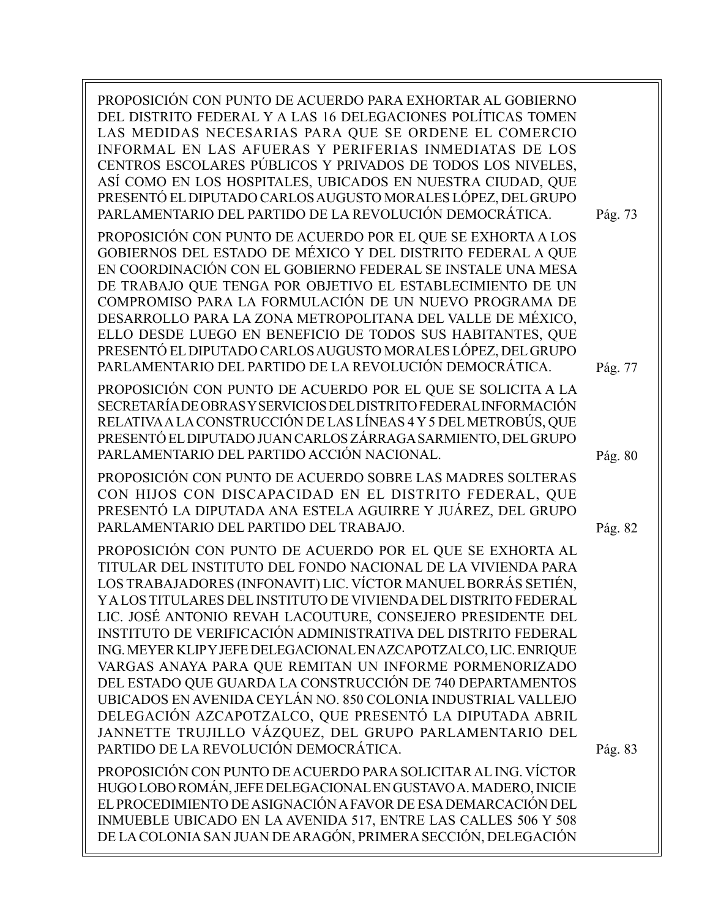PROPOSICIÓN CON PUNTO DE ACUERDO PARA EXHORTAR AL GOBIERNO DEL DISTRITO FEDERAL Y A LAS 16 DELEGACIONES POLÍTICAS TOMEN LAS MEDIDAS NECESARIAS PARA QUE SE ORDENE EL COMERCIO INFORMAL EN LAS AFUERAS Y PERIFERIAS INMEDIATAS DE LOS CENTROS ESCOLARES PÚBLICOS Y PRIVADOS DE TODOS LOS NIVELES, ASÍ COMO EN LOS HOSPITALES, UBICADOS EN NUESTRA CIUDAD, QUE PRESENTÓ EL DIPUTADO CARLOS AUGUSTO MORALES LÓPEZ, DEL GRUPO PARLAMENTARIO DEL PARTIDO DE LA REVOLUCIÓN DEMOCRÁTICA. PROPOSICIÓN CON PUNTO DE ACUERDO POR EL QUE SE EXHORTA A LOS GOBIERNOS DEL ESTADO DE MÉXICO Y DEL DISTRITO FEDERAL A QUE EN COORDINACIÓN CON EL GOBIERNO FEDERAL SE INSTALE UNA MESA DE TRABAJO QUE TENGA POR OBJETIVO EL ESTABLECIMIENTO DE UN COMPROMISO PARA LA FORMULACIÓN DE UN NUEVO PROGRAMA DE DESARROLLO PARA LA ZONA METROPOLITANA DEL VALLE DE MÉXICO, ELLO DESDE LUEGO EN BENEFICIO DE TODOS SUS HABITANTES, QUE PRESENTÓ EL DIPUTADO CARLOS AUGUSTO MORALES LÓPEZ, DEL GRUPO PARLAMENTARIO DEL PARTIDO DE LA REVOLUCIÓN DEMOCRÁTICA. PROPOSICIÓN CON PUNTO DE ACUERDO POR EL QUE SE SOLICITA A LA SECRETARÍA DE OBRAS Y SERVICIOS DEL DISTRITO FEDERAL INFORMACIÓN RELATIVA A LA CONSTRUCCIÓN DE LAS LÍNEAS 4 Y 5 DEL METROBÚS, QUE PRESENTÓ EL DIPUTADO JUAN CARLOS ZÁRRAGA SARMIENTO, DEL GRUPO PARLAMENTARIO DEL PARTIDO ACCIÓN NACIONAL. PROPOSICIÓN CON PUNTO DE ACUERDO SOBRE LAS MADRES SOLTERAS CON HIJOS CON DISCAPACIDAD EN EL DISTRITO FEDERAL, QUE PRESENTÓ LA DIPUTADA ANA ESTELA AGUIRRE Y JUÁREZ, DEL GRUPO PARLAMENTARIO DEL PARTIDO DEL TRABAJO. PROPOSICIÓN CON PUNTO DE ACUERDO POR EL QUE SE EXHORTA AL TITULAR DEL INSTITUTO DEL FONDO NACIONAL DE LA VIVIENDA PARA LOS TRABAJADORES (INFONAVIT) LIC. VÍCTOR MANUEL BORRÁS SETIÉN, Y A LOS TITULARES DEL INSTITUTO DE VIVIENDA DEL DISTRITO FEDERAL LIC. JOSÉ ANTONIO REVAH LACOUTURE, CONSEJERO PRESIDENTE DEL INSTITUTO DE VERIFICACIÓN ADMINISTRATIVA DEL DISTRITO FEDERAL ING. MEYER KLIP Y JEFE DELEGACIONAL EN AZCAPOTZALCO, LIC. ENRIQUE VARGAS ANAYA PARA QUE REMITAN UN INFORME PORMENORIZADO DEL ESTADO QUE GUARDA LA CONSTRUCCIÓN DE 740 DEPARTAMENTOS UBICADOS EN AVENIDA CEYLÁN NO. 850 COLONIA INDUSTRIAL VALLEJO DELEGACIÓN AZCAPOTZALCO, QUE PRESENTÓ LA DIPUTADA ABRIL JANNETTE TRUJILLO VÁZQUEZ, DEL GRUPO PARLAMENTARIO DEL PARTIDO DE LA REVOLUCIÓN DEMOCRÁTICA. PROPOSICIÓN CON PUNTO DE ACUERDO PARA SOLICITAR AL ING. VÍCTOR HUGO LOBO ROMÁN, JEFE DELEGACIONAL EN GUSTAVO A. MADERO, INICIE EL PROCEDIMIENTO DE ASIGNACIÓN A FAVOR DE ESA DEMARCACIÓN DEL INMUEBLE UBICADO EN LA AVENIDA 517, ENTRE LAS CALLES 506 Y 508 DE LA COLONIA SAN JUAN DE ARAGÓN, PRIMERA SECCIÓN, DELEGACIÓN Pág. 73 Pág. 77 Pág. 80 Pág. 82 Pág. 83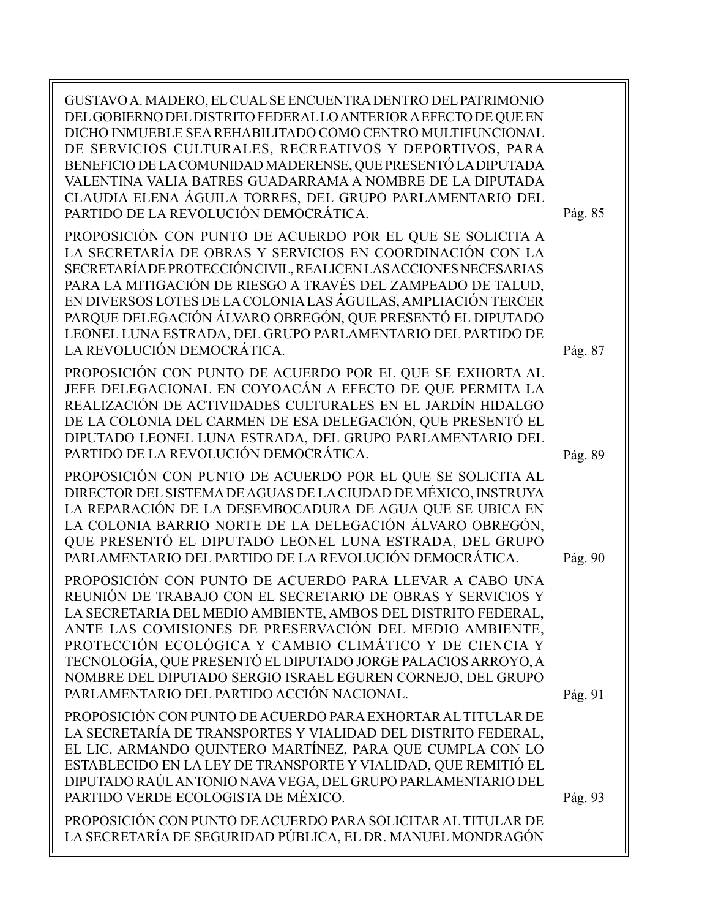GUSTAVO A. MADERO, EL CUAL SE ENCUENTRA DENTRO DEL PATRIMONIO DEL GOBIERNO DEL DISTRITO FEDERAL LO ANTERIOR A EFECTO DE QUE EN DICHO INMUEBLE SEA REHABILITADO COMO CENTRO MULTIFUNCIONAL DE SERVICIOS CULTURALES, RECREATIVOS Y DEPORTIVOS, PARA BENEFICIO DE LA COMUNIDAD MADERENSE, QUE PRESENTÓ LA DIPUTADA VALENTINA VALIA BATRES GUADARRAMA A NOMBRE DE LA DIPUTADA CLAUDIA ELENA ÁGUILA TORRES, DEL GRUPO PARLAMENTARIO DEL PARTIDO DE LA REVOLUCIÓN DEMOCRÁTICA. PROPOSICIÓN CON PUNTO DE ACUERDO POR EL QUE SE SOLICITA A LA SECRETARÍA DE OBRAS Y SERVICIOS EN COORDINACIÓN CON LA SECRETARÍA DE PROTECCIÓN CIVIL, REALICEN LAS ACCIONES NECESARIAS PARA LA MITIGACIÓN DE RIESGO A TRAVÉS DEL ZAMPEADO DE TALUD, EN DIVERSOS LOTES DE LA COLONIA LAS ÁGUILAS, AMPLIACIÓN TERCER PARQUE DELEGACIÓN ÁLVARO OBREGÓN, QUE PRESENTÓ EL DIPUTADO LEONEL LUNA ESTRADA, DEL GRUPO PARLAMENTARIO DEL PARTIDO DE LA REVOLUCIÓN DEMOCRÁTICA. PROPOSICIÓN CON PUNTO DE ACUERDO POR EL QUE SE EXHORTA AL JEFE DELEGACIONAL EN COYOACÁN A EFECTO DE QUE PERMITA LA REALIZACIÓN DE ACTIVIDADES CULTURALES EN EL JARDÍN HIDALGO DE LA COLONIA DEL CARMEN DE ESA DELEGACIÓN, QUE PRESENTÓ EL DIPUTADO LEONEL LUNA ESTRADA, DEL GRUPO PARLAMENTARIO DEL PARTIDO DE LA REVOLUCIÓN DEMOCRÁTICA. PROPOSICIÓN CON PUNTO DE ACUERDO POR EL QUE SE SOLICITA AL DIRECTOR DEL SISTEMA DE AGUAS DE LA CIUDAD DE MÉXICO, INSTRUYA LA REPARACIÓN DE LA DESEMBOCADURA DE AGUA QUE SE UBICA EN LA COLONIA BARRIO NORTE DE LA DELEGACIÓN ÁLVARO OBREGÓN, QUE PRESENTÓ EL DIPUTADO LEONEL LUNA ESTRADA, DEL GRUPO PARLAMENTARIO DEL PARTIDO DE LA REVOLUCIÓN DEMOCRÁTICA. PROPOSICIÓN CON PUNTO DE ACUERDO PARA LLEVAR A CABO UNA REUNIÓN DE TRABAJO CON EL SECRETARIO DE OBRAS Y SERVICIOS Y LA SECRETARIA DEL MEDIO AMBIENTE, AMBOS DEL DISTRITO FEDERAL, ANTE LAS COMISIONES DE PRESERVACIÓN DEL MEDIO AMBIENTE, PROTECCIÓN ECOLÓGICA Y CAMBIO CLIMÁTICO Y DE CIENCIA Y TECNOLOGÍA, QUE PRESENTÓ EL DIPUTADO JORGE PALACIOS ARROYO, A NOMBRE DEL DIPUTADO SERGIO ISRAEL EGUREN CORNEJO, DEL GRUPO PARLAMENTARIO DEL PARTIDO ACCIÓN NACIONAL. PROPOSICIÓN CON PUNTO DE ACUERDO PARA EXHORTAR AL TITULAR DE LA SECRETARÍA DE TRANSPORTES Y VIALIDAD DEL DISTRITO FEDERAL, EL LIC. ARMANDO QUINTERO MARTÍNEZ, PARA QUE CUMPLA CON LO ESTABLECIDO EN LA LEY DE TRANSPORTE Y VIALIDAD, QUE REMITIÓ EL DIPUTADO RAÚL ANTONIO NAVA VEGA, DEL GRUPO PARLAMENTARIO DEL PARTIDO VERDE ECOLOGISTA DE MÉXICO. PROPOSICIÓN CON PUNTO DE ACUERDO PARA SOLICITAR AL TITULAR DE LA SECRETARÍA DE SEGURIDAD PÚBLICA, EL DR. MANUEL MONDRAGÓN Pág. 85 Pág. 87 Pág. 89 Pág. 90 Pág. 91 Pág. 93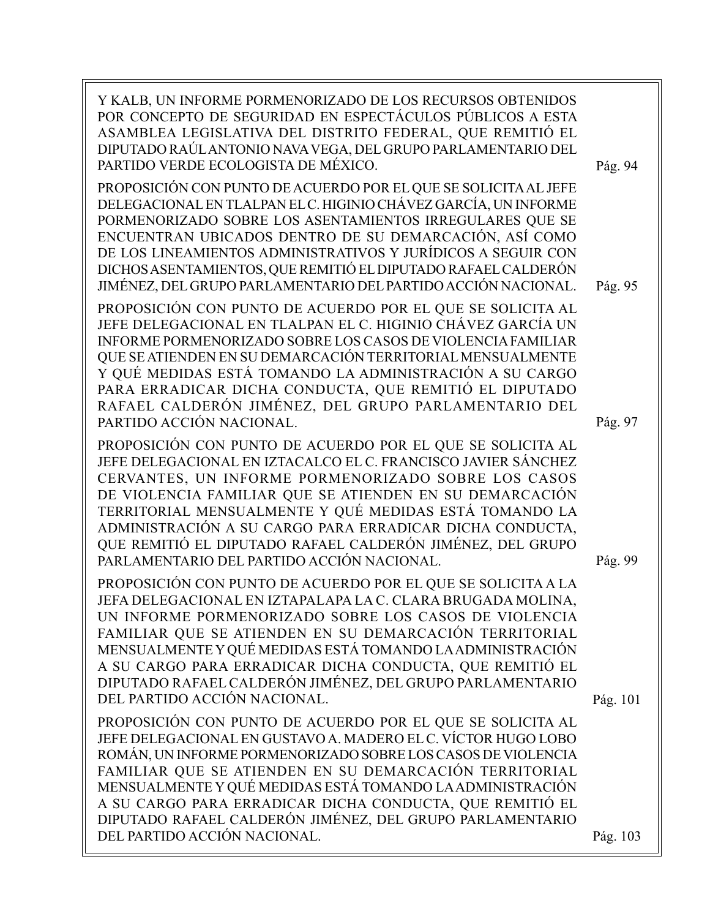| Y KALB, UN INFORME PORMENORIZADO DE LOS RECURSOS OBTENIDOS<br>POR CONCEPTO DE SEGURIDAD EN ESPECTÁCULOS PÚBLICOS A ESTA<br>ASAMBLEA LEGISLATIVA DEL DISTRITO FEDERAL, QUE REMITIÓ EL<br>DIPUTADO RAÚLANTONIO NAVA VEGA, DEL GRUPO PARLAMENTARIO DEL<br>PARTIDO VERDE ECOLOGISTA DE MÉXICO.                                                                                                                                                                                      | Pág. 94  |
|---------------------------------------------------------------------------------------------------------------------------------------------------------------------------------------------------------------------------------------------------------------------------------------------------------------------------------------------------------------------------------------------------------------------------------------------------------------------------------|----------|
| PROPOSICIÓN CON PUNTO DE ACUERDO POR EL QUE SE SOLICITA AL JEFE<br>DELEGACIONAL EN TLALPAN EL C. HIGINIO CHÁVEZ GARCÍA, UN INFORME<br>PORMENORIZADO SOBRE LOS ASENTAMIENTOS IRREGULARES QUE SE<br>ENCUENTRAN UBICADOS DENTRO DE SU DEMARCACIÓN, ASÍ COMO<br>DE LOS LINEAMIENTOS ADMINISTRATIVOS Y JURÍDICOS A SEGUIR CON<br>DICHOS ASENTAMIENTOS, QUE REMITIÓ EL DIPUTADO RAFAEL CALDERÓN<br>JIMÉNEZ, DEL GRUPO PARLAMENTARIO DEL PARTIDO ACCIÓN NACIONAL.                      | Pág. 95  |
| PROPOSICIÓN CON PUNTO DE ACUERDO POR EL QUE SE SOLICITA AL<br>JEFE DELEGACIONAL EN TLALPAN EL C. HIGINIO CHÁVEZ GARCÍA UN<br>INFORME PORMENORIZADO SOBRE LOS CASOS DE VIOLENCIA FAMILIAR<br>QUE SE ATIENDEN EN SU DEMARCACIÓN TERRITORIAL MENSUALMENTE<br>Y QUÉ MEDIDAS ESTÁ TOMANDO LA ADMINISTRACIÓN A SU CARGO<br>PARA ERRADICAR DICHA CONDUCTA, QUE REMITIÓ EL DIPUTADO<br>RAFAEL CALDERÓN JIMÉNEZ, DEL GRUPO PARLAMENTARIO DEL<br>PARTIDO ACCIÓN NACIONAL.                 | Pág. 97  |
| PROPOSICIÓN CON PUNTO DE ACUERDO POR EL QUE SE SOLICITA AL<br>JEFE DELEGACIONAL EN IZTACALCO EL C. FRANCISCO JAVIER SÁNCHEZ<br>CERVANTES, UN INFORME PORMENORIZADO SOBRE LOS CASOS<br>DE VIOLENCIA FAMILIAR QUE SE ATIENDEN EN SU DEMARCACIÓN<br>TERRITORIAL MENSUALMENTE Y QUÉ MEDIDAS ESTÁ TOMANDO LA<br>ADMINISTRACIÓN A SU CARGO PARA ERRADICAR DICHA CONDUCTA,<br>QUE REMITIÓ EL DIPUTADO RAFAEL CALDERÓN JIMÉNEZ, DEL GRUPO<br>PARLAMENTARIO DEL PARTIDO ACCIÓN NACIONAL. | Pág. 99  |
| PROPOSICIÓN CON PUNTO DE ACUERDO POR EL QUE SE SOLICITA A LA<br>JEFA DELEGACIONAL EN IZTAPALAPA LA C. CLARA BRUGADA MOLINA<br>UN INFORME PORMENORIZADO SOBRE LOS CASOS DE VIOLENCIA<br>FAMILIAR QUE SE ATIENDEN EN SU DEMARCACIÓN TERRITORIAL<br>MENSUALMENTE Y QUÉ MEDIDAS ESTÁ TOMANDO LA ADMINISTRACIÓN<br>A SU CARGO PARA ERRADICAR DICHA CONDUCTA, QUE REMITIÓ EL<br>DIPUTADO RAFAEL CALDERÓN JIMÉNEZ, DEL GRUPO PARLAMENTARIO<br>DEL PARTIDO ACCIÓN NACIONAL.             | Pág. 101 |
| PROPOSICIÓN CON PUNTO DE ACUERDO POR EL QUE SE SOLICITA AL<br>JEFE DELEGACIONAL EN GUSTAVO A. MADERO EL C. VÍCTOR HUGO LOBO<br>ROMÁN, UN INFORME PORMENORIZADO SOBRE LOS CASOS DE VIOLENCIA<br>FAMILIAR QUE SE ATIENDEN EN SU DEMARCACIÓN TERRITORIAL<br>MENSUALMENTE Y QUÉ MEDIDAS ESTÁ TOMANDO LA ADMINISTRACIÓN<br>A SU CARGO PARA ERRADICAR DICHA CONDUCTA, QUE REMITIÓ EL<br>DIPUTADO RAFAEL CALDERÓN JIMÉNEZ, DEL GRUPO PARLAMENTARIO<br>DEL PARTIDO ACCIÓN NACIONAL.     | Pág. 103 |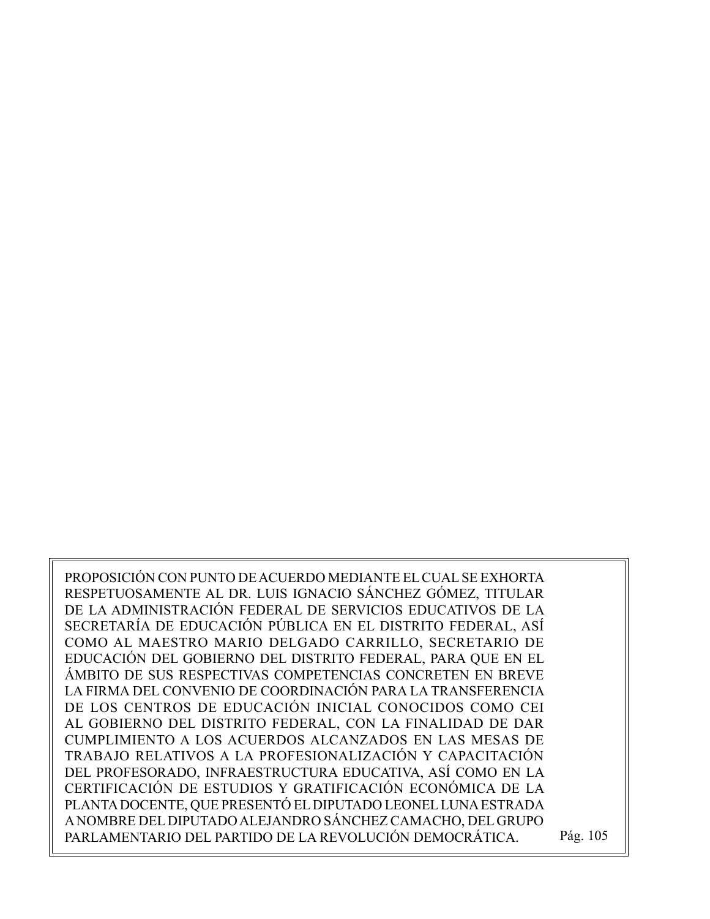PROPOSICIÓN CON PUNTO DE ACUERDO MEDIANTE EL CUAL SE EXHORTA RESPETUOSAMENTE AL DR. LUIS IGNACIO SÁNCHEZ GÓMEZ, TITULAR DE LA ADMINISTRACIÓN FEDERAL DE SERVICIOS EDUCATIVOS DE LA SECRETARÍA DE EDUCACIÓN PÚBLICA EN EL DISTRITO FEDERAL, ASÍ COMO AL MAESTRO MARIO DELGADO CARRILLO, SECRETARIO DE EDUCACIÓN DEL GOBIERNO DEL DISTRITO FEDERAL, PARA QUE EN EL ÁMBITO DE SUS RESPECTIVAS COMPETENCIAS CONCRETEN EN BREVE LA FIRMA DEL CONVENIO DE COORDINACIÓN PARA LA TRANSFERENCIA DE LOS CENTROS DE EDUCACIÓN INICIAL CONOCIDOS COMO CEI AL GOBIERNO DEL DISTRITO FEDERAL, CON LA FINALIDAD DE DAR CUMPLIMIENTO A LOS ACUERDOS ALCANZADOS EN LAS MESAS DE TRABAJO RELATIVOS A LA PROFESIONALIZACIÓN Y CAPACITACIÓN DEL PROFESORADO, INFRAESTRUCTURA EDUCATIVA, ASÍ COMO EN LA CERTIFICACIÓN DE ESTUDIOS Y GRATIFICACIÓN ECONÓMICA DE LA PLANTA DOCENTE, QUE PRESENTÓ EL DIPUTADO LEONEL LUNA ESTRADA A NOMBRE DEL DIPUTADO ALEJANDRO SÁNCHEZ CAMACHO, DEL GRUPO PARLAMENTARIO DEL PARTIDO DE LA REVOLUCIÓN DEMOCRÁTICA. Pág. 105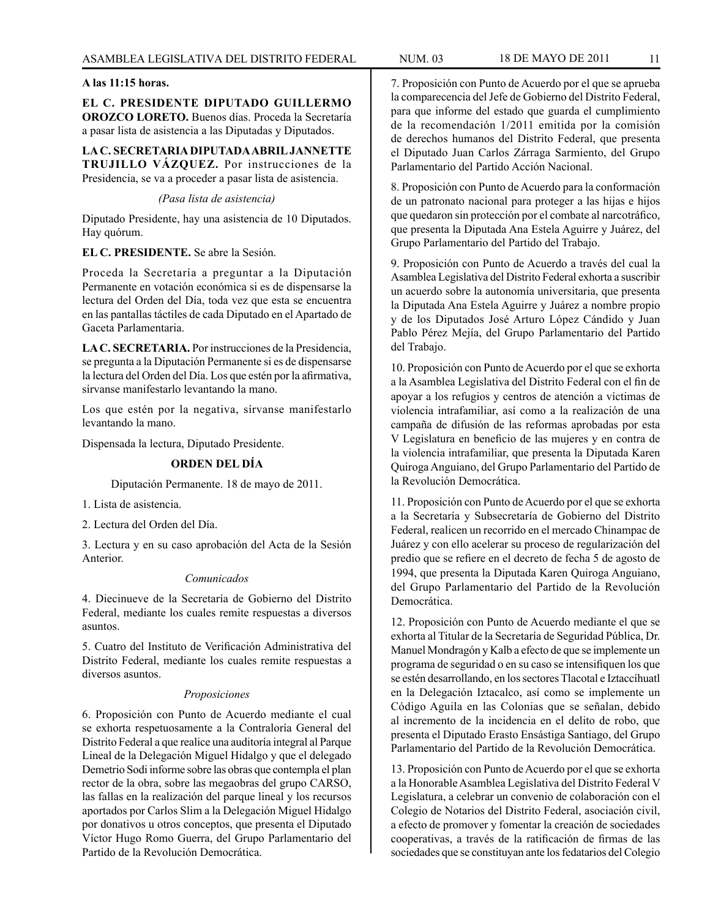#### **A las 11:15 horas.**

**EL C. PRESIDENTE DIPUTADO GUILLERMO OROZCO LORETO.** Buenos días. Proceda la Secretaría a pasar lista de asistencia a las Diputadas y Diputados.

**LA C. SECRETARIA DIPUTADA ABRIL JANNETTE TRUJILLO VÁZQUEZ.** Por instrucciones de la Presidencia, se va a proceder a pasar lista de asistencia.

### *(Pasa lista de asistencia)*

Diputado Presidente, hay una asistencia de 10 Diputados. Hay quórum.

### **EL C. PRESIDENTE.** Se abre la Sesión.

Proceda la Secretaría a preguntar a la Diputación Permanente en votación económica si es de dispensarse la lectura del Orden del Día, toda vez que esta se encuentra en las pantallas táctiles de cada Diputado en el Apartado de Gaceta Parlamentaria.

**LA C. SECRETARIA.** Por instrucciones de la Presidencia, se pregunta a la Diputación Permanente si es de dispensarse la lectura del Orden del Día. Los que estén por la afirmativa, sírvanse manifestarlo levantando la mano.

Los que estén por la negativa, sírvanse manifestarlo levantando la mano.

Dispensada la lectura, Diputado Presidente.

### **ORDEN DEL DÍA**

Diputación Permanente. 18 de mayo de 2011.

1. Lista de asistencia.

2. Lectura del Orden del Día.

3. Lectura y en su caso aprobación del Acta de la Sesión Anterior.

### *Comunicados*

4. Diecinueve de la Secretaría de Gobierno del Distrito Federal, mediante los cuales remite respuestas a diversos asuntos.

5. Cuatro del Instituto de Verificación Administrativa del Distrito Federal, mediante los cuales remite respuestas a diversos asuntos.

### *Proposiciones*

6. Proposición con Punto de Acuerdo mediante el cual se exhorta respetuosamente a la Contraloría General del Distrito Federal a que realice una auditoría integral al Parque Lineal de la Delegación Miguel Hidalgo y que el delegado Demetrio Sodi informe sobre las obras que contempla el plan rector de la obra, sobre las megaobras del grupo CARSO, las fallas en la realización del parque lineal y los recursos aportados por Carlos Slim a la Delegación Miguel Hidalgo por donativos u otros conceptos, que presenta el Diputado Víctor Hugo Romo Guerra, del Grupo Parlamentario del Partido de la Revolución Democrática.

7. Proposición con Punto de Acuerdo por el que se aprueba la comparecencia del Jefe de Gobierno del Distrito Federal, para que informe del estado que guarda el cumplimiento de la recomendación 1/2011 emitida por la comisión de derechos humanos del Distrito Federal, que presenta el Diputado Juan Carlos Zárraga Sarmiento, del Grupo Parlamentario del Partido Acción Nacional.

8. Proposición con Punto de Acuerdo para la conformación de un patronato nacional para proteger a las hijas e hijos que quedaron sin protección por el combate al narcotráfico, que presenta la Diputada Ana Estela Aguirre y Juárez, del Grupo Parlamentario del Partido del Trabajo.

9. Proposición con Punto de Acuerdo a través del cual la Asamblea Legislativa del Distrito Federal exhorta a suscribir un acuerdo sobre la autonomía universitaria, que presenta la Diputada Ana Estela Aguirre y Juárez a nombre propio y de los Diputados José Arturo López Cándido y Juan Pablo Pérez Mejía, del Grupo Parlamentario del Partido del Trabajo.

10. Proposición con Punto de Acuerdo por el que se exhorta a la Asamblea Legislativa del Distrito Federal con el fin de apoyar a los refugios y centros de atención a víctimas de violencia intrafamiliar, así como a la realización de una campaña de difusión de las reformas aprobadas por esta V Legislatura en beneficio de las mujeres y en contra de la violencia intrafamiliar, que presenta la Diputada Karen Quiroga Anguiano, del Grupo Parlamentario del Partido de la Revolución Democrática.

11. Proposición con Punto de Acuerdo por el que se exhorta a la Secretaría y Subsecretaría de Gobierno del Distrito Federal, realicen un recorrido en el mercado Chinampac de Juárez y con ello acelerar su proceso de regularización del predio que se refiere en el decreto de fecha 5 de agosto de 1994, que presenta la Diputada Karen Quiroga Anguiano, del Grupo Parlamentario del Partido de la Revolución Democrática.

12. Proposición con Punto de Acuerdo mediante el que se exhorta al Titular de la Secretaría de Seguridad Pública, Dr. Manuel Mondragón y Kalb a efecto de que se implemente un programa de seguridad o en su caso se intensifiquen los que se estén desarrollando, en los sectores Tlacotal e Iztaccíhuatl en la Delegación Iztacalco, así como se implemente un Código Aguila en las Colonias que se señalan, debido al incremento de la incidencia en el delito de robo, que presenta el Diputado Erasto Ensástiga Santiago, del Grupo Parlamentario del Partido de la Revolución Democrática.

13. Proposición con Punto de Acuerdo por el que se exhorta a la Honorable Asamblea Legislativa del Distrito Federal V Legislatura, a celebrar un convenio de colaboración con el Colegio de Notarios del Distrito Federal, asociación civil, a efecto de promover y fomentar la creación de sociedades cooperativas, a través de la ratificación de firmas de las sociedades que se constituyan ante los fedatarios del Colegio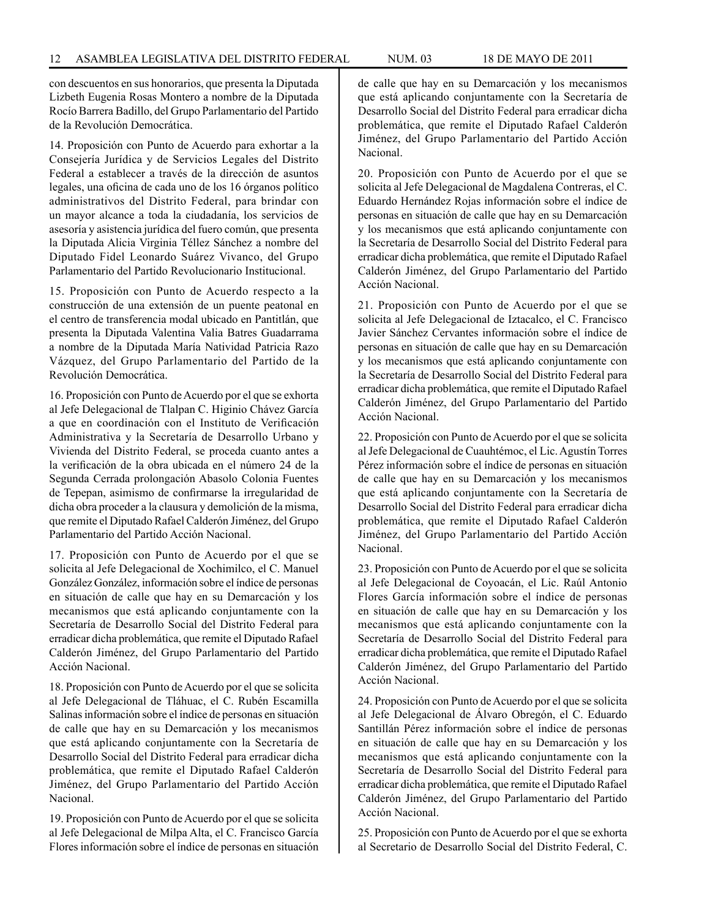con descuentos en sus honorarios, que presenta la Diputada Lizbeth Eugenia Rosas Montero a nombre de la Diputada Rocío Barrera Badillo, del Grupo Parlamentario del Partido de la Revolución Democrática.

14. Proposición con Punto de Acuerdo para exhortar a la Consejería Jurídica y de Servicios Legales del Distrito Federal a establecer a través de la dirección de asuntos legales, una oficina de cada uno de los 16 órganos político administrativos del Distrito Federal, para brindar con un mayor alcance a toda la ciudadanía, los servicios de asesoría y asistencia jurídica del fuero común, que presenta la Diputada Alicia Virginia Téllez Sánchez a nombre del Diputado Fidel Leonardo Suárez Vivanco, del Grupo Parlamentario del Partido Revolucionario Institucional.

15. Proposición con Punto de Acuerdo respecto a la construcción de una extensión de un puente peatonal en el centro de transferencia modal ubicado en Pantitlán, que presenta la Diputada Valentina Valia Batres Guadarrama a nombre de la Diputada María Natividad Patricia Razo Vázquez, del Grupo Parlamentario del Partido de la Revolución Democrática.

16. Proposición con Punto de Acuerdo por el que se exhorta al Jefe Delegacional de Tlalpan C. Higinio Chávez García a que en coordinación con el Instituto de Verificación Administrativa y la Secretaría de Desarrollo Urbano y Vivienda del Distrito Federal, se proceda cuanto antes a la verificación de la obra ubicada en el número 24 de la Segunda Cerrada prolongación Abasolo Colonia Fuentes de Tepepan, asimismo de confirmarse la irregularidad de dicha obra proceder a la clausura y demolición de la misma, que remite el Diputado Rafael Calderón Jiménez, del Grupo Parlamentario del Partido Acción Nacional.

17. Proposición con Punto de Acuerdo por el que se solicita al Jefe Delegacional de Xochimilco, el C. Manuel González González, información sobre el índice de personas en situación de calle que hay en su Demarcación y los mecanismos que está aplicando conjuntamente con la Secretaría de Desarrollo Social del Distrito Federal para erradicar dicha problemática, que remite el Diputado Rafael Calderón Jiménez, del Grupo Parlamentario del Partido Acción Nacional.

18. Proposición con Punto de Acuerdo por el que se solicita al Jefe Delegacional de Tláhuac, el C. Rubén Escamilla Salinas información sobre el índice de personas en situación de calle que hay en su Demarcación y los mecanismos que está aplicando conjuntamente con la Secretaría de Desarrollo Social del Distrito Federal para erradicar dicha problemática, que remite el Diputado Rafael Calderón Jiménez, del Grupo Parlamentario del Partido Acción Nacional.

19. Proposición con Punto de Acuerdo por el que se solicita al Jefe Delegacional de Milpa Alta, el C. Francisco García Flores información sobre el índice de personas en situación de calle que hay en su Demarcación y los mecanismos que está aplicando conjuntamente con la Secretaría de Desarrollo Social del Distrito Federal para erradicar dicha problemática, que remite el Diputado Rafael Calderón Jiménez, del Grupo Parlamentario del Partido Acción Nacional.

20. Proposición con Punto de Acuerdo por el que se solicita al Jefe Delegacional de Magdalena Contreras, el C. Eduardo Hernández Rojas información sobre el índice de personas en situación de calle que hay en su Demarcación y los mecanismos que está aplicando conjuntamente con la Secretaría de Desarrollo Social del Distrito Federal para erradicar dicha problemática, que remite el Diputado Rafael Calderón Jiménez, del Grupo Parlamentario del Partido Acción Nacional.

21. Proposición con Punto de Acuerdo por el que se solicita al Jefe Delegacional de Iztacalco, el C. Francisco Javier Sánchez Cervantes información sobre el índice de personas en situación de calle que hay en su Demarcación y los mecanismos que está aplicando conjuntamente con la Secretaría de Desarrollo Social del Distrito Federal para erradicar dicha problemática, que remite el Diputado Rafael Calderón Jiménez, del Grupo Parlamentario del Partido Acción Nacional.

22. Proposición con Punto de Acuerdo por el que se solicita al Jefe Delegacional de Cuauhtémoc, el Lic. Agustín Torres Pérez información sobre el índice de personas en situación de calle que hay en su Demarcación y los mecanismos que está aplicando conjuntamente con la Secretaría de Desarrollo Social del Distrito Federal para erradicar dicha problemática, que remite el Diputado Rafael Calderón Jiménez, del Grupo Parlamentario del Partido Acción Nacional.

23. Proposición con Punto de Acuerdo por el que se solicita al Jefe Delegacional de Coyoacán, el Lic. Raúl Antonio Flores García información sobre el índice de personas en situación de calle que hay en su Demarcación y los mecanismos que está aplicando conjuntamente con la Secretaría de Desarrollo Social del Distrito Federal para erradicar dicha problemática, que remite el Diputado Rafael Calderón Jiménez, del Grupo Parlamentario del Partido Acción Nacional.

24. Proposición con Punto de Acuerdo por el que se solicita al Jefe Delegacional de Álvaro Obregón, el C. Eduardo Santillán Pérez información sobre el índice de personas en situación de calle que hay en su Demarcación y los mecanismos que está aplicando conjuntamente con la Secretaría de Desarrollo Social del Distrito Federal para erradicar dicha problemática, que remite el Diputado Rafael Calderón Jiménez, del Grupo Parlamentario del Partido Acción Nacional.

25. Proposición con Punto de Acuerdo por el que se exhorta al Secretario de Desarrollo Social del Distrito Federal, C.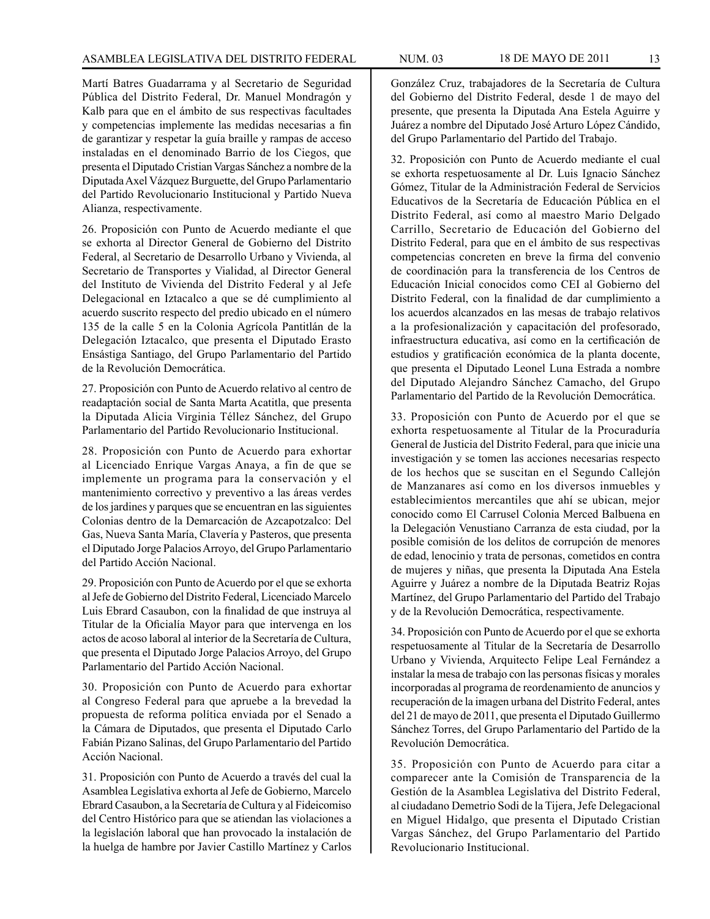Martí Batres Guadarrama y al Secretario de Seguridad Pública del Distrito Federal, Dr. Manuel Mondragón y Kalb para que en el ámbito de sus respectivas facultades y competencias implemente las medidas necesarias a fin de garantizar y respetar la guía braille y rampas de acceso instaladas en el denominado Barrio de los Ciegos, que presenta el Diputado Cristian Vargas Sánchez a nombre de la Diputada Axel Vázquez Burguette, del Grupo Parlamentario del Partido Revolucionario Institucional y Partido Nueva Alianza, respectivamente.

26. Proposición con Punto de Acuerdo mediante el que se exhorta al Director General de Gobierno del Distrito Federal, al Secretario de Desarrollo Urbano y Vivienda, al Secretario de Transportes y Vialidad, al Director General del Instituto de Vivienda del Distrito Federal y al Jefe Delegacional en Iztacalco a que se dé cumplimiento al acuerdo suscrito respecto del predio ubicado en el número 135 de la calle 5 en la Colonia Agrícola Pantitlán de la Delegación Iztacalco, que presenta el Diputado Erasto Ensástiga Santiago, del Grupo Parlamentario del Partido de la Revolución Democrática.

27. Proposición con Punto de Acuerdo relativo al centro de readaptación social de Santa Marta Acatitla, que presenta la Diputada Alicia Virginia Téllez Sánchez, del Grupo Parlamentario del Partido Revolucionario Institucional.

28. Proposición con Punto de Acuerdo para exhortar al Licenciado Enrique Vargas Anaya, a fin de que se implemente un programa para la conservación y el mantenimiento correctivo y preventivo a las áreas verdes de los jardines y parques que se encuentran en las siguientes Colonias dentro de la Demarcación de Azcapotzalco: Del Gas, Nueva Santa María, Clavería y Pasteros, que presenta el Diputado Jorge Palacios Arroyo, del Grupo Parlamentario del Partido Acción Nacional.

29. Proposición con Punto de Acuerdo por el que se exhorta al Jefe de Gobierno del Distrito Federal, Licenciado Marcelo Luis Ebrard Casaubon, con la finalidad de que instruya al Titular de la Oficialía Mayor para que intervenga en los actos de acoso laboral al interior de la Secretaría de Cultura, que presenta el Diputado Jorge Palacios Arroyo, del Grupo Parlamentario del Partido Acción Nacional.

30. Proposición con Punto de Acuerdo para exhortar al Congreso Federal para que apruebe a la brevedad la propuesta de reforma política enviada por el Senado a la Cámara de Diputados, que presenta el Diputado Carlo Fabián Pizano Salinas, del Grupo Parlamentario del Partido Acción Nacional.

31. Proposición con Punto de Acuerdo a través del cual la Asamblea Legislativa exhorta al Jefe de Gobierno, Marcelo Ebrard Casaubon, a la Secretaría de Cultura y al Fideicomiso del Centro Histórico para que se atiendan las violaciones a la legislación laboral que han provocado la instalación de la huelga de hambre por Javier Castillo Martínez y Carlos González Cruz, trabajadores de la Secretaría de Cultura del Gobierno del Distrito Federal, desde 1 de mayo del presente, que presenta la Diputada Ana Estela Aguirre y Juárez a nombre del Diputado José Arturo López Cándido, del Grupo Parlamentario del Partido del Trabajo.

32. Proposición con Punto de Acuerdo mediante el cual se exhorta respetuosamente al Dr. Luis Ignacio Sánchez Gómez, Titular de la Administración Federal de Servicios Educativos de la Secretaría de Educación Pública en el Distrito Federal, así como al maestro Mario Delgado Carrillo, Secretario de Educación del Gobierno del Distrito Federal, para que en el ámbito de sus respectivas competencias concreten en breve la firma del convenio de coordinación para la transferencia de los Centros de Educación Inicial conocidos como CEI al Gobierno del Distrito Federal, con la finalidad de dar cumplimiento a los acuerdos alcanzados en las mesas de trabajo relativos a la profesionalización y capacitación del profesorado, infraestructura educativa, así como en la certificación de estudios y gratificación económica de la planta docente, que presenta el Diputado Leonel Luna Estrada a nombre del Diputado Alejandro Sánchez Camacho, del Grupo Parlamentario del Partido de la Revolución Democrática.

33. Proposición con Punto de Acuerdo por el que se exhorta respetuosamente al Titular de la Procuraduría General de Justicia del Distrito Federal, para que inicie una investigación y se tomen las acciones necesarias respecto de los hechos que se suscitan en el Segundo Callejón de Manzanares así como en los diversos inmuebles y establecimientos mercantiles que ahí se ubican, mejor conocido como El Carrusel Colonia Merced Balbuena en la Delegación Venustiano Carranza de esta ciudad, por la posible comisión de los delitos de corrupción de menores de edad, lenocinio y trata de personas, cometidos en contra de mujeres y niñas, que presenta la Diputada Ana Estela Aguirre y Juárez a nombre de la Diputada Beatriz Rojas Martínez, del Grupo Parlamentario del Partido del Trabajo y de la Revolución Democrática, respectivamente.

34. Proposición con Punto de Acuerdo por el que se exhorta respetuosamente al Titular de la Secretaría de Desarrollo Urbano y Vivienda, Arquitecto Felipe Leal Fernández a instalar la mesa de trabajo con las personas físicas y morales incorporadas al programa de reordenamiento de anuncios y recuperación de la imagen urbana del Distrito Federal, antes del 21 de mayo de 2011, que presenta el Diputado Guillermo Sánchez Torres, del Grupo Parlamentario del Partido de la Revolución Democrática.

35. Proposición con Punto de Acuerdo para citar a comparecer ante la Comisión de Transparencia de la Gestión de la Asamblea Legislativa del Distrito Federal, al ciudadano Demetrio Sodi de la Tijera, Jefe Delegacional en Miguel Hidalgo, que presenta el Diputado Cristian Vargas Sánchez, del Grupo Parlamentario del Partido Revolucionario Institucional.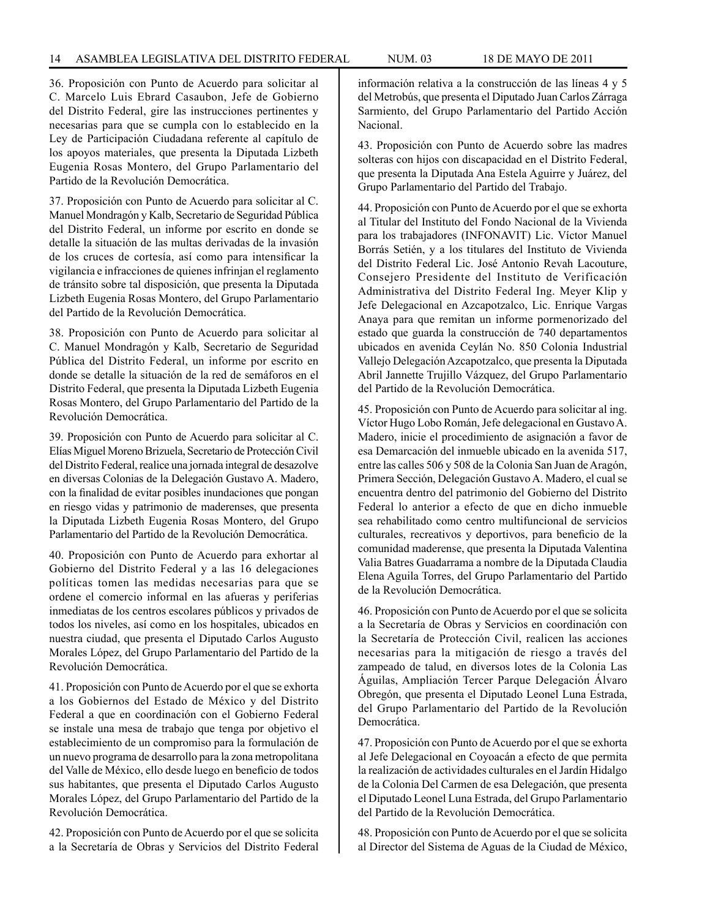36. Proposición con Punto de Acuerdo para solicitar al C. Marcelo Luis Ebrard Casaubon, Jefe de Gobierno del Distrito Federal, gire las instrucciones pertinentes y necesarias para que se cumpla con lo establecido en la Ley de Participación Ciudadana referente al capítulo de los apoyos materiales, que presenta la Diputada Lizbeth Eugenia Rosas Montero, del Grupo Parlamentario del Partido de la Revolución Democrática.

37. Proposición con Punto de Acuerdo para solicitar al C. Manuel Mondragón y Kalb, Secretario de Seguridad Pública del Distrito Federal, un informe por escrito en donde se detalle la situación de las multas derivadas de la invasión de los cruces de cortesía, así como para intensificar la vigilancia e infracciones de quienes infrinjan el reglamento de tránsito sobre tal disposición, que presenta la Diputada Lizbeth Eugenia Rosas Montero, del Grupo Parlamentario del Partido de la Revolución Democrática.

38. Proposición con Punto de Acuerdo para solicitar al C. Manuel Mondragón y Kalb, Secretario de Seguridad Pública del Distrito Federal, un informe por escrito en donde se detalle la situación de la red de semáforos en el Distrito Federal, que presenta la Diputada Lizbeth Eugenia Rosas Montero, del Grupo Parlamentario del Partido de la Revolución Democrática.

39. Proposición con Punto de Acuerdo para solicitar al C. Elías Miguel Moreno Brizuela, Secretario de Protección Civil del Distrito Federal, realice una jornada integral de desazolve en diversas Colonias de la Delegación Gustavo A. Madero, con la finalidad de evitar posibles inundaciones que pongan en riesgo vidas y patrimonio de maderenses, que presenta la Diputada Lizbeth Eugenia Rosas Montero, del Grupo Parlamentario del Partido de la Revolución Democrática.

40. Proposición con Punto de Acuerdo para exhortar al Gobierno del Distrito Federal y a las 16 delegaciones políticas tomen las medidas necesarias para que se ordene el comercio informal en las afueras y periferias inmediatas de los centros escolares públicos y privados de todos los niveles, así como en los hospitales, ubicados en nuestra ciudad, que presenta el Diputado Carlos Augusto Morales López, del Grupo Parlamentario del Partido de la Revolución Democrática.

41. Proposición con Punto de Acuerdo por el que se exhorta a los Gobiernos del Estado de México y del Distrito Federal a que en coordinación con el Gobierno Federal se instale una mesa de trabajo que tenga por objetivo el establecimiento de un compromiso para la formulación de un nuevo programa de desarrollo para la zona metropolitana del Valle de México, ello desde luego en beneficio de todos sus habitantes, que presenta el Diputado Carlos Augusto Morales López, del Grupo Parlamentario del Partido de la Revolución Democrática.

42. Proposición con Punto de Acuerdo por el que se solicita a la Secretaría de Obras y Servicios del Distrito Federal información relativa a la construcción de las líneas 4 y 5 del Metrobús, que presenta el Diputado Juan Carlos Zárraga Sarmiento, del Grupo Parlamentario del Partido Acción Nacional.

43. Proposición con Punto de Acuerdo sobre las madres solteras con hijos con discapacidad en el Distrito Federal, que presenta la Diputada Ana Estela Aguirre y Juárez, del Grupo Parlamentario del Partido del Trabajo.

44. Proposición con Punto de Acuerdo por el que se exhorta al Titular del Instituto del Fondo Nacional de la Vivienda para los trabajadores (INFONAVIT) Lic. Víctor Manuel Borrás Setién, y a los titulares del Instituto de Vivienda del Distrito Federal Lic. José Antonio Revah Lacouture, Consejero Presidente del Instituto de Verificación Administrativa del Distrito Federal Ing. Meyer Klip y Jefe Delegacional en Azcapotzalco, Lic. Enrique Vargas Anaya para que remitan un informe pormenorizado del estado que guarda la construcción de 740 departamentos ubicados en avenida Ceylán No. 850 Colonia Industrial Vallejo Delegación Azcapotzalco, que presenta la Diputada Abril Jannette Trujillo Vázquez, del Grupo Parlamentario del Partido de la Revolución Democrática.

45. Proposición con Punto de Acuerdo para solicitar al ing. Víctor Hugo Lobo Román, Jefe delegacional en Gustavo A. Madero, inicie el procedimiento de asignación a favor de esa Demarcación del inmueble ubicado en la avenida 517, entre las calles 506 y 508 de la Colonia San Juan de Aragón, Primera Sección, Delegación Gustavo A. Madero, el cual se encuentra dentro del patrimonio del Gobierno del Distrito Federal lo anterior a efecto de que en dicho inmueble sea rehabilitado como centro multifuncional de servicios culturales, recreativos y deportivos, para beneficio de la comunidad maderense, que presenta la Diputada Valentina Valia Batres Guadarrama a nombre de la Diputada Claudia Elena Aguila Torres, del Grupo Parlamentario del Partido de la Revolución Democrática.

46. Proposición con Punto de Acuerdo por el que se solicita a la Secretaría de Obras y Servicios en coordinación con la Secretaría de Protección Civil, realicen las acciones necesarias para la mitigación de riesgo a través del zampeado de talud, en diversos lotes de la Colonia Las Águilas, Ampliación Tercer Parque Delegación Álvaro Obregón, que presenta el Diputado Leonel Luna Estrada, del Grupo Parlamentario del Partido de la Revolución Democrática.

47. Proposición con Punto de Acuerdo por el que se exhorta al Jefe Delegacional en Coyoacán a efecto de que permita la realización de actividades culturales en el Jardín Hidalgo de la Colonia Del Carmen de esa Delegación, que presenta el Diputado Leonel Luna Estrada, del Grupo Parlamentario del Partido de la Revolución Democrática.

48. Proposición con Punto de Acuerdo por el que se solicita al Director del Sistema de Aguas de la Ciudad de México,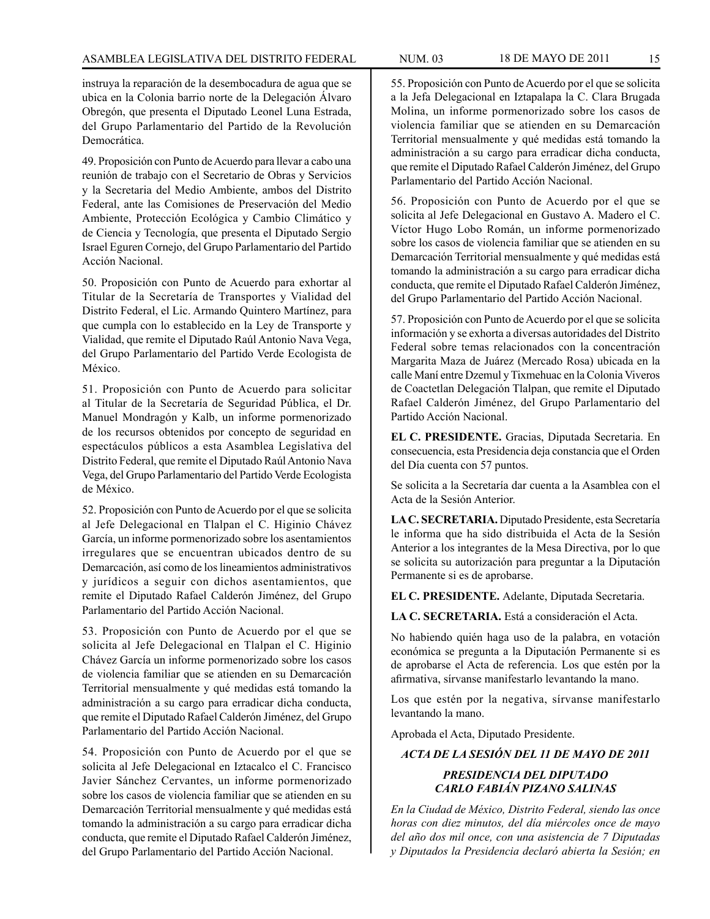instruya la reparación de la desembocadura de agua que se ubica en la Colonia barrio norte de la Delegación Álvaro Obregón, que presenta el Diputado Leonel Luna Estrada, del Grupo Parlamentario del Partido de la Revolución Democrática.

49. Proposición con Punto de Acuerdo para llevar a cabo una reunión de trabajo con el Secretario de Obras y Servicios y la Secretaria del Medio Ambiente, ambos del Distrito Federal, ante las Comisiones de Preservación del Medio Ambiente, Protección Ecológica y Cambio Climático y de Ciencia y Tecnología, que presenta el Diputado Sergio Israel Eguren Cornejo, del Grupo Parlamentario del Partido Acción Nacional.

50. Proposición con Punto de Acuerdo para exhortar al Titular de la Secretaría de Transportes y Vialidad del Distrito Federal, el Lic. Armando Quintero Martínez, para que cumpla con lo establecido en la Ley de Transporte y Vialidad, que remite el Diputado Raúl Antonio Nava Vega, del Grupo Parlamentario del Partido Verde Ecologista de México.

51. Proposición con Punto de Acuerdo para solicitar al Titular de la Secretaría de Seguridad Pública, el Dr. Manuel Mondragón y Kalb, un informe pormenorizado de los recursos obtenidos por concepto de seguridad en espectáculos públicos a esta Asamblea Legislativa del Distrito Federal, que remite el Diputado Raúl Antonio Nava Vega, del Grupo Parlamentario del Partido Verde Ecologista de México.

52. Proposición con Punto de Acuerdo por el que se solicita al Jefe Delegacional en Tlalpan el C. Higinio Chávez García, un informe pormenorizado sobre los asentamientos irregulares que se encuentran ubicados dentro de su Demarcación, así como de los lineamientos administrativos y jurídicos a seguir con dichos asentamientos, que remite el Diputado Rafael Calderón Jiménez, del Grupo Parlamentario del Partido Acción Nacional.

53. Proposición con Punto de Acuerdo por el que se solicita al Jefe Delegacional en Tlalpan el C. Higinio Chávez García un informe pormenorizado sobre los casos de violencia familiar que se atienden en su Demarcación Territorial mensualmente y qué medidas está tomando la administración a su cargo para erradicar dicha conducta, que remite el Diputado Rafael Calderón Jiménez, del Grupo Parlamentario del Partido Acción Nacional.

54. Proposición con Punto de Acuerdo por el que se solicita al Jefe Delegacional en Iztacalco el C. Francisco Javier Sánchez Cervantes, un informe pormenorizado sobre los casos de violencia familiar que se atienden en su Demarcación Territorial mensualmente y qué medidas está tomando la administración a su cargo para erradicar dicha conducta, que remite el Diputado Rafael Calderón Jiménez, del Grupo Parlamentario del Partido Acción Nacional.

55. Proposición con Punto de Acuerdo por el que se solicita a la Jefa Delegacional en Iztapalapa la C. Clara Brugada Molina, un informe pormenorizado sobre los casos de violencia familiar que se atienden en su Demarcación Territorial mensualmente y qué medidas está tomando la administración a su cargo para erradicar dicha conducta, que remite el Diputado Rafael Calderón Jiménez, del Grupo Parlamentario del Partido Acción Nacional.

56. Proposición con Punto de Acuerdo por el que se solicita al Jefe Delegacional en Gustavo A. Madero el C. Víctor Hugo Lobo Román, un informe pormenorizado sobre los casos de violencia familiar que se atienden en su Demarcación Territorial mensualmente y qué medidas está tomando la administración a su cargo para erradicar dicha conducta, que remite el Diputado Rafael Calderón Jiménez, del Grupo Parlamentario del Partido Acción Nacional.

57. Proposición con Punto de Acuerdo por el que se solicita información y se exhorta a diversas autoridades del Distrito Federal sobre temas relacionados con la concentración Margarita Maza de Juárez (Mercado Rosa) ubicada en la calle Maní entre Dzemul y Tixmehuac en la Colonia Viveros de Coactetlan Delegación Tlalpan, que remite el Diputado Rafael Calderón Jiménez, del Grupo Parlamentario del Partido Acción Nacional.

**EL C. PRESIDENTE.** Gracias, Diputada Secretaria. En consecuencia, esta Presidencia deja constancia que el Orden del Día cuenta con 57 puntos.

Se solicita a la Secretaría dar cuenta a la Asamblea con el Acta de la Sesión Anterior.

**LA C. SECRETARIA.** Diputado Presidente, esta Secretaría le informa que ha sido distribuida el Acta de la Sesión Anterior a los integrantes de la Mesa Directiva, por lo que se solicita su autorización para preguntar a la Diputación Permanente si es de aprobarse.

**EL C. PRESIDENTE.** Adelante, Diputada Secretaria.

**LA C. SECRETARIA.** Está a consideración el Acta.

No habiendo quién haga uso de la palabra, en votación económica se pregunta a la Diputación Permanente si es de aprobarse el Acta de referencia. Los que estén por la afirmativa, sírvanse manifestarlo levantando la mano.

Los que estén por la negativa, sírvanse manifestarlo levantando la mano.

Aprobada el Acta, Diputado Presidente.

### *ACTA DE LA SESIÓN DEL 11 DE MAYO DE 2011*

### *PRESIDENCIA DEL DIPUTADO CARLO FABIÁN PIZANO SALINAS*

*En la Ciudad de México, Distrito Federal, siendo las once horas con diez minutos, del día miércoles once de mayo del año dos mil once, con una asistencia de 7 Diputadas y Diputados la Presidencia declaró abierta la Sesión; en*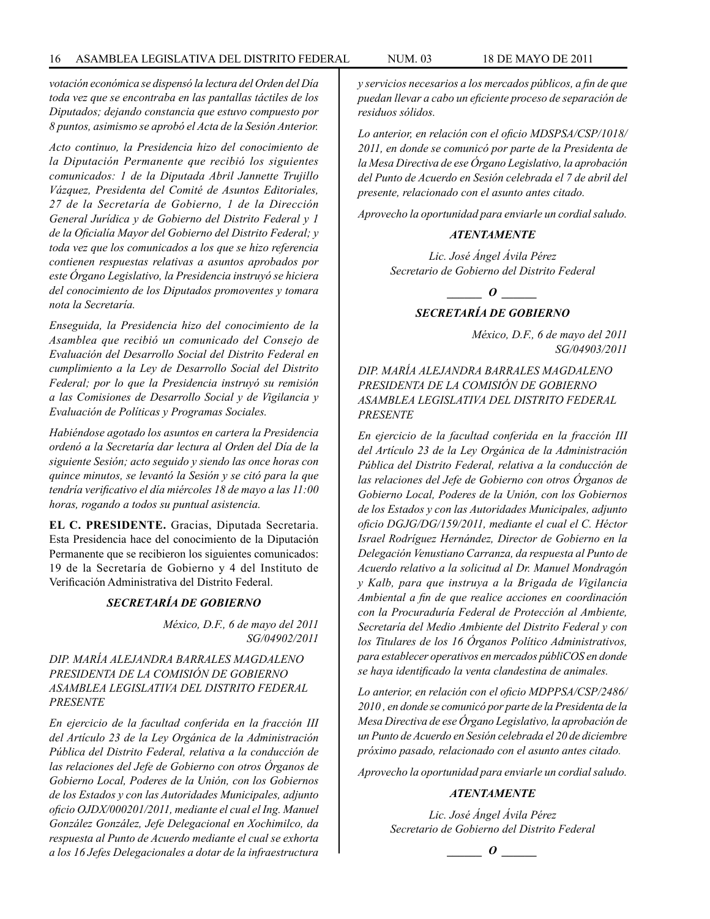*votación económica se dispensó la lectura del Orden del Día toda vez que se encontraba en las pantallas táctiles de los Diputados; dejando constancia que estuvo compuesto por 8 puntos, asimismo se aprobó el Acta de la Sesión Anterior.*

*Acto continuo, la Presidencia hizo del conocimiento de la Diputación Permanente que recibió los siguientes comunicados: 1 de la Diputada Abril Jannette Trujillo Vázquez, Presidenta del Comité de Asuntos Editoriales, 27 de la Secretaría de Gobierno, 1 de la Dirección General Jurídica y de Gobierno del Distrito Federal y 1 de la Oficialía Mayor del Gobierno del Distrito Federal; y toda vez que los comunicados a los que se hizo referencia contienen respuestas relativas a asuntos aprobados por este Órgano Legislativo, la Presidencia instruyó se hiciera del conocimiento de los Diputados promoventes y tomara nota la Secretaría.*

*Enseguida, la Presidencia hizo del conocimiento de la Asamblea que recibió un comunicado del Consejo de Evaluación del Desarrollo Social del Distrito Federal en cumplimiento a la Ley de Desarrollo Social del Distrito Federal; por lo que la Presidencia instruyó su remisión a las Comisiones de Desarrollo Social y de Vigilancia y Evaluación de Políticas y Programas Sociales.* 

*Habiéndose agotado los asuntos en cartera la Presidencia ordenó a la Secretaría dar lectura al Orden del Día de la siguiente Sesión; acto seguido y siendo las once horas con quince minutos, se levantó la Sesión y se citó para la que tendría verificativo el día miércoles 18 de mayo a las 11:00 horas, rogando a todos su puntual asistencia.*

**EL C. PRESIDENTE.** Gracias, Diputada Secretaria. Esta Presidencia hace del conocimiento de la Diputación Permanente que se recibieron los siguientes comunicados: 19 de la Secretaría de Gobierno y 4 del Instituto de Verificación Administrativa del Distrito Federal.

#### *SECRETARÍA DE GOBIERNO*

*México, D.F., 6 de mayo del 2011 SG/04902/2011*

### *DIP. MARÍA ALEJANDRA BARRALES MAGDALENO PRESIDENTA DE LA COMISIÓN DE GOBIERNO ASAMBLEA LEGISLATIVA DEL DISTRITO FEDERAL PRESENTE*

*En ejercicio de la facultad conferida en la fracción III del Artículo 23 de la Ley Orgánica de la Administración Pública del Distrito Federal, relativa a la conducción de las relaciones del Jefe de Gobierno con otros Órganos de Gobierno Local, Poderes de la Unión, con los Gobiernos de los Estados y con las Autoridades Municipales, adjunto oficio OJDX/000201/2011, mediante el cual el Ing. Manuel González González, Jefe Delegacional en Xochimilco, da respuesta al Punto de Acuerdo mediante el cual se exhorta a los 16 Jefes Delegacionales a dotar de la infraestructura* 

*y servicios necesarios a los mercados públicos, a fin de que puedan llevar a cabo un eficiente proceso de separación de residuos sólidos.*

*Lo anterior, en relación con el oficio MDSPSA/CSP/1018/ 2011, en donde se comunicó por parte de la Presidenta de la Mesa Directiva de ese Órgano Legislativo, la aprobación del Punto de Acuerdo en Sesión celebrada el 7 de abril del presente, relacionado con el asunto antes citado.*

*Aprovecho la oportunidad para enviarle un cordial saludo.*

### *ATENTAMENTE*

*Lic. José Ángel Ávila Pérez Secretario de Gobierno del Distrito Federal*

*o*  $\theta$ 

### *SECRETARÍA DE GOBIERNO*

*México, D.F., 6 de mayo del 2011 SG/04903/2011*

*DIP. MARÍA ALEJANDRA BARRALES MAGDALENO PRESIDENTA DE LA COMISIÓN DE GOBIERNO ASAMBLEA LEGISLATIVA DEL DISTRITO FEDERAL PRESENTE*

*En ejercicio de la facultad conferida en la fracción III del Artículo 23 de la Ley Orgánica de la Administración Pública del Distrito Federal, relativa a la conducción de las relaciones del Jefe de Gobierno con otros Órganos de Gobierno Local, Poderes de la Unión, con los Gobiernos de los Estados y con las Autoridades Municipales, adjunto oficio DGJG/DG/159/2011, mediante el cual el C. Héctor Israel Rodríguez Hernández, Director de Gobierno en la Delegación Venustiano Carranza, da respuesta al Punto de Acuerdo relativo a la solicitud al Dr. Manuel Mondragón y Kalb, para que instruya a la Brigada de Vigilancia Ambiental a fin de que realice acciones en coordinación con la Procuraduría Federal de Protección al Ambiente, Secretaría del Medio Ambiente del Distrito Federal y con los Titulares de los 16 Órganos Político Administrativos, para establecer operativos en mercados públiCOS en donde se haya identificado la venta clandestina de animales.*

*Lo anterior, en relación con el oficio MDPPSA/CSP/2486/ 2010 , en donde se comunicó por parte de la Presidenta de la Mesa Directiva de ese Órgano Legislativo, la aprobación de un Punto de Acuerdo en Sesión celebrada el 20 de diciembre próximo pasado, relacionado con el asunto antes citado.* 

*Aprovecho la oportunidad para enviarle un cordial saludo.*

### *ATENTAMENTE*

*Lic. José Ángel Ávila Pérez Secretario de Gobierno del Distrito Federal*

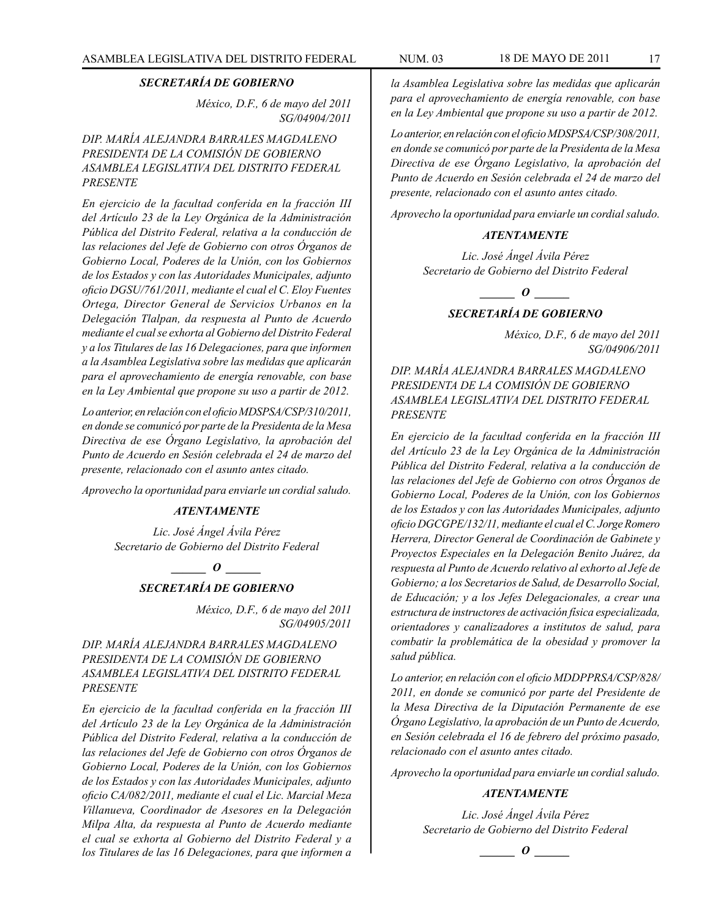*México, D.F., 6 de mayo del 2011 SG/04904/2011*

*DIP. MARÍA ALEJANDRA BARRALES MAGDALENO PRESIDENTA DE LA COMISIÓN DE GOBIERNO ASAMBLEA LEGISLATIVA DEL DISTRITO FEDERAL PRESENTE*

*En ejercicio de la facultad conferida en la fracción III del Artículo 23 de la Ley Orgánica de la Administración Pública del Distrito Federal, relativa a la conducción de las relaciones del Jefe de Gobierno con otros Órganos de Gobierno Local, Poderes de la Unión, con los Gobiernos de los Estados y con las Autoridades Municipales, adjunto oficio DGSU/761/2011, mediante el cual el C. Eloy Fuentes Ortega, Director General de Servicios Urbanos en la Delegación Tlalpan, da respuesta al Punto de Acuerdo mediante el cual se exhorta al Gobierno del Distrito Federal y a los Titulares de las 16 Delegaciones, para que informen a la Asamblea Legislativa sobre las medidas que aplicarán para el aprovechamiento de energía renovable, con base en la Ley Ambiental que propone su uso a partir de 2012.*

*Lo anterior, en relación con el oficio MDSPSA/CSP/310/2011, en donde se comunicó por parte de la Presidenta de la Mesa Directiva de ese Órgano Legislativo, la aprobación del Punto de Acuerdo en Sesión celebrada el 24 de marzo del presente, relacionado con el asunto antes citado.* 

*Aprovecho la oportunidad para enviarle un cordial saludo.*

### *ATENTAMENTE*

*Lic. José Ángel Ávila Pérez Secretario de Gobierno del Distrito Federal*

*\_\_\_\_\_\_ O \_\_\_\_\_\_*

### *SECRETARÍA DE GOBIERNO*

*México, D.F., 6 de mayo del 2011 SG/04905/2011*

*DIP. MARÍA ALEJANDRA BARRALES MAGDALENO PRESIDENTA DE LA COMISIÓN DE GOBIERNO ASAMBLEA LEGISLATIVA DEL DISTRITO FEDERAL PRESENTE*

*En ejercicio de la facultad conferida en la fracción III del Artículo 23 de la Ley Orgánica de la Administración Pública del Distrito Federal, relativa a la conducción de las relaciones del Jefe de Gobierno con otros Órganos de Gobierno Local, Poderes de la Unión, con los Gobiernos de los Estados y con las Autoridades Municipales, adjunto oficio CA/082/2011, mediante el cual el Lic. Marcial Meza Villanueva, Coordinador de Asesores en la Delegación Milpa Alta, da respuesta al Punto de Acuerdo mediante el cual se exhorta al Gobierno del Distrito Federal y a los Titulares de las 16 Delegaciones, para que informen a*  *la Asamblea Legislativa sobre las medidas que aplicarán para el aprovechamiento de energía renovable, con base en la Ley Ambiental que propone su uso a partir de 2012.*

*Lo anterior, en relación con el oficio MDSPSA/CSP/308/2011, en donde se comunicó por parte de la Presidenta de la Mesa Directiva de ese Órgano Legislativo, la aprobación del Punto de Acuerdo en Sesión celebrada el 24 de marzo del presente, relacionado con el asunto antes citado.*

*Aprovecho la oportunidad para enviarle un cordial saludo.*

### *ATENTAMENTE*

*Lic. José Ángel Ávila Pérez Secretario de Gobierno del Distrito Federal*

*o*  $\theta$ 

### *SECRETARÍA DE GOBIERNO*

*México, D.F., 6 de mayo del 2011 SG/04906/2011*

*DIP. MARÍA ALEJANDRA BARRALES MAGDALENO PRESIDENTA DE LA COMISIÓN DE GOBIERNO ASAMBLEA LEGISLATIVA DEL DISTRITO FEDERAL PRESENTE*

*En ejercicio de la facultad conferida en la fracción III del Artículo 23 de la Ley Orgánica de la Administración Pública del Distrito Federal, relativa a la conducción de las relaciones del Jefe de Gobierno con otros Órganos de Gobierno Local, Poderes de la Unión, con los Gobiernos de los Estados y con las Autoridades Municipales, adjunto oficio DGCGPE/132/11, mediante el cual el C. Jorge Romero Herrera, Director General de Coordinación de Gabinete y Proyectos Especiales en la Delegación Benito Juárez, da respuesta al Punto de Acuerdo relativo al exhorto al Jefe de Gobierno; a los Secretarios de Salud, de Desarrollo Social, de Educación; y a los Jefes Delegacionales, a crear una estructura de instructores de activación física especializada, orientadores y canalizadores a institutos de salud, para combatir la problemática de la obesidad y promover la salud pública.*

*Lo anterior, en relación con el oficio MDDPPRSA/CSP/828/ 2011, en donde se comunicó por parte del Presidente de la Mesa Directiva de la Diputación Permanente de ese Órgano Legislativo, la aprobación de un Punto de Acuerdo, en Sesión celebrada el 16 de febrero del próximo pasado, relacionado con el asunto antes citado.* 

*Aprovecho la oportunidad para enviarle un cordial saludo.*

### *ATENTAMENTE*

*Lic. José Ángel Ávila Pérez Secretario de Gobierno del Distrito Federal*

*\_\_\_\_\_\_ O \_\_\_\_\_\_*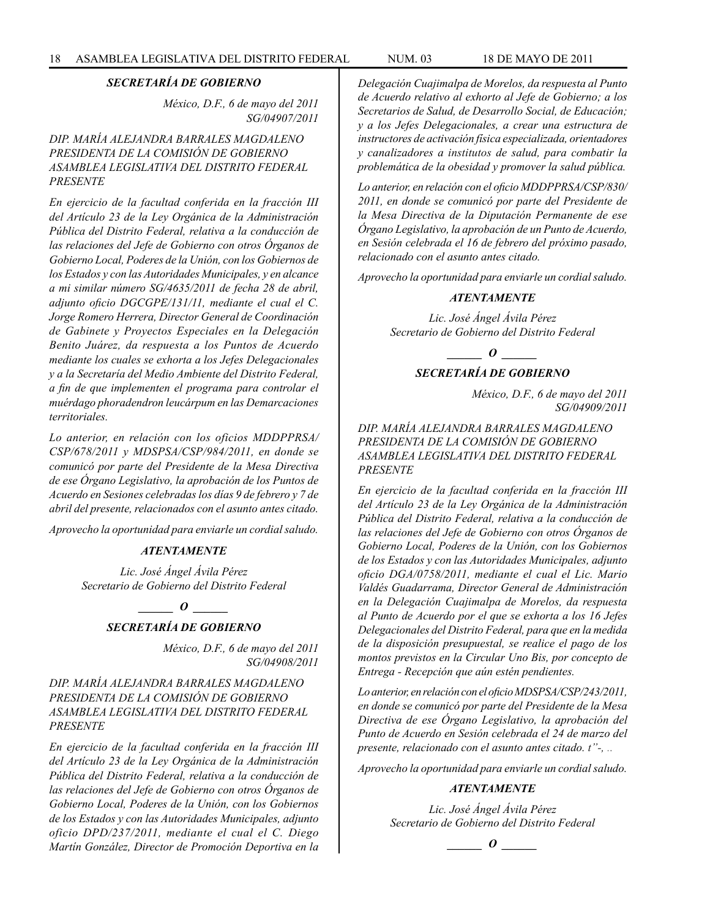*México, D.F., 6 de mayo del 2011 SG/04907/2011*

### *DIP. MARÍA ALEJANDRA BARRALES MAGDALENO PRESIDENTA DE LA COMISIÓN DE GOBIERNO ASAMBLEA LEGISLATIVA DEL DISTRITO FEDERAL PRESENTE*

*En ejercicio de la facultad conferida en la fracción III del Artículo 23 de la Ley Orgánica de la Administración Pública del Distrito Federal, relativa a la conducción de las relaciones del Jefe de Gobierno con otros Órganos de Gobierno Local, Poderes de la Unión, con los Gobiernos de los Estados y con las Autoridades Municipales, y en alcance a mi similar número SG/4635/2011 de fecha 28 de abril, adjunto oficio DGCGPE/131/11, mediante el cual el C. Jorge Romero Herrera, Director General de Coordinación de Gabinete y Proyectos Especiales en la Delegación Benito Juárez, da respuesta a los Puntos de Acuerdo mediante los cuales se exhorta a los Jefes Delegacionales y a la Secretaría del Medio Ambiente del Distrito Federal, a fin de que implementen el programa para controlar el muérdago phoradendron leucárpum en las Demarcaciones territoriales.*

*Lo anterior, en relación con los oficios MDDPPRSA/ CSP/678/2011 y MDSPSA/CSP/984/2011, en donde se comunicó por parte del Presidente de la Mesa Directiva de ese Órgano Legislativo, la aprobación de los Puntos de Acuerdo en Sesiones celebradas los días 9 de febrero y 7 de abril del presente, relacionados con el asunto antes citado.*

*Aprovecho la oportunidad para enviarle un cordial saludo.*

#### *ATENTAMENTE*

*Lic. José Ángel Ávila Pérez Secretario de Gobierno del Distrito Federal*

*\_\_\_\_\_\_ O \_\_\_\_\_\_*

### *SECRETARÍA DE GOBIERNO*

*México, D.F., 6 de mayo del 2011 SG/04908/2011*

### *DIP. MARÍA ALEJANDRA BARRALES MAGDALENO PRESIDENTA DE LA COMISIÓN DE GOBIERNO ASAMBLEA LEGISLATIVA DEL DISTRITO FEDERAL PRESENTE*

*En ejercicio de la facultad conferida en la fracción III del Artículo 23 de la Ley Orgánica de la Administración Pública del Distrito Federal, relativa a la conducción de las relaciones del Jefe de Gobierno con otros Órganos de Gobierno Local, Poderes de la Unión, con los Gobiernos de los Estados y con las Autoridades Municipales, adjunto oficio DPD/237/2011, mediante el cual el C. Diego Martín González, Director de Promoción Deportiva en la* 

*Delegación Cuajimalpa de Morelos, da respuesta al Punto de Acuerdo relativo al exhorto al Jefe de Gobierno; a los Secretarios de Salud, de Desarrollo Social, de Educación; y a los Jefes Delegacionales, a crear una estructura de instructores de activación física especializada, orientadores y canalizadores a institutos de salud, para combatir la problemática de la obesidad y promover la salud pública.*

*Lo anterior, en relación con el oficio MDDPPRSA/CSP/830/ 2011, en donde se comunicó por parte del Presidente de la Mesa Directiva de la Diputación Permanente de ese Órgano Legislativo, la aprobación de un Punto de Acuerdo, en Sesión celebrada el 16 de febrero del próximo pasado, relacionado con el asunto antes citado.*

*Aprovecho la oportunidad para enviarle un cordial saludo.*

#### *ATENTAMENTE*

*Lic. José Ángel Ávila Pérez Secretario de Gobierno del Distrito Federal*

*\_\_\_\_\_\_ O \_\_\_\_\_\_*

### *SECRETARÍA DE GOBIERNO*

*México, D.F., 6 de mayo del 2011 SG/04909/2011*

*DIP. MARÍA ALEJANDRA BARRALES MAGDALENO PRESIDENTA DE LA COMISIÓN DE GOBIERNO ASAMBLEA LEGISLATIVA DEL DISTRITO FEDERAL PRESENTE*

*En ejercicio de la facultad conferida en la fracción III del Artículo 23 de la Ley Orgánica de la Administración Pública del Distrito Federal, relativa a la conducción de las relaciones del Jefe de Gobierno con otros Órganos de Gobierno Local, Poderes de la Unión, con los Gobiernos de los Estados y con las Autoridades Municipales, adjunto oficio DGA/0758/2011, mediante el cual el Lic. Mario Valdés Guadarrama, Director General de Administración en la Delegación Cuajimalpa de Morelos, da respuesta al Punto de Acuerdo por el que se exhorta a los 16 Jefes Delegacionales del Distrito Federal, para que en la medida de la disposición presupuestal, se realice el pago de los montos previstos en la Circular Uno Bis, por concepto de Entrega - Recepción que aún estén pendientes.*

*Lo anterior, en relación con el oficio MDSPSA/CSP/243/2011, en donde se comunicó por parte del Presidente de la Mesa Directiva de ese Órgano Legislativo, la aprobación del Punto de Acuerdo en Sesión celebrada el 24 de marzo del presente, relacionado con el asunto antes citado. t"-, ..*

*Aprovecho la oportunidad para enviarle un cordial saludo.*

### *ATENTAMENTE*

*Lic. José Ángel Ávila Pérez Secretario de Gobierno del Distrito Federal*

$$
\_\_o\_
$$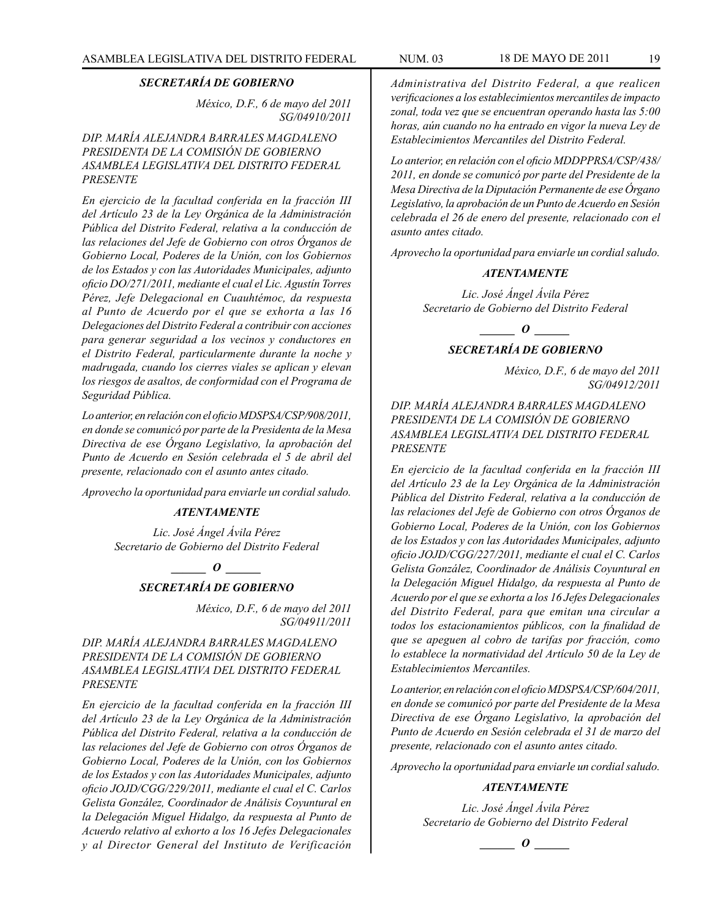*México, D.F., 6 de mayo del 2011 SG/04910/2011*

*DIP. MARÍA ALEJANDRA BARRALES MAGDALENO PRESIDENTA DE LA COMISIÓN DE GOBIERNO ASAMBLEA LEGISLATIVA DEL DISTRITO FEDERAL PRESENTE*

*En ejercicio de la facultad conferida en la fracción III del Artículo 23 de la Ley Orgánica de la Administración Pública del Distrito Federal, relativa a la conducción de las relaciones del Jefe de Gobierno con otros Órganos de Gobierno Local, Poderes de la Unión, con los Gobiernos de los Estados y con las Autoridades Municipales, adjunto oficio DO/271/2011, mediante el cual el Lic. Agustín Torres Pérez, Jefe Delegacional en Cuauhtémoc, da respuesta al Punto de Acuerdo por el que se exhorta a las 16 Delegaciones del Distrito Federal a contribuir con acciones para generar seguridad a los vecinos y conductores en el Distrito Federal, particularmente durante la noche y madrugada, cuando los cierres viales se aplican y elevan los riesgos de asaltos, de conformidad con el Programa de Seguridad Pública.*

*Lo anterior, en relación con el oficio MDSPSA/CSP/908/2011, en donde se comunicó por parte de la Presidenta de la Mesa Directiva de ese Órgano Legislativo, la aprobación del Punto de Acuerdo en Sesión celebrada el 5 de abril del presente, relacionado con el asunto antes citado.*

*Aprovecho la oportunidad para enviarle un cordial saludo.*

#### *ATENTAMENTE*

*Lic. José Ángel Ávila Pérez Secretario de Gobierno del Distrito Federal*

*o*  $\theta$ 

### *SECRETARÍA DE GOBIERNO*

*México, D.F., 6 de mayo del 2011 SG/04911/2011*

*DIP. MARÍA ALEJANDRA BARRALES MAGDALENO PRESIDENTA DE LA COMISIÓN DE GOBIERNO ASAMBLEA LEGISLATIVA DEL DISTRITO FEDERAL PRESENTE*

*En ejercicio de la facultad conferida en la fracción III del Artículo 23 de la Ley Orgánica de la Administración Pública del Distrito Federal, relativa a la conducción de las relaciones del Jefe de Gobierno con otros Órganos de Gobierno Local, Poderes de la Unión, con los Gobiernos de los Estados y con las Autoridades Municipales, adjunto oficio JOJD/CGG/229/2011, mediante el cual el C. Carlos Gelista González, Coordinador de Análisis Coyuntural en la Delegación Miguel Hidalgo, da respuesta al Punto de Acuerdo relativo al exhorto a los 16 Jefes Delegacionales y al Director General del Instituto de Verificación*  *Administrativa del Distrito Federal, a que realicen verificaciones a los establecimientos mercantiles de impacto zonal, toda vez que se encuentran operando hasta las 5:00 horas, aún cuando no ha entrado en vigor la nueva Ley de Establecimientos Mercantiles del Distrito Federal.*

*Lo anterior, en relación con el oficio MDDPPRSA/CSP/438/ 2011, en donde se comunicó por parte del Presidente de la Mesa Directiva de la Diputación Permanente de ese Órgano Legislativo, la aprobación de un Punto de Acuerdo en Sesión celebrada el 26 de enero del presente, relacionado con el asunto antes citado.*

*Aprovecho la oportunidad para enviarle un cordial saludo.*

#### *ATENTAMENTE*

*Lic. José Ángel Ávila Pérez Secretario de Gobierno del Distrito Federal*

*\_\_\_\_\_\_ O \_\_\_\_\_\_*

### *SECRETARÍA DE GOBIERNO*

*México, D.F., 6 de mayo del 2011 SG/04912/2011*

*DIP. MARÍA ALEJANDRA BARRALES MAGDALENO PRESIDENTA DE LA COMISIÓN DE GOBIERNO ASAMBLEA LEGISLATIVA DEL DISTRITO FEDERAL PRESENTE*

*En ejercicio de la facultad conferida en la fracción III del Artículo 23 de la Ley Orgánica de la Administración Pública del Distrito Federal, relativa a la conducción de las relaciones del Jefe de Gobierno con otros Órganos de Gobierno Local, Poderes de la Unión, con los Gobiernos de los Estados y con las Autoridades Municipales, adjunto oficio JOJD/CGG/227/2011, mediante el cual el C. Carlos Gelista González, Coordinador de Análisis Coyuntural en la Delegación Miguel Hidalgo, da respuesta al Punto de Acuerdo por el que se exhorta a los 16 Jefes Delegacionales del Distrito Federal, para que emitan una circular a todos los estacionamientos públicos, con la finalidad de que se apeguen al cobro de tarifas por fracción, como lo establece la normatividad del Artículo 50 de la Ley de Establecimientos Mercantiles.*

*Lo anterior, en relación con el oficio MDSPSA/CSP/604/2011, en donde se comunicó por parte del Presidente de la Mesa Directiva de ese Órgano Legislativo, la aprobación del Punto de Acuerdo en Sesión celebrada el 31 de marzo del presente, relacionado con el asunto antes citado.* 

*Aprovecho la oportunidad para enviarle un cordial saludo.*

#### *ATENTAMENTE*

*Lic. José Ángel Ávila Pérez Secretario de Gobierno del Distrito Federal*

$$
\_\_o\_
$$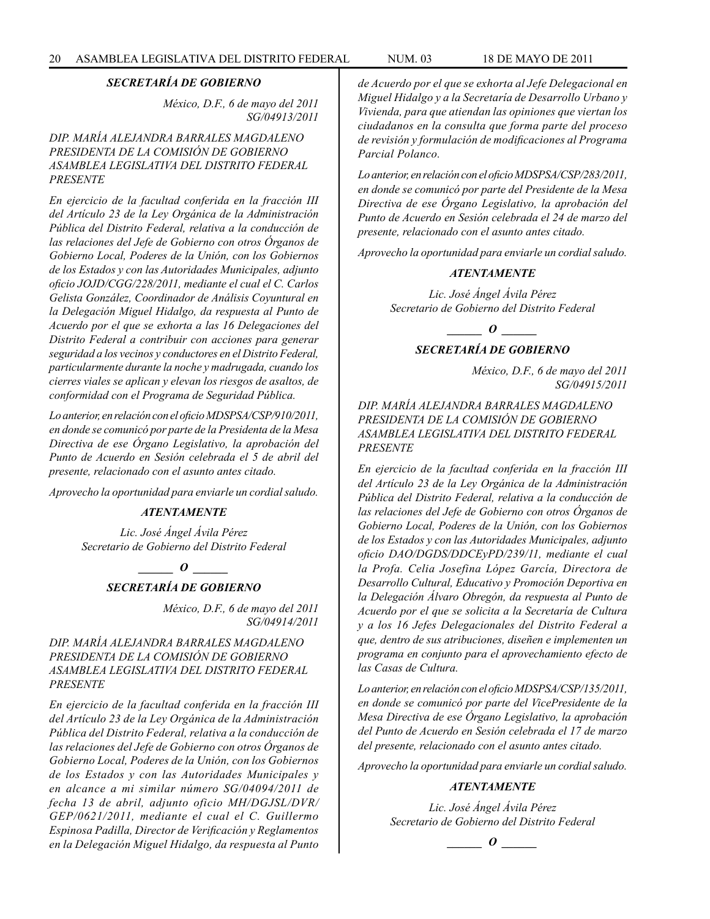*México, D.F., 6 de mayo del 2011 SG/04913/2011*

### *DIP. MARÍA ALEJANDRA BARRALES MAGDALENO PRESIDENTA DE LA COMISIÓN DE GOBIERNO ASAMBLEA LEGISLATIVA DEL DISTRITO FEDERAL PRESENTE*

*En ejercicio de la facultad conferida en la fracción III del Artículo 23 de la Ley Orgánica de la Administración Pública del Distrito Federal, relativa a la conducción de las relaciones del Jefe de Gobierno con otros Órganos de Gobierno Local, Poderes de la Unión, con los Gobiernos de los Estados y con las Autoridades Municipales, adjunto oficio JOJD/CGG/228/2011, mediante el cual el C. Carlos Gelista González, Coordinador de Análisis Coyuntural en la Delegación Miguel Hidalgo, da respuesta al Punto de Acuerdo por el que se exhorta a las 16 Delegaciones del Distrito Federal a contribuir con acciones para generar seguridad a los vecinos y conductores en el Distrito Federal, particularmente durante la noche y madrugada, cuando los cierres viales se aplican y elevan los riesgos de asaltos, de conformidad con el Programa de Seguridad Pública.*

*Lo anterior, en relación con el oficio MDSPSA/CSP/910/2011, en donde se comunicó por parte de la Presidenta de la Mesa Directiva de ese Órgano Legislativo, la aprobación del Punto de Acuerdo en Sesión celebrada el 5 de abril del presente, relacionado con el asunto antes citado.*

*Aprovecho la oportunidad para enviarle un cordial saludo.*

#### *ATENTAMENTE*

*Lic. José Ángel Ávila Pérez Secretario de Gobierno del Distrito Federal*

*\_\_\_\_\_\_ O \_\_\_\_\_\_*

### *SECRETARÍA DE GOBIERNO*

*México, D.F., 6 de mayo del 2011 SG/04914/2011*

### *DIP. MARÍA ALEJANDRA BARRALES MAGDALENO PRESIDENTA DE LA COMISIÓN DE GOBIERNO ASAMBLEA LEGISLATIVA DEL DISTRITO FEDERAL PRESENTE*

*En ejercicio de la facultad conferida en la fracción III del Artículo 23 de la Ley Orgánica de la Administración Pública del Distrito Federal, relativa a la conducción de las relaciones del Jefe de Gobierno con otros Órganos de Gobierno Local, Poderes de la Unión, con los Gobiernos de los Estados y con las Autoridades Municipales y en alcance a mi similar número SG/04094/2011 de fecha 13 de abril, adjunto oficio MH/DGJSL/DVR/ GEP/0621/2011, mediante el cual el C. Guillermo Espinosa Padilla, Director de Verificación y Reglamentos en la Delegación Miguel Hidalgo, da respuesta al Punto* 

*de Acuerdo por el que se exhorta al Jefe Delegacional en Miguel Hidalgo y a la Secretaría de Desarrollo Urbano y Vivienda, para que atiendan las opiniones que viertan los ciudadanos en la consulta que forma parte del proceso de revisión y formulación de modificaciones al Programa Parcial Polanco.*

*Lo anterior, en relación con el oficio MDSPSA/CSP/283/2011, en donde se comunicó por parte del Presidente de la Mesa Directiva de ese Órgano Legislativo, la aprobación del Punto de Acuerdo en Sesión celebrada el 24 de marzo del presente, relacionado con el asunto antes citado.*

*Aprovecho la oportunidad para enviarle un cordial saludo.*

### *ATENTAMENTE*

*Lic. José Ángel Ávila Pérez Secretario de Gobierno del Distrito Federal*

### *SECRETARÍA DE GOBIERNO*

*México, D.F., 6 de mayo del 2011 SG/04915/2011*

*DIP. MARÍA ALEJANDRA BARRALES MAGDALENO PRESIDENTA DE LA COMISIÓN DE GOBIERNO ASAMBLEA LEGISLATIVA DEL DISTRITO FEDERAL PRESENTE*

*En ejercicio de la facultad conferida en la fracción III del Artículo 23 de la Ley Orgánica de la Administración Pública del Distrito Federal, relativa a la conducción de las relaciones del Jefe de Gobierno con otros Órganos de Gobierno Local, Poderes de la Unión, con los Gobiernos de los Estados y con las Autoridades Municipales, adjunto oficio DAO/DGDS/DDCEyPD/239/11, mediante el cual la Profa. Celia Josefina López García, Directora de Desarrollo Cultural, Educativo y Promoción Deportiva en la Delegación Álvaro Obregón, da respuesta al Punto de Acuerdo por el que se solicita a la Secretaría de Cultura y a los 16 Jefes Delegacionales del Distrito Federal a que, dentro de sus atribuciones, diseñen e implementen un programa en conjunto para el aprovechamiento efecto de las Casas de Cultura.*

*Lo anterior, en relación con el oficio MDSPSA/CSP/135/2011, en donde se comunicó por parte del VicePresidente de la Mesa Directiva de ese Órgano Legislativo, la aprobación del Punto de Acuerdo en Sesión celebrada el 17 de marzo del presente, relacionado con el asunto antes citado.*

*Aprovecho la oportunidad para enviarle un cordial saludo.*

#### *ATENTAMENTE*

*Lic. José Ángel Ávila Pérez Secretario de Gobierno del Distrito Federal*

## *\_\_\_\_\_\_ O \_\_\_\_\_\_*

*\_\_\_\_\_\_ O \_\_\_\_\_\_*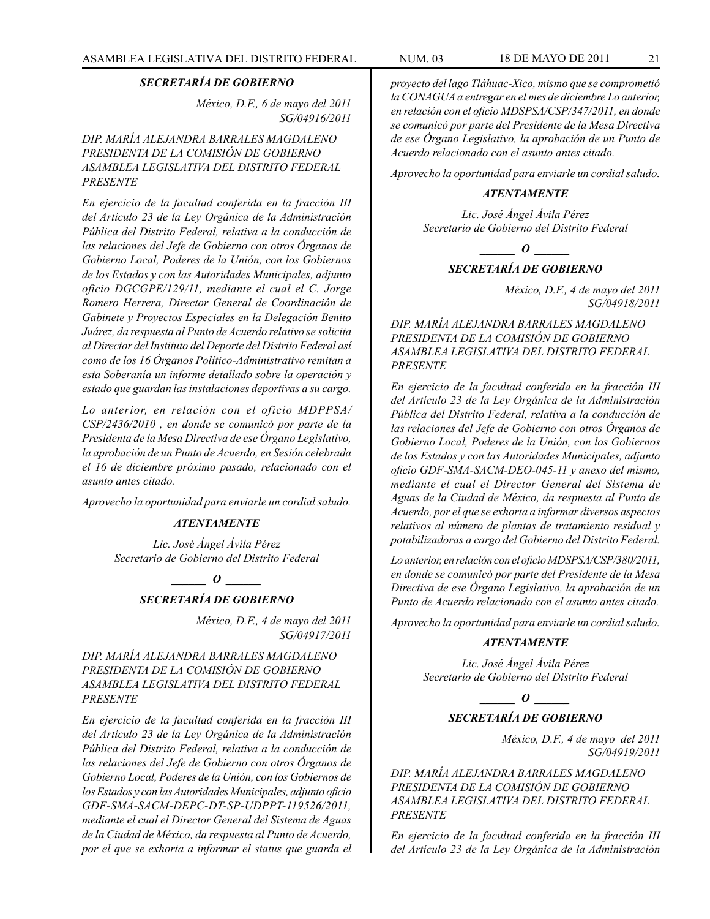*México, D.F., 6 de mayo del 2011 SG/04916/2011*

*DIP. MARÍA ALEJANDRA BARRALES MAGDALENO PRESIDENTA DE LA COMISIÓN DE GOBIERNO ASAMBLEA LEGISLATIVA DEL DISTRITO FEDERAL PRESENTE*

*En ejercicio de la facultad conferida en la fracción III del Artículo 23 de la Ley Orgánica de la Administración Pública del Distrito Federal, relativa a la conducción de las relaciones del Jefe de Gobierno con otros Órganos de Gobierno Local, Poderes de la Unión, con los Gobiernos de los Estados y con las Autoridades Municipales, adjunto oficio DGCGPE/129/11, mediante el cual el C. Jorge Romero Herrera, Director General de Coordinación de Gabinete y Proyectos Especiales en la Delegación Benito Juárez, da respuesta al Punto de Acuerdo relativo se solicita al Director del Instituto del Deporte del Distrito Federal así como de los 16 Órganos Político-Administrativo remitan a esta Soberanía un informe detallado sobre la operación y estado que guardan las instalaciones deportivas a su cargo.*

*Lo anterior, en relación con el oficio MDPPSA/ CSP/2436/2010 , en donde se comunicó por parte de la Presidenta de la Mesa Directiva de ese Órgano Legislativo, la aprobación de un Punto de Acuerdo, en Sesión celebrada el 16 de diciembre próximo pasado, relacionado con el asunto antes citado.*

*Aprovecho la oportunidad para enviarle un cordial saludo.*

#### *ATENTAMENTE*

*Lic. José Ángel Ávila Pérez Secretario de Gobierno del Distrito Federal*

### *d*  $\theta$

### *SECRETARÍA DE GOBIERNO*

*México, D.F., 4 de mayo del 2011 SG/04917/2011*

*DIP. MARÍA ALEJANDRA BARRALES MAGDALENO PRESIDENTA DE LA COMISIÓN DE GOBIERNO ASAMBLEA LEGISLATIVA DEL DISTRITO FEDERAL PRESENTE*

*En ejercicio de la facultad conferida en la fracción III del Artículo 23 de la Ley Orgánica de la Administración Pública del Distrito Federal, relativa a la conducción de las relaciones del Jefe de Gobierno con otros Órganos de Gobierno Local, Poderes de la Unión, con los Gobiernos de los Estados y con las Autoridades Municipales, adjunto oficio GDF-SMA-SACM-DEPC-DT-SP-UDPPT-119526/2011, mediante el cual el Director General del Sistema de Aguas de la Ciudad de México, da respuesta al Punto de Acuerdo, por el que se exhorta a informar el status que guarda el*  *proyecto del lago Tláhuac-Xico, mismo que se comprometió la CONAGUA a entregar en el mes de diciembre Lo anterior, en relación con el oficio MDSPSA/CSP/347/2011, en donde se comunicó por parte del Presidente de la Mesa Directiva de ese Órgano Legislativo, la aprobación de un Punto de Acuerdo relacionado con el asunto antes citado.* 

*Aprovecho la oportunidad para enviarle un cordial saludo.*

#### *ATENTAMENTE*

*Lic. José Ángel Ávila Pérez Secretario de Gobierno del Distrito Federal*

 $\bm{o}$  *o* 

### *SECRETARÍA DE GOBIERNO*

*México, D.F., 4 de mayo del 2011 SG/04918/2011*

*DIP. MARÍA ALEJANDRA BARRALES MAGDALENO PRESIDENTA DE LA COMISIÓN DE GOBIERNO ASAMBLEA LEGISLATIVA DEL DISTRITO FEDERAL PRESENTE*

*En ejercicio de la facultad conferida en la fracción III del Artículo 23 de la Ley Orgánica de la Administración Pública del Distrito Federal, relativa a la conducción de las relaciones del Jefe de Gobierno con otros Órganos de Gobierno Local, Poderes de la Unión, con los Gobiernos de los Estados y con las Autoridades Municipales, adjunto oficio GDF-SMA-SACM-DEO-045-11 y anexo del mismo, mediante el cual el Director General del Sistema de Aguas de la Ciudad de México, da respuesta al Punto de Acuerdo, por el que se exhorta a informar diversos aspectos relativos al número de plantas de tratamiento residual y potabilizadoras a cargo del Gobierno del Distrito Federal.*

*Lo anterior, en relación con el oficio MDSPSA/CSP/380/2011, en donde se comunicó por parte del Presidente de la Mesa Directiva de ese Órgano Legislativo, la aprobación de un Punto de Acuerdo relacionado con el asunto antes citado.*

*Aprovecho la oportunidad para enviarle un cordial saludo.*

#### *ATENTAMENTE*

*Lic. José Ángel Ávila Pérez Secretario de Gobierno del Distrito Federal*

*o*  $\theta$ 

### *SECRETARÍA DE GOBIERNO*

*México, D.F., 4 de mayo del 2011 SG/04919/2011*

*DIP. MARÍA ALEJANDRA BARRALES MAGDALENO PRESIDENTA DE LA COMISIÓN DE GOBIERNO ASAMBLEA LEGISLATIVA DEL DISTRITO FEDERAL PRESENTE*

*En ejercicio de la facultad conferida en la fracción III del Artículo 23 de la Ley Orgánica de la Administración*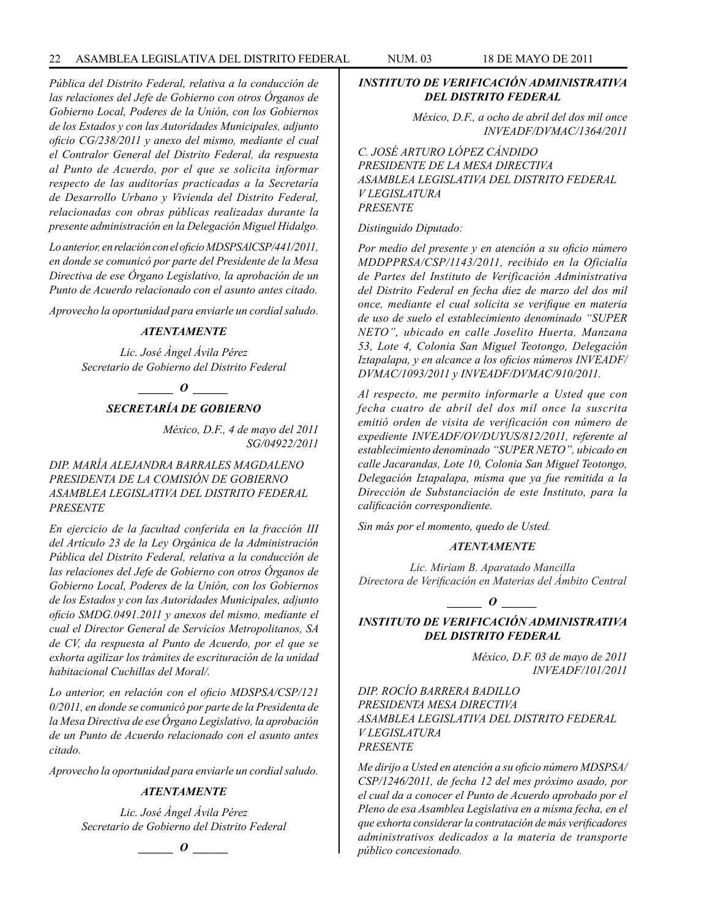*Pública del Distrito Federal, relativa a la conducción de las relaciones del Jefe de Gobierno con otros Órganos de Gobierno Local, Poderes de la Unión, con los Gobiernos de los Estados y con las Autoridades Municipales, adjunto oficio CG/238/2011 y anexo del mismo, mediante el cual el Contralor General del Distrito Federal, da respuesta al Punto de Acuerdo, por el que se solicita informar respecto de las auditorías practicadas a la Secretaría de Desarrollo Urbano y Vivienda del Distrito Federal, relacionadas con obras públicas realizadas durante la presente administración en la Delegación Miguel Hidalgo.*

*Lo anterior, en relación con el oficio MDSPSAlCSP/441/2011, en donde se comunicó por parte del Presidente de la Mesa Directiva de ese Órgano Legislativo, la aprobación de un Punto de Acuerdo relacionado con el asunto antes citado.*

*Aprovecho la oportunidad para enviarle un cordial saludo.*

### *ATENTAMENTE*

*Lic. José Ángel Ávila Pérez Secretario de Gobierno del Distrito Federal*

### $\bm{O}$  *\_\_\_\_\_\_\_\_*

### *SECRETARÍA DE GOBIERNO*

*México, D.F., 4 de mayo del 2011 SG/04922/2011*

### *DIP. MARÍA ALEJANDRA BARRALES MAGDALENO PRESIDENTA DE LA COMISIÓN DE GOBIERNO ASAMBLEA LEGISLATIVA DEL DISTRITO FEDERAL PRESENTE*

*En ejercicio de la facultad conferida en la fracción III del Artículo 23 de la Ley Orgánica de la Administración Pública del Distrito Federal, relativa a la conducción de las relaciones del Jefe de Gobierno con otros Órganos de Gobierno Local, Poderes de la Unión, con los Gobiernos de los Estados y con las Autoridades Municipales, adjunto oficio SMDG.0491.2011 y anexos del mismo, mediante el cual el Director General de Servicios Metropolitanos, SA de CV, da respuesta al Punto de Acuerdo, por el que se exhorta agilizar los trámites de escrituración de la unidad habitacional Cuchillas del Moral/.*

*Lo anterior, en relación con el oficio MDSPSA/CSP/121 0/2011, en donde se comunicó por parte de la Presidenta de la Mesa Directiva de ese Órgano Legislativo, la aprobación de un Punto de Acuerdo relacionado con el asunto antes citado.* 

*Aprovecho la oportunidad para enviarle un cordial saludo.*

### *ATENTAMENTE*

*Lic. José Ángel Ávila Pérez Secretario de Gobierno del Distrito Federal*

*\_\_\_\_\_\_ O \_\_\_\_\_\_*

### *INSTITUTO DE VERIFICACIÓN ADMINISTRATIVA DEL DISTRITO FEDERAL*

*México, D.F., a ocho de abril del dos mil once INVEADF/DVMAC/1364/2011*

*C. JOSÉ ARTURO LÓPEZ CÁNDIDO PRESIDENTE DE LA MESA DIRECTIVA ASAMBLEA LEGISLATIVA DEL DISTRITO FEDERAL V LEGISLATURA PRESENTE*

*Distinguido Diputado:*

*Por medio del presente y en atención a su oficio número MDDPPRSA/CSP/1143/2011, recibido en la Oficialía de Partes del Instituto de Verificación Administrativa del Distrito Federal en fecha diez de marzo del dos mil once, mediante el cual solicita se verifique en materia de uso de suelo el establecimiento denominado "SUPER NETO", ubicado en calle Joselito Huerta, Manzana 53, Lote 4, Colonia San Miguel Teotongo, Delegación Iztapalapa, y en alcance a los oficios números INVEADF/ DVMAC/1093/2011 y INVEADF/DVMAC/910/2011.*

*Al respecto, me permito informarle a Usted que con fecha cuatro de abril del dos mil once la suscrita emitió orden de visita de verificación con número de expediente INVEADF/OV/DUYUS/812/2011, referente al establecimiento denominado "SUPER NETO", ubicado en calle Jacarandas, Lote 10, Colonia San Miguel Teotongo, Delegación Iztapalapa, misma que ya fue remitida a la Dirección de Substanciación de este Instituto, para la calificación correspondiente.*

*Sin más por el momento, quedo de Usted.*

#### *ATENTAMENTE*

*Lic. Miriam B. Aparatado Mancilla Directora de Verificación en Materias del Ámbito Central*

*\_\_\_\_\_\_ O \_\_\_\_\_\_*

### *INSTITUTO DE VERIFICACIÓN ADMINISTRATIVA DEL DISTRITO FEDERAL*

*México, D.F. 03 de mayo de 2011 INVEADF/101/2011*

*DIP. ROCÍO BARRERA BADILLO PRESIDENTA MESA DIRECTIVA ASAMBLEA LEGISLATIVA DEL DISTRITO FEDERAL V LEGISLATURA PRESENTE*

*Me dirijo a Usted en atención a su oficio número MDSPSA/ CSP/1246/2011, de fecha 12 del mes próximo asado, por el cual da a conocer el Punto de Acuerdo aprobado por el Pleno de esa Asamblea Legislativa en a misma fecha, en el que exhorta considerar la contratación de más verificadores administrativos dedicados a la materia de transporte público concesionado.*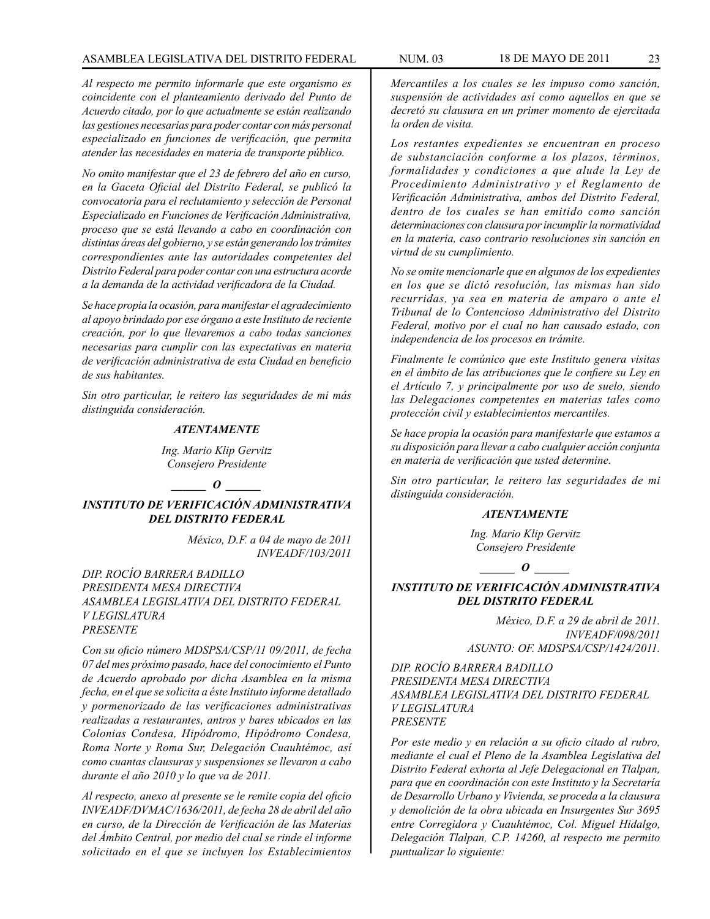*Al respecto me permito informarle que este organismo es coincidente con el planteamiento derivado del Punto de Acuerdo citado, por lo que actualmente se están realizando las gestiones necesarias para poder contar con más personal especializado en funciones de verificación, que permita atender las necesidades en materia de transporte público.*

*No omito manifestar que el 23 de febrero del año en curso, en la Gaceta Oficial del Distrito Federal, se publicó la convocatoria para el reclutamiento y selección de Personal Especializado en Funciones de Verificación Administrativa, proceso que se está llevando a cabo en coordinación con distintas áreas del gobierno, y se están generando los trámites correspondientes ante las autoridades competentes del Distrito Federal para poder contar con una estructura acorde a la demanda de la actividad verificadora de la Ciudad.* 

*Se hace propia la ocasión, para manifestar el agradecimiento al apoyo brindado por ese órgano a este Instituto de reciente creación, por lo que llevaremos a cabo todas sanciones necesarias para cumplir con las expectativas en materia de verificación administrativa de esta Ciudad en beneficio de sus habitantes.* 

*Sin otro particular, le reitero las seguridades de mi más distinguida consideración.*

### *ATENTAMENTE*

*Ing. Mario Klip Gervitz Consejero Presidente*

#### $\bm{o}$

*INSTITUTO DE VERIFICACIÓN ADMINISTRATIVA DEL DISTRITO FEDERAL*

> *México, D.F. a 04 de mayo de 2011 INVEADF/103/2011*

*DIP. ROCÍO BARRERA BADILLO PRESIDENTA MESA DIRECTIVA ASAMBLEA LEGISLATIVA DEL DISTRITO FEDERAL V LEGISLATURA PRESENTE*

*Con su oficio número MDSPSA/CSP/11 09/2011, de fecha 07 del mes próximo pasado, hace del conocimiento el Punto de Acuerdo aprobado por dicha Asamblea en la misma fecha, en el que se solicita a éste Instituto informe detallado y pormenorizado de las verificaciones administrativas realizadas a restaurantes, antros y bares ubicados en las Colonias Condesa, Hipódromo, Hipódromo Condesa, Roma Norte y Roma Sur, Delegación Cuauhtémoc, así como cuantas clausuras y suspensiones se llevaron a cabo durante el año 2010 y lo que va de 2011.*

*Al respecto, anexo al presente se le remite copia del oficio INVEADF/DVMAC/1636/2011, de fecha 28 de abril del año en curso, de la Dirección de Verificación de las Materias del Ámbito Central, por medio del cual se rinde el informe solicitado en el que se incluyen los Establecimientos* 

*Mercantiles a los cuales se les impuso como sanción, suspensión de actividades así como aquellos en que se decretó su clausura en un primer momento de ejercitada la orden de visita.*

*Los restantes expedientes se encuentran en proceso de substanciación conforme a los plazos, términos, formalidades y condiciones a que alude la Ley de Procedimiento Administrativo y el Reglamento de Verificación Administrativa, ambos del Distrito Federal, dentro de los cuales se han emitido como sanción determinaciones con clausura por incumplir la normatividad en la materia, caso contrario resoluciones sin sanción en virtud de su cumplimiento.*

*No se omite mencionarle que en algunos de los expedientes en los que se dictó resolución, las mismas han sido recurridas, ya sea en materia de amparo o ante el Tribunal de lo Contencioso Administrativo del Distrito Federal, motivo por el cual no han causado estado, con independencia de los procesos en trámite.* 

*Finalmente le comúnico que este Instituto genera visitas en el ámbito de las atribuciones que le confiere su Ley en el Artículo 7, y principalmente por uso de suelo, siendo las Delegaciones competentes en materias tales como protección civil y establecimientos mercantiles.*

*Se hace propia la ocasión para manifestarle que estamos a su disposición para llevar a cabo cualquier acción conjunta en materia de verificación que usted determine.*

*Sin otro particular, le reitero las seguridades de mi distinguida consideración.*

#### *ATENTAMENTE*

*Ing. Mario Klip Gervitz Consejero Presidente*

 $\bm{o}$ 

### *INSTITUTO DE VERIFICACIÓN ADMINISTRATIVA DEL DISTRITO FEDERAL*

*México, D.F. a 29 de abril de 2011. INVEADF/098/2011 ASUNTO: OF. MDSPSA/CSP/1424/2011.*

*DIP. ROCÍO BARRERA BADILLO PRESIDENTA MESA DIRECTIVA ASAMBLEA LEGISLATIVA DEL DISTRITO FEDERAL V LEGISLATURA PRESENTE*

*Por este medio y en relación a su oficio citado al rubro, mediante el cual el Pleno de la Asamblea Legislativa del Distrito Federal exhorta al Jefe Delegacional en Tlalpan, para que en coordinación con este Instituto y la Secretaría de Desarrollo Urbano y Vivienda, se proceda a la clausura y demolición de la obra ubicada en Insurgentes Sur 3695 entre Corregidora y Cuauhtémoc, Col. Miguel Hidalgo, Delegación Tlalpan, C.P. 14260, al respecto me permito puntualizar lo siguiente:*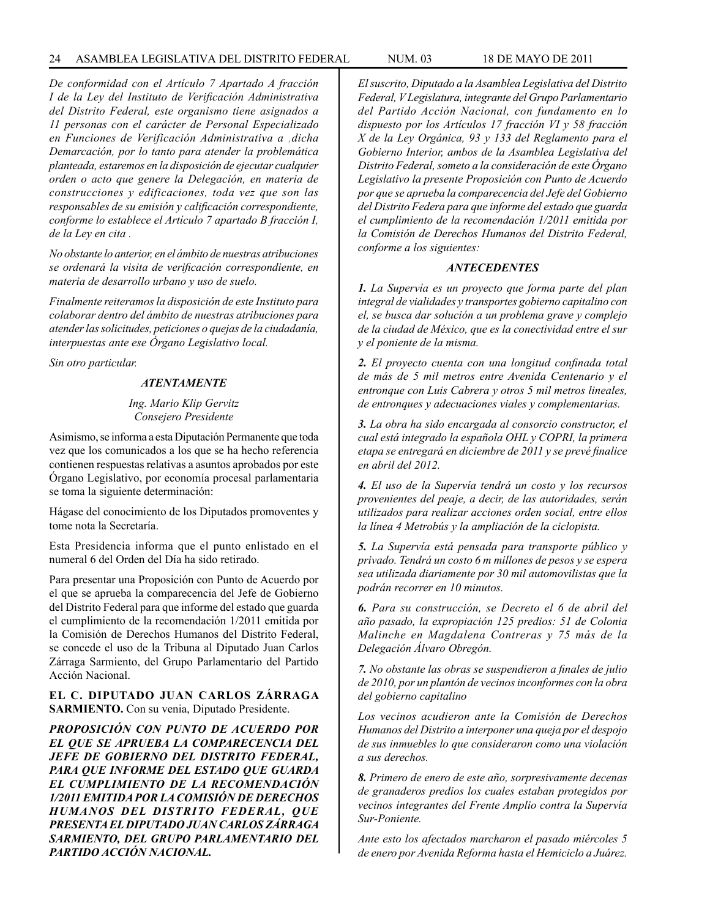#### 24 ASAMBLEA LEGISLATIVA DEL DISTRITO FEDERAL NUM. 03 18 de MAYO de 2011

*De conformidad con el Artículo 7 Apartado A fracción I de la Ley del Instituto de Verificación Administrativa del Distrito Federal, este organismo tiene asignados a 11 personas con el carácter de Personal Especializado en Funciones de Verificación Administrativa a ,dicha Demarcación, por lo tanto para atender la problemática planteada, estaremos en la disposición de ejecutar cualquier orden o acto que genere la Delegación, en materia de construcciones y edificaciones, toda vez que son las responsables de su emisión y calificación correspondiente, conforme lo establece el Artículo 7 apartado B fracción I, de la Ley en cita .*

*No obstante lo anterior, en el ámbito de nuestras atribuciones se ordenará la visita de verificación correspondiente, en materia de desarrollo urbano y uso de suelo.*

*Finalmente reiteramos la disposición de este Instituto para colaborar dentro del ámbito de nuestras atribuciones para atender las solicitudes, peticiones o quejas de la ciudadanía, interpuestas ante ese Órgano Legislativo local.*

*Sin otro particular.*

#### *ATENTAMENTE*

#### *Ing. Mario Klip Gervitz Consejero Presidente*

Asimismo, se informa a esta Diputación Permanente que toda vez que los comunicados a los que se ha hecho referencia contienen respuestas relativas a asuntos aprobados por este Órgano Legislativo, por economía procesal parlamentaria se toma la siguiente determinación:

Hágase del conocimiento de los Diputados promoventes y tome nota la Secretaría.

Esta Presidencia informa que el punto enlistado en el numeral 6 del Orden del Día ha sido retirado.

Para presentar una Proposición con Punto de Acuerdo por el que se aprueba la comparecencia del Jefe de Gobierno del Distrito Federal para que informe del estado que guarda el cumplimiento de la recomendación 1/2011 emitida por la Comisión de Derechos Humanos del Distrito Federal, se concede el uso de la Tribuna al Diputado Juan Carlos Zárraga Sarmiento, del Grupo Parlamentario del Partido Acción Nacional.

### **EL C. DIPUTADO JUAN CARLOS ZÁRRAGA SARMIENTO.** Con su venia, Diputado Presidente.

*PROPOSICIÓN CON PUNTO DE ACUERDO POR EL QUE SE APRUEBA LA COMPARECENCIA DEL JEFE DE GOBIERNO DEL DISTRITO FEDERAL, PARA QUE INFORME DEL ESTADO QUE GUARDA EL CUMPLIMIENTO DE LA RECOMENDACIÓN 1/2011 EMITIDA POR LA COMISIÓN DE DERECHOS HUMANOS DEL DISTRITO FEDERAL, QUE PRESENTA EL DIPUTADO JUAN CARLOS ZÁRRAGA SARMIENTO, DEL GRUPO PARLAMENTARIO DEL PARTIDO ACCIÓN NACIONAL.*

*El suscrito, Diputado a la Asamblea Legislativa del Distrito Federal, V Legislatura, integrante del Grupo Parlamentario del Partido Acción Nacional, con fundamento en lo dispuesto por los Artículos 17 fracción VI y 58 fracción X de la Ley Orgánica, 93 y 133 del Reglamento para el Gobierno Interior, ambos de la Asamblea Legislativa del Distrito Federal, someto a la consideración de este Órgano Legislativo la presente Proposición con Punto de Acuerdo por que se aprueba la comparecencia del Jefe del Gobierno del Distrito Federa para que informe del estado que guarda el cumplimiento de la recomendación 1/2011 emitida por la Comisión de Derechos Humanos del Distrito Federal, conforme a los siguientes:*

### *ANTECEDENTES*

*1. La Supervía es un proyecto que forma parte del plan integral de vialidades y transportes gobierno capitalino con el, se busca dar solución a un problema grave y complejo de la ciudad de México, que es la conectividad entre el sur y el poniente de la misma.* 

*2. El proyecto cuenta con una longitud confinada total de más de 5 mil metros entre Avenida Centenario y el entronque con Luis Cabrera y otros 5 mil metros lineales, de entronques y adecuaciones viales y complementarias.*

*3. La obra ha sido encargada al consorcio constructor, el cual está integrado la española OHL y COPRI, la primera etapa se entregará en diciembre de 2011 y se prevé finalice en abril del 2012.*

*4. El uso de la Supervía tendrá un costo y los recursos provenientes del peaje, a decir, de las autoridades, serán utilizados para realizar acciones orden social, entre ellos la línea 4 Metrobús y la ampliación de la ciclopista.*

*5. La Supervía está pensada para transporte público y privado. Tendrá un costo 6 m millones de pesos y se espera sea utilizada diariamente por 30 mil automovilistas que la podrán recorrer en 10 minutos.*

*6. Para su construcción, se Decreto el 6 de abril del año pasado, la expropiación 125 predios: 51 de Colonia Malinche en Magdalena Contreras y 75 más de la Delegación Álvaro Obregón.*

*7. No obstante las obras se suspendieron a finales de julio de 2010, por un plantón de vecinos inconformes con la obra del gobierno capitalino*

*Los vecinos acudieron ante la Comisión de Derechos Humanos del Distrito a interponer una queja por el despojo de sus inmuebles lo que consideraron como una violación a sus derechos.*

*8. Primero de enero de este año, sorpresivamente decenas de granaderos predios los cuales estaban protegidos por vecinos integrantes del Frente Amplio contra la Supervía Sur-Poniente.*

*Ante esto los afectados marcharon el pasado miércoles 5 de enero por Avenida Reforma hasta el Hemiciclo a Juárez.*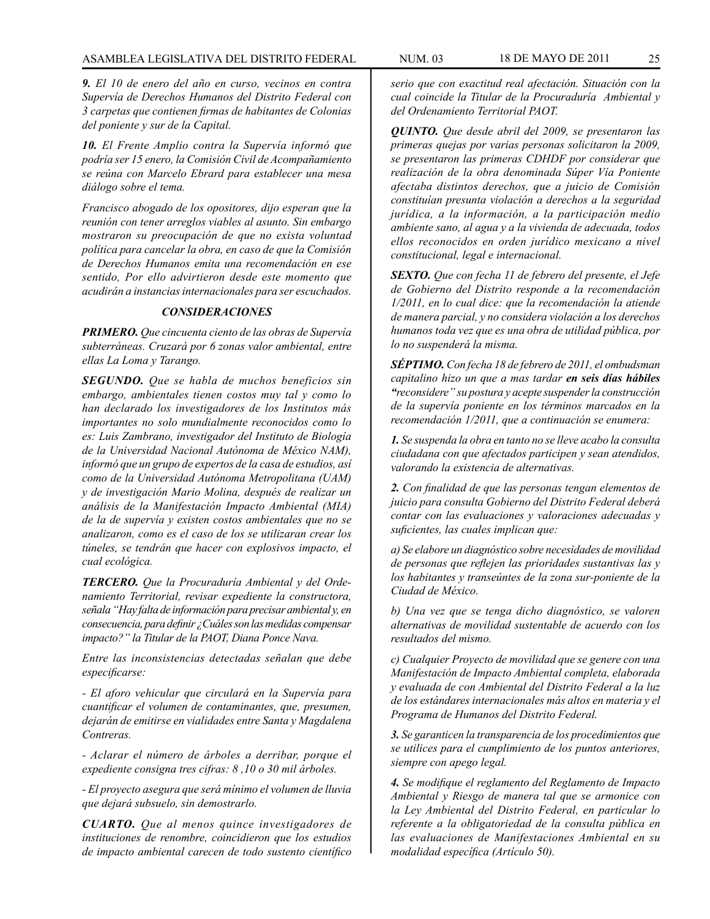*9. El 10 de enero del año en curso, vecinos en contra Supervía de Derechos Humanos del Distrito Federal con 3 carpetas que contienen firmas de habitantes de Colonias del poniente y sur de la Capital.*

*10. El Frente Amplio contra la Supervía informó que podría ser 15 enero, la Comisión Civil de Acompañamiento se reúna con Marcelo Ebrard para establecer una mesa diálogo sobre el tema.*

*Francisco abogado de los opositores, dijo esperan que la reunión con tener arreglos viables al asunto. Sin embargo mostraron su preocupación de que no exista voluntad política para cancelar la obra, en caso de que la Comisión de Derechos Humanos emita una recomendación en ese sentido, Por ello advirtieron desde este momento que acudirán a instancias internacionales para ser escuchados.*

### *CONSIDERACIONES*

*PRIMERO. Que cincuenta ciento de las obras de Supervía subterráneas. Cruzará por 6 zonas valor ambiental, entre ellas La Loma y Tarango.*

*SEGUNDO. Que se habla de muchos beneficios sin embargo, ambientales tienen costos muy tal y como lo han declarado los investigadores de los Institutos más importantes no solo mundialmente reconocidos como lo es: Luis Zambrano, investigador del Instituto de Biología de la Universidad Nacional Autónoma de México NAM), informó que un grupo de expertos de la casa de estudios, así como de la Universidad Autónoma Metropolitana (UAM) y de investigación Mario Molina, después de realizar un análisis de la Manifestación Impacto Ambiental (MIA) de la de supervía y existen costos ambientales que no se analizaron, como es el caso de los se utilizaran crear los túneles, se tendrán que hacer con explosivos impacto, el cual ecológica.*

*TERCERO. Que la Procuraduría Ambiental y del Ordenamiento Territorial, revisar expediente la constructora, señala "Hay falta de información para precisar ambiental y, en consecuencia, para definir ¿Cuáles son las medidas compensar impacto?" la Titular de la PAOT, Diana Ponce Nava.*

*Entre las inconsistencias detectadas señalan que debe especificarse:* 

*- El aforo vehicular que circulará en la Supervía para cuantificar el volumen de contaminantes, que, presumen, dejarán de emitirse en vialidades entre Santa y Magdalena Contreras.*

*- Aclarar el número de árboles a derribar, porque el expediente consigna tres cifras: 8 ,10 o 30 mil árboles.*

*- El proyecto asegura que será mínimo el volumen de lluvia que dejará subsuelo, sin demostrarlo.*

*CUARTO. Que al menos quince investigadores de instituciones de renombre, coincidieron que los estudios de impacto ambiental carecen de todo sustento científico* 

*serio que con exactitud real afectación. Situación con la cual coincide la Titular de la Procuraduría Ambiental y del Ordenamiento Territorial PAOT.*

*QUINTO. Que desde abril del 2009, se presentaron las primeras quejas por varias personas solicitaron la 2009, se presentaron las primeras CDHDF por considerar que realización de la obra denominada Súper Vía Poniente afectaba distintos derechos, que a juicio de Comisión constituían presunta violación a derechos a la seguridad jurídica, a la información, a la participación medio ambiente sano, al agua y a la vivienda de adecuada, todos ellos reconocidos en orden jurídico mexicano a nivel constitucional, legal e internacional.* 

*SEXTO. Que con fecha 11 de febrero del presente, el Jefe de Gobierno del Distrito responde a la recomendación 1/2011, en lo cual dice: que la recomendación la atiende de manera parcial, y no considera violación a los derechos humanos toda vez que es una obra de utilidad pública, por lo no suspenderá la misma.*

*SÉPTIMO. Con fecha 18 de febrero de 2011, el ombudsman capitalino hizo un que a mas tardar en seis días hábiles "reconsidere" su postura y acepte suspender la construcción de la supervía poniente en los términos marcados en la recomendación 1/2011, que a continuación se enumera:*

*1. Se suspenda la obra en tanto no se lleve acabo la consulta ciudadana con que afectados participen y sean atendidos, valorando la existencia de alternativas.*

*2. Con finalidad de que las personas tengan elementos de juicio para consulta Gobierno del Distrito Federal deberá contar con las evaluaciones y valoraciones adecuadas y suficientes, las cuales implican que:* 

*a) Se elabore un diagnóstico sobre necesidades de movilidad de personas que reflejen las prioridades sustantivas las y los habitantes y transeúntes de la zona sur-poniente de la Ciudad de México.*

*b) Una vez que se tenga dicho diagnóstico, se valoren alternativas de movilidad sustentable de acuerdo con los resultados del mismo.*

*c) Cualquier Proyecto de movilidad que se genere con una Manifestación de Impacto Ambiental completa, elaborada y evaluada de con Ambiental del Distrito Federal a la luz de los estándares internacionales más altos en materia y el Programa de Humanos del Distrito Federal.*

*3. Se garanticen la transparencia de los procedimientos que se utilices para el cumplimiento de los puntos anteriores, siempre con apego legal.*

*4. Se modifique el reglamento del Reglamento de Impacto Ambiental y Riesgo de manera tal que se armonice con la Ley Ambiental del Distrito Federal, en particular lo referente a la obligatoriedad de la consulta pública en las evaluaciones de Manifestaciones Ambiental en su modalidad específica (Artículo 50).*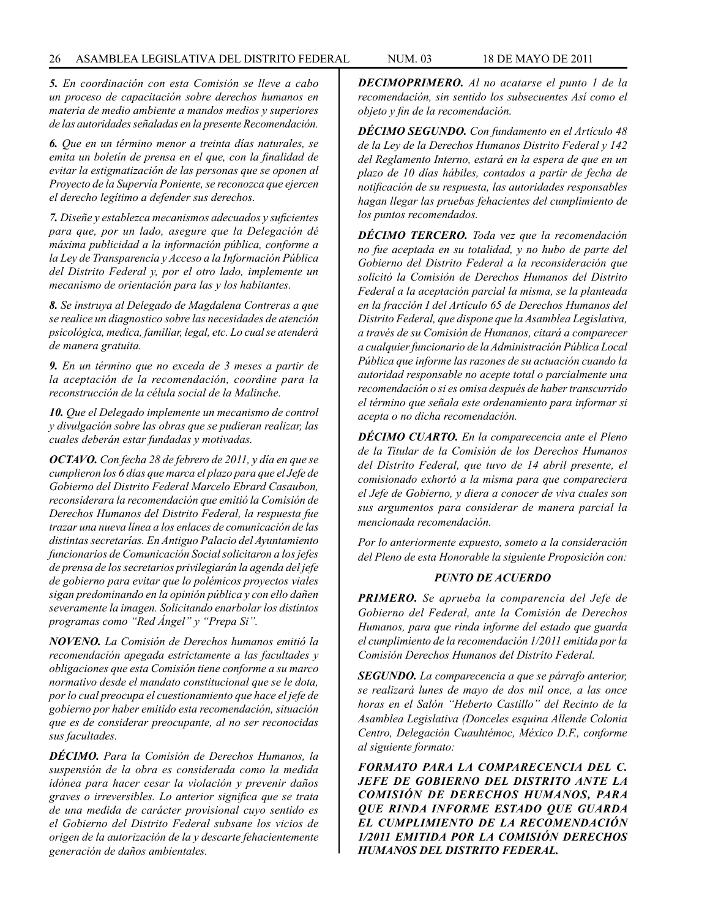*5. En coordinación con esta Comisión se lleve a cabo un proceso de capacitación sobre derechos humanos en materia de medio ambiente a mandos medios y superiores de las autoridades señaladas en la presente Recomendación.* 

*6. Que en un término menor a treinta días naturales, se emita un boletín de prensa en el que, con la finalidad de evitar la estigmatización de las personas que se oponen al Proyecto de la Supervía Poniente, se reconozca que ejercen el derecho legítimo a defender sus derechos.*

*7. Diseñe y establezca mecanismos adecuados y suficientes para que, por un lado, asegure que la Delegación dé máxima publicidad a la información pública, conforme a la Ley de Transparencia y Acceso a la Información Pública del Distrito Federal y, por el otro lado, implemente un mecanismo de orientación para las y los habitantes.*

*8. Se instruya al Delegado de Magdalena Contreras a que se realice un diagnostico sobre las necesidades de atención psicológica, medica, familiar, legal, etc. Lo cual se atenderá de manera gratuita.*

*9. En un término que no exceda de 3 meses a partir de la aceptación de la recomendación, coordine para la reconstrucción de la célula social de la Malinche.*

*10. Que el Delegado implemente un mecanismo de control y divulgación sobre las obras que se pudieran realizar, las cuales deberán estar fundadas y motivadas.* 

*OCTAVO. Con fecha 28 de febrero de 2011, y día en que se cumplieron los 6 días que marca el plazo para que el Jefe de Gobierno del Distrito Federal Marcelo Ebrard Casaubon, reconsiderara la recomendación que emitió la Comisión de Derechos Humanos del Distrito Federal, la respuesta fue trazar una nueva línea a los enlaces de comunicación de las distintas secretarías. En Antiguo Palacio del Ayuntamiento funcionarios de Comunicación Social solicitaron a los jefes de prensa de los secretarios privilegiarán la agenda del jefe de gobierno para evitar que lo polémicos proyectos viales sigan predominando en la opinión pública y con ello dañen severamente la imagen. Solicitando enarbolar los distintos programas como "Red Ángel" y "Prepa Si".* 

*NOVENO. La Comisión de Derechos humanos emitió la recomendación apegada estrictamente a las facultades y obligaciones que esta Comisión tiene conforme a su marco normativo desde el mandato constitucional que se le dota, por lo cual preocupa el cuestionamiento que hace el jefe de gobierno por haber emitido esta recomendación, situación que es de considerar preocupante, al no ser reconocidas sus facultades.*

*DÉCIMO. Para la Comisión de Derechos Humanos, la suspensión de la obra es considerada como la medida idónea para hacer cesar la violación y prevenir daños graves o irreversibles. Lo anterior significa que se trata de una medida de carácter provisional cuyo sentido es el Gobierno del Distrito Federal subsane los vicios de origen de la autorización de la y descarte fehacientemente generación de daños ambientales.*

*DECIMOPRIMERO. Al no acatarse el punto 1 de la recomendación, sin sentido los subsecuentes Así como el objeto y fin de la recomendación.*

*DÉCIMO SEGUNDO. Con fundamento en el Artículo 48 de la Ley de la Derechos Humanos Distrito Federal y 142 del Reglamento Interno, estará en la espera de que en un plazo de 10 días hábiles, contados a partir de fecha de notificación de su respuesta, las autoridades responsables hagan llegar las pruebas fehacientes del cumplimiento de los puntos recomendados.*

*DÉCIMO TERCERO. Toda vez que la recomendación no fue aceptada en su totalidad, y no hubo de parte del Gobierno del Distrito Federal a la reconsideración que solicitó la Comisión de Derechos Humanos del Distrito Federal a la aceptación parcial la misma, se la planteada en la fracción I del Artículo 65 de Derechos Humanos del Distrito Federal, que dispone que la Asamblea Legislativa, a través de su Comisión de Humanos, citará a comparecer a cualquier funcionario de la Administración Pública Local Pública que informe las razones de su actuación cuando la autoridad responsable no acepte total o parcialmente una recomendación o si es omisa después de haber transcurrido el término que señala este ordenamiento para informar si acepta o no dicha recomendación.*

*DÉCIMO CUARTO. En la comparecencia ante el Pleno de la Titular de la Comisión de los Derechos Humanos del Distrito Federal, que tuvo de 14 abril presente, el comisionado exhortó a la misma para que compareciera el Jefe de Gobierno, y diera a conocer de viva cuales son sus argumentos para considerar de manera parcial la mencionada recomendación.*

*Por lo anteriormente expuesto, someto a la consideración del Pleno de esta Honorable la siguiente Proposición con:*

### *PUNTO DE ACUERDO*

*PRIMERO. Se aprueba la comparencia del Jefe de Gobierno del Federal, ante la Comisión de Derechos Humanos, para que rinda informe del estado que guarda el cumplimiento de la recomendación 1/2011 emitida por la Comisión Derechos Humanos del Distrito Federal.*

*SEGUNDO. La comparecencia a que se párrafo anterior, se realizará lunes de mayo de dos mil once, a las once horas en el Salón "Heberto Castillo" del Recinto de la Asamblea Legislativa (Donceles esquina Allende Colonia Centro, Delegación Cuauhtémoc, México D.F., conforme al siguiente formato:*

*FORMATO PARA LA COMPARECENCIA DEL C. JEFE DE GOBIERNO DEL DISTRITO ANTE LA COMISIÓN DE DERECHOS HUMANOS, PARA QUE RINDA INFORME ESTADO QUE GUARDA EL CUMPLIMIENTO DE LA RECOMENDACIÓN 1/2011 EMITIDA POR LA COMISIÓN DERECHOS HUMANOS DEL DISTRITO FEDERAL.*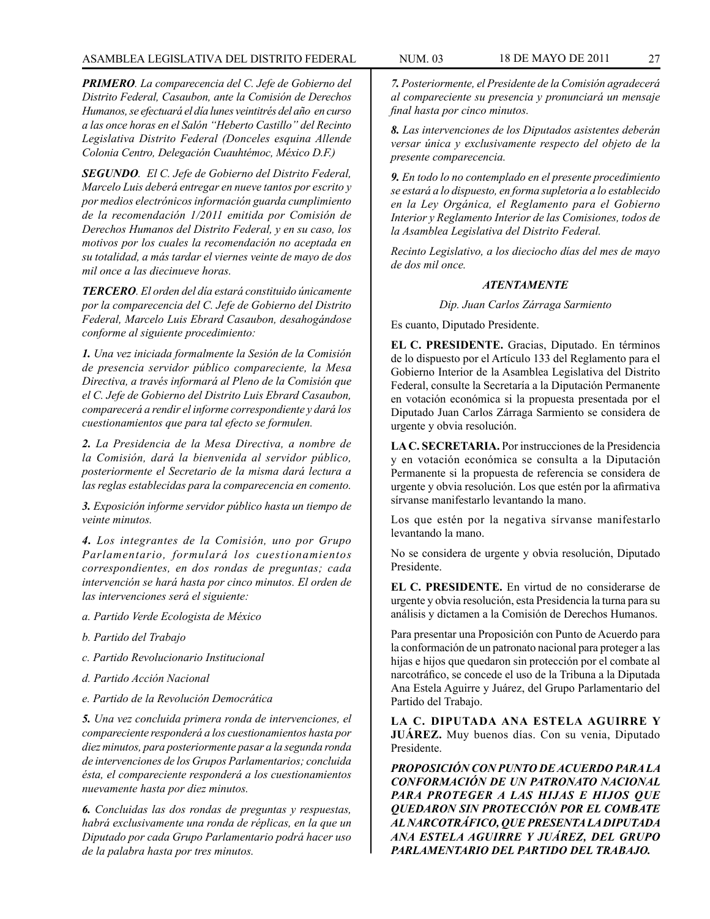*PRIMERO. La comparecencia del C. Jefe de Gobierno del Distrito Federal, Casaubon, ante la Comisión de Derechos Humanos, se efectuará el día lunes veintitrés del año en curso a las once horas en el Salón "Heberto Castillo" del Recinto Legislativa Distrito Federal (Donceles esquina Allende Colonia Centro, Delegación Cuauhtémoc, México D.F.)*

*SEGUNDO. El C. Jefe de Gobierno del Distrito Federal, Marcelo Luis deberá entregar en nueve tantos por escrito y por medios electrónicos información guarda cumplimiento de la recomendación 1/2011 emitida por Comisión de Derechos Humanos del Distrito Federal, y en su caso, los motivos por los cuales la recomendación no aceptada en su totalidad, a más tardar el viernes veinte de mayo de dos mil once a las diecinueve horas.*

*TERCERO. El orden del día estará constituido únicamente por la comparecencia del C. Jefe de Gobierno del Distrito Federal, Marcelo Luis Ebrard Casaubon, desahogándose conforme al siguiente procedimiento:*

*1. Una vez iniciada formalmente la Sesión de la Comisión de presencia servidor público compareciente, la Mesa Directiva, a través informará al Pleno de la Comisión que el C. Jefe de Gobierno del Distrito Luis Ebrard Casaubon, comparecerá a rendir el informe correspondiente y dará los cuestionamientos que para tal efecto se formulen.*

*2. La Presidencia de la Mesa Directiva, a nombre de la Comisión, dará la bienvenida al servidor público, posteriormente el Secretario de la misma dará lectura a las reglas establecidas para la comparecencia en comento.*

*3. Exposición informe servidor público hasta un tiempo de veinte minutos.*

*4. Los integrantes de la Comisión, uno por Grupo Parlamentario, formulará los cuestionamientos correspondientes, en dos rondas de preguntas; cada intervención se hará hasta por cinco minutos. El orden de las intervenciones será el siguiente:*

- *a. Partido Verde Ecologista de México*
- *b. Partido del Trabajo*
- *c. Partido Revolucionario Institucional*
- *d. Partido Acción Nacional*
- *e. Partido de la Revolución Democrática*

*5. Una vez concluida primera ronda de intervenciones, el compareciente responderá a los cuestionamientos hasta por diez minutos, para posteriormente pasar a la segunda ronda de intervenciones de los Grupos Parlamentarios; concluida ésta, el compareciente responderá a los cuestionamientos nuevamente hasta por diez minutos.* 

*6. Concluidas las dos rondas de preguntas y respuestas, habrá exclusivamente una ronda de réplicas, en la que un Diputado por cada Grupo Parlamentario podrá hacer uso de la palabra hasta por tres minutos.*

*7. Posteriormente, el Presidente de la Comisión agradecerá al compareciente su presencia y pronunciará un mensaje final hasta por cinco minutos.*

*8. Las intervenciones de los Diputados asistentes deberán versar única y exclusivamente respecto del objeto de la presente comparecencia.*

*9. En todo lo no contemplado en el presente procedimiento se estará a lo dispuesto, en forma supletoria a lo establecido en la Ley Orgánica, el Reglamento para el Gobierno Interior y Reglamento Interior de las Comisiones, todos de la Asamblea Legislativa del Distrito Federal.*

*Recinto Legislativo, a los dieciocho días del mes de mayo de dos mil once.*

#### *ATENTAMENTE*

*Dip. Juan Carlos Zárraga Sarmiento*

Es cuanto, Diputado Presidente.

**EL C. PRESIDENTE.** Gracias, Diputado. En términos de lo dispuesto por el Artículo 133 del Reglamento para el Gobierno Interior de la Asamblea Legislativa del Distrito Federal, consulte la Secretaría a la Diputación Permanente en votación económica si la propuesta presentada por el Diputado Juan Carlos Zárraga Sarmiento se considera de urgente y obvia resolución.

**LA C. SECRETARIA.** Por instrucciones de la Presidencia y en votación económica se consulta a la Diputación Permanente si la propuesta de referencia se considera de urgente y obvia resolución. Los que estén por la afirmativa sírvanse manifestarlo levantando la mano.

Los que estén por la negativa sírvanse manifestarlo levantando la mano.

No se considera de urgente y obvia resolución, Diputado Presidente.

**EL C. PRESIDENTE.** En virtud de no considerarse de urgente y obvia resolución, esta Presidencia la turna para su análisis y dictamen a la Comisión de Derechos Humanos.

Para presentar una Proposición con Punto de Acuerdo para la conformación de un patronato nacional para proteger a las hijas e hijos que quedaron sin protección por el combate al narcotráfico, se concede el uso de la Tribuna a la Diputada Ana Estela Aguirre y Juárez, del Grupo Parlamentario del Partido del Trabajo.

**LA C. DIPUTADA ANA ESTELA AGUIRRE Y JUÁREZ.** Muy buenos días. Con su venia, Diputado Presidente.

*PROPOSICIÓN CON PUNTO DE ACUERDO PARA LA CONFORMACIÓN DE UN PATRONATO NACIONAL PARA PROTEGER A LAS HIJAS E HIJOS QUE QUEDARON SIN PROTECCIÓN POR EL COMBATE AL NARCOTRÁFICO, QUE PRESENTA LA DIPUTADA ANA ESTELA AGUIRRE Y JUÁREZ, DEL GRUPO PARLAMENTARIO DEL PARTIDO DEL TRABAJO.*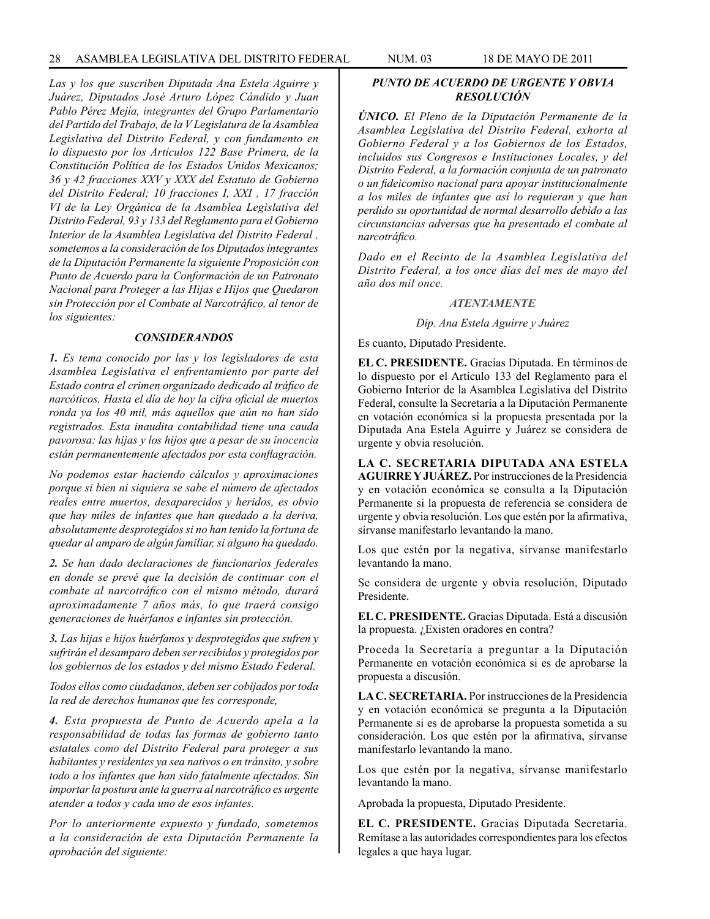*Las y los que suscriben Diputada Ana Estela Aguirre y Juárez, Diputados José Arturo López Cándido y Juan Pablo Pérez Mejía, integrantes del Grupo Parlamentario del Partido del Trabajo, de la V Legislatura de la Asamblea Legislativa del Distrito Federal, y con fundamento en lo dispuesto por los Artículos 122 Base Primera, de la Constitución Política de los Estados Unidos Mexicanos; 36 y 42 fracciones XXV y XXX del Estatuto de Gobierno del Distrito Federal; 10 fracciones I, XXI , 17 fracción VI de la Ley Orgánica de la Asamblea Legislativa del Distrito Federal, 93 y 133 del Reglamento para el Gobierno Interior de la Asamblea Legislativa del Distrito Federal , sometemos a la consideración de los Diputados integrantes de la Diputación Permanente la siguiente Proposición con Punto de Acuerdo para la Conformación de un Patronato Nacional para Proteger a las Hijas e Hijos que Quedaron sin Protección por el Combate al Narcotráfico, al tenor de los siguientes:*

#### *CONSIDERANDOS*

*1. Es tema conocido por las y los legisladores de esta Asamblea Legislativa el enfrentamiento por parte del Estado contra el crimen organizado dedicado al tráfico de narcóticos. Hasta el día de hoy la cifra oficial de muertos ronda ya los 40 mil, más aquellos que aún no han sido registrados. Esta inaudita contabilidad tiene una cauda pavorosa: las hijas y los hijos que a pesar de su inocencia están permanentemente afectados por esta conflagración.* 

*No podemos estar haciendo cálculos y aproximaciones porque si bien ni siquiera se sabe el número de afectados reales entre muertos, desaparecidos y heridos, es obvio que hay miles de infantes que han quedado a la deriva, absolutamente desprotegidos si no han tenido la fortuna de quedar al amparo de algún familiar, si alguno ha quedado.*

*2. Se han dado declaraciones de funcionarios federales en donde se prevé que la decisión de continuar con el combate al narcotráfico con el mismo método, durará aproximadamente 7 años más, lo que traerá consigo generaciones de huérfanos e infantes sin protección.*

*3. Las hijas e hijos huérfanos y desprotegidos que sufren y sufrirán el desamparo deben ser recibidos y protegidos por los gobiernos de los estados y del mismo Estado Federal.* 

*Todos ellos como ciudadanos, deben ser cobijados por toda la red de derechos humanos que les corresponde,*

*4. Esta propuesta de Punto de Acuerdo apela a la responsabilidad de todas las formas de gobierno tanto estatales como del Distrito Federal para proteger a sus habitantes y residentes ya sea nativos o en tránsito, y sobre todo a los infantes que han sido fatalmente afectados. Sin importar la postura ante la guerra al narcotráfico es urgente atender a todos y cada uno de esos infantes.*

*Por lo anteriormente expuesto y fundado, sometemos a la consideración de esta Diputación Permanente la aprobación del siguiente:*

### *PUNTO DE ACUERDO DE URGENTE Y OBVIA RESOLUCIÓN*

*ÚNICO. El Pleno de la Diputación Permanente de la Asamblea Legislativa del Distrito Federal, exhorta al Gobierno Federal y a los Gobiernos de los Estados, incluidos sus Congresos e Instituciones Locales, y del Distrito Federal, a la formación conjunta de un patronato o un fideicomiso nacional para apoyar institucionalmente a los miles de infantes que así lo requieran y que han perdido su oportunidad de normal desarrollo debido a las circunstancias adversas que ha presentado el combate al narcotráfico.*

*Dado en el Recinto de la Asamblea Legislativa del Distrito Federal, a los once días del mes de mayo del año dos mil once.*

#### *ATENTAMENTE*

#### *Dip. Ana Estela Aguirre y Juárez*

Es cuanto, Diputado Presidente.

**EL C. PRESIDENTE.** Gracias Diputada. En términos de lo dispuesto por el Artículo 133 del Reglamento para el Gobierno Interior de la Asamblea Legislativa del Distrito Federal, consulte la Secretaría a la Diputación Permanente en votación económica si la propuesta presentada por la Diputada Ana Estela Aguirre y Juárez se considera de urgente y obvia resolución.

**LA C. SECRETARIA DIPUTADA ANA ESTELA AGUIRRE Y JUÁREZ.** Por instrucciones de la Presidencia y en votación económica se consulta a la Diputación Permanente si la propuesta de referencia se considera de urgente y obvia resolución. Los que estén por la afirmativa, sírvanse manifestarlo levantando la mano.

Los que estén por la negativa, sírvanse manifestarlo levantando la mano.

Se considera de urgente y obvia resolución, Diputado Presidente.

**EL C. PRESIDENTE.** Gracias Diputada. Está a discusión la propuesta. ¿Existen oradores en contra?

Proceda la Secretaría a preguntar a la Diputación Permanente en votación económica si es de aprobarse la propuesta a discusión.

**LA C. SECRETARIA.** Por instrucciones de la Presidencia y en votación económica se pregunta a la Diputación Permanente si es de aprobarse la propuesta sometida a su consideración. Los que estén por la afirmativa, sírvanse manifestarlo levantando la mano.

Los que estén por la negativa, sírvanse manifestarlo levantando la mano.

Aprobada la propuesta, Diputado Presidente.

**EL C. PRESIDENTE.** Gracias Diputada Secretaria. Remítase a las autoridades correspondientes para los efectos legales a que haya lugar.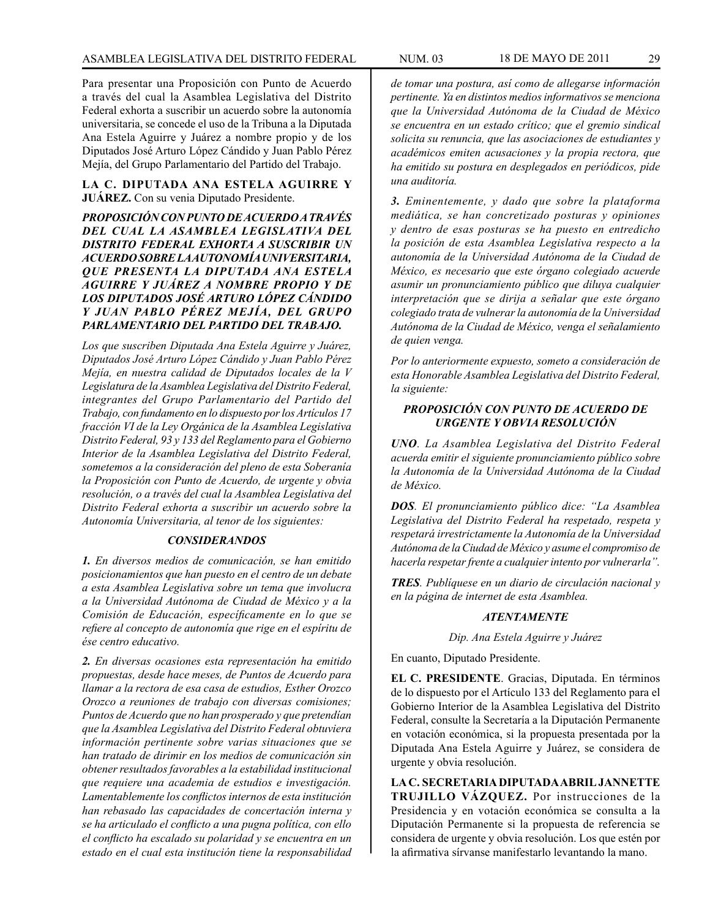Para presentar una Proposición con Punto de Acuerdo a través del cual la Asamblea Legislativa del Distrito Federal exhorta a suscribir un acuerdo sobre la autonomía universitaria, se concede el uso de la Tribuna a la Diputada Ana Estela Aguirre y Juárez a nombre propio y de los Diputados José Arturo López Cándido y Juan Pablo Pérez Mejía, del Grupo Parlamentario del Partido del Trabajo.

### **LA C. DIPUTADA ANA ESTELA AGUIRRE Y JUÁREZ.** Con su venia Diputado Presidente.

*PROPOSICIÓN CON PUNTO DE ACUERDO A TRAVÉS DEL CUAL LA ASAMBLEA LEGISLATIVA DEL DISTRITO FEDERAL EXHORTA A SUSCRIBIR UN ACUERDO SOBRE LA AUTONOMÍA UNIVERSITARIA, QUE PRESENTA LA DIPUTADA ANA ESTELA AGUIRRE Y JUÁREZ A NOMBRE PROPIO Y DE LOS DIPUTADOS JOSÉ ARTURO LÓPEZ CÁNDIDO Y JUAN PABLO PÉREZ MEJÍA, DEL GRUPO PARLAMENTARIO DEL PARTIDO DEL TRABAJO.*

*Los que suscriben Diputada Ana Estela Aguirre y Juárez, Diputados José Arturo López Cándido y Juan Pablo Pérez Mejía, en nuestra calidad de Diputados locales de la V Legislatura de la Asamblea Legislativa del Distrito Federal, integrantes del Grupo Parlamentario del Partido del Trabajo, con fundamento en lo dispuesto por los Artículos 17 fracción VI de la Ley Orgánica de la Asamblea Legislativa Distrito Federal, 93 y 133 del Reglamento para el Gobierno Interior de la Asamblea Legislativa del Distrito Federal, sometemos a la consideración del pleno de esta Soberanía la Proposición con Punto de Acuerdo, de urgente y obvia resolución, o a través del cual la Asamblea Legislativa del Distrito Federal exhorta a suscribir un acuerdo sobre la Autonomía Universitaria, al tenor de los siguientes:* 

#### *CONSIDERANDOS*

*1. En diversos medios de comunicación, se han emitido posicionamientos que han puesto en el centro de un debate a esta Asamblea Legislativa sobre un tema que involucra a la Universidad Autónoma de Ciudad de México y a la Comisión de Educación, específicamente en lo que se refiere al concepto de autonomía que rige en el espíritu de ése centro educativo.*

*2. En diversas ocasiones esta representación ha emitido propuestas, desde hace meses, de Puntos de Acuerdo para llamar a la rectora de esa casa de estudios, Esther Orozco Orozco a reuniones de trabajo con diversas comisiones; Puntos de Acuerdo que no han prosperado y que pretendían que la Asamblea Legislativa del Distrito Federal obtuviera información pertinente sobre varias situaciones que se han tratado de dirimir en los medios de comunicación sin obtener resultados favorables a la estabilidad institucional que requiere una academia de estudios e investigación. Lamentablemente los conflictos internos de esta institución han rebasado las capacidades de concertación interna y se ha articulado el conflicto a una pugna política, con ello el conflicto ha escalado su polaridad y se encuentra en un estado en el cual esta institución tiene la responsabilidad* 

*de tomar una postura, así como de allegarse información pertinente. Ya en distintos medios informativos se menciona que la Universidad Autónoma de la Ciudad de México se encuentra en un estado crítico; que el gremio sindical solicita su renuncia, que las asociaciones de estudiantes y académicos emiten acusaciones y la propia rectora, que ha emitido su postura en desplegados en periódicos, pide una auditoría.*

*3. Eminentemente, y dado que sobre la plataforma mediática, se han concretizado posturas y opiniones y dentro de esas posturas se ha puesto en entredicho la posición de esta Asamblea Legislativa respecto a la autonomía de la Universidad Autónoma de la Ciudad de México, es necesario que este órgano colegiado acuerde asumir un pronunciamiento público que diluya cualquier interpretación que se dirija a señalar que este órgano colegiado trata de vulnerar la autonomía de la Universidad Autónoma de la Ciudad de México, venga el señalamiento de quien venga.*

*Por lo anteriormente expuesto, someto a consideración de esta Honorable Asamblea Legislativa del Distrito Federal, la siguiente:*

### *PROPOSICIÓN CON PUNTO DE ACUERDO DE URGENTE Y OBVIA RESOLUCIÓN*

*UNO. La Asamblea Legislativa del Distrito Federal acuerda emitir el siguiente pronunciamiento público sobre la Autonomía de la Universidad Autónoma de la Ciudad de México.*

*DOS. El pronunciamiento público dice: "La Asamblea Legislativa del Distrito Federal ha respetado, respeta y respetará irrestrictamente la Autonomía de la Universidad Autónoma de la Ciudad de México y asume el compromiso de hacerla respetar frente a cualquier intento por vulnerarla".*

*TRES. Publíquese en un diario de circulación nacional y en la página de internet de esta Asamblea.*

#### *ATENTAMENTE*

*Dip. Ana Estela Aguirre y Juárez* 

En cuanto, Diputado Presidente.

**EL C. PRESIDENTE**. Gracias, Diputada. En términos de lo dispuesto por el Artículo 133 del Reglamento para el Gobierno Interior de la Asamblea Legislativa del Distrito Federal, consulte la Secretaría a la Diputación Permanente en votación económica, si la propuesta presentada por la Diputada Ana Estela Aguirre y Juárez, se considera de urgente y obvia resolución.

**LA C. SECRETARIA DIPUTADA ABRIL JANNETTE TRUJILLO VÁZQUEZ.** Por instrucciones de la Presidencia y en votación económica se consulta a la Diputación Permanente si la propuesta de referencia se considera de urgente y obvia resolución. Los que estén por la afirmativa sírvanse manifestarlo levantando la mano.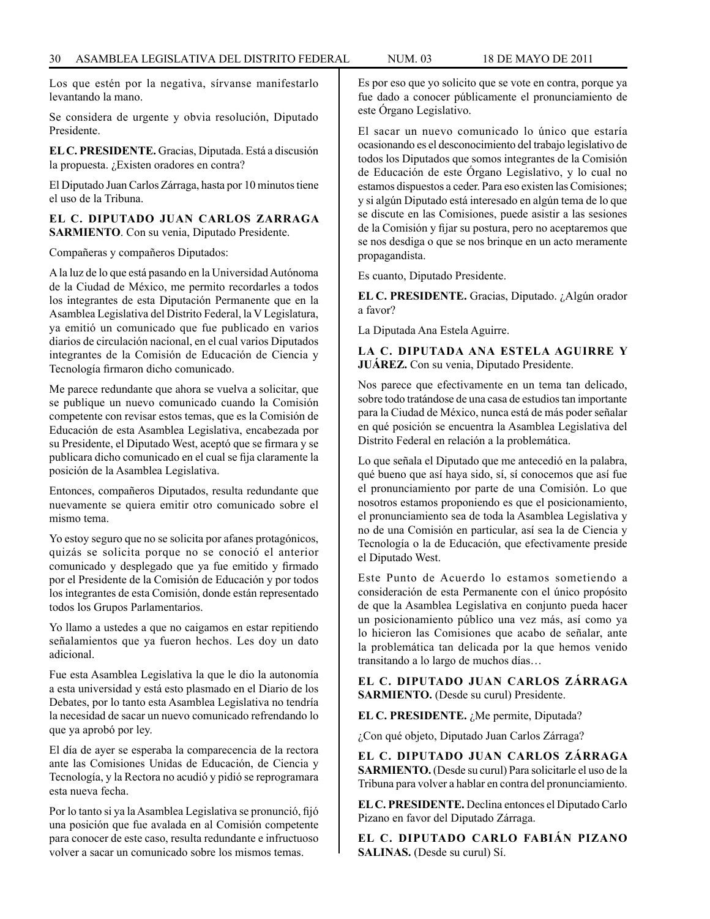Los que estén por la negativa, sírvanse manifestarlo levantando la mano.

Se considera de urgente y obvia resolución, Diputado Presidente.

**EL C. PRESIDENTE.** Gracias, Diputada. Está a discusión la propuesta. ¿Existen oradores en contra?

El Diputado Juan Carlos Zárraga, hasta por 10 minutos tiene el uso de la Tribuna.

**EL C. DIPUTADO JUAN CARLOS ZARRAGA SARMIENTO**. Con su venia, Diputado Presidente.

Compañeras y compañeros Diputados:

A la luz de lo que está pasando en la Universidad Autónoma de la Ciudad de México, me permito recordarles a todos los integrantes de esta Diputación Permanente que en la Asamblea Legislativa del Distrito Federal, la V Legislatura, ya emitió un comunicado que fue publicado en varios diarios de circulación nacional, en el cual varios Diputados integrantes de la Comisión de Educación de Ciencia y Tecnología firmaron dicho comunicado.

Me parece redundante que ahora se vuelva a solicitar, que se publique un nuevo comunicado cuando la Comisión competente con revisar estos temas, que es la Comisión de Educación de esta Asamblea Legislativa, encabezada por su Presidente, el Diputado West, aceptó que se firmara y se publicara dicho comunicado en el cual se fija claramente la posición de la Asamblea Legislativa.

Entonces, compañeros Diputados, resulta redundante que nuevamente se quiera emitir otro comunicado sobre el mismo tema.

Yo estoy seguro que no se solicita por afanes protagónicos, quizás se solicita porque no se conoció el anterior comunicado y desplegado que ya fue emitido y firmado por el Presidente de la Comisión de Educación y por todos los integrantes de esta Comisión, donde están representado todos los Grupos Parlamentarios.

Yo llamo a ustedes a que no caigamos en estar repitiendo señalamientos que ya fueron hechos. Les doy un dato adicional.

Fue esta Asamblea Legislativa la que le dio la autonomía a esta universidad y está esto plasmado en el Diario de los Debates, por lo tanto esta Asamblea Legislativa no tendría la necesidad de sacar un nuevo comunicado refrendando lo que ya aprobó por ley.

El día de ayer se esperaba la comparecencia de la rectora ante las Comisiones Unidas de Educación, de Ciencia y Tecnología, y la Rectora no acudió y pidió se reprogramara esta nueva fecha.

Por lo tanto si ya la Asamblea Legislativa se pronunció, fijó una posición que fue avalada en al Comisión competente para conocer de este caso, resulta redundante e infructuoso volver a sacar un comunicado sobre los mismos temas.

Es por eso que yo solicito que se vote en contra, porque ya fue dado a conocer públicamente el pronunciamiento de este Órgano Legislativo.

El sacar un nuevo comunicado lo único que estaría ocasionando es el desconocimiento del trabajo legislativo de todos los Diputados que somos integrantes de la Comisión de Educación de este Órgano Legislativo, y lo cual no estamos dispuestos a ceder. Para eso existen las Comisiones; y si algún Diputado está interesado en algún tema de lo que se discute en las Comisiones, puede asistir a las sesiones de la Comisión y fijar su postura, pero no aceptaremos que se nos desdiga o que se nos brinque en un acto meramente propagandista.

Es cuanto, Diputado Presidente.

**EL C. PRESIDENTE.** Gracias, Diputado. ¿Algún orador a favor?

La Diputada Ana Estela Aguirre.

**LA C. DIPUTADA ANA ESTELA AGUIRRE Y JUÁREZ.** Con su venia, Diputado Presidente.

Nos parece que efectivamente en un tema tan delicado, sobre todo tratándose de una casa de estudios tan importante para la Ciudad de México, nunca está de más poder señalar en qué posición se encuentra la Asamblea Legislativa del Distrito Federal en relación a la problemática.

Lo que señala el Diputado que me antecedió en la palabra, qué bueno que así haya sido, sí, sí conocemos que así fue el pronunciamiento por parte de una Comisión. Lo que nosotros estamos proponiendo es que el posicionamiento, el pronunciamiento sea de toda la Asamblea Legislativa y no de una Comisión en particular, así sea la de Ciencia y Tecnología o la de Educación, que efectivamente preside el Diputado West.

Este Punto de Acuerdo lo estamos sometiendo a consideración de esta Permanente con el único propósito de que la Asamblea Legislativa en conjunto pueda hacer un posicionamiento público una vez más, así como ya lo hicieron las Comisiones que acabo de señalar, ante la problemática tan delicada por la que hemos venido transitando a lo largo de muchos días…

**EL C. DIPUTADO JUAN CARLOS ZÁRRAGA SARMIENTO.** (Desde su curul) Presidente.

**EL C. PRESIDENTE.** ¿Me permite, Diputada?

¿Con qué objeto, Diputado Juan Carlos Zárraga?

**EL C. DIPUTADO JUAN CARLOS ZÁRRAGA SARMIENTO.** (Desde su curul) Para solicitarle el uso de la Tribuna para volver a hablar en contra del pronunciamiento.

**EL C. PRESIDENTE.** Declina entonces el Diputado Carlo Pizano en favor del Diputado Zárraga.

**EL C. DIPUTADO CARLO FABIÁN PIZANO SALINAS.** (Desde su curul) Sí.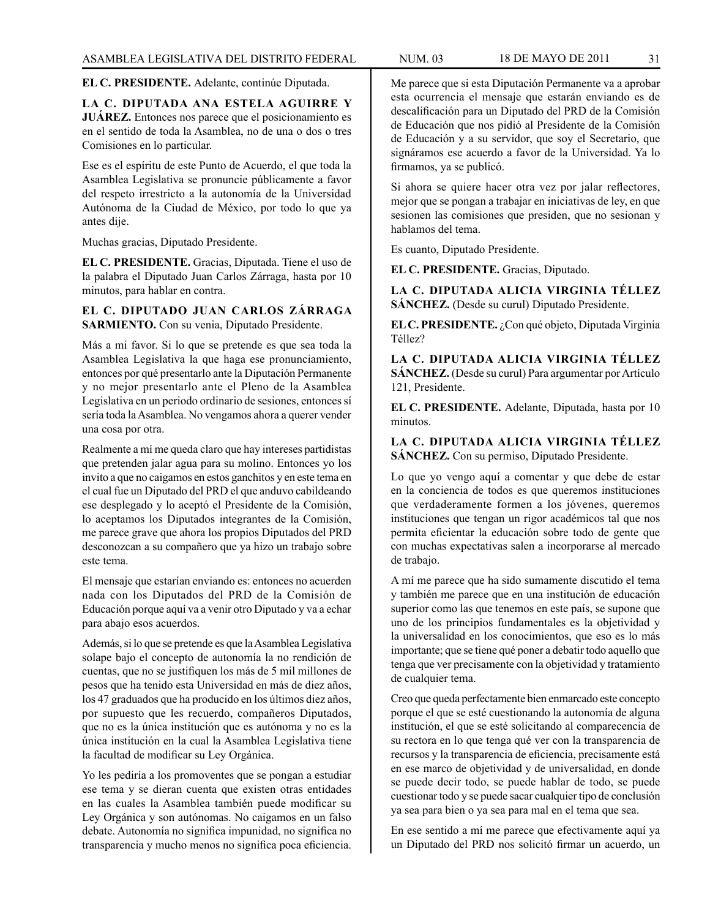### **EL C. PRESIDENTE.** Adelante, continúe Diputada.

**LA C. DIPUTADA ANA ESTELA AGUIRRE Y JUÁREZ.** Entonces nos parece que el posicionamiento es en el sentido de toda la Asamblea, no de una o dos o tres Comisiones en lo particular.

Ese es el espíritu de este Punto de Acuerdo, el que toda la Asamblea Legislativa se pronuncie públicamente a favor del respeto irrestricto a la autonomía de la Universidad Autónoma de la Ciudad de México, por todo lo que ya antes dije.

Muchas gracias, Diputado Presidente.

**EL C. PRESIDENTE.** Gracias, Diputada. Tiene el uso de la palabra el Diputado Juan Carlos Zárraga, hasta por 10 minutos, para hablar en contra.

### **EL C. DIPUTADO JUAN CARLOS ZÁRRAGA SARMIENTO.** Con su venia, Diputado Presidente.

Más a mi favor. Si lo que se pretende es que sea toda la Asamblea Legislativa la que haga ese pronunciamiento, entonces por qué presentarlo ante la Diputación Permanente y no mejor presentarlo ante el Pleno de la Asamblea Legislativa en un periodo ordinario de sesiones, entonces sí sería toda la Asamblea. No vengamos ahora a querer vender una cosa por otra.

Realmente a mí me queda claro que hay intereses partidistas que pretenden jalar agua para su molino. Entonces yo los invito a que no caigamos en estos ganchitos y en este tema en el cual fue un Diputado del PRD el que anduvo cabildeando ese desplegado y lo aceptó el Presidente de la Comisión, lo aceptamos los Diputados integrantes de la Comisión, me parece grave que ahora los propios Diputados del PRD desconozcan a su compañero que ya hizo un trabajo sobre este tema.

El mensaje que estarían enviando es: entonces no acuerden nada con los Diputados del PRD de la Comisión de Educación porque aquí va a venir otro Diputado y va a echar para abajo esos acuerdos.

Además, si lo que se pretende es que la Asamblea Legislativa solape bajo el concepto de autonomía la no rendición de cuentas, que no se justifiquen los más de 5 mil millones de pesos que ha tenido esta Universidad en más de diez años, los 47 graduados que ha producido en los últimos diez años, por supuesto que les recuerdo, compañeros Diputados, que no es la única institución que es autónoma y no es la única institución en la cual la Asamblea Legislativa tiene la facultad de modificar su Ley Orgánica.

Yo les pediría a los promoventes que se pongan a estudiar ese tema y se dieran cuenta que existen otras entidades en las cuales la Asamblea también puede modificar su Ley Orgánica y son autónomas. No caigamos en un falso debate. Autonomía no significa impunidad, no significa no transparencia y mucho menos no significa poca eficiencia.

Me parece que si esta Diputación Permanente va a aprobar esta ocurrencia el mensaje que estarán enviando es de descalificación para un Diputado del PRD de la Comisión de Educación que nos pidió al Presidente de la Comisión de Educación y a su servidor, que soy el Secretario, que signáramos ese acuerdo a favor de la Universidad. Ya lo firmamos, ya se publicó.

Si ahora se quiere hacer otra vez por jalar reflectores, mejor que se pongan a trabajar en iniciativas de ley, en que sesionen las comisiones que presiden, que no sesionan y hablamos del tema.

Es cuanto, Diputado Presidente.

**EL C. PRESIDENTE.** Gracias, Diputado.

**LA C. DIPUTADA ALICIA VIRGINIA TÉLLEZ SÁNCHEZ.** (Desde su curul) Diputado Presidente.

**EL C. PRESIDENTE.** ¿Con qué objeto, Diputada Virginia Téllez?

**LA C. DIPUTADA ALICIA VIRGINIA TÉLLEZ SÁNCHEZ.** (Desde su curul) Para argumentar por Artículo 121, Presidente.

**EL C. PRESIDENTE.** Adelante, Diputada, hasta por 10 minutos.

**LA C. DIPUTADA ALICIA VIRGINIA TÉLLEZ SÁNCHEZ.** Con su permiso, Diputado Presidente.

Lo que yo vengo aquí a comentar y que debe de estar en la conciencia de todos es que queremos instituciones que verdaderamente formen a los jóvenes, queremos instituciones que tengan un rigor académicos tal que nos permita eficientar la educación sobre todo de gente que con muchas expectativas salen a incorporarse al mercado de trabajo.

A mí me parece que ha sido sumamente discutido el tema y también me parece que en una institución de educación superior como las que tenemos en este país, se supone que uno de los principios fundamentales es la objetividad y la universalidad en los conocimientos, que eso es lo más importante; que se tiene qué poner a debatir todo aquello que tenga que ver precisamente con la objetividad y tratamiento de cualquier tema.

Creo que queda perfectamente bien enmarcado este concepto porque el que se esté cuestionando la autonomía de alguna institución, el que se esté solicitando al comparecencia de su rectora en lo que tenga qué ver con la transparencia de recursos y la transparencia de eficiencia, precisamente está en ese marco de objetividad y de universalidad, en donde se puede decir todo, se puede hablar de todo, se puede cuestionar todo y se puede sacar cualquier tipo de conclusión ya sea para bien o ya sea para mal en el tema que sea.

En ese sentido a mí me parece que efectivamente aquí ya un Diputado del PRD nos solicitó firmar un acuerdo, un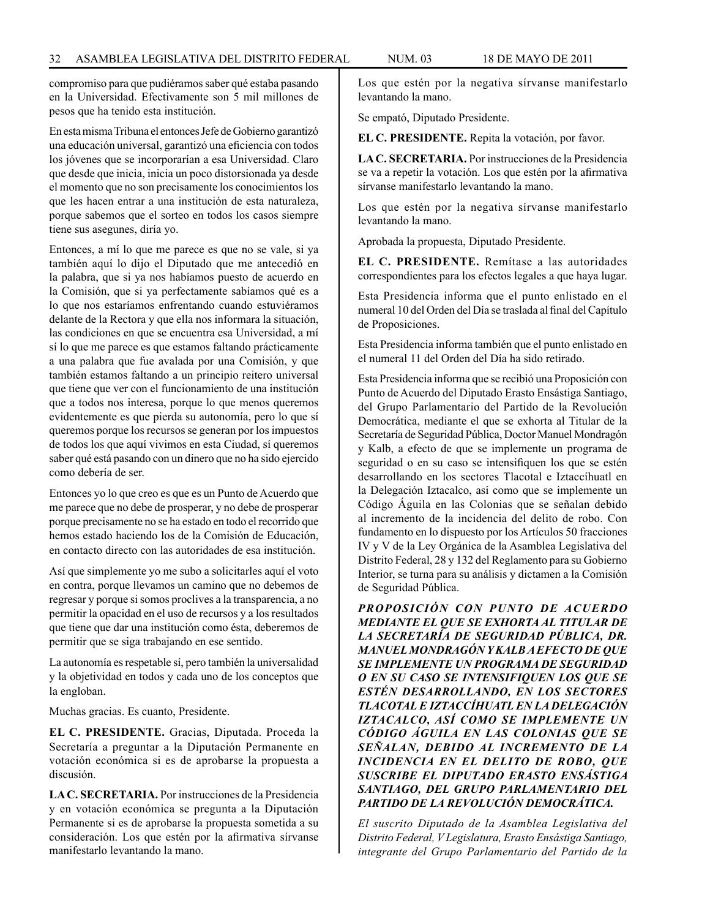compromiso para que pudiéramos saber qué estaba pasando en la Universidad. Efectivamente son 5 mil millones de pesos que ha tenido esta institución.

En esta misma Tribuna el entonces Jefe de Gobierno garantizó una educación universal, garantizó una eficiencia con todos los jóvenes que se incorporarían a esa Universidad. Claro que desde que inicia, inicia un poco distorsionada ya desde el momento que no son precisamente los conocimientos los que les hacen entrar a una institución de esta naturaleza, porque sabemos que el sorteo en todos los casos siempre tiene sus asegunes, diría yo.

Entonces, a mí lo que me parece es que no se vale, si ya también aquí lo dijo el Diputado que me antecedió en la palabra, que si ya nos habíamos puesto de acuerdo en la Comisión, que si ya perfectamente sabíamos qué es a lo que nos estaríamos enfrentando cuando estuviéramos delante de la Rectora y que ella nos informara la situación, las condiciones en que se encuentra esa Universidad, a mí sí lo que me parece es que estamos faltando prácticamente a una palabra que fue avalada por una Comisión, y que también estamos faltando a un principio reitero universal que tiene que ver con el funcionamiento de una institución que a todos nos interesa, porque lo que menos queremos evidentemente es que pierda su autonomía, pero lo que sí queremos porque los recursos se generan por los impuestos de todos los que aquí vivimos en esta Ciudad, sí queremos saber qué está pasando con un dinero que no ha sido ejercido como debería de ser.

Entonces yo lo que creo es que es un Punto de Acuerdo que me parece que no debe de prosperar, y no debe de prosperar porque precisamente no se ha estado en todo el recorrido que hemos estado haciendo los de la Comisión de Educación, en contacto directo con las autoridades de esa institución.

Así que simplemente yo me subo a solicitarles aquí el voto en contra, porque llevamos un camino que no debemos de regresar y porque si somos proclives a la transparencia, a no permitir la opacidad en el uso de recursos y a los resultados que tiene que dar una institución como ésta, deberemos de permitir que se siga trabajando en ese sentido.

La autonomía es respetable sí, pero también la universalidad y la objetividad en todos y cada uno de los conceptos que la engloban.

Muchas gracias. Es cuanto, Presidente.

**EL C. PRESIDENTE.** Gracias, Diputada. Proceda la Secretaría a preguntar a la Diputación Permanente en votación económica si es de aprobarse la propuesta a discusión.

**LA C. SECRETARIA.** Por instrucciones de la Presidencia y en votación económica se pregunta a la Diputación Permanente si es de aprobarse la propuesta sometida a su consideración. Los que estén por la afirmativa sírvanse manifestarlo levantando la mano.

Los que estén por la negativa sírvanse manifestarlo levantando la mano.

Se empató, Diputado Presidente.

**EL C. PRESIDENTE.** Repita la votación, por favor.

**LA C. SECRETARIA.** Por instrucciones de la Presidencia se va a repetir la votación. Los que estén por la afirmativa sírvanse manifestarlo levantando la mano.

Los que estén por la negativa sírvanse manifestarlo levantando la mano.

Aprobada la propuesta, Diputado Presidente.

**EL C. PRESIDENTE.** Remítase a las autoridades correspondientes para los efectos legales a que haya lugar.

Esta Presidencia informa que el punto enlistado en el numeral 10 del Orden del Día se traslada al final del Capítulo de Proposiciones.

Esta Presidencia informa también que el punto enlistado en el numeral 11 del Orden del Día ha sido retirado.

Esta Presidencia informa que se recibió una Proposición con Punto de Acuerdo del Diputado Erasto Ensástiga Santiago, del Grupo Parlamentario del Partido de la Revolución Democrática, mediante el que se exhorta al Titular de la Secretaría de Seguridad Pública, Doctor Manuel Mondragón y Kalb, a efecto de que se implemente un programa de seguridad o en su caso se intensifiquen los que se estén desarrollando en los sectores Tlacotal e Iztaccíhuatl en la Delegación Iztacalco, así como que se implemente un Código Águila en las Colonias que se señalan debido al incremento de la incidencia del delito de robo. Con fundamento en lo dispuesto por los Artículos 50 fracciones IV y V de la Ley Orgánica de la Asamblea Legislativa del Distrito Federal, 28 y 132 del Reglamento para su Gobierno Interior, se turna para su análisis y dictamen a la Comisión de Seguridad Pública.

*PROPOSICIÓN CON PUNTO DE ACUERDO MEDIANTE EL QUE SE EXHORTA AL TITULAR DE LA SECRETARÍA DE SEGURIDAD PÚBLICA, DR. MANUEL MONDRAGÓN Y KALB A EFECTO DE QUE SE IMPLEMENTE UN PROGRAMA DE SEGURIDAD O EN SU CASO SE INTENSIFIQUEN LOS QUE SE ESTÉN DESARROLLANDO, EN LOS SECTORES TLACOTAL E IZTACCÍHUATL EN LA DELEGACIÓN IZTACALCO, ASÍ COMO SE IMPLEMENTE UN CÓDIGO ÁGUILA EN LAS COLONIAS QUE SE SEÑALAN, DEBIDO AL INCREMENTO DE LA INCIDENCIA EN EL DELITO DE ROBO, QUE SUSCRIBE EL DIPUTADO ERASTO ENSÁSTIGA SANTIAGO, DEL GRUPO PARLAMENTARIO DEL PARTIDO DE LA REVOLUCIÓN DEMOCRÁTICA.*

*El suscrito Diputado de la Asamblea Legislativa del Distrito Federal, V Legislatura, Erasto Ensástiga Santiago, integrante del Grupo Parlamentario del Partido de la*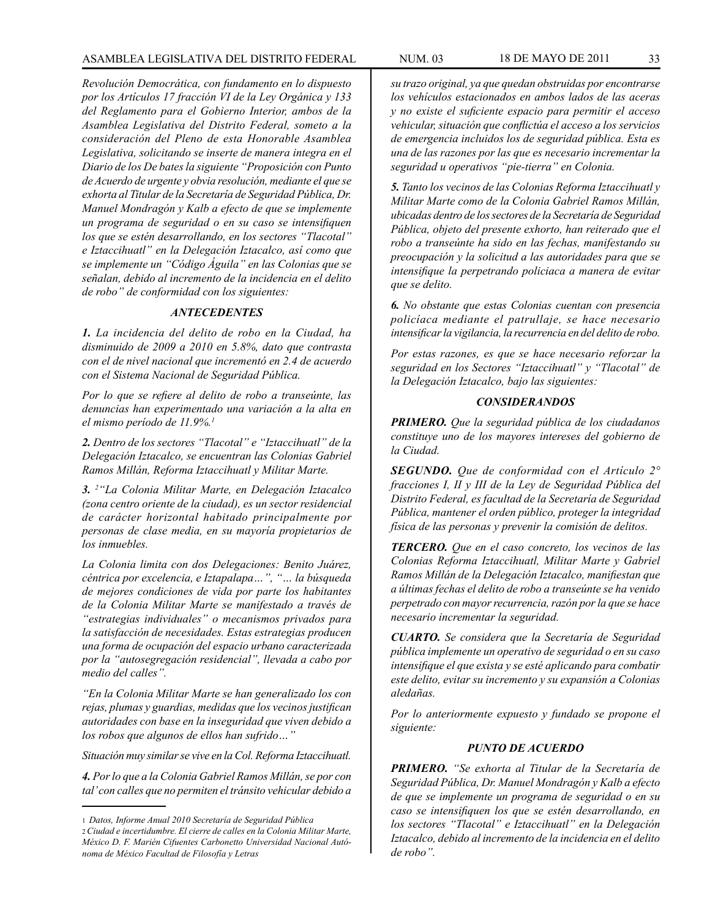*Revolución Democrática, con fundamento en lo dispuesto por los Artículos 17 fracción VI de la Ley Orgánica y 133 del Reglamento para el Gobierno Interior, ambos de la Asamblea Legislativa del Distrito Federal, someto a la consideración del Pleno de esta Honorable Asamblea Legislativa, solicitando se inserte de manera integra en el Diario de los De bates la siguiente "Proposición con Punto de Acuerdo de urgente y obvia resolución, mediante el que se exhorta al Titular de la Secretaría de Seguridad Pública, Dr. Manuel Mondragón y Kalb a efecto de que se implemente un programa de seguridad o en su caso se intensifiquen los que se estén desarrollando, en los sectores "Tlacotal" e Iztaccihuatl" en la Delegación Iztacalco, así como que se implemente un "Código Águila" en las Colonias que se señalan, debido al incremento de la incidencia en el delito de robo" de conformidad con los siguientes:*

### *ANTECEDENTES*

*1. La incidencia del delito de robo en la Ciudad, ha disminuido de 2009 a 2010 en 5.8%, dato que contrasta con el de nivel nacional que incrementó en 2.4 de acuerdo con el Sistema Nacional de Seguridad Pública.*

*Por lo que se refiere al delito de robo a transeúnte, las denuncias han experimentado una variación a la alta en el mismo período de 11.9%.1*

*2. Dentro de los sectores "Tlacotal" e "Iztaccihuatl" de la Delegación Iztacalco, se encuentran las Colonias Gabriel Ramos Millán, Reforma Iztaccihuatl y Militar Marte.*

*3. <sup>2</sup> "La Colonia Militar Marte, en Delegación Iztacalco (zona centro oriente de la ciudad), es un sector residencial de carácter horizontal habitado principalmente por personas de clase media, en su mayoría propietarios de los inmuebles.*

*La Colonia limita con dos Delegaciones: Benito Juárez, céntrica por excelencia, e Iztapalapa…", "… la búsqueda de mejores condiciones de vida por parte los habitantes de la Colonia Militar Marte se manifestado a través de "estrategias individuales" o mecanismos privados para la satisfacción de necesidades. Estas estrategias producen una forma de ocupación del espacio urbano caracterizada por la "autosegregación residencial", llevada a cabo por medio del calles".*

*"En la Colonia Militar Marte se han generalizado los con rejas, plumas y guardias, medidas que los vecinos justifican autoridades con base en la inseguridad que viven debido a los robos que algunos de ellos han sufrido…"*

*Situación muy similar se vive en la Col. Reforma Iztaccihuatl.*

*4. Por lo que a la Colonia Gabriel Ramos Millán, se por con tal' con calles que no permiten el tránsito vehicular debido a*  *su trazo original, ya que quedan obstruidas por encontrarse los vehículos estacionados en ambos lados de las aceras y no existe el suficiente espacio para permitir el acceso vehicular, situación que conflictúa el acceso a los servicios de emergencia incluidos los de seguridad pública. Esta es una de las razones por las que es necesario incrementar la seguridad u operativos "pie-tierra" en Colonia.*

*5. Tanto los vecinos de las Colonias Reforma Iztaccihuatl y Militar Marte como de la Colonia Gabriel Ramos Millán, ubicadas dentro de los sectores de la Secretaría de Seguridad Pública, objeto del presente exhorto, han reiterado que el robo a transeúnte ha sido en las fechas, manifestando su preocupación y la solicitud a las autoridades para que se intensifique la perpetrando policiaca a manera de evitar que se delito.*

*6. No obstante que estas Colonias cuentan con presencia policíaca mediante el patrullaje, se hace necesario intensificar la vigilancia, la recurrencia en del delito de robo.*

*Por estas razones, es que se hace necesario reforzar la seguridad en los Sectores "Iztaccihuatl" y "Tlacotal" de la Delegación Iztacalco, bajo las siguientes:*

### *CONSIDERANDOS*

*PRIMERO. Que la seguridad pública de los ciudadanos constituye uno de los mayores intereses del gobierno de la Ciudad.*

*SEGUNDO. Que de conformidad con el Artículo 2° fracciones I, II y III de la Ley de Seguridad Pública del Distrito Federal, es facultad de la Secretaría de Seguridad Pública, mantener el orden público, proteger la integridad física de las personas y prevenir la comisión de delitos.*

*TERCERO. Que en el caso concreto, los vecinos de las Colonias Reforma Iztaccihuatl, Militar Marte y Gabriel Ramos Millán de la Delegación Iztacalco, manifiestan que a últimas fechas el delito de robo a transeúnte se ha venido perpetrado con mayor recurrencia, razón por la que se hace necesario incrementar la seguridad.*

*CUARTO. Se considera que la Secretaría de Seguridad pública implemente un operativo de seguridad o en su caso intensifique el que exista y se esté aplicando para combatir este delito, evitar su incremento y su expansión a Colonias aledañas.*

*Por lo anteriormente expuesto y fundado se propone el siguiente:*

### *PUNTO DE ACUERDO*

*PRIMERO. "Se exhorta al Titular de la Secretaría de Seguridad Pública, Dr. Manuel Mondragón y Kalb a efecto de que se implemente un programa de seguridad o en su caso se intensifiquen los que se estén desarrollando, en los sectores "Tlacotal" e Iztaccihuatl" en la Delegación Iztacalco, debido al incremento de la incidencia en el delito de robo".*

<sup>1</sup> *Datos, Informe Anual 2010 Secretaría de Seguridad Pública*

<sup>2</sup> *Ciudad e incertidumbre. El cierre de calles en la Colonia Militar Marte, México D. F. Marién Cifuentes Carbonetto Universidad Nacional Autónoma de México Facultad de Filosofía y Letras*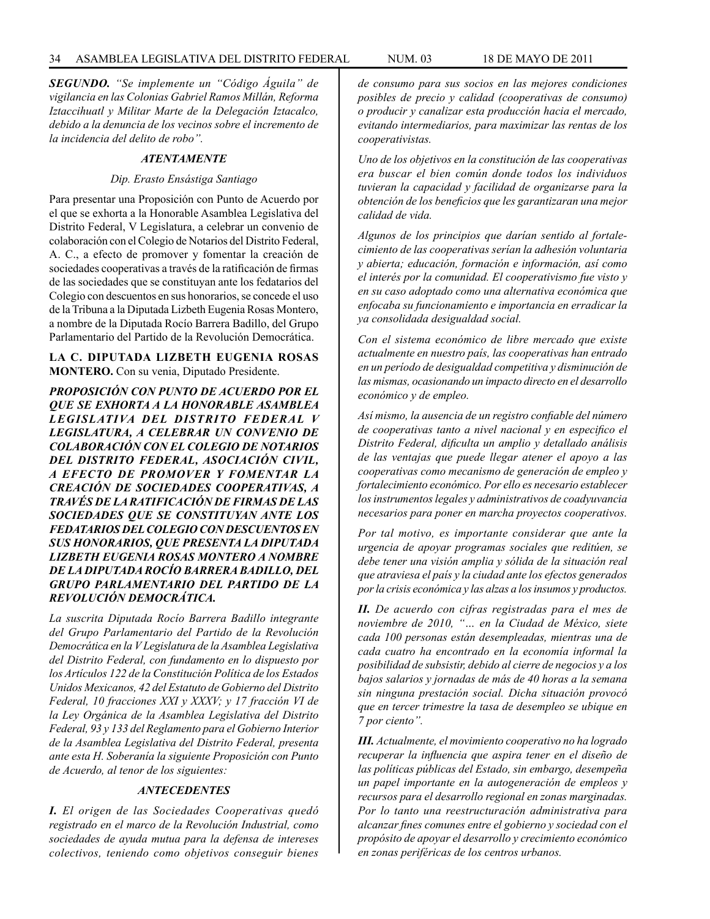*SEGUNDO. "Se implemente un "Código Águila" de vigilancia en las Colonias Gabriel Ramos Millán, Reforma Iztaccihuatl y Militar Marte de la Delegación Iztacalco, debido a la denuncia de los vecinos sobre el incremento de la incidencia del delito de robo".*

#### *ATENTAMENTE*

### *Dip. Erasto Ensástiga Santiago*

Para presentar una Proposición con Punto de Acuerdo por el que se exhorta a la Honorable Asamblea Legislativa del Distrito Federal, V Legislatura, a celebrar un convenio de colaboración con el Colegio de Notarios del Distrito Federal, A. C., a efecto de promover y fomentar la creación de sociedades cooperativas a través de la ratificación de firmas de las sociedades que se constituyan ante los fedatarios del Colegio con descuentos en sus honorarios, se concede el uso de la Tribuna a la Diputada Lizbeth Eugenia Rosas Montero, a nombre de la Diputada Rocío Barrera Badillo, del Grupo Parlamentario del Partido de la Revolución Democrática.

### **LA C. DIPUTADA LIZBETH EUGENIA ROSAS MONTERO.** Con su venia, Diputado Presidente.

*PROPOSICIÓN CON PUNTO DE ACUERDO POR EL QUE SE EXHORTA A LA HONORABLE ASAMBLEA LEGISLATIVA DEL DISTRITO FEDERAL V LEGISLATURA, A CELEBRAR UN CONVENIO DE COLABORACIÓN CON EL COLEGIO DE NOTARIOS DEL DISTRITO FEDERAL, ASOCIACIÓN CIVIL, A EFECTO DE PROMOVER Y FOMENTAR LA CREACIÓN DE SOCIEDADES COOPERATIVAS, A TRAVÉS DE LA RATIFICACIÓN DE FIRMAS DE LAS SOCIEDADES QUE SE CONSTITUYAN ANTE LOS FEDATARIOS DEL COLEGIO CON DESCUENTOS EN SUS HONORARIOS, QUE PRESENTA LA DIPUTADA LIZBETH EUGENIA ROSAS MONTERO A NOMBRE DE LA DIPUTADA ROCÍO BARRERA BADILLO, DEL GRUPO PARLAMENTARIO DEL PARTIDO DE LA REVOLUCIÓN DEMOCRÁTICA.*

*La suscrita Diputada Rocío Barrera Badillo integrante del Grupo Parlamentario del Partido de la Revolución Democrática en la V Legislatura de la Asamblea Legislativa del Distrito Federal, con fundamento en lo dispuesto por los Artículos 122 de la Constitución Política de los Estados Unidos Mexicanos, 42 del Estatuto de Gobierno del Distrito Federal, 10 fracciones XXI y XXXV; y 17 fracción VI de la Ley Orgánica de la Asamblea Legislativa del Distrito Federal, 93 y 133 del Reglamento para el Gobierno Interior de la Asamblea Legislativa del Distrito Federal, presenta ante esta H. Soberanía la siguiente Proposición con Punto de Acuerdo, al tenor de los siguientes:*

#### *ANTECEDENTES*

*I. El origen de las Sociedades Cooperativas quedó registrado en el marco de la Revolución Industrial, como sociedades de ayuda mutua para la defensa de intereses colectivos, teniendo como objetivos conseguir bienes* 

*de consumo para sus socios en las mejores condiciones posibles de precio y calidad (cooperativas de consumo) o producir y canalizar esta producción hacia el mercado, evitando intermediarios, para maximizar las rentas de los cooperativistas.*

*Uno de los objetivos en la constitución de las cooperativas era buscar el bien común donde todos los individuos tuvieran la capacidad y facilidad de organizarse para la obtención de los beneficios que les garantizaran una mejor calidad de vida.*

*Algunos de los principios que darían sentido al fortalecimiento de las cooperativas serían la adhesión voluntaria y abierta; educación, formación e información, así como el interés por la comunidad. El cooperativismo fue visto y en su caso adoptado como una alternativa económica que enfocaba su funcionamiento e importancia en erradicar la ya consolidada desigualdad social.*

*Con el sistema económico de libre mercado que existe actualmente en nuestro país, las cooperativas han entrado en un período de desigualdad competitiva y disminución de las mismas, ocasionando un impacto directo en el desarrollo económico y de empleo.*

*Así mismo, la ausencia de un registro confiable del número de cooperativas tanto a nivel nacional y en especifico el Distrito Federal, dificulta un amplio y detallado análisis de las ventajas que puede llegar atener el apoyo a las cooperativas como mecanismo de generación de empleo y fortalecimiento económico. Por ello es necesario establecer los instrumentos legales y administrativos de coadyuvancia necesarios para poner en marcha proyectos cooperativos.*

*Por tal motivo, es importante considerar que ante la urgencia de apoyar programas sociales que reditúen, se debe tener una visión amplia y sólida de la situación real que atraviesa el país y la ciudad ante los efectos generados por la crisis económica y las alzas a los insumos y productos.*

*II. De acuerdo con cifras registradas para el mes de noviembre de 2010, "… en la Ciudad de México, siete cada 100 personas están desempleadas, mientras una de cada cuatro ha encontrado en la economía informal la posibilidad de subsistir, debido al cierre de negocios y a los bajos salarios y jornadas de más de 40 horas a la semana sin ninguna prestación social. Dicha situación provocó que en tercer trimestre la tasa de desempleo se ubique en 7 por ciento".*

*III. Actualmente, el movimiento cooperativo no ha logrado recuperar la influencia que aspira tener en el diseño de las políticas públicas del Estado, sin embargo, desempeña un papel importante en la autogeneración de empleos y recursos para el desarrollo regional en zonas marginadas. Por lo tanto una reestructuración administrativa para alcanzar fines comunes entre el gobierno y sociedad con el propósito de apoyar el desarrollo y crecimiento económico en zonas periféricas de los centros urbanos.*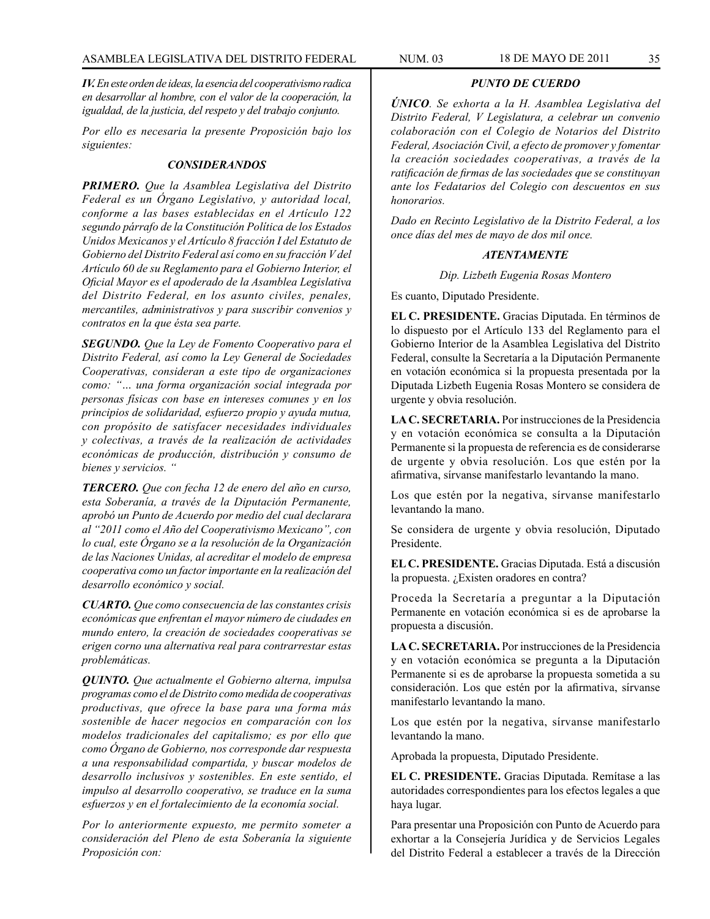*IV. En este orden de ideas, la esencia del cooperativismo radica en desarrollar al hombre, con el valor de la cooperación, la igualdad, de la justicia, del respeto y del trabajo conjunto.*

*Por ello es necesaria la presente Proposición bajo los siguientes:*

### *CONSIDERANDOS*

*PRIMERO. Que la Asamblea Legislativa del Distrito Federal es un Órgano Legislativo, y autoridad local, conforme a las bases establecidas en el Artículo 122 segundo párrafo de la Constitución Política de los Estados Unidos Mexicanos y el Artículo 8 fracción I del Estatuto de Gobierno del Distrito Federal así como en su fracción V del Artículo 60 de su Reglamento para el Gobierno Interior, el Oficial Mayor es el apoderado de la Asamblea Legislativa del Distrito Federal, en los asunto civiles, penales, mercantiles, administrativos y para suscribir convenios y contratos en la que ésta sea parte.*

*SEGUNDO. Que la Ley de Fomento Cooperativo para el Distrito Federal, así como la Ley General de Sociedades Cooperativas, consideran a este tipo de organizaciones como: "… una forma organización social integrada por personas físicas con base en intereses comunes y en los principios de solidaridad, esfuerzo propio y ayuda mutua, con propósito de satisfacer necesidades individuales y colectivas, a través de la realización de actividades económicas de producción, distribución y consumo de bienes y servicios. "*

*TERCERO. Que con fecha 12 de enero del año en curso, esta Soberanía, a través de la Diputación Permanente, aprobó un Punto de Acuerdo por medio del cual declarara al "2011 como el Año del Cooperativismo Mexicano", con lo cual, este Órgano se a la resolución de la Organización de las Naciones Unidas, al acreditar el modelo de empresa cooperativa como un factor importante en la realización del desarrollo económico y social.*

*CUARTO. Que como consecuencia de las constantes crisis económicas que enfrentan el mayor número de ciudades en mundo entero, la creación de sociedades cooperativas se erigen corno una alternativa real para contrarrestar estas problemáticas.*

*QUINTO. Que actualmente el Gobierno alterna, impulsa programas como el de Distrito como medida de cooperativas productivas, que ofrece la base para una forma más sostenible de hacer negocios en comparación con los modelos tradicionales del capitalismo; es por ello que como Órgano de Gobierno, nos corresponde dar respuesta a una responsabilidad compartida, y buscar modelos de desarrollo inclusivos y sostenibles. En este sentido, el impulso al desarrollo cooperativo, se traduce en la suma esfuerzos y en el fortalecimiento de la economía social.* 

*Por lo anteriormente expuesto, me permito someter a consideración del Pleno de esta Soberanía la siguiente Proposición con:* 

### *PUNTO DE CUERDO*

*ÚNICO. Se exhorta a la H. Asamblea Legislativa del Distrito Federal, V Legislatura, a celebrar un convenio colaboración con el Colegio de Notarios del Distrito Federal, Asociación Civil, a efecto de promover y fomentar la creación sociedades cooperativas, a través de la ratificación de firmas de las sociedades que se constituyan ante los Fedatarios del Colegio con descuentos en sus honorarios.*

*Dado en Recinto Legislativo de la Distrito Federal, a los once días del mes de mayo de dos mil once.*

### *ATENTAMENTE*

*Dip. Lizbeth Eugenia Rosas Montero*

Es cuanto, Diputado Presidente.

**EL C. PRESIDENTE.** Gracias Diputada. En términos de lo dispuesto por el Artículo 133 del Reglamento para el Gobierno Interior de la Asamblea Legislativa del Distrito Federal, consulte la Secretaría a la Diputación Permanente en votación económica si la propuesta presentada por la Diputada Lizbeth Eugenia Rosas Montero se considera de urgente y obvia resolución.

**LA C. SECRETARIA.** Por instrucciones de la Presidencia y en votación económica se consulta a la Diputación Permanente si la propuesta de referencia es de considerarse de urgente y obvia resolución. Los que estén por la afirmativa, sírvanse manifestarlo levantando la mano.

Los que estén por la negativa, sírvanse manifestarlo levantando la mano.

Se considera de urgente y obvia resolución, Diputado Presidente.

**EL C. PRESIDENTE.** Gracias Diputada. Está a discusión la propuesta. ¿Existen oradores en contra?

Proceda la Secretaría a preguntar a la Diputación Permanente en votación económica si es de aprobarse la propuesta a discusión.

**LA C. SECRETARIA.** Por instrucciones de la Presidencia y en votación económica se pregunta a la Diputación Permanente si es de aprobarse la propuesta sometida a su consideración. Los que estén por la afirmativa, sírvanse manifestarlo levantando la mano.

Los que estén por la negativa, sírvanse manifestarlo levantando la mano.

Aprobada la propuesta, Diputado Presidente.

**EL C. PRESIDENTE.** Gracias Diputada. Remítase a las autoridades correspondientes para los efectos legales a que haya lugar.

Para presentar una Proposición con Punto de Acuerdo para exhortar a la Consejería Jurídica y de Servicios Legales del Distrito Federal a establecer a través de la Dirección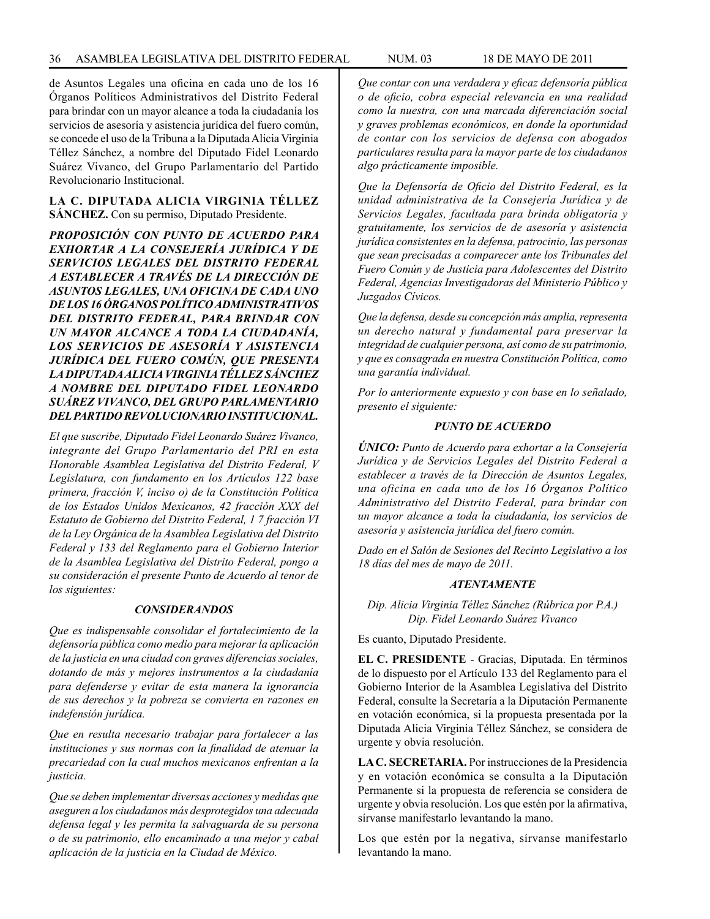de Asuntos Legales una oficina en cada uno de los 16 Órganos Políticos Administrativos del Distrito Federal para brindar con un mayor alcance a toda la ciudadanía los servicios de asesoría y asistencia jurídica del fuero común, se concede el uso de la Tribuna a la Diputada Alicia Virginia Téllez Sánchez, a nombre del Diputado Fidel Leonardo Suárez Vivanco, del Grupo Parlamentario del Partido Revolucionario Institucional.

### **LA C. DIPUTADA ALICIA VIRGINIA TÉLLEZ SÁNCHEZ.** Con su permiso, Diputado Presidente.

*PROPOSICIÓN CON PUNTO DE ACUERDO PARA EXHORTAR A LA CONSEJERÍA JURÍDICA Y DE SERVICIOS LEGALES DEL DISTRITO FEDERAL A ESTABLECER A TRAVÉS DE LA DIRECCIÓN DE ASUNTOS LEGALES, UNA OFICINA DE CADA UNO DE LOS 16 ÓRGANOS POLÍTICO ADMINISTRATIVOS DEL DISTRITO FEDERAL, PARA BRINDAR CON UN MAYOR ALCANCE A TODA LA CIUDADANÍA, LOS SERVICIOS DE ASESORÍA Y ASISTENCIA JURÍDICA DEL FUERO COMÚN, QUE PRESENTA LA DIPUTADA ALICIA VIRGINIA TÉLLEZ SÁNCHEZ A NOMBRE DEL DIPUTADO FIDEL LEONARDO SUÁREZ VIVANCO, DEL GRUPO PARLAMENTARIO DEL PARTIDO REVOLUCIONARIO INSTITUCIONAL.*

*El que suscribe, Diputado Fidel Leonardo Suárez Vivanco, integrante del Grupo Parlamentario del PRI en esta Honorable Asamblea Legislativa del Distrito Federal, V Legislatura, con fundamento en los Artículos 122 base primera, fracción V, inciso o) de la Constitución Política de los Estados Unidos Mexicanos, 42 fracción XXX del Estatuto de Gobierno del Distrito Federal, 1 7 fracción VI de la Ley Orgánica de la Asamblea Legislativa del Distrito Federal y 133 del Reglamento para el Gobierno Interior de la Asamblea Legislativa del Distrito Federal, pongo a su consideración el presente Punto de Acuerdo al tenor de los siguientes:*

### *CONSIDERANDOS*

*Que es indispensable consolidar el fortalecimiento de la defensoría pública como medio para mejorar la aplicación de la justicia en una ciudad con graves diferencias sociales, dotando de más y mejores instrumentos a la ciudadanía para defenderse y evitar de esta manera la ignorancia de sus derechos y la pobreza se convierta en razones en indefensión jurídica.*

*Que en resulta necesario trabajar para fortalecer a las instituciones y sus normas con la finalidad de atenuar la precariedad con la cual muchos mexicanos enfrentan a la justicia.*

*Que se deben implementar diversas acciones y medidas que aseguren a los ciudadanos más desprotegidos una adecuada defensa legal y les permita la salvaguarda de su persona o de su patrimonio, ello encaminado a una mejor y cabal aplicación de la justicia en la Ciudad de México.*

*Que contar con una verdadera y eficaz defensoría pública o de oficio, cobra especial relevancia en una realidad como la nuestra, con una marcada diferenciación social y graves problemas económicos, en donde la oportunidad de contar con los servicios de defensa con abogados particulares resulta para la mayor parte de los ciudadanos algo prácticamente imposible.* 

*Que la Defensoría de Oficio del Distrito Federal, es la unidad administrativa de la Consejería Jurídica y de Servicios Legales, facultada para brinda obligatoria y gratuitamente, los servicios de de asesoría y asistencia jurídica consistentes en la defensa, patrocinio, las personas que sean precisadas a comparecer ante los Tribunales del Fuero Común y de Justicia para Adolescentes del Distrito Federal, Agencias Investigadoras del Ministerio Público y Juzgados Cívicos.*

*Que la defensa, desde su concepción más amplia, representa un derecho natural y fundamental para preservar la integridad de cualquier persona, así como de su patrimonio, y que es consagrada en nuestra Constitución Política, como una garantía individual.*

*Por lo anteriormente expuesto y con base en lo señalado, presento el siguiente:*

### *PUNTO DE ACUERDO*

*ÚNICO: Punto de Acuerdo para exhortar a la Consejería Jurídica y de Servicios Legales del Distrito Federal a establecer a través de la Dirección de Asuntos Legales, una oficina en cada uno de los 16 Órganos Político Administrativo del Distrito Federal, para brindar con un mayor alcance a toda la ciudadanía, los servicios de asesoría y asistencia jurídica del fuero común.* 

*Dado en el Salón de Sesiones del Recinto Legislativo a los 18 días del mes de mayo de 2011.*

### *ATENTAMENTE*

*Dip. Alicia Virginia Téllez Sánchez (Rúbrica por P.A.) Dip. Fidel Leonardo Suárez Vivanco*

Es cuanto, Diputado Presidente.

**EL C. PRESIDENTE** - Gracias, Diputada. En términos de lo dispuesto por el Artículo 133 del Reglamento para el Gobierno Interior de la Asamblea Legislativa del Distrito Federal, consulte la Secretaría a la Diputación Permanente en votación económica, si la propuesta presentada por la Diputada Alicia Virginia Téllez Sánchez, se considera de urgente y obvia resolución.

**LA C. SECRETARIA.** Por instrucciones de la Presidencia y en votación económica se consulta a la Diputación Permanente si la propuesta de referencia se considera de urgente y obvia resolución. Los que estén por la afirmativa, sírvanse manifestarlo levantando la mano.

Los que estén por la negativa, sírvanse manifestarlo levantando la mano.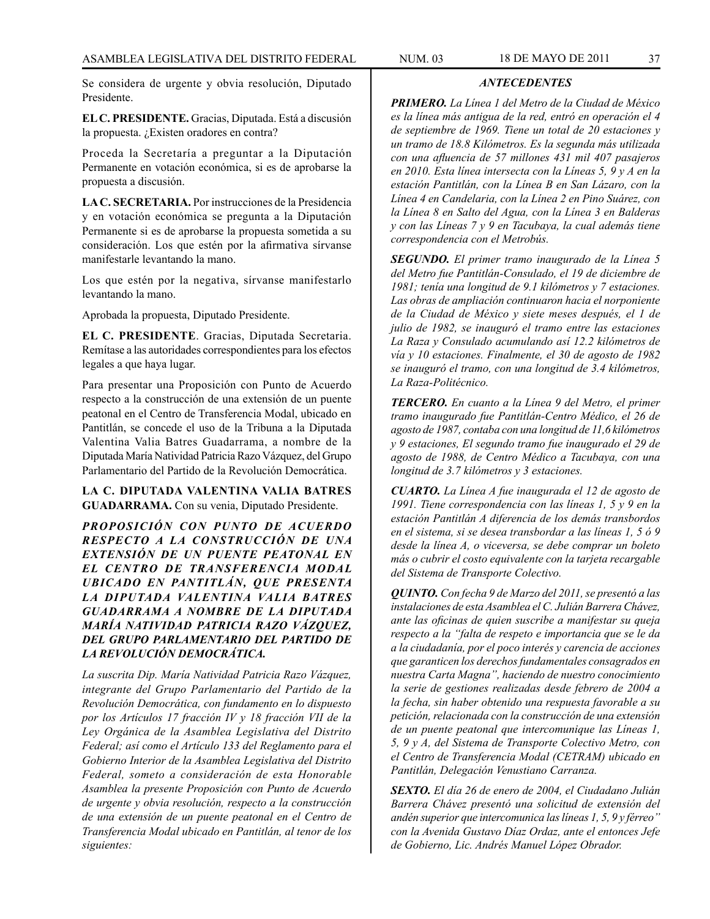Se considera de urgente y obvia resolución, Diputado Presidente.

**EL C. PRESIDENTE.** Gracias, Diputada. Está a discusión la propuesta. ¿Existen oradores en contra?

Proceda la Secretaría a preguntar a la Diputación Permanente en votación económica, si es de aprobarse la propuesta a discusión.

**LA C. SECRETARIA.** Por instrucciones de la Presidencia y en votación económica se pregunta a la Diputación Permanente si es de aprobarse la propuesta sometida a su consideración. Los que estén por la afirmativa sírvanse manifestarle levantando la mano.

Los que estén por la negativa, sírvanse manifestarlo levantando la mano.

Aprobada la propuesta, Diputado Presidente.

**EL C. PRESIDENTE**. Gracias, Diputada Secretaria. Remítase a las autoridades correspondientes para los efectos legales a que haya lugar.

Para presentar una Proposición con Punto de Acuerdo respecto a la construcción de una extensión de un puente peatonal en el Centro de Transferencia Modal, ubicado en Pantitlán, se concede el uso de la Tribuna a la Diputada Valentina Valia Batres Guadarrama, a nombre de la Diputada María Natividad Patricia Razo Vázquez, del Grupo Parlamentario del Partido de la Revolución Democrática.

**LA C. DIPUTADA VALENTINA VALIA BATRES GUADARRAMA.** Con su venia, Diputado Presidente.

*PROPOSICIÓN CON PUNTO DE ACUERDO RESPECTO A LA CONSTRUCCIÓN DE UNA EXTENSIÓN DE UN PUENTE PEATONAL EN EL CENTRO DE TRANSFERENCIA MODAL UBICADO EN PANTITLÁN, QUE PRESENTA LA DIPUTADA VALENTINA VALIA BATRES GUADARRAMA A NOMBRE DE LA DIPUTADA MARÍA NATIVIDAD PATRICIA RAZO VÁZQUEZ, DEL GRUPO PARLAMENTARIO DEL PARTIDO DE LA REVOLUCIÓN DEMOCRÁTICA.*

*La suscrita Dip. María Natividad Patricia Razo Vázquez, integrante del Grupo Parlamentario del Partido de la Revolución Democrática, con fundamento en lo dispuesto por los Artículos 17 fracción IV y 18 fracción VII de la Ley Orgánica de la Asamblea Legislativa del Distrito Federal; así como el Artículo 133 del Reglamento para el Gobierno Interior de la Asamblea Legislativa del Distrito Federal, someto a consideración de esta Honorable Asamblea la presente Proposición con Punto de Acuerdo de urgente y obvia resolución, respecto a la construcción de una extensión de un puente peatonal en el Centro de Transferencia Modal ubicado en Pantitlán, al tenor de los siguientes:*

## *ANTECEDENTES*

*PRIMERO. La Línea 1 del Metro de la Ciudad de México es la línea más antigua de la red, entró en operación el 4 de septiembre de 1969. Tiene un total de 20 estaciones y un tramo de 18.8 Kilómetros. Es la segunda más utilizada con una afluencia de 57 millones 431 mil 407 pasajeros en 2010. Esta línea intersecta con la Líneas 5, 9 y A en la estación Pantitlán, con la Línea B en San Lázaro, con la Línea 4 en Candelaria, con la Línea 2 en Pino Suárez, con la Línea 8 en Salto del Agua, con la Línea 3 en Balderas y con las Líneas 7 y 9 en Tacubaya, la cual además tiene correspondencia con el Metrobús.*

*SEGUNDO. El primer tramo inaugurado de la Línea 5 del Metro fue Pantitlán-Consulado, el 19 de diciembre de 1981; tenía una longitud de 9.1 kilómetros y 7 estaciones. Las obras de ampliación continuaron hacia el norponiente de la Ciudad de México y siete meses después, el 1 de julio de 1982, se inauguró el tramo entre las estaciones La Raza y Consulado acumulando así 12.2 kilómetros de vía y 10 estaciones. Finalmente, el 30 de agosto de 1982 se inauguró el tramo, con una longitud de 3.4 kilómetros, La Raza-Politécnico.*

*TERCERO. En cuanto a la Línea 9 del Metro, el primer tramo inaugurado fue Pantitlán-Centro Médico, el 26 de agosto de 1987, contaba con una longitud de 11,6 kilómetros y 9 estaciones, El segundo tramo fue inaugurado el 29 de agosto de 1988, de Centro Médico a Tacubaya, con una longitud de 3.7 kilómetros y 3 estaciones.*

*CUARTO. La Línea A fue inaugurada el 12 de agosto de 1991. Tiene correspondencia con las líneas 1, 5 y 9 en la estación Pantitlán A diferencia de los demás transbordos en el sistema, si se desea transbordar a las líneas 1, 5 ó 9 desde la línea A, o viceversa, se debe comprar un boleto más o cubrir el costo equivalente con la tarjeta recargable del Sistema de Transporte Colectivo.*

*QUINTO. Con fecha 9 de Marzo del 2011, se presentó a las instalaciones de esta Asamblea el C. Julián Barrera Chávez, ante las oficinas de quien suscribe a manifestar su queja respecto a la "falta de respeto e importancia que se le da a la ciudadanía, por el poco interés y carencia de acciones que garanticen los derechos fundamentales consagrados en nuestra Carta Magna", haciendo de nuestro conocimiento la serie de gestiones realizadas desde febrero de 2004 a la fecha, sin haber obtenido una respuesta favorable a su petición, relacionada con la construcción de una extensión de un puente peatonal que intercomunique las Líneas 1, 5, 9 y A, del Sistema de Transporte Colectivo Metro, con el Centro de Transferencia Modal (CETRAM) ubicado en Pantitlán, Delegación Venustiano Carranza.*

*SEXTO. El día 26 de enero de 2004, el Ciudadano Julián Barrera Chávez presentó una solicitud de extensión del andén superior que intercomunica las líneas 1, 5, 9 y férreo" con la Avenida Gustavo Díaz Ordaz, ante el entonces Jefe de Gobierno, Lic. Andrés Manuel López Obrador.*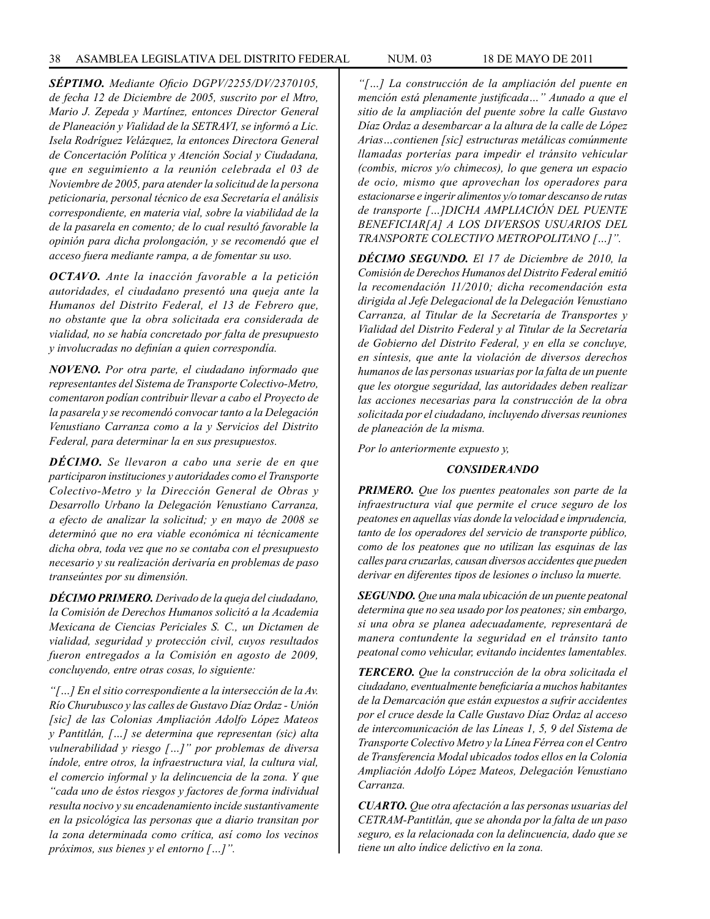*SÉPTIMO. Mediante Oficio DGPV/2255/DV/2370105, de fecha 12 de Diciembre de 2005, suscrito por el Mtro, Mario J. Zepeda y Martínez, entonces Director General de Planeación y Vialidad de la SETRAVI, se informó a Lic. Isela Rodríguez Velázquez, la entonces Directora General de Concertación Política y Atención Social y Ciudadana, que en seguimiento a la reunión celebrada el 03 de Noviembre de 2005, para atender la solicitud de la persona peticionaria, personal técnico de esa Secretaría el análisis correspondiente, en materia vial, sobre la viabilidad de la de la pasarela en comento; de lo cual resultó favorable la opinión para dicha prolongación, y se recomendó que el acceso fuera mediante rampa, a de fomentar su uso.*

*OCTAVO. Ante la inacción favorable a la petición autoridades, el ciudadano presentó una queja ante la Humanos del Distrito Federal, el 13 de Febrero que, no obstante que la obra solicitada era considerada de vialidad, no se había concretado por falta de presupuesto y involucradas no definían a quien correspondía.*

*NOVENO. Por otra parte, el ciudadano informado que representantes del Sistema de Transporte Colectivo-Metro, comentaron podían contribuir llevar a cabo el Proyecto de la pasarela y se recomendó convocar tanto a la Delegación Venustiano Carranza como a la y Servicios del Distrito Federal, para determinar la en sus presupuestos.* 

*DÉCIMO. Se llevaron a cabo una serie de en que participaron instituciones y autoridades como el Transporte Colectivo-Metro y la Dirección General de Obras y Desarrollo Urbano la Delegación Venustiano Carranza, a efecto de analizar la solicitud; y en mayo de 2008 se determinó que no era viable económica ni técnicamente dicha obra, toda vez que no se contaba con el presupuesto necesario y su realización derivaría en problemas de paso transeúntes por su dimensión.*

*DÉCIMO PRIMERO. Derivado de la queja del ciudadano, la Comisión de Derechos Humanos solicitó a la Academia Mexicana de Ciencias Periciales S. C., un Dictamen de vialidad, seguridad y protección civil, cuyos resultados fueron entregados a la Comisión en agosto de 2009, concluyendo, entre otras cosas, lo siguiente:*

*"[…] En el sitio correspondiente a la intersección de la Av. Río Churubusco y las calles de Gustavo Díaz Ordaz - Unión [sic] de las Colonias Ampliación Adolfo López Mateos y Pantitlán, […] se determina que representan (sic) alta vulnerabilidad y riesgo […]" por problemas de diversa índole, entre otros, la infraestructura vial, la cultura vial, el comercio informal y la delincuencia de la zona. Y que "cada uno de éstos riesgos y factores de forma individual resulta nocivo y su encadenamiento incide sustantivamente en la psicológica las personas que a diario transitan por la zona determinada como crítica, así como los vecinos próximos, sus bienes y el entorno […]".*

*"[…] La construcción de la ampliación del puente en mención está plenamente justificada…" Aunado a que el sitio de la ampliación del puente sobre la calle Gustavo Díaz Ordaz a desembarcar a la altura de la calle de López Arias…contienen [sic] estructuras metálicas comúnmente llamadas porterías para impedir el tránsito vehicular (combis, micros y/o chimecos), lo que genera un espacio de ocio, mismo que aprovechan los operadores para estacionarse e ingerir alimentos y/o tomar descanso de rutas de transporte […]DICHA AMPLIACIÓN DEL PUENTE BENEFICIAR[A] A LOS DIVERSOS USUARIOS DEL TRANSPORTE COLECTIVO METROPOLITANO […]".*

*DÉCIMO SEGUNDO. El 17 de Diciembre de 2010, la Comisión de Derechos Humanos del Distrito Federal emitió la recomendación 11/2010; dicha recomendación esta dirigida al Jefe Delegacional de la Delegación Venustiano Carranza, al Titular de la Secretaría de Transportes y Vialidad del Distrito Federal y al Titular de la Secretaría de Gobierno del Distrito Federal, y en ella se concluye, en síntesis, que ante la violación de diversos derechos humanos de las personas usuarias por la falta de un puente que les otorgue seguridad, las autoridades deben realizar las acciones necesarias para la construcción de la obra solicitada por el ciudadano, incluyendo diversas reuniones de planeación de la misma.*

*Por lo anteriormente expuesto y,*

## *CONSIDERANDO*

*PRIMERO. Que los puentes peatonales son parte de la infraestructura vial que permite el cruce seguro de los peatones en aquellas vías donde la velocidad e imprudencia, tanto de los operadores del servicio de transporte público, como de los peatones que no utilizan las esquinas de las calles para cruzarlas, causan diversos accidentes que pueden derivar en diferentes tipos de lesiones o incluso la muerte.*

*SEGUNDO. Que una mala ubicación de un puente peatonal determina que no sea usado por los peatones; sin embargo, si una obra se planea adecuadamente, representará de manera contundente la seguridad en el tránsito tanto peatonal como vehicular, evitando incidentes lamentables.*

*TERCERO. Que la construcción de la obra solicitada el ciudadano, eventualmente beneficiaría a muchos habitantes de la Demarcación que están expuestos a sufrir accidentes por el cruce desde la Calle Gustavo Díaz Ordaz al acceso de intercomunicación de las Líneas 1, 5, 9 del Sistema de Transporte Colectivo Metro y la Línea Férrea con el Centro de Transferencia Modal ubicados todos ellos en la Colonia Ampliación Adolfo López Mateos, Delegación Venustiano Carranza.*

*CUARTO. Que otra afectación a las personas usuarias del CETRAM-Pantitlán, que se ahonda por la falta de un paso seguro, es la relacionada con la delincuencia, dado que se tiene un alto índice delictivo en la zona.*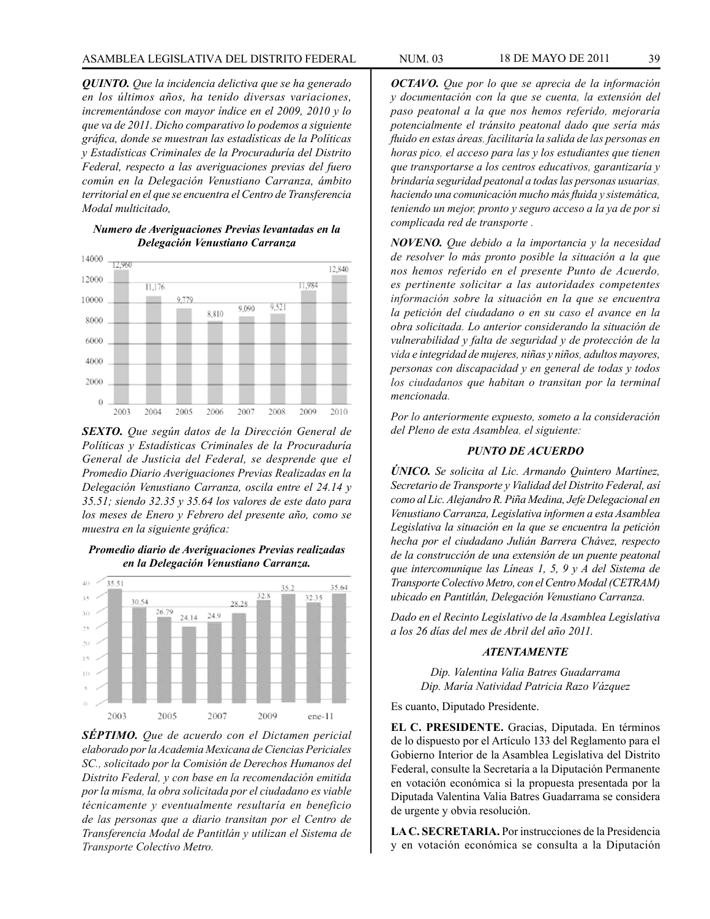*QUINTO. Que la incidencia delictiva que se ha generado en los últimos años, ha tenido diversas variaciones, incrementándose con mayor índice en el 2009, 2010 y lo que va de 2011. Dicho comparativo lo podemos a siguiente gráfica, donde se muestran las estadísticas de la Políticas y Estadísticas Criminales de la Procuraduría del Distrito Federal, respecto a las averiguaciones previas del fuero común en la Delegación Venustiano Carranza, ámbito territorial en el que se encuentra el Centro de Transferencia Modal multicitado,* 

*Numero de Averiguaciones Previas levantadas en la Delegación Venustiano Carranza*



*SEXTO. Que según datos de la Dirección General de Políticas y Estadísticas Criminales de la Procuraduría General de Justicia del Federal, se desprende que el Promedio Diario Averiguaciones Previas Realizadas en la Delegación Venustiano Carranza, oscila entre el 24.14 y 35.51; siendo 32.35 y 35.64 los valores de este dato para los meses de Enero y Febrero del presente año, como se muestra en la siguiente gráfica:*

### *Promedio diario de Averiguaciones Previas realizadas en la Delegación Venustiano Carranza.*



*SÉPTIMO. Que de acuerdo con el Dictamen pericial elaborado por la Academia Mexicana de Ciencias Periciales SC., solicitado por la Comisión de Derechos Humanos del Distrito Federal, y con base en la recomendación emitida por la misma, la obra solicitada por el ciudadano es viable técnicamente y eventualmente resultaría en beneficio de las personas que a diario transitan por el Centro de Transferencia Modal de Pantitlán y utilizan el Sistema de Transporte Colectivo Metro.*

*OCTAVO. Que por lo que se aprecia de la información y documentación con la que se cuenta, la extensión del paso peatonal a la que nos hemos referido, mejoraría potencialmente el tránsito peatonal dado que sería más fluido en estas áreas, facilitaría la salida de las personas en horas pico, el acceso para las y los estudiantes que tienen que transportarse a los centros educativos, garantizaría y brindaría seguridad peatonal a todas las personas usuarias, haciendo una comunicación mucho más fluida y sistemática, teniendo un mejor, pronto y seguro acceso a la ya de por si complicada red de transporte .*

*NOVENO. Que debido a la importancia y la necesidad de resolver lo más pronto posible la situación a la que nos hemos referido en el presente Punto de Acuerdo, es pertinente solicitar a las autoridades competentes información sobre la situación en la que se encuentra la petición del ciudadano o en su caso el avance en la obra solicitada. Lo anterior considerando la situación de vulnerabilidad y falta de seguridad y de protección de la vida e integridad de mujeres, niñas y niños, adultos mayores, personas con discapacidad y en general de todas y todos los ciudadanos que habitan o transitan por la terminal mencionada.*

*Por lo anteriormente expuesto, someto a la consideración del Pleno de esta Asamblea, el siguiente:*

### *PUNTO DE ACUERDO*

*ÚNICO. Se solicita al Lic. Armando Quintero Martínez, Secretario de Transporte y Vialidad del Distrito Federal, así como al Lic. Alejandro R. Piña Medina, Jefe Delegacional en Venustiano Carranza, Legislativa informen a esta Asamblea Legislativa la situación en la que se encuentra la petición hecha por el ciudadano Julián Barrera Chávez, respecto de la construcción de una extensión de un puente peatonal que intercomunique las Líneas 1, 5, 9 y A del Sistema de Transporte Colectivo Metro, con el Centro Modal (CETRAM) ubicado en Pantitlán, Delegación Venustiano Carranza.*

*Dado en el Recinto Legislativo de la Asamblea Legislativa a los 26 días del mes de Abril del año 2011.*

### *ATENTAMENTE*

*Dip. Valentina Valia Batres Guadarrama Dip. María Natividad Patricia Razo Vázquez*

Es cuanto, Diputado Presidente.

**EL C. PRESIDENTE.** Gracias, Diputada. En términos de lo dispuesto por el Artículo 133 del Reglamento para el Gobierno Interior de la Asamblea Legislativa del Distrito Federal, consulte la Secretaría a la Diputación Permanente en votación económica si la propuesta presentada por la Diputada Valentina Valia Batres Guadarrama se considera de urgente y obvia resolución.

**LA C. SECRETARIA.** Por instrucciones de la Presidencia y en votación económica se consulta a la Diputación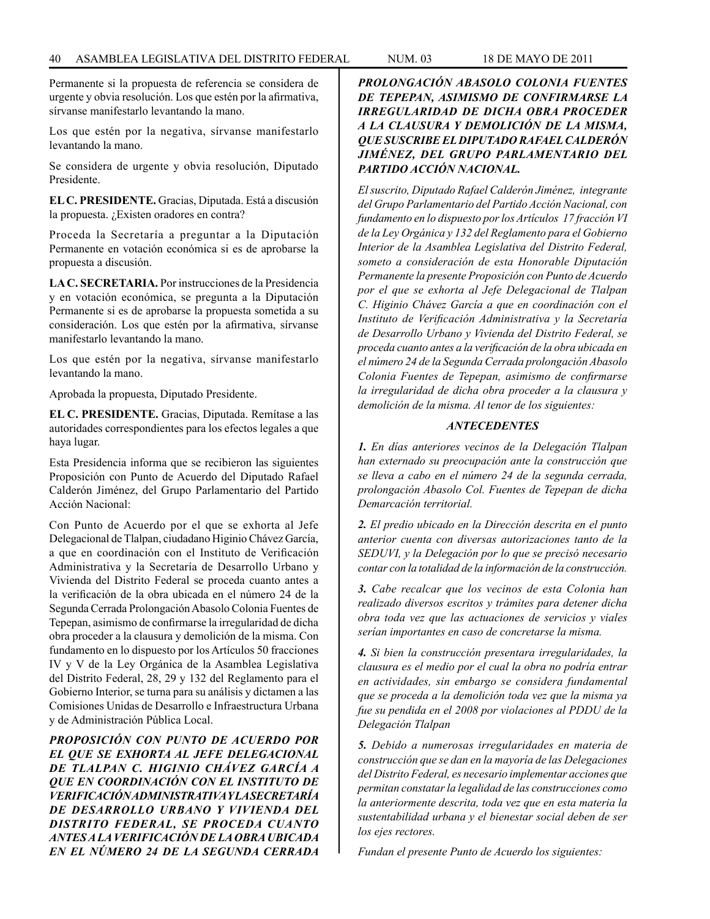Permanente si la propuesta de referencia se considera de urgente y obvia resolución. Los que estén por la afirmativa, sírvanse manifestarlo levantando la mano.

Los que estén por la negativa, sírvanse manifestarlo levantando la mano.

Se considera de urgente y obvia resolución, Diputado Presidente.

**EL C. PRESIDENTE.** Gracias, Diputada. Está a discusión la propuesta. ¿Existen oradores en contra?

Proceda la Secretaría a preguntar a la Diputación Permanente en votación económica si es de aprobarse la propuesta a discusión.

**LA C. SECRETARIA.** Por instrucciones de la Presidencia y en votación económica, se pregunta a la Diputación Permanente si es de aprobarse la propuesta sometida a su consideración. Los que estén por la afirmativa, sírvanse manifestarlo levantando la mano.

Los que estén por la negativa, sírvanse manifestarlo levantando la mano.

Aprobada la propuesta, Diputado Presidente.

**EL C. PRESIDENTE.** Gracias, Diputada. Remítase a las autoridades correspondientes para los efectos legales a que haya lugar.

Esta Presidencia informa que se recibieron las siguientes Proposición con Punto de Acuerdo del Diputado Rafael Calderón Jiménez, del Grupo Parlamentario del Partido Acción Nacional:

Con Punto de Acuerdo por el que se exhorta al Jefe Delegacional de Tlalpan, ciudadano Higinio Chávez García, a que en coordinación con el Instituto de Verificación Administrativa y la Secretaría de Desarrollo Urbano y Vivienda del Distrito Federal se proceda cuanto antes a la verificación de la obra ubicada en el número 24 de la Segunda Cerrada Prolongación Abasolo Colonia Fuentes de Tepepan, asimismo de confirmarse la irregularidad de dicha obra proceder a la clausura y demolición de la misma. Con fundamento en lo dispuesto por los Artículos 50 fracciones IV y V de la Ley Orgánica de la Asamblea Legislativa del Distrito Federal, 28, 29 y 132 del Reglamento para el Gobierno Interior, se turna para su análisis y dictamen a las Comisiones Unidas de Desarrollo e Infraestructura Urbana y de Administración Pública Local.

*PROPOSICIÓN CON PUNTO DE ACUERDO POR EL QUE SE EXHORTA AL JEFE DELEGACIONAL DE TLALPAN C. HIGINIO CHÁVEZ GARCÍA A QUE EN COORDINACIÓN CON EL INSTITUTO DE VERIFICACIÓN ADMINISTRATIVA Y LA SECRETARÍA DE DESARROLLO URBANO Y VIVIENDA DEL DISTRITO FEDERAL, SE PROCEDA CUANTO ANTES A LA VERIFICACIÓN DE LA OBRA UBICADA EN EL NÚMERO 24 DE LA SEGUNDA CERRADA* 

# *PROLONGACIÓN ABASOLO COLONIA FUENTES DE TEPEPAN, ASIMISMO DE CONFIRMARSE LA IRREGULARIDAD DE DICHA OBRA PROCEDER A LA CLAUSURA Y DEMOLICIÓN DE LA MISMA, QUE SUSCRIBE EL DIPUTADO RAFAEL CALDERÓN JIMÉNEZ, DEL GRUPO PARLAMENTARIO DEL PARTIDO ACCIÓN NACIONAL.*

*El suscrito, Diputado Rafael Calderón Jiménez, integrante del Grupo Parlamentario del Partido Acción Nacional, con fundamento en lo dispuesto por los Artículos 17 fracción VI de la Ley Orgánica y 132 del Reglamento para el Gobierno Interior de la Asamblea Legislativa del Distrito Federal, someto a consideración de esta Honorable Diputación Permanente la presente Proposición con Punto de Acuerdo por el que se exhorta al Jefe Delegacional de Tlalpan C. Higinio Chávez García a que en coordinación con el Instituto de Verificación Administrativa y la Secretaría de Desarrollo Urbano y Vivienda del Distrito Federal, se proceda cuanto antes a la verificación de la obra ubicada en el número 24 de la Segunda Cerrada prolongación Abasolo Colonia Fuentes de Tepepan, asimismo de confirmarse la irregularidad de dicha obra proceder a la clausura y demolición de la misma. Al tenor de los siguientes:*

## *ANTECEDENTES*

*1. En días anteriores vecinos de la Delegación Tlalpan han externado su preocupación ante la construcción que se lleva a cabo en el número 24 de la segunda cerrada, prolongación Abasolo Col. Fuentes de Tepepan de dicha Demarcación territorial.*

*2. El predio ubicado en la Dirección descrita en el punto anterior cuenta con diversas autorizaciones tanto de la SEDUVI, y la Delegación por lo que se precisó necesario contar con la totalidad de la información de la construcción.* 

*3. Cabe recalcar que los vecinos de esta Colonia han realizado diversos escritos y trámites para detener dicha obra toda vez que las actuaciones de servicios y viales serían importantes en caso de concretarse la misma.*

*4. Si bien la construcción presentara irregularidades, la clausura es el medio por el cual la obra no podría entrar en actividades, sin embargo se considera fundamental que se proceda a la demolición toda vez que la misma ya fue su pendida en el 2008 por violaciones al PDDU de la Delegación Tlalpan* 

*5. Debido a numerosas irregularidades en materia de construcción que se dan en la mayoría de las Delegaciones del Distrito Federal, es necesario implementar acciones que permitan constatar la legalidad de las construcciones como la anteriormente descrita, toda vez que en esta materia la sustentabilidad urbana y el bienestar social deben de ser los ejes rectores.*

*Fundan el presente Punto de Acuerdo los siguientes:*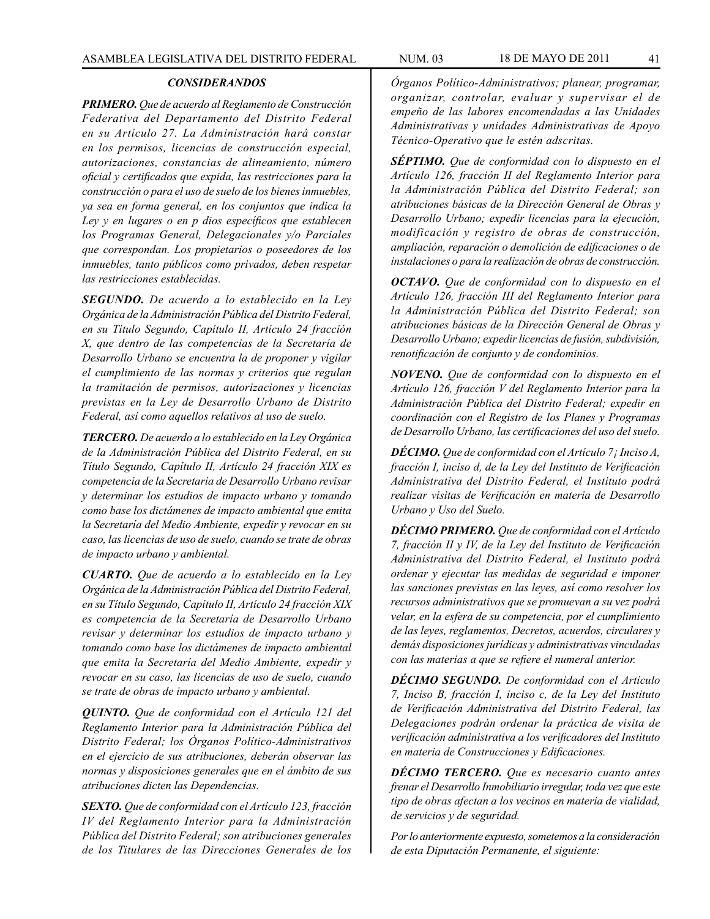#### *CONSIDERANDOS*

*PRIMERO. Que de acuerdo al Reglamento de Construcción Federativa del Departamento del Distrito Federal en su Artículo 27. La Administración hará constar en los permisos, licencias de construcción especial, autorizaciones, constancias de alineamiento, número oficial y certificados que expida, las restricciones para la construcción o para el uso de suelo de los bienes inmuebles, ya sea en forma general, en los conjuntos que indica la Ley y en lugares o en p dios específicos que establecen los Programas General, Delegacionales y/o Parciales que correspondan. Los propietarios o poseedores de los inmuebles, tanto públicos como privados, deben respetar las restricciones establecidas.*

*SEGUNDO. De acuerdo a lo establecido en la Ley Orgánica de la Administración Pública del Distrito Federal, en su Título Segundo, Capítulo II, Artículo 24 fracción X, que dentro de las competencias de la Secretaría de Desarrollo Urbano se encuentra la de proponer y vigilar el cumplimiento de las normas y criterios que regulan la tramitación de permisos, autorizaciones y licencias previstas en la Ley de Desarrollo Urbano de Distrito Federal, así como aquellos relativos al uso de suelo.*

*TERCERO. De acuerdo a lo establecido en la Ley Orgánica de la Administración Pública del Distrito Federal, en su Título Segundo, Capítulo II, Artículo 24 fracción XIX es competencia de la Secretaría de Desarrollo Urbano revisar y determinar los estudios de impacto urbano y tomando como base los dictámenes de impacto ambiental que emita la Secretaría del Medio Ambiente, expedir y revocar en su caso, las licencias de uso de suelo, cuando se trate de obras de impacto urbano y ambiental.*

*CUARTO. Que de acuerdo a lo establecido en la Ley Orgánica de la Administración Pública del Distrito Federal, en su Título Segundo, Capítulo II, Artículo 24 fracción XIX es competencia de la Secretaría de Desarrollo Urbano revisar y determinar los estudios de impacto urbano y tomando como base los dictámenes de impacto ambiental que emita la Secretaría del Medio Ambiente, expedir y revocar en su caso, las licencias de uso de suelo, cuando se trate de obras de impacto urbano y ambiental.*

*QUINTO. Que de conformidad con el Artículo 121 del Reglamento Interior para la Administración Pública del Distrito Federal; los Órganos Político-Administrativos en el ejercicio de sus atribuciones, deberán observar las normas y disposiciones generales que en el ámbito de sus atribuciones dicten las Dependencias.* 

*SEXTO. Que de conformidad con el Artículo 123, fracción IV del Reglamento Interior para la Administración Pública del Distrito Federal; son atribuciones generales de los Titulares de las Direcciones Generales de los* 

*Órganos Político-Administrativos; planear, programar, organizar, controlar, evaluar y supervisar el de empeño de las labores encomendadas a las Unidades Administrativas y unidades Administrativas de Apoyo Técnico-Operativo que le estén adscritas.*

*SÉPTIMO. Que de conformidad con lo dispuesto en el Artículo 126, fracción II del Reglamento Interior para la Administración Pública del Distrito Federal; son atribuciones básicas de la Dirección General de Obras y Desarrollo Urbano; expedir licencias para la ejecución, modificación y registro de obras de construcción, ampliación, reparación o demolición de edificaciones o de instalaciones o para la realización de obras de construcción.*

*OCTAVO. Que de conformidad con lo dispuesto en el Artículo 126, fracción III del Reglamento Interior para la Administración Pública del Distrito Federal; son atribuciones básicas de la Dirección General de Obras y Desarrollo Urbano; expedir licencias de fusión, subdivisión, renotificación de conjunto y de condominios.*

*NOVENO. Que de conformidad con lo dispuesto en el Artículo 126, fracción V del Reglamento Interior para la Administración Pública del Distrito Federal; expedir en coordinación con el Registro de los Planes y Programas de Desarrollo Urbano, las certificaciones del uso del suelo.*

*DÉCIMO. Que de conformidad con el Artículo 7¡ Inciso A, fracción I, inciso d, de la Ley del Instituto de Verificación Administrativa del Distrito Federal, el Instituto podrá realizar visitas de Verificación en materia de Desarrollo Urbano y Uso del Suelo.*

*DÉCIMO PRIMERO. Que de conformidad con el Artículo 7, fracción II y IV, de la Ley del Instituto de Verificación Administrativa del Distrito Federal, el Instituto podrá ordenar y ejecutar las medidas de seguridad e imponer las sanciones previstas en las leyes, así como resolver los recursos administrativos que se promuevan a su vez podrá velar, en la esfera de su competencia, por el cumplimiento de las leyes, reglamentos, Decretos, acuerdos, circulares y demás disposiciones jurídicas y administrativas vinculadas con las materias a que se refiere el numeral anterior.*

*DÉCIMO SEGUNDO. De conformidad con el Artículo 7, Inciso B, fracción I, inciso c, de la Ley del Instituto de Verificación Administrativa del Distrito Federal, las Delegaciones podrán ordenar la práctica de visita de verificación administrativa a los verificadores del Instituto en materia de Construcciones y Edificaciones.* 

*DÉCIMO TERCERO. Que es necesario cuanto antes frenar el Desarrollo Inmobiliario irregular, toda vez que este tipo de obras afectan a los vecinos en materia de vialidad, de servicios y de seguridad.*

*Por lo anteriormente expuesto, sometemos a la consideración de esta Diputación Permanente, el siguiente:*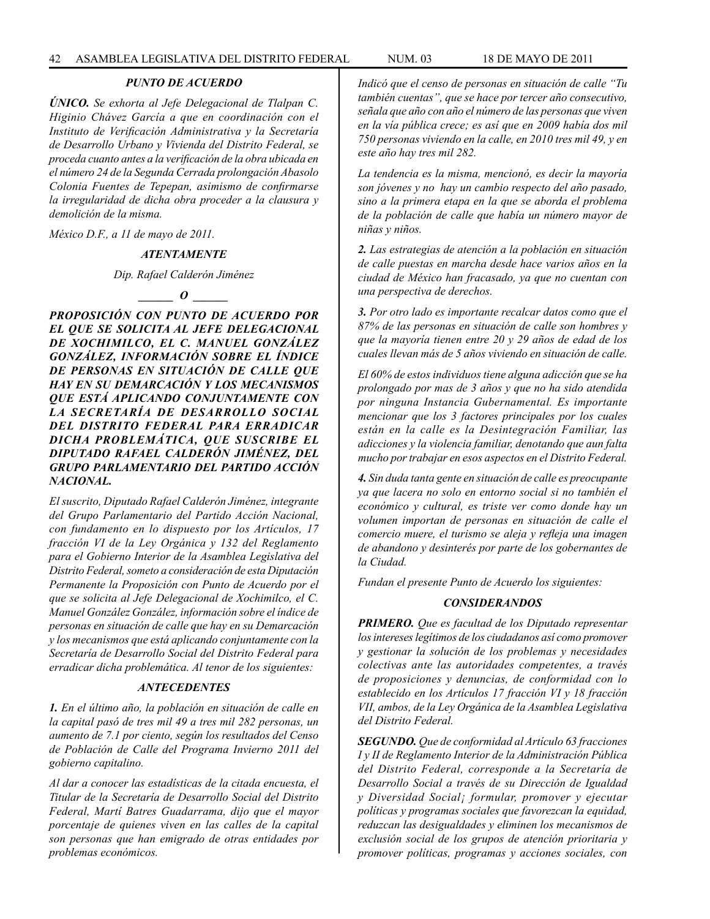## *PUNTO DE ACUERDO*

*ÚNICO. Se exhorta al Jefe Delegacional de Tlalpan C. Higinio Chávez García a que en coordinación con el Instituto de Verificación Administrativa y la Secretaría de Desarrollo Urbano y Vivienda del Distrito Federal, se proceda cuanto antes a la verificación de la obra ubicada en el número 24 de la Segunda Cerrada prolongación Abasolo Colonia Fuentes de Tepepan, asimismo de confirmarse la irregularidad de dicha obra proceder a la clausura y demolición de la misma.* 

*México D.F., a 11 de mayo de 2011.*

#### *ATENTAMENTE*

*Dip. Rafael Calderón Jiménez*

*\_\_\_\_\_\_ O \_\_\_\_\_\_*

*PROPOSICIÓN CON PUNTO DE ACUERDO POR EL QUE SE SOLICITA AL JEFE DELEGACIONAL DE XOCHIMILCO, EL C. MANUEL GONZÁLEZ GONZÁLEZ, INFORMACIÓN SOBRE EL ÍNDICE DE PERSONAS EN SITUACIÓN DE CALLE QUE HAY EN SU DEMARCACIÓN Y LOS MECANISMOS QUE ESTÁ APLICANDO CONJUNTAMENTE CON LA SECRETARÍA DE DESARROLLO SOCIAL DEL DISTRITO FEDERAL PARA ERRADICAR DICHA PROBLEMÁTICA, QUE SUSCRIBE EL DIPUTADO RAFAEL CALDERÓN JIMÉNEZ, DEL GRUPO PARLAMENTARIO DEL PARTIDO ACCIÓN NACIONAL.*

*El suscrito, Diputado Rafael Calderón Jiménez, integrante del Grupo Parlamentario del Partido Acción Nacional, con fundamento en lo dispuesto por los Artículos, 17 fracción VI de la Ley Orgánica y 132 del Reglamento para el Gobierno Interior de la Asamblea Legislativa del Distrito Federal, someto a consideración de esta Diputación Permanente la Proposición con Punto de Acuerdo por el que se solicita al Jefe Delegacional de Xochimilco, el C. Manuel González González, información sobre el índice de personas en situación de calle que hay en su Demarcación y los mecanismos que está aplicando conjuntamente con la Secretaría de Desarrollo Social del Distrito Federal para erradicar dicha problemática. Al tenor de los siguientes:*

#### *ANTECEDENTES*

*1. En el último año, la población en situación de calle en la capital pasó de tres mil 49 a tres mil 282 personas, un aumento de 7.1 por ciento, según los resultados del Censo de Población de Calle del Programa Invierno 2011 del gobierno capitalino.*

*Al dar a conocer las estadísticas de la citada encuesta, el Titular de la Secretaría de Desarrollo Social del Distrito Federal, Martí Batres Guadarrama, dijo que el mayor porcentaje de quienes viven en las calles de la capital son personas que han emigrado de otras entidades por problemas económicos.*

*Indicó que el censo de personas en situación de calle "Tu también cuentas", que se hace por tercer año consecutivo, señala que año con año el número de las personas que viven en la vía pública crece; es así que en 2009 había dos mil 750 personas viviendo en la calle, en 2010 tres mil 49, y en este año hay tres mil 282.*

*La tendencia es la misma, mencionó, es decir la mayoría son jóvenes y no hay un cambio respecto del año pasado, sino a la primera etapa en la que se aborda el problema de la población de calle que había un número mayor de niñas y niños.*

*2. Las estrategias de atención a la población en situación de calle puestas en marcha desde hace varios años en la ciudad de México han fracasado, ya que no cuentan con una perspectiva de derechos.*

*3. Por otro lado es importante recalcar datos como que el 87% de las personas en situación de calle son hombres y que la mayoría tienen entre 20 y 29 años de edad de los cuales llevan más de 5 años viviendo en situación de calle.*

*El 60% de estos individuos tiene alguna adicción que se ha prolongado por mas de 3 años y que no ha sido atendida por ninguna Instancia Gubernamental. Es importante mencionar que los 3 factores principales por los cuales están en la calle es la Desintegración Familiar, las adicciones y la violencia familiar, denotando que aun falta mucho por trabajar en esos aspectos en el Distrito Federal.*

*4. Sin duda tanta gente en situación de calle es preocupante ya que lacera no solo en entorno social si no también el económico y cultural, es triste ver como donde hay un volumen importan de personas en situación de calle el comercio muere, el turismo se aleja y refleja una imagen de abandono y desinterés por parte de los gobernantes de la Ciudad.*

*Fundan el presente Punto de Acuerdo los siguientes:*

#### *CONSIDERANDOS*

*PRIMERO. Que es facultad de los Diputado representar los intereses legítimos de los ciudadanos así como promover y gestionar la solución de los problemas y necesidades colectivas ante las autoridades competentes, a través de proposiciones y denuncias, de conformidad con lo establecido en los Artículos 17 fracción VI y 18 fracción VII, ambos, de la Ley Orgánica de la Asamblea Legislativa del Distrito Federal.*

*SEGUNDO. Que de conformidad al Artículo 63 fracciones I y II de Reglamento Interior de la Administración Pública del Distrito Federal, corresponde a la Secretaría de Desarrollo Social a través de su Dirección de Igualdad y Diversidad Social¡ formular, promover y ejecutar políticas y programas sociales que favorezcan la equidad, reduzcan las desigualdades y eliminen los mecanismos de exclusión social de los grupos de atención prioritaria y promover políticas, programas y acciones sociales, con*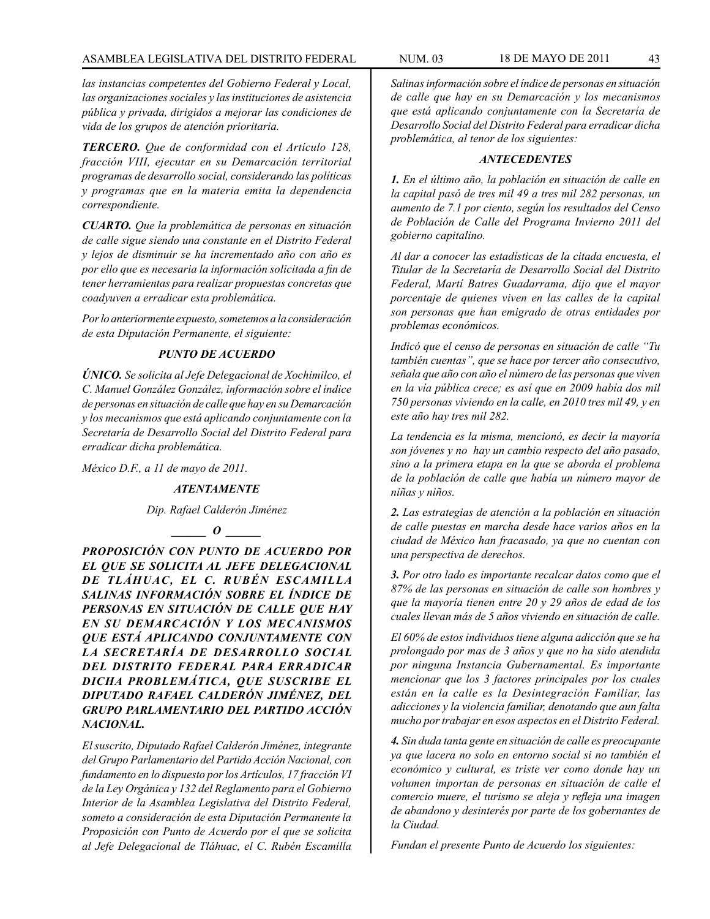# ASAMBLEA LEGISLATIVA DEL DISTRITO FEDERAL NUM. 03 18 de MAYO de 2011 43

*las instancias competentes del Gobierno Federal y Local, las organizaciones sociales y las instituciones de asistencia pública y privada, dirigidos a mejorar las condiciones de vida de los grupos de atención prioritaria.*

*TERCERO. Que de conformidad con el Artículo 128, fracción VIII, ejecutar en su Demarcación territorial programas de desarrollo social, considerando las políticas y programas que en la materia emita la dependencia correspondiente.* 

*CUARTO. Que la problemática de personas en situación de calle sigue siendo una constante en el Distrito Federal y lejos de disminuir se ha incrementado año con año es por ello que es necesaria la información solicitada a fin de tener herramientas para realizar propuestas concretas que coadyuven a erradicar esta problemática.*

*Por lo anteriormente expuesto, sometemos a la consideración de esta Diputación Permanente, el siguiente:* 

### *PUNTO DE ACUERDO*

*ÚNICO. Se solicita al Jefe Delegacional de Xochimilco, el C. Manuel González González, información sobre el índice de personas en situación de calle que hay en su Demarcación y los mecanismos que está aplicando conjuntamente con la Secretaría de Desarrollo Social del Distrito Federal para erradicar dicha problemática.*

*México D.F., a 11 de mayo de 2011.*

#### *ATENTAMENTE*

*Dip. Rafael Calderón Jiménez*

# $\bm{o}$

*PROPOSICIÓN CON PUNTO DE ACUERDO POR EL QUE SE SOLICITA AL JEFE DELEGACIONAL DE TLÁHUAC, EL C. RUBÉN ESCAMILLA SALINAS INFORMACIÓN SOBRE EL ÍNDICE DE PERSONAS EN SITUACIÓN DE CALLE QUE HAY EN SU DEMARCACIÓN Y LOS MECANISMOS QUE ESTÁ APLICANDO CONJUNTAMENTE CON LA SECRETARÍA DE DESARROLLO SOCIAL DEL DISTRITO FEDERAL PARA ERRADICAR DICHA PROBLEMÁTICA, QUE SUSCRIBE EL DIPUTADO RAFAEL CALDERÓN JIMÉNEZ, DEL GRUPO PARLAMENTARIO DEL PARTIDO ACCIÓN NACIONAL.*

*El suscrito, Diputado Rafael Calderón Jiménez, integrante del Grupo Parlamentario del Partido Acción Nacional, con fundamento en lo dispuesto por los Artículos, 17 fracción VI de la Ley Orgánica y 132 del Reglamento para el Gobierno Interior de la Asamblea Legislativa del Distrito Federal, someto a consideración de esta Diputación Permanente la Proposición con Punto de Acuerdo por el que se solicita al Jefe Delegacional de Tláhuac, el C. Rubén Escamilla* 

*Salinas información sobre el índice de personas en situación de calle que hay en su Demarcación y los mecanismos que está aplicando conjuntamente con la Secretaría de Desarrollo Social del Distrito Federal para erradicar dicha problemática, al tenor de los siguientes:*

#### *ANTECEDENTES*

*1. En el último año, la población en situación de calle en la capital pasó de tres mil 49 a tres mil 282 personas, un aumento de 7.1 por ciento, según los resultados del Censo de Población de Calle del Programa Invierno 2011 del gobierno capitalino.*

*Al dar a conocer las estadísticas de la citada encuesta, el Titular de la Secretaría de Desarrollo Social del Distrito Federal, Martí Batres Guadarrama, dijo que el mayor porcentaje de quienes viven en las calles de la capital son personas que han emigrado de otras entidades por problemas económicos.*

*Indicó que el censo de personas en situación de calle "Tu también cuentas", que se hace por tercer año consecutivo, señala que año con año el número de las personas que viven en la vía pública crece; es así que en 2009 había dos mil 750 personas viviendo en la calle, en 2010 tres mil 49, y en este año hay tres mil 282.*

*La tendencia es la misma, mencionó, es decir la mayoría son jóvenes y no hay un cambio respecto del año pasado, sino a la primera etapa en la que se aborda el problema de la población de calle que había un número mayor de niñas y niños.*

*2. Las estrategias de atención a la población en situación de calle puestas en marcha desde hace varios años en la ciudad de México han fracasado, ya que no cuentan con una perspectiva de derechos.*

*3. Por otro lado es importante recalcar datos como que el 87% de las personas en situación de calle son hombres y que la mayoría tienen entre 20 y 29 años de edad de los cuales llevan más de 5 años viviendo en situación de calle.*

*El 60% de estos individuos tiene alguna adicción que se ha prolongado por mas de 3 años y que no ha sido atendida por ninguna Instancia Gubernamental. Es importante mencionar que los 3 factores principales por los cuales están en la calle es la Desintegración Familiar, las adicciones y la violencia familiar, denotando que aun falta mucho por trabajar en esos aspectos en el Distrito Federal.*

*4. Sin duda tanta gente en situación de calle es preocupante ya que lacera no solo en entorno social si no también el económico y cultural, es triste ver como donde hay un volumen importan de personas en situación de calle el comercio muere, el turismo se aleja y refleja una imagen de abandono y desinterés por parte de los gobernantes de la Ciudad.*

*Fundan el presente Punto de Acuerdo los siguientes:*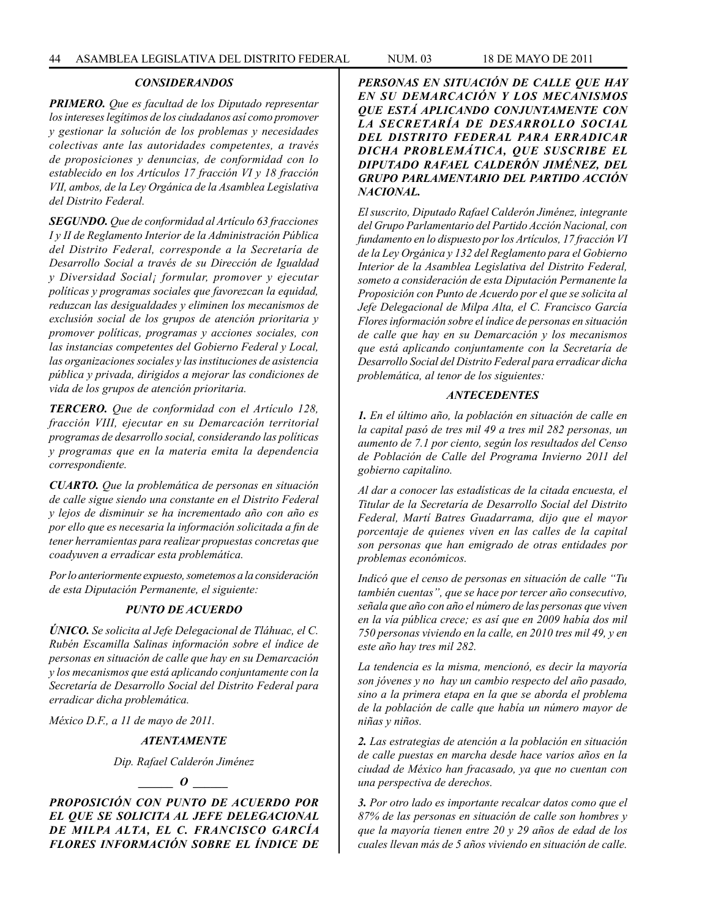### *CONSIDERANDOS*

*PRIMERO. Que es facultad de los Diputado representar los intereses legítimos de los ciudadanos así como promover y gestionar la solución de los problemas y necesidades colectivas ante las autoridades competentes, a través de proposiciones y denuncias, de conformidad con lo establecido en los Artículos 17 fracción VI y 18 fracción VII, ambos, de la Ley Orgánica de la Asamblea Legislativa del Distrito Federal.* 

*SEGUNDO. Que de conformidad al Artículo 63 fracciones I y II de Reglamento Interior de la Administración Pública del Distrito Federal, corresponde a la Secretaría de Desarrollo Social a través de su Dirección de Igualdad y Diversidad Social¡ formular, promover y ejecutar políticas y programas sociales que favorezcan la equidad, reduzcan las desigualdades y eliminen los mecanismos de exclusión social de los grupos de atención prioritaria y promover políticas, programas y acciones sociales, con las instancias competentes del Gobierno Federal y Local, las organizaciones sociales y las instituciones de asistencia pública y privada, dirigidos a mejorar las condiciones de vida de los grupos de atención prioritaria.*

*TERCERO. Que de conformidad con el Artículo 128, fracción VIII, ejecutar en su Demarcación territorial programas de desarrollo social, considerando las políticas y programas que en la materia emita la dependencia correspondiente.* 

*CUARTO. Que la problemática de personas en situación de calle sigue siendo una constante en el Distrito Federal y lejos de disminuir se ha incrementado año con año es por ello que es necesaria la información solicitada a fin de tener herramientas para realizar propuestas concretas que coadyuven a erradicar esta problemática.*

*Por lo anteriormente expuesto, sometemos a la consideración de esta Diputación Permanente, el siguiente:* 

#### *PUNTO DE ACUERDO*

*ÚNICO. Se solicita al Jefe Delegacional de Tláhuac, el C. Rubén Escamilla Salinas información sobre el índice de personas en situación de calle que hay en su Demarcación y los mecanismos que está aplicando conjuntamente con la Secretaría de Desarrollo Social del Distrito Federal para erradicar dicha problemática.*

*México D.F., a 11 de mayo de 2011.*

#### *ATENTAMENTE*

*Dip. Rafael Calderón Jiménez*

#### $\bm{o}$

*PROPOSICIÓN CON PUNTO DE ACUERDO POR EL QUE SE SOLICITA AL JEFE DELEGACIONAL DE MILPA ALTA, EL C. FRANCISCO GARCÍA FLORES INFORMACIÓN SOBRE EL ÍNDICE DE* 

*PERSONAS EN SITUACIÓN DE CALLE QUE HAY EN SU DEMARCACIÓN Y LOS MECANISMOS QUE ESTÁ APLICANDO CONJUNTAMENTE CON LA SECRETARÍA DE DESARROLLO SOCIAL DEL DISTRITO FEDERAL PARA ERRADICAR DICHA PROBLEMÁTICA, QUE SUSCRIBE EL DIPUTADO RAFAEL CALDERÓN JIMÉNEZ, DEL GRUPO PARLAMENTARIO DEL PARTIDO ACCIÓN NACIONAL.*

*El suscrito, Diputado Rafael Calderón Jiménez, integrante del Grupo Parlamentario del Partido Acción Nacional, con fundamento en lo dispuesto por los Artículos, 17 fracción VI de la Ley Orgánica y 132 del Reglamento para el Gobierno Interior de la Asamblea Legislativa del Distrito Federal, someto a consideración de esta Diputación Permanente la Proposición con Punto de Acuerdo por el que se solicita al Jefe Delegacional de Milpa Alta, el C. Francisco García Flores información sobre el índice de personas en situación de calle que hay en su Demarcación y los mecanismos que está aplicando conjuntamente con la Secretaría de Desarrollo Social del Distrito Federal para erradicar dicha problemática, al tenor de los siguientes:*

### *ANTECEDENTES*

*1. En el último año, la población en situación de calle en la capital pasó de tres mil 49 a tres mil 282 personas, un aumento de 7.1 por ciento, según los resultados del Censo de Población de Calle del Programa Invierno 2011 del gobierno capitalino.*

*Al dar a conocer las estadísticas de la citada encuesta, el Titular de la Secretaría de Desarrollo Social del Distrito Federal, Martí Batres Guadarrama, dijo que el mayor porcentaje de quienes viven en las calles de la capital son personas que han emigrado de otras entidades por problemas económicos.*

*Indicó que el censo de personas en situación de calle "Tu también cuentas", que se hace por tercer año consecutivo, señala que año con año el número de las personas que viven en la vía pública crece; es así que en 2009 había dos mil 750 personas viviendo en la calle, en 2010 tres mil 49, y en este año hay tres mil 282.*

*La tendencia es la misma, mencionó, es decir la mayoría son jóvenes y no hay un cambio respecto del año pasado, sino a la primera etapa en la que se aborda el problema de la población de calle que había un número mayor de niñas y niños.*

*2. Las estrategias de atención a la población en situación de calle puestas en marcha desde hace varios años en la ciudad de México han fracasado, ya que no cuentan con una perspectiva de derechos.*

*3. Por otro lado es importante recalcar datos como que el 87% de las personas en situación de calle son hombres y que la mayoría tienen entre 20 y 29 años de edad de los cuales llevan más de 5 años viviendo en situación de calle.*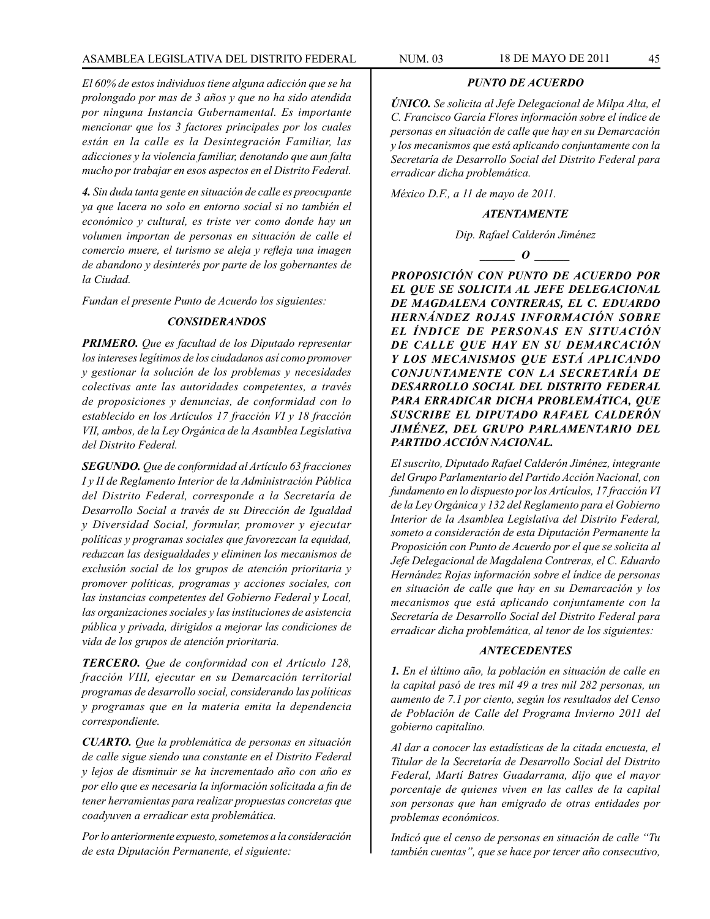#### *PUNTO DE ACUERDO*

*ÚNICO. Se solicita al Jefe Delegacional de Milpa Alta, el C. Francisco García Flores información sobre el índice de personas en situación de calle que hay en su Demarcación y los mecanismos que está aplicando conjuntamente con la Secretaría de Desarrollo Social del Distrito Federal para erradicar dicha problemática.*

*México D.F., a 11 de mayo de 2011.*

#### *ATENTAMENTE*

*Dip. Rafael Calderón Jiménez*

*\_\_\_\_\_\_ O \_\_\_\_\_\_*

*PROPOSICIÓN CON PUNTO DE ACUERDO POR EL QUE SE SOLICITA AL JEFE DELEGACIONAL DE MAGDALENA CONTRERAS, EL C. EDUARDO HERNÁNDEZ ROJAS INFORMACIÓN SOBRE EL ÍNDICE DE PERSONAS EN SITUACIÓN DE CALLE QUE HAY EN SU DEMARCACIÓN Y LOS MECANISMOS QUE ESTÁ APLICANDO CONJUNTAMENTE CON LA SECRETARÍA DE DESARROLLO SOCIAL DEL DISTRITO FEDERAL PARA ERRADICAR DICHA PROBLEMÁTICA, QUE SUSCRIBE EL DIPUTADO RAFAEL CALDERÓN JIMÉNEZ, DEL GRUPO PARLAMENTARIO DEL PARTIDO ACCIÓN NACIONAL.*

*El suscrito, Diputado Rafael Calderón Jiménez, integrante del Grupo Parlamentario del Partido Acción Nacional, con fundamento en lo dispuesto por los Artículos, 17 fracción VI de la Ley Orgánica y 132 del Reglamento para el Gobierno Interior de la Asamblea Legislativa del Distrito Federal, someto a consideración de esta Diputación Permanente la Proposición con Punto de Acuerdo por el que se solicita al Jefe Delegacional de Magdalena Contreras, el C. Eduardo Hernández Rojas información sobre el índice de personas en situación de calle que hay en su Demarcación y los mecanismos que está aplicando conjuntamente con la Secretaría de Desarrollo Social del Distrito Federal para erradicar dicha problemática, al tenor de los siguientes:*

### *ANTECEDENTES*

*1. En el último año, la población en situación de calle en la capital pasó de tres mil 49 a tres mil 282 personas, un aumento de 7.1 por ciento, según los resultados del Censo de Población de Calle del Programa Invierno 2011 del gobierno capitalino.*

*Al dar a conocer las estadísticas de la citada encuesta, el Titular de la Secretaría de Desarrollo Social del Distrito Federal, Martí Batres Guadarrama, dijo que el mayor porcentaje de quienes viven en las calles de la capital son personas que han emigrado de otras entidades por problemas económicos.*

*Indicó que el censo de personas en situación de calle "Tu también cuentas", que se hace por tercer año consecutivo,* 

*El 60% de estos individuos tiene alguna adicción que se ha prolongado por mas de 3 años y que no ha sido atendida por ninguna Instancia Gubernamental. Es importante mencionar que los 3 factores principales por los cuales están en la calle es la Desintegración Familiar, las adicciones y la violencia familiar, denotando que aun falta mucho por trabajar en esos aspectos en el Distrito Federal.*

*4. Sin duda tanta gente en situación de calle es preocupante ya que lacera no solo en entorno social si no también el económico y cultural, es triste ver como donde hay un volumen importan de personas en situación de calle el comercio muere, el turismo se aleja y refleja una imagen de abandono y desinterés por parte de los gobernantes de la Ciudad.*

*Fundan el presente Punto de Acuerdo los siguientes:*

#### *CONSIDERANDOS*

*PRIMERO. Que es facultad de los Diputado representar los intereses legítimos de los ciudadanos así como promover y gestionar la solución de los problemas y necesidades colectivas ante las autoridades competentes, a través de proposiciones y denuncias, de conformidad con lo establecido en los Artículos 17 fracción VI y 18 fracción VII, ambos, de la Ley Orgánica de la Asamblea Legislativa del Distrito Federal.*

*SEGUNDO. Que de conformidad al Artículo 63 fracciones I y II de Reglamento Interior de la Administración Pública del Distrito Federal, corresponde a la Secretaría de Desarrollo Social a través de su Dirección de Igualdad y Diversidad Social, formular, promover y ejecutar políticas y programas sociales que favorezcan la equidad, reduzcan las desigualdades y eliminen los mecanismos de exclusión social de los grupos de atención prioritaria y promover políticas, programas y acciones sociales, con las instancias competentes del Gobierno Federal y Local, las organizaciones sociales y las instituciones de asistencia pública y privada, dirigidos a mejorar las condiciones de vida de los grupos de atención prioritaria.*

*TERCERO. Que de conformidad con el Artículo 128, fracción VIII, ejecutar en su Demarcación territorial programas de desarrollo social, considerando las políticas y programas que en la materia emita la dependencia correspondiente.* 

*CUARTO. Que la problemática de personas en situación de calle sigue siendo una constante en el Distrito Federal y lejos de disminuir se ha incrementado año con año es por ello que es necesaria la información solicitada a fin de tener herramientas para realizar propuestas concretas que coadyuven a erradicar esta problemática.*

*Por lo anteriormente expuesto, sometemos a la consideración de esta Diputación Permanente, el siguiente:*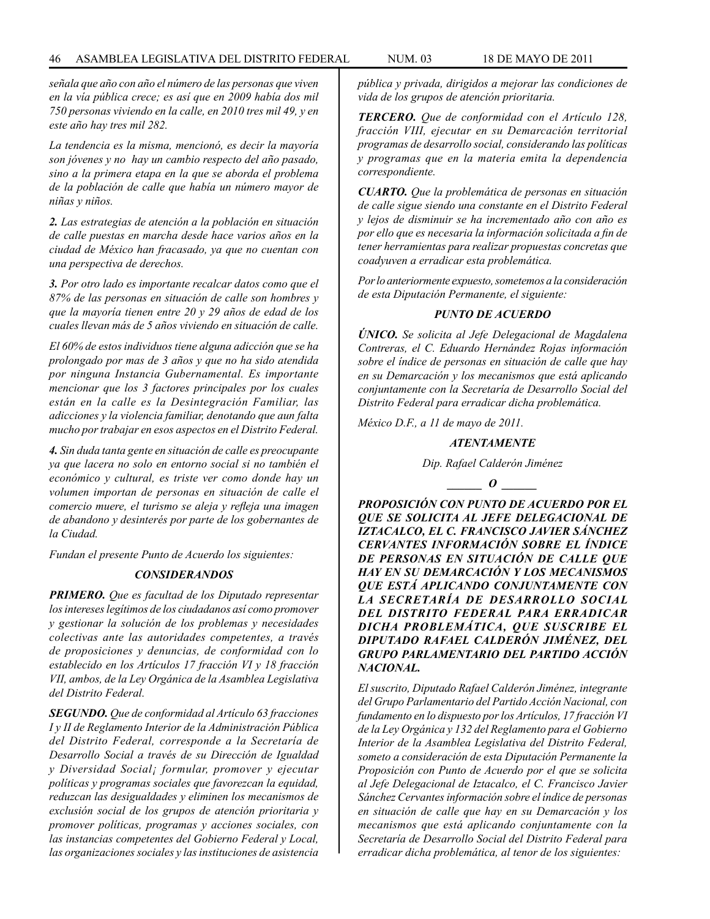*señala que año con año el número de las personas que viven en la vía pública crece; es así que en 2009 había dos mil 750 personas viviendo en la calle, en 2010 tres mil 49, y en este año hay tres mil 282.*

*La tendencia es la misma, mencionó, es decir la mayoría son jóvenes y no hay un cambio respecto del año pasado, sino a la primera etapa en la que se aborda el problema de la población de calle que había un número mayor de niñas y niños.*

*2. Las estrategias de atención a la población en situación de calle puestas en marcha desde hace varios años en la ciudad de México han fracasado, ya que no cuentan con una perspectiva de derechos.*

*3. Por otro lado es importante recalcar datos como que el 87% de las personas en situación de calle son hombres y que la mayoría tienen entre 20 y 29 años de edad de los cuales llevan más de 5 años viviendo en situación de calle.*

*El 60% de estos individuos tiene alguna adicción que se ha prolongado por mas de 3 años y que no ha sido atendida por ninguna Instancia Gubernamental. Es importante mencionar que los 3 factores principales por los cuales están en la calle es la Desintegración Familiar, las adicciones y la violencia familiar, denotando que aun falta mucho por trabajar en esos aspectos en el Distrito Federal.*

*4. Sin duda tanta gente en situación de calle es preocupante ya que lacera no solo en entorno social si no también el económico y cultural, es triste ver como donde hay un volumen importan de personas en situación de calle el comercio muere, el turismo se aleja y refleja una imagen de abandono y desinterés por parte de los gobernantes de la Ciudad.*

*Fundan el presente Punto de Acuerdo los siguientes:*

### *CONSIDERANDOS*

*PRIMERO. Que es facultad de los Diputado representar los intereses legítimos de los ciudadanos así como promover y gestionar la solución de los problemas y necesidades colectivas ante las autoridades competentes, a través de proposiciones y denuncias, de conformidad con lo establecido en los Artículos 17 fracción VI y 18 fracción VII, ambos, de la Ley Orgánica de la Asamblea Legislativa del Distrito Federal.*

*SEGUNDO. Que de conformidad al Artículo 63 fracciones I y II de Reglamento Interior de la Administración Pública del Distrito Federal, corresponde a la Secretaría de Desarrollo Social a través de su Dirección de Igualdad y Diversidad Social¡ formular, promover y ejecutar políticas y programas sociales que favorezcan la equidad, reduzcan las desigualdades y eliminen los mecanismos de exclusión social de los grupos de atención prioritaria y promover políticas, programas y acciones sociales, con las instancias competentes del Gobierno Federal y Local, las organizaciones sociales y las instituciones de asistencia* 

*pública y privada, dirigidos a mejorar las condiciones de vida de los grupos de atención prioritaria.*

*TERCERO. Que de conformidad con el Artículo 128, fracción VIII, ejecutar en su Demarcación territorial programas de desarrollo social, considerando las políticas y programas que en la materia emita la dependencia correspondiente.* 

*CUARTO. Que la problemática de personas en situación de calle sigue siendo una constante en el Distrito Federal y lejos de disminuir se ha incrementado año con año es por ello que es necesaria la información solicitada a fin de tener herramientas para realizar propuestas concretas que coadyuven a erradicar esta problemática.*

*Por lo anteriormente expuesto, sometemos a la consideración de esta Diputación Permanente, el siguiente:* 

### *PUNTO DE ACUERDO*

*ÚNICO. Se solicita al Jefe Delegacional de Magdalena Contreras, el C. Eduardo Hernández Rojas información sobre el índice de personas en situación de calle que hay en su Demarcación y los mecanismos que está aplicando conjuntamente con la Secretaría de Desarrollo Social del Distrito Federal para erradicar dicha problemática.*

*México D.F., a 11 de mayo de 2011.*

#### *ATENTAMENTE*

*Dip. Rafael Calderón Jiménez*

 $\bm{o}$ 

*PROPOSICIÓN CON PUNTO DE ACUERDO POR EL QUE SE SOLICITA AL JEFE DELEGACIONAL DE IZTACALCO, EL C. FRANCISCO JAVIER SÁNCHEZ CERVANTES INFORMACIÓN SOBRE EL ÍNDICE DE PERSONAS EN SITUACIÓN DE CALLE QUE HAY EN SU DEMARCACIÓN Y LOS MECANISMOS QUE ESTÁ APLICANDO CONJUNTAMENTE CON LA SECRETARÍA DE DESARROLLO SOCIAL DEL DISTRITO FEDERAL PARA ERRADICAR DICHA PROBLEMÁTICA, QUE SUSCRIBE EL DIPUTADO RAFAEL CALDERÓN JIMÉNEZ, DEL GRUPO PARLAMENTARIO DEL PARTIDO ACCIÓN NACIONAL.*

*El suscrito, Diputado Rafael Calderón Jiménez, integrante del Grupo Parlamentario del Partido Acción Nacional, con fundamento en lo dispuesto por los Artículos, 17 fracción VI de la Ley Orgánica y 132 del Reglamento para el Gobierno Interior de la Asamblea Legislativa del Distrito Federal, someto a consideración de esta Diputación Permanente la Proposición con Punto de Acuerdo por el que se solicita al Jefe Delegacional de Iztacalco, el C. Francisco Javier Sánchez Cervantes información sobre el índice de personas en situación de calle que hay en su Demarcación y los mecanismos que está aplicando conjuntamente con la Secretaría de Desarrollo Social del Distrito Federal para erradicar dicha problemática, al tenor de los siguientes:*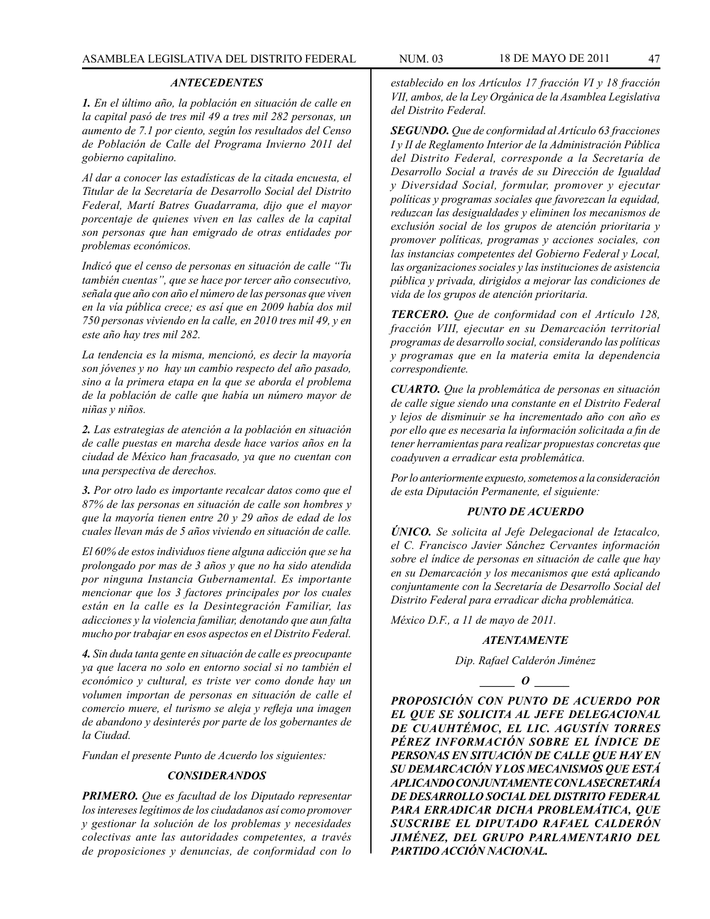### *ANTECEDENTES*

*1. En el último año, la población en situación de calle en la capital pasó de tres mil 49 a tres mil 282 personas, un aumento de 7.1 por ciento, según los resultados del Censo de Población de Calle del Programa Invierno 2011 del gobierno capitalino.*

*Al dar a conocer las estadísticas de la citada encuesta, el Titular de la Secretaría de Desarrollo Social del Distrito Federal, Martí Batres Guadarrama, dijo que el mayor porcentaje de quienes viven en las calles de la capital son personas que han emigrado de otras entidades por problemas económicos.*

*Indicó que el censo de personas en situación de calle "Tu también cuentas", que se hace por tercer año consecutivo, señala que año con año el número de las personas que viven en la vía pública crece; es así que en 2009 había dos mil 750 personas viviendo en la calle, en 2010 tres mil 49, y en este año hay tres mil 282.*

*La tendencia es la misma, mencionó, es decir la mayoría son jóvenes y no hay un cambio respecto del año pasado, sino a la primera etapa en la que se aborda el problema de la población de calle que había un número mayor de niñas y niños.*

*2. Las estrategias de atención a la población en situación de calle puestas en marcha desde hace varios años en la ciudad de México han fracasado, ya que no cuentan con una perspectiva de derechos.*

*3. Por otro lado es importante recalcar datos como que el 87% de las personas en situación de calle son hombres y que la mayoría tienen entre 20 y 29 años de edad de los cuales llevan más de 5 años viviendo en situación de calle.*

*El 60% de estos individuos tiene alguna adicción que se ha prolongado por mas de 3 años y que no ha sido atendida por ninguna Instancia Gubernamental. Es importante mencionar que los 3 factores principales por los cuales están en la calle es la Desintegración Familiar, las adicciones y la violencia familiar, denotando que aun falta mucho por trabajar en esos aspectos en el Distrito Federal.*

*4. Sin duda tanta gente en situación de calle es preocupante ya que lacera no solo en entorno social si no también el económico y cultural, es triste ver como donde hay un volumen importan de personas en situación de calle el comercio muere, el turismo se aleja y refleja una imagen de abandono y desinterés por parte de los gobernantes de la Ciudad.*

*Fundan el presente Punto de Acuerdo los siguientes:*

#### *CONSIDERANDOS*

*PRIMERO. Que es facultad de los Diputado representar los intereses legítimos de los ciudadanos así como promover y gestionar la solución de los problemas y necesidades colectivas ante las autoridades competentes, a través de proposiciones y denuncias, de conformidad con lo* 

*establecido en los Artículos 17 fracción VI y 18 fracción VII, ambos, de la Ley Orgánica de la Asamblea Legislativa del Distrito Federal.*

*SEGUNDO. Que de conformidad al Artículo 63 fracciones I y II de Reglamento Interior de la Administración Pública del Distrito Federal, corresponde a la Secretaría de Desarrollo Social a través de su Dirección de Igualdad y Diversidad Social, formular, promover y ejecutar políticas y programas sociales que favorezcan la equidad, reduzcan las desigualdades y eliminen los mecanismos de exclusión social de los grupos de atención prioritaria y promover políticas, programas y acciones sociales, con las instancias competentes del Gobierno Federal y Local, las organizaciones sociales y las instituciones de asistencia pública y privada, dirigidos a mejorar las condiciones de vida de los grupos de atención prioritaria.*

*TERCERO. Que de conformidad con el Artículo 128, fracción VIII, ejecutar en su Demarcación territorial programas de desarrollo social, considerando las políticas y programas que en la materia emita la dependencia correspondiente.* 

*CUARTO. Que la problemática de personas en situación de calle sigue siendo una constante en el Distrito Federal y lejos de disminuir se ha incrementado año con año es por ello que es necesaria la información solicitada a fin de tener herramientas para realizar propuestas concretas que coadyuven a erradicar esta problemática.*

*Por lo anteriormente expuesto, sometemos a la consideración de esta Diputación Permanente, el siguiente:* 

### *PUNTO DE ACUERDO*

*ÚNICO. Se solicita al Jefe Delegacional de Iztacalco, el C. Francisco Javier Sánchez Cervantes información sobre el índice de personas en situación de calle que hay en su Demarcación y los mecanismos que está aplicando conjuntamente con la Secretaría de Desarrollo Social del Distrito Federal para erradicar dicha problemática.*

*México D.F., a 11 de mayo de 2011.*

#### *ATENTAMENTE*

*Dip. Rafael Calderón Jiménez*

 $\bm{o}$ 

*PROPOSICIÓN CON PUNTO DE ACUERDO POR EL QUE SE SOLICITA AL JEFE DELEGACIONAL DE CUAUHTÉMOC, EL LIC. AGUSTÍN TORRES PÉREZ INFORMACIÓN SOBRE EL ÍNDICE DE PERSONAS EN SITUACIÓN DE CALLE QUE HAY EN SU DEMARCACIÓN Y LOS MECANISMOS QUE ESTÁ APLICANDO CONJUNTAMENTE CON LA SECRETARÍA DE DESARROLLO SOCIAL DEL DISTRITO FEDERAL PARA ERRADICAR DICHA PROBLEMÁTICA, QUE SUSCRIBE EL DIPUTADO RAFAEL CALDERÓN JIMÉNEZ, DEL GRUPO PARLAMENTARIO DEL PARTIDO ACCIÓN NACIONAL.*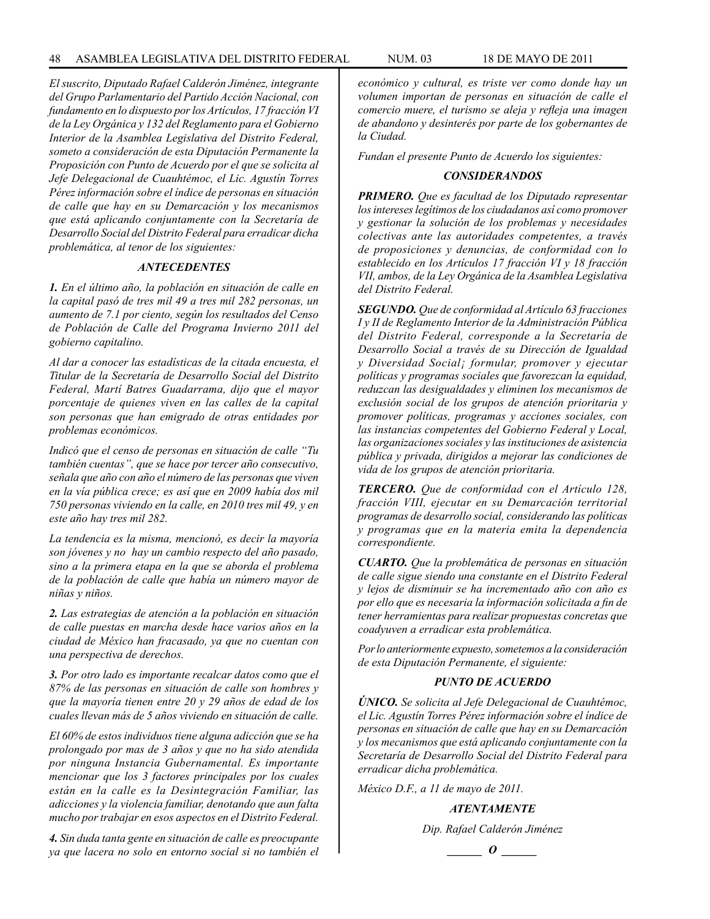*El suscrito, Diputado Rafael Calderón Jiménez, integrante del Grupo Parlamentario del Partido Acción Nacional, con fundamento en lo dispuesto por los Artículos, 17 fracción VI de la Ley Orgánica y 132 del Reglamento para el Gobierno Interior de la Asamblea Legislativa del Distrito Federal, someto a consideración de esta Diputación Permanente la Proposición con Punto de Acuerdo por el que se solicita al Jefe Delegacional de Cuauhtémoc, el Lic. Agustín Torres Pérez información sobre el índice de personas en situación de calle que hay en su Demarcación y los mecanismos que está aplicando conjuntamente con la Secretaría de Desarrollo Social del Distrito Federal para erradicar dicha problemática, al tenor de los siguientes:*

### *ANTECEDENTES*

*1. En el último año, la población en situación de calle en la capital pasó de tres mil 49 a tres mil 282 personas, un aumento de 7.1 por ciento, según los resultados del Censo de Población de Calle del Programa Invierno 2011 del gobierno capitalino.*

*Al dar a conocer las estadísticas de la citada encuesta, el Titular de la Secretaría de Desarrollo Social del Distrito Federal, Martí Batres Guadarrama, dijo que el mayor porcentaje de quienes viven en las calles de la capital son personas que han emigrado de otras entidades por problemas económicos.*

*Indicó que el censo de personas en situación de calle "Tu también cuentas", que se hace por tercer año consecutivo, señala que año con año el número de las personas que viven en la vía pública crece; es así que en 2009 había dos mil 750 personas viviendo en la calle, en 2010 tres mil 49, y en este año hay tres mil 282.*

*La tendencia es la misma, mencionó, es decir la mayoría son jóvenes y no hay un cambio respecto del año pasado, sino a la primera etapa en la que se aborda el problema de la población de calle que había un número mayor de niñas y niños.*

*2. Las estrategias de atención a la población en situación de calle puestas en marcha desde hace varios años en la ciudad de México han fracasado, ya que no cuentan con una perspectiva de derechos.*

*3. Por otro lado es importante recalcar datos como que el 87% de las personas en situación de calle son hombres y que la mayoría tienen entre 20 y 29 años de edad de los cuales llevan más de 5 años viviendo en situación de calle.*

*El 60% de estos individuos tiene alguna adicción que se ha prolongado por mas de 3 años y que no ha sido atendida por ninguna Instancia Gubernamental. Es importante mencionar que los 3 factores principales por los cuales están en la calle es la Desintegración Familiar, las adicciones y la violencia familiar, denotando que aun falta mucho por trabajar en esos aspectos en el Distrito Federal.*

*4. Sin duda tanta gente en situación de calle es preocupante ya que lacera no solo en entorno social si no también el*  *económico y cultural, es triste ver como donde hay un volumen importan de personas en situación de calle el comercio muere, el turismo se aleja y refleja una imagen de abandono y desinterés por parte de los gobernantes de la Ciudad.*

*Fundan el presente Punto de Acuerdo los siguientes:*

### *CONSIDERANDOS*

*PRIMERO. Que es facultad de los Diputado representar los intereses legítimos de los ciudadanos así como promover y gestionar la solución de los problemas y necesidades colectivas ante las autoridades competentes, a través de proposiciones y denuncias, de conformidad con lo establecido en los Artículos 17 fracción VI y 18 fracción VII, ambos, de la Ley Orgánica de la Asamblea Legislativa del Distrito Federal.*

*SEGUNDO. Que de conformidad al Artículo 63 fracciones I y II de Reglamento Interior de la Administración Pública del Distrito Federal, corresponde a la Secretaría de Desarrollo Social a través de su Dirección de Igualdad y Diversidad Social¡ formular, promover y ejecutar políticas y programas sociales que favorezcan la equidad, reduzcan las desigualdades y eliminen los mecanismos de exclusión social de los grupos de atención prioritaria y promover políticas, programas y acciones sociales, con las instancias competentes del Gobierno Federal y Local, las organizaciones sociales y las instituciones de asistencia pública y privada, dirigidos a mejorar las condiciones de vida de los grupos de atención prioritaria.*

*TERCERO. Que de conformidad con el Artículo 128, fracción VIII, ejecutar en su Demarcación territorial programas de desarrollo social, considerando las políticas y programas que en la materia emita la dependencia correspondiente.* 

*CUARTO. Que la problemática de personas en situación de calle sigue siendo una constante en el Distrito Federal y lejos de disminuir se ha incrementado año con año es por ello que es necesaria la información solicitada a fin de tener herramientas para realizar propuestas concretas que coadyuven a erradicar esta problemática.*

*Por lo anteriormente expuesto, sometemos a la consideración de esta Diputación Permanente, el siguiente:* 

### *PUNTO DE ACUERDO*

*ÚNICO. Se solicita al Jefe Delegacional de Cuauhtémoc, el Lic. Agustín Torres Pérez información sobre el índice de personas en situación de calle que hay en su Demarcación y los mecanismos que está aplicando conjuntamente con la Secretaría de Desarrollo Social del Distrito Federal para erradicar dicha problemática.*

*México D.F., a 11 de mayo de 2011.*

*ATENTAMENTE*

*Dip. Rafael Calderón Jiménez*

$$
\_\_o\_
$$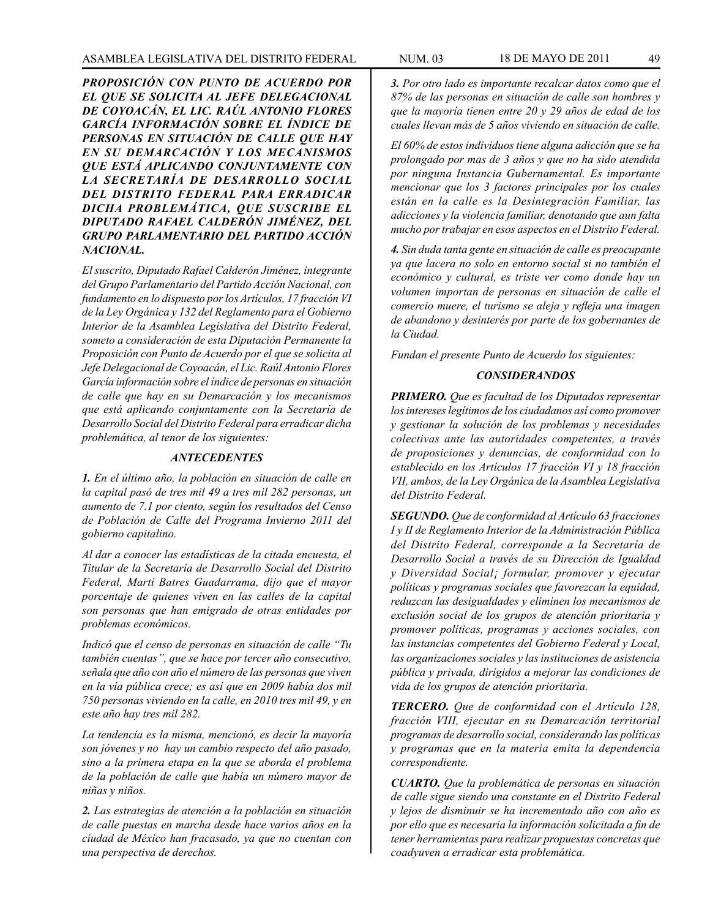*PROPOSICIÓN CON PUNTO DE ACUERDO POR EL QUE SE SOLICITA AL JEFE DELEGACIONAL DE COYOACÁN, EL LIC. RAÚL ANTONIO FLORES GARCÍA INFORMACIÓN SOBRE EL ÍNDICE DE PERSONAS EN SITUACIÓN DE CALLE QUE HAY EN SU DEMARCACIÓN Y LOS MECANISMOS QUE ESTÁ APLICANDO CONJUNTAMENTE CON LA SECRETARÍA DE DESARROLLO SOCIAL DEL DISTRITO FEDERAL PARA ERRADICAR DICHA PROBLEMÁTICA, QUE SUSCRIBE EL DIPUTADO RAFAEL CALDERÓN JIMÉNEZ, DEL GRUPO PARLAMENTARIO DEL PARTIDO ACCIÓN NACIONAL.*

*El suscrito, Diputado Rafael Calderón Jiménez, integrante del Grupo Parlamentario del Partido Acción Nacional, con fundamento en lo dispuesto por los Artículos, 17 fracción VI de la Ley Orgánica y 132 del Reglamento para el Gobierno Interior de la Asamblea Legislativa del Distrito Federal, someto a consideración de esta Diputación Permanente la Proposición con Punto de Acuerdo por el que se solicita al Jefe Delegacional de Coyoacán, el Lic. Raúl Antonio Flores García información sobre el índice de personas en situación de calle que hay en su Demarcación y los mecanismos que está aplicando conjuntamente con la Secretaría de Desarrollo Social del Distrito Federal para erradicar dicha problemática, al tenor de los siguientes:*

### *ANTECEDENTES*

*1. En el último año, la población en situación de calle en la capital pasó de tres mil 49 a tres mil 282 personas, un aumento de 7.1 por ciento, según los resultados del Censo de Población de Calle del Programa Invierno 2011 del gobierno capitalino.*

*Al dar a conocer las estadísticas de la citada encuesta, el Titular de la Secretaría de Desarrollo Social del Distrito Federal, Martí Batres Guadarrama, dijo que el mayor porcentaje de quienes viven en las calles de la capital son personas que han emigrado de otras entidades por problemas económicos.*

*Indicó que el censo de personas en situación de calle "Tu también cuentas", que se hace por tercer año consecutivo, señala que año con año el número de las personas que viven en la vía pública crece; es así que en 2009 había dos mil 750 personas viviendo en la calle, en 2010 tres mil 49, y en este año hay tres mil 282.*

*La tendencia es la misma, mencionó, es decir la mayoría son jóvenes y no hay un cambio respecto del año pasado, sino a la primera etapa en la que se aborda el problema de la población de calle que había un número mayor de niñas y niños.*

*2. Las estrategias de atención a la población en situación de calle puestas en marcha desde hace varios años en la ciudad de México han fracasado, ya que no cuentan con una perspectiva de derechos.*

*3. Por otro lado es importante recalcar datos como que el 87% de las personas en situación de calle son hombres y que la mayoría tienen entre 20 y 29 años de edad de los cuales llevan más de 5 años viviendo en situación de calle.*

*El 60% de estos individuos tiene alguna adicción que se ha prolongado por mas de 3 años y que no ha sido atendida por ninguna Instancia Gubernamental. Es importante mencionar que los 3 factores principales por los cuales están en la calle es la Desintegración Familiar, las adicciones y la violencia familiar, denotando que aun falta mucho por trabajar en esos aspectos en el Distrito Federal.*

*4. Sin duda tanta gente en situación de calle es preocupante ya que lacera no solo en entorno social si no también el económico y cultural, es triste ver como donde hay un volumen importan de personas en situación de calle el comercio muere, el turismo se aleja y refleja una imagen de abandono y desinterés por parte de los gobernantes de la Ciudad.*

*Fundan el presente Punto de Acuerdo los siguientes:*

### *CONSIDERANDOS*

*PRIMERO. Que es facultad de los Diputados representar los intereses legítimos de los ciudadanos así como promover y gestionar la solución de los problemas y necesidades colectivas ante las autoridades competentes, a través de proposiciones y denuncias, de conformidad con lo establecido en los Artículos 17 fracción VI y 18 fracción VII, ambos, de la Ley Orgánica de la Asamblea Legislativa del Distrito Federal.*

*SEGUNDO. Que de conformidad al Artículo 63 fracciones I y II de Reglamento Interior de la Administración Pública del Distrito Federal, corresponde a la Secretaría de Desarrollo Social a través de su Dirección de Igualdad y Diversidad Social¡ formular, promover y ejecutar políticas y programas sociales que favorezcan la equidad, reduzcan las desigualdades y eliminen los mecanismos de exclusión social de los grupos de atención prioritaria y promover políticas, programas y acciones sociales, con las instancias competentes del Gobierno Federal y Local, las organizaciones sociales y las instituciones de asistencia pública y privada, dirigidos a mejorar las condiciones de vida de los grupos de atención prioritaria.*

*TERCERO. Que de conformidad con el Artículo 128, fracción VIII, ejecutar en su Demarcación territorial programas de desarrollo social, considerando las políticas y programas que en la materia emita la dependencia correspondiente.* 

*CUARTO. Que la problemática de personas en situación de calle sigue siendo una constante en el Distrito Federal y lejos de disminuir se ha incrementado año con año es por ello que es necesaria la información solicitada a fin de tener herramientas para realizar propuestas concretas que coadyuven a erradicar esta problemática.*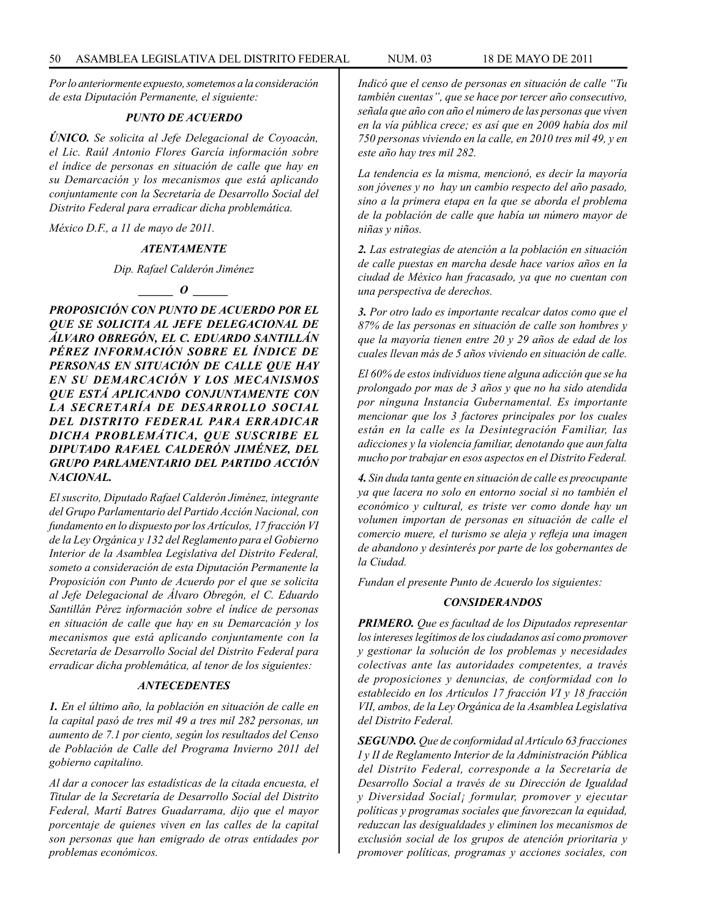*Por lo anteriormente expuesto, sometemos a la consideración de esta Diputación Permanente, el siguiente:* 

### *PUNTO DE ACUERDO*

*ÚNICO. Se solicita al Jefe Delegacional de Coyoacán, el Lic. Raúl Antonio Flores García información sobre el índice de personas en situación de calle que hay en su Demarcación y los mecanismos que está aplicando conjuntamente con la Secretaría de Desarrollo Social del Distrito Federal para erradicar dicha problemática.*

*México D.F., a 11 de mayo de 2011.*

### *ATENTAMENTE*

*Dip. Rafael Calderón Jiménez*



*PROPOSICIÓN CON PUNTO DE ACUERDO POR EL QUE SE SOLICITA AL JEFE DELEGACIONAL DE ÁLVARO OBREGÓN, EL C. EDUARDO SANTILLÁN PÉREZ INFORMACIÓN SOBRE EL ÍNDICE DE PERSONAS EN SITUACIÓN DE CALLE QUE HAY EN SU DEMARCACIÓN Y LOS MECANISMOS QUE ESTÁ APLICANDO CONJUNTAMENTE CON LA SECRETARÍA DE DESARROLLO SOCIAL DEL DISTRITO FEDERAL PARA ERRADICAR DICHA PROBLEMÁTICA, QUE SUSCRIBE EL DIPUTADO RAFAEL CALDERÓN JIMÉNEZ, DEL GRUPO PARLAMENTARIO DEL PARTIDO ACCIÓN NACIONAL.*

*El suscrito, Diputado Rafael Calderón Jiménez, integrante del Grupo Parlamentario del Partido Acción Nacional, con fundamento en lo dispuesto por los Artículos, 17 fracción VI de la Ley Orgánica y 132 del Reglamento para el Gobierno Interior de la Asamblea Legislativa del Distrito Federal, someto a consideración de esta Diputación Permanente la Proposición con Punto de Acuerdo por el que se solicita al Jefe Delegacional de Álvaro Obregón, el C. Eduardo Santillán Pérez información sobre el índice de personas en situación de calle que hay en su Demarcación y los mecanismos que está aplicando conjuntamente con la Secretaría de Desarrollo Social del Distrito Federal para erradicar dicha problemática, al tenor de los siguientes:*

#### *ANTECEDENTES*

*1. En el último año, la población en situación de calle en la capital pasó de tres mil 49 a tres mil 282 personas, un aumento de 7.1 por ciento, según los resultados del Censo de Población de Calle del Programa Invierno 2011 del gobierno capitalino.*

*Al dar a conocer las estadísticas de la citada encuesta, el Titular de la Secretaría de Desarrollo Social del Distrito Federal, Martí Batres Guadarrama, dijo que el mayor porcentaje de quienes viven en las calles de la capital son personas que han emigrado de otras entidades por problemas económicos.*

*Indicó que el censo de personas en situación de calle "Tu también cuentas", que se hace por tercer año consecutivo, señala que año con año el número de las personas que viven en la vía pública crece; es así que en 2009 había dos mil 750 personas viviendo en la calle, en 2010 tres mil 49, y en este año hay tres mil 282.*

*La tendencia es la misma, mencionó, es decir la mayoría son jóvenes y no hay un cambio respecto del año pasado, sino a la primera etapa en la que se aborda el problema de la población de calle que había un número mayor de niñas y niños.*

*2. Las estrategias de atención a la población en situación de calle puestas en marcha desde hace varios años en la ciudad de México han fracasado, ya que no cuentan con una perspectiva de derechos.*

*3. Por otro lado es importante recalcar datos como que el 87% de las personas en situación de calle son hombres y que la mayoría tienen entre 20 y 29 años de edad de los cuales llevan más de 5 años viviendo en situación de calle.*

*El 60% de estos individuos tiene alguna adicción que se ha prolongado por mas de 3 años y que no ha sido atendida por ninguna Instancia Gubernamental. Es importante mencionar que los 3 factores principales por los cuales están en la calle es la Desintegración Familiar, las adicciones y la violencia familiar, denotando que aun falta mucho por trabajar en esos aspectos en el Distrito Federal.*

*4. Sin duda tanta gente en situación de calle es preocupante ya que lacera no solo en entorno social si no también el económico y cultural, es triste ver como donde hay un volumen importan de personas en situación de calle el comercio muere, el turismo se aleja y refleja una imagen de abandono y desinterés por parte de los gobernantes de la Ciudad.*

*Fundan el presente Punto de Acuerdo los siguientes:*

#### *CONSIDERANDOS*

*PRIMERO. Que es facultad de los Diputados representar los intereses legítimos de los ciudadanos así como promover y gestionar la solución de los problemas y necesidades colectivas ante las autoridades competentes, a través de proposiciones y denuncias, de conformidad con lo establecido en los Artículos 17 fracción VI y 18 fracción VII, ambos, de la Ley Orgánica de la Asamblea Legislativa del Distrito Federal.*

*SEGUNDO. Que de conformidad al Artículo 63 fracciones I y II de Reglamento Interior de la Administración Pública del Distrito Federal, corresponde a la Secretaría de Desarrollo Social a través de su Dirección de Igualdad y Diversidad Social¡ formular, promover y ejecutar políticas y programas sociales que favorezcan la equidad, reduzcan las desigualdades y eliminen los mecanismos de exclusión social de los grupos de atención prioritaria y promover políticas, programas y acciones sociales, con*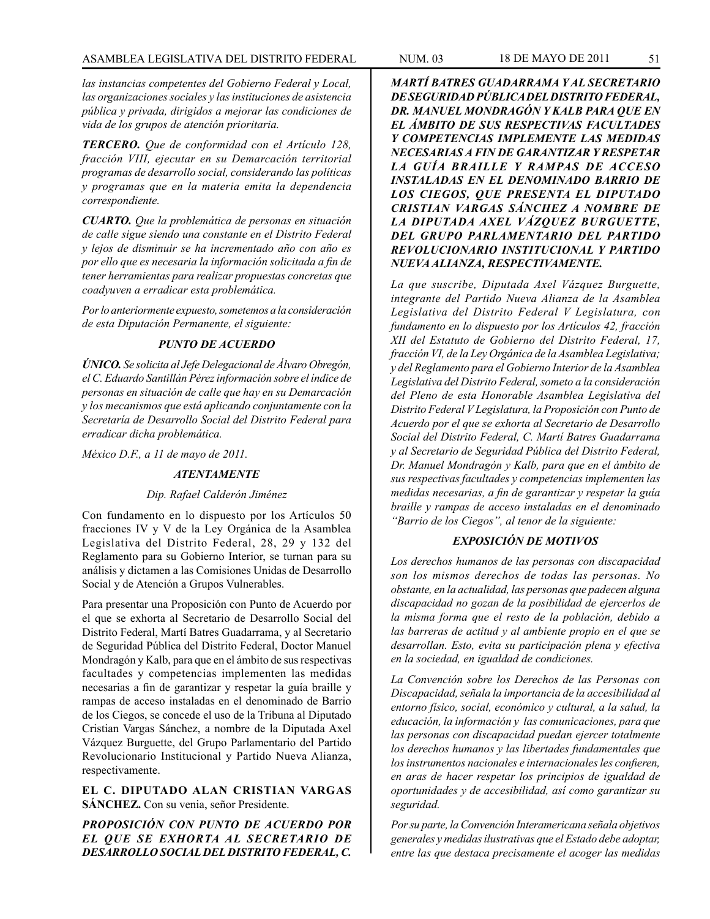## ASAMBLEA LEGISLATIVA DEL DISTRITO FEDERAL NUM. 03 18 DE MAYO DE 2011 51

*las instancias competentes del Gobierno Federal y Local, las organizaciones sociales y las instituciones de asistencia pública y privada, dirigidos a mejorar las condiciones de vida de los grupos de atención prioritaria.*

*TERCERO. Que de conformidad con el Artículo 128, fracción VIII, ejecutar en su Demarcación territorial programas de desarrollo social, considerando las políticas y programas que en la materia emita la dependencia correspondiente.* 

*CUARTO. Que la problemática de personas en situación de calle sigue siendo una constante en el Distrito Federal y lejos de disminuir se ha incrementado año con año es por ello que es necesaria la información solicitada a fin de tener herramientas para realizar propuestas concretas que coadyuven a erradicar esta problemática.*

*Por lo anteriormente expuesto, sometemos a la consideración de esta Diputación Permanente, el siguiente:* 

# *PUNTO DE ACUERDO*

*ÚNICO. Se solicita al Jefe Delegacional de Álvaro Obregón, el C. Eduardo Santillán Pérez información sobre el índice de personas en situación de calle que hay en su Demarcación y los mecanismos que está aplicando conjuntamente con la Secretaría de Desarrollo Social del Distrito Federal para erradicar dicha problemática.*

*México D.F., a 11 de mayo de 2011.*

#### *ATENTAMENTE*

#### *Dip. Rafael Calderón Jiménez*

Con fundamento en lo dispuesto por los Artículos 50 fracciones IV y V de la Ley Orgánica de la Asamblea Legislativa del Distrito Federal, 28, 29 y 132 del Reglamento para su Gobierno Interior, se turnan para su análisis y dictamen a las Comisiones Unidas de Desarrollo Social y de Atención a Grupos Vulnerables.

Para presentar una Proposición con Punto de Acuerdo por el que se exhorta al Secretario de Desarrollo Social del Distrito Federal, Martí Batres Guadarrama, y al Secretario de Seguridad Pública del Distrito Federal, Doctor Manuel Mondragón y Kalb, para que en el ámbito de sus respectivas facultades y competencias implementen las medidas necesarias a fin de garantizar y respetar la guía braille y rampas de acceso instaladas en el denominado de Barrio de los Ciegos, se concede el uso de la Tribuna al Diputado Cristian Vargas Sánchez, a nombre de la Diputada Axel Vázquez Burguette, del Grupo Parlamentario del Partido Revolucionario Institucional y Partido Nueva Alianza, respectivamente.

**EL C. DIPUTADO ALAN CRISTIAN VARGAS SÁNCHEZ.** Con su venia, señor Presidente.

*PROPOSICIÓN CON PUNTO DE ACUERDO POR EL QUE SE EXHORTA AL SECRETARIO DE DESARROLLO SOCIAL DEL DISTRITO FEDERAL, C.* 

*MARTÍ BATRES GUADARRAMA Y AL SECRETARIO DE SEGURIDAD PÚBLICA DEL DISTRITO FEDERAL, DR. MANUEL MONDRAGÓN Y KALB PARA QUE EN EL ÁMBITO DE SUS RESPECTIVAS FACULTADES Y COMPETENCIAS IMPLEMENTE LAS MEDIDAS NECESARIAS A FIN DE GARANTIZAR Y RESPETAR LA GUÍA BRAILLE Y RAMPAS DE ACCESO INSTALADAS EN EL DENOMINADO BARRIO DE LOS CIEGOS, QUE PRESENTA EL DIPUTADO CRISTIAN VARGAS SÁNCHEZ A NOMBRE DE LA DIPUTADA AXEL VÁZQUEZ BURGUETTE, DEL GRUPO PARLAMENTARIO DEL PARTIDO REVOLUCIONARIO INSTITUCIONAL Y PARTIDO NUEVA ALIANZA, RESPECTIVAMENTE.*

*La que suscribe, Diputada Axel Vázquez Burguette, integrante del Partido Nueva Alianza de la Asamblea Legislativa del Distrito Federal V Legislatura, con fundamento en lo dispuesto por los Artículos 42, fracción XII del Estatuto de Gobierno del Distrito Federal, 17, fracción VI, de la Ley Orgánica de la Asamblea Legislativa; y del Reglamento para el Gobierno Interior de la Asamblea Legislativa del Distrito Federal, someto a la consideración del Pleno de esta Honorable Asamblea Legislativa del Distrito Federal V Legislatura, la Proposición con Punto de Acuerdo por el que se exhorta al Secretario de Desarrollo Social del Distrito Federal, C. Martí Batres Guadarrama y al Secretario de Seguridad Pública del Distrito Federal, Dr. Manuel Mondragón y Kalb, para que en el ámbito de sus respectivas facultades y competencias implementen las medidas necesarias, a fin de garantizar y respetar la guía braille y rampas de acceso instaladas en el denominado "Barrio de los Ciegos", al tenor de la siguiente:*

# *EXPOSICIÓN DE MOTIVOS*

*Los derechos humanos de las personas con discapacidad son los mismos derechos de todas las personas. No obstante, en la actualidad, las personas que padecen alguna discapacidad no gozan de la posibilidad de ejercerlos de la misma forma que el resto de la población, debido a las barreras de actitud y al ambiente propio en el que se desarrollan. Esto, evita su participación plena y efectiva en la sociedad, en igualdad de condiciones.*

*La Convención sobre los Derechos de las Personas con Discapacidad, señala la importancia de la accesibilidad al entorno físico, social, económico y cultural, a la salud, la educación, la información y las comunicaciones, para que las personas con discapacidad puedan ejercer totalmente los derechos humanos y las libertades fundamentales que los instrumentos nacionales e internacionales les confieren, en aras de hacer respetar los principios de igualdad de oportunidades y de accesibilidad, así como garantizar su seguridad.* 

*Por su parte, la Convención Interamericana señala objetivos generales y medidas ilustrativas que el Estado debe adoptar, entre las que destaca precisamente el acoger las medidas*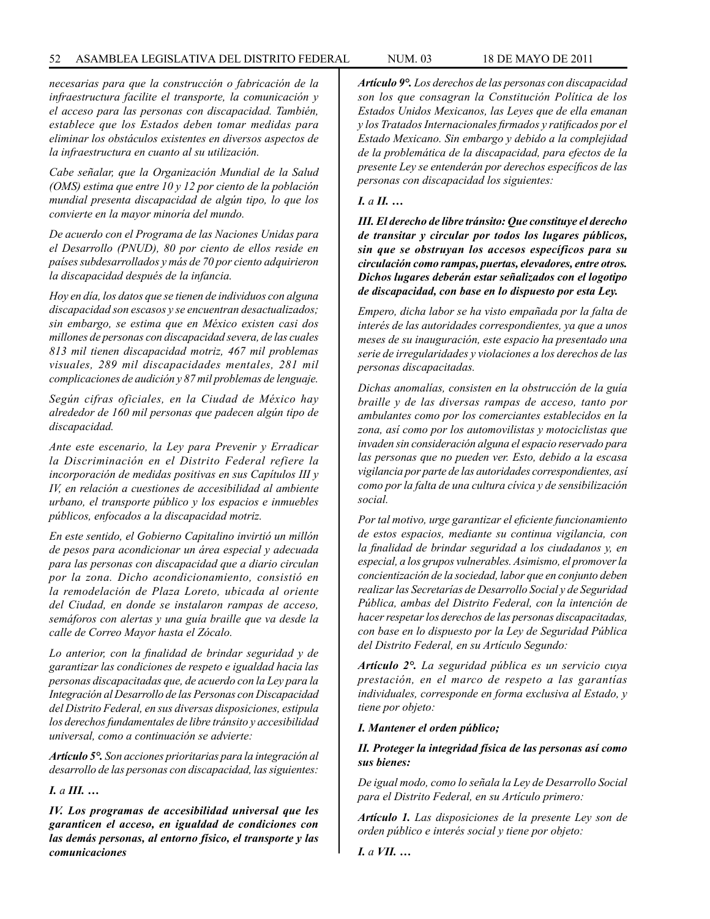*necesarias para que la construcción o fabricación de la infraestructura facilite el transporte, la comunicación y el acceso para las personas con discapacidad. También, establece que los Estados deben tomar medidas para eliminar los obstáculos existentes en diversos aspectos de la infraestructura en cuanto al su utilización.*

*Cabe señalar, que la Organización Mundial de la Salud (OMS) estima que entre 10 y 12 por ciento de la población mundial presenta discapacidad de algún tipo, lo que los convierte en la mayor minoría del mundo.* 

*De acuerdo con el Programa de las Naciones Unidas para el Desarrollo (PNUD), 80 por ciento de ellos reside en países subdesarrollados y más de 70 por ciento adquirieron la discapacidad después de la infancia.* 

*Hoy en día, los datos que se tienen de individuos con alguna discapacidad son escasos y se encuentran desactualizados; sin embargo, se estima que en México existen casi dos millones de personas con discapacidad severa, de las cuales 813 mil tienen discapacidad motriz, 467 mil problemas visuales, 289 mil discapacidades mentales, 281 mil complicaciones de audición y 87 mil problemas de lenguaje.*

*Según cifras oficiales, en la Ciudad de México hay alrededor de 160 mil personas que padecen algún tipo de discapacidad.* 

*Ante este escenario, la Ley para Prevenir y Erradicar la Discriminación en el Distrito Federal refiere la incorporación de medidas positivas en sus Capítulos III y IV, en relación a cuestiones de accesibilidad al ambiente urbano, el transporte público y los espacios e inmuebles públicos, enfocados a la discapacidad motriz.* 

*En este sentido, el Gobierno Capitalino invirtió un millón de pesos para acondicionar un área especial y adecuada para las personas con discapacidad que a diario circulan por la zona. Dicho acondicionamiento, consistió en la remodelación de Plaza Loreto, ubicada al oriente del Ciudad, en donde se instalaron rampas de acceso, semáforos con alertas y una guía braille que va desde la calle de Correo Mayor hasta el Zócalo.*

*Lo anterior, con la finalidad de brindar seguridad y de garantizar las condiciones de respeto e igualdad hacia las personas discapacitadas que, de acuerdo con la Ley para la Integración al Desarrollo de las Personas con Discapacidad del Distrito Federal, en sus diversas disposiciones, estipula los derechos fundamentales de libre tránsito y accesibilidad universal, como a continuación se advierte:*

*Artículo 5°. Son acciones prioritarias para la integración al desarrollo de las personas con discapacidad, las siguientes:*

*I. a III. …*

*IV. Los programas de accesibilidad universal que les garanticen el acceso, en igualdad de condiciones con las demás personas, al entorno físico, el transporte y las comunicaciones*

*Artículo 9°. Los derechos de las personas con discapacidad son los que consagran la Constitución Política de los Estados Unidos Mexicanos, las Leyes que de ella emanan y los Tratados Internacionales firmados y ratificados por el Estado Mexicano. Sin embargo y debido a la complejidad de la problemática de la discapacidad, para efectos de la presente Ley se entenderán por derechos específicos de las personas con discapacidad los siguientes:*

#### *I. a II. …*

*III. El derecho de libre tránsito: Que constituye el derecho de transitar y circular por todos los lugares públicos, sin que se obstruyan los accesos específicos para su circulación como rampas, puertas, elevadores, entre otros. Dichos lugares deberán estar señalizados con el logotipo de discapacidad, con base en lo dispuesto por esta Ley.*

*Empero, dicha labor se ha visto empañada por la falta de interés de las autoridades correspondientes, ya que a unos meses de su inauguración, este espacio ha presentado una serie de irregularidades y violaciones a los derechos de las personas discapacitadas.*

*Dichas anomalías, consisten en la obstrucción de la guía braille y de las diversas rampas de acceso, tanto por ambulantes como por los comerciantes establecidos en la zona, así como por los automovilistas y motociclistas que invaden sin consideración alguna el espacio reservado para las personas que no pueden ver. Esto, debido a la escasa vigilancia por parte de las autoridades correspondientes, así como por la falta de una cultura cívica y de sensibilización social.*

*Por tal motivo, urge garantizar el eficiente funcionamiento de estos espacios, mediante su continua vigilancia, con la finalidad de brindar seguridad a los ciudadanos y, en especial, a los grupos vulnerables. Asimismo, el promover la concientización de la sociedad, labor que en conjunto deben realizar las Secretarías de Desarrollo Social y de Seguridad Pública, ambas del Distrito Federal, con la intención de hacer respetar los derechos de las personas discapacitadas, con base en lo dispuesto por la Ley de Seguridad Pública del Distrito Federal, en su Artículo Segundo:*

*Artículo 2°. La seguridad pública es un servicio cuya prestación, en el marco de respeto a las garantías individuales, corresponde en forma exclusiva al Estado, y tiene por objeto:*

#### *I. Mantener el orden público;*

### *II. Proteger la integridad física de las personas así como sus bienes:*

*De igual modo, como lo señala la Ley de Desarrollo Social para el Distrito Federal, en su Artículo primero:*

*Artículo 1. Las disposiciones de la presente Ley son de orden público e interés social y tiene por objeto:*

*I. a VII. …*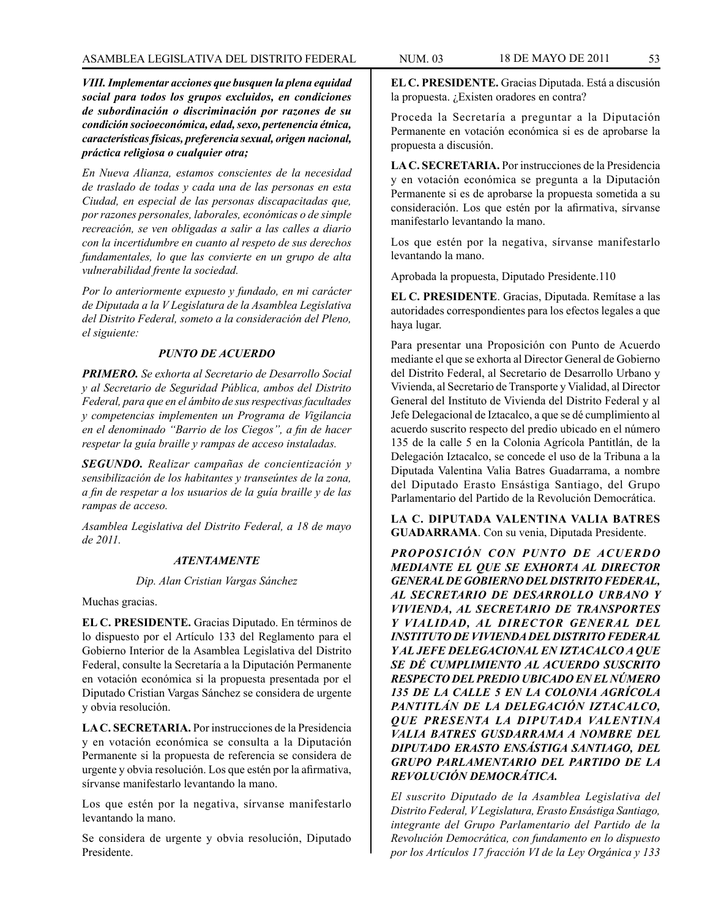*VIII. Implementar acciones que busquen la plena equidad social para todos los grupos excluidos, en condiciones de subordinación o discriminación por razones de su condición socioeconómica, edad, sexo, pertenencia étnica, características físicas, preferencia sexual, origen nacional, práctica religiosa o cualquier otra;*

*En Nueva Alianza, estamos conscientes de la necesidad de traslado de todas y cada una de las personas en esta Ciudad, en especial de las personas discapacitadas que, por razones personales, laborales, económicas o de simple recreación, se ven obligadas a salir a las calles a diario con la incertidumbre en cuanto al respeto de sus derechos fundamentales, lo que las convierte en un grupo de alta vulnerabilidad frente la sociedad.*

*Por lo anteriormente expuesto y fundado, en mi carácter de Diputada a la V Legislatura de la Asamblea Legislativa del Distrito Federal, someto a la consideración del Pleno, el siguiente:*

### *PUNTO DE ACUERDO*

*PRIMERO. Se exhorta al Secretario de Desarrollo Social y al Secretario de Seguridad Pública, ambos del Distrito Federal, para que en el ámbito de sus respectivas facultades y competencias implementen un Programa de Vigilancia en el denominado "Barrio de los Ciegos", a fin de hacer respetar la guía braille y rampas de acceso instaladas.*

*SEGUNDO. Realizar campañas de concientización y sensibilización de los habitantes y transeúntes de la zona, a fin de respetar a los usuarios de la guía braille y de las rampas de acceso.*

*Asamblea Legislativa del Distrito Federal, a 18 de mayo de 2011.*

### *ATENTAMENTE*

#### *Dip. Alan Cristian Vargas Sánchez*

Muchas gracias.

**EL C. PRESIDENTE.** Gracias Diputado. En términos de lo dispuesto por el Artículo 133 del Reglamento para el Gobierno Interior de la Asamblea Legislativa del Distrito Federal, consulte la Secretaría a la Diputación Permanente en votación económica si la propuesta presentada por el Diputado Cristian Vargas Sánchez se considera de urgente y obvia resolución.

**LA C. SECRETARIA.** Por instrucciones de la Presidencia y en votación económica se consulta a la Diputación Permanente si la propuesta de referencia se considera de urgente y obvia resolución. Los que estén por la afirmativa, sírvanse manifestarlo levantando la mano.

Los que estén por la negativa, sírvanse manifestarlo levantando la mano.

Se considera de urgente y obvia resolución, Diputado Presidente.

**EL C. PRESIDENTE.** Gracias Diputada. Está a discusión la propuesta. ¿Existen oradores en contra?

Proceda la Secretaría a preguntar a la Diputación Permanente en votación económica si es de aprobarse la propuesta a discusión.

**LA C. SECRETARIA.** Por instrucciones de la Presidencia y en votación económica se pregunta a la Diputación Permanente si es de aprobarse la propuesta sometida a su consideración. Los que estén por la afirmativa, sírvanse manifestarlo levantando la mano.

Los que estén por la negativa, sírvanse manifestarlo levantando la mano.

Aprobada la propuesta, Diputado Presidente.110

**EL C. PRESIDENTE**. Gracias, Diputada. Remítase a las autoridades correspondientes para los efectos legales a que haya lugar.

Para presentar una Proposición con Punto de Acuerdo mediante el que se exhorta al Director General de Gobierno del Distrito Federal, al Secretario de Desarrollo Urbano y Vivienda, al Secretario de Transporte y Vialidad, al Director General del Instituto de Vivienda del Distrito Federal y al Jefe Delegacional de Iztacalco, a que se dé cumplimiento al acuerdo suscrito respecto del predio ubicado en el número 135 de la calle 5 en la Colonia Agrícola Pantitlán, de la Delegación Iztacalco, se concede el uso de la Tribuna a la Diputada Valentina Valia Batres Guadarrama, a nombre del Diputado Erasto Ensástiga Santiago, del Grupo Parlamentario del Partido de la Revolución Democrática.

**LA C. DIPUTADA VALENTINA VALIA BATRES GUADARRAMA**. Con su venia, Diputada Presidente.

*PROPOSICIÓN CON PUNTO DE ACUERDO MEDIANTE EL QUE SE EXHORTA AL DIRECTOR GENERAL DE GOBIERNO DEL DISTRITO FEDERAL, AL SECRETARIO DE DESARROLLO URBANO Y VIVIENDA, AL SECRETARIO DE TRANSPORTES Y VIALIDAD, AL DIRECTOR GENERAL DEL INSTITUTO DE VIVIENDA DEL DISTRITO FEDERAL Y AL JEFE DELEGACIONAL EN IZTACALCO A QUE SE DÉ CUMPLIMIENTO AL ACUERDO SUSCRITO RESPECTO DEL PREDIO UBICADO EN EL NÚMERO 135 DE LA CALLE 5 EN LA COLONIA AGRÍCOLA PANTITLÁN DE LA DELEGACIÓN IZTACALCO, QUE PRESENTA LA DIPUTADA VALENTINA VALIA BATRES GUSDARRAMA A NOMBRE DEL DIPUTADO ERASTO ENSÁSTIGA SANTIAGO, DEL GRUPO PARLAMENTARIO DEL PARTIDO DE LA REVOLUCIÓN DEMOCRÁTICA.*

*El suscrito Diputado de la Asamblea Legislativa del Distrito Federal, V Legislatura, Erasto Ensástiga Santiago, integrante del Grupo Parlamentario del Partido de la Revolución Democrática, con fundamento en lo dispuesto por los Artículos 17 fracción VI de la Ley Orgánica y 133*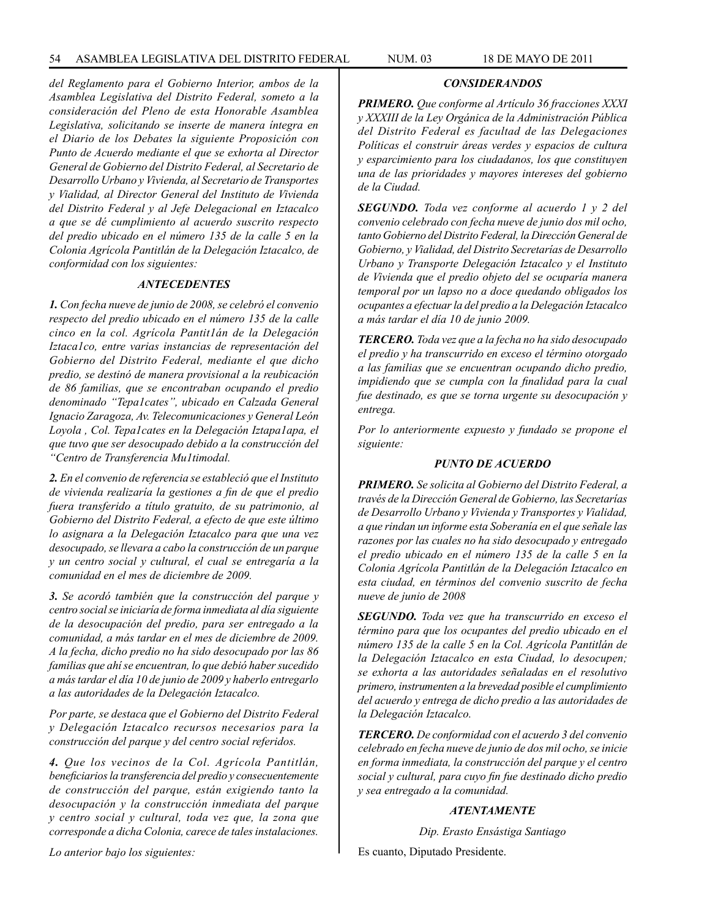*del Reglamento para el Gobierno Interior, ambos de la Asamblea Legislativa del Distrito Federal, someto a la consideración del Pleno de esta Honorable Asamblea Legislativa, solicitando se inserte de manera íntegra en el Diario de los Debates la siguiente Proposición con Punto de Acuerdo mediante el que se exhorta al Director General de Gobierno del Distrito Federal, al Secretario de Desarrollo Urbano y Vivienda, al Secretario de Transportes y Vialidad, al Director General del Instituto de Vivienda del Distrito Federal y al Jefe Delegacional en Iztacalco a que se dé cumplimiento al acuerdo suscrito respecto del predio ubicado en el número 135 de la calle 5 en la Colonia Agrícola Pantitlán de la Delegación Iztacalco, de conformidad con los siguientes:*

#### *ANTECEDENTES*

*1. Con fecha nueve de junio de 2008, se celebró el convenio respecto del predio ubicado en el número 135 de la calle cinco en la col. Agrícola Pantit1án de la Delegación Iztaca1co, entre varias instancias de representación del Gobierno del Distrito Federal, mediante el que dicho predio, se destinó de manera provisional a la reubicación de 86 familias, que se encontraban ocupando el predio denominado "Tepa1cates", ubicado en Calzada General Ignacio Zaragoza, Av. Telecomunicaciones y General León Loyola , Col. Tepa1cates en la Delegación Iztapa1apa, el que tuvo que ser desocupado debido a la construcción del "Centro de Transferencia Mu1timodal.*

*2. En el convenio de referencia se estableció que el Instituto de vivienda realizaría la gestiones a fin de que el predio fuera transferido a título gratuito, de su patrimonio, al Gobierno del Distrito Federal, a efecto de que este último lo asignara a la Delegación Iztacalco para que una vez desocupado, se llevara a cabo la construcción de un parque y un centro social y cultural, el cual se entregaría a la comunidad en el mes de diciembre de 2009.*

*3. Se acordó también que la construcción del parque y centro social se iniciaría de forma inmediata al día siguiente de la desocupación del predio, para ser entregado a la comunidad, a más tardar en el mes de diciembre de 2009. A la fecha, dicho predio no ha sido desocupado por las 86 familias que ahí se encuentran, lo que debió haber sucedido a más tardar el día 10 de junio de 2009 y haberlo entregarlo a las autoridades de la Delegación Iztacalco.*

*Por parte, se destaca que el Gobierno del Distrito Federal y Delegación Iztacalco recursos necesarios para la construcción del parque y del centro social referidos.*

*4. Que los vecinos de la Col. Agrícola Pantitlán, beneficiarios la transferencia del predio y consecuentemente de construcción del parque, están exigiendo tanto la desocupación y la construcción inmediata del parque y centro social y cultural, toda vez que, la zona que corresponde a dicha Colonia, carece de tales instalaciones.*

*PRIMERO. Que conforme al Artículo 36 fracciones XXXI y XXXIII de la Ley Orgánica de la Administración Pública del Distrito Federal es facultad de las Delegaciones Políticas el construir áreas verdes y espacios de cultura y esparcimiento para los ciudadanos, los que constituyen una de las prioridades y mayores intereses del gobierno de la Ciudad.* 

*CONSIDERANDOS*

*SEGUNDO. Toda vez conforme al acuerdo 1 y 2 del convenio celebrado con fecha nueve de junio dos mil ocho, tanto Gobierno del Distrito Federal, la Dirección General de Gobierno, y Vialidad, del Distrito Secretarías de Desarrollo Urbano y Transporte Delegación Iztacalco y el Instituto de Vivienda que el predio objeto del se ocuparía manera temporal por un lapso no a doce quedando obligados los ocupantes a efectuar la del predio a la Delegación Iztacalco a más tardar el día 10 de junio 2009.*

*TERCERO. Toda vez que a la fecha no ha sido desocupado el predio y ha transcurrido en exceso el término otorgado a las familias que se encuentran ocupando dicho predio, impidiendo que se cumpla con la finalidad para la cual fue destinado, es que se torna urgente su desocupación y entrega.*

*Por lo anteriormente expuesto y fundado se propone el siguiente:*

#### *PUNTO DE ACUERDO*

*PRIMERO. Se solicita al Gobierno del Distrito Federal, a través de la Dirección General de Gobierno, las Secretarías de Desarrollo Urbano y Vivienda y Transportes y Vialidad, a que rindan un informe esta Soberanía en el que señale las razones por las cuales no ha sido desocupado y entregado el predio ubicado en el número 135 de la calle 5 en la Colonia Agrícola Pantitlán de la Delegación Iztacalco en esta ciudad, en términos del convenio suscrito de fecha nueve de junio de 2008*

*SEGUNDO. Toda vez que ha transcurrido en exceso el término para que los ocupantes del predio ubicado en el número 135 de la calle 5 en la Col. Agrícola Pantitlán de la Delegación Iztacalco en esta Ciudad, lo desocupen; se exhorta a las autoridades señaladas en el resolutivo primero, instrumenten a la brevedad posible el cumplimiento del acuerdo y entrega de dicho predio a las autoridades de la Delegación Iztacalco.*

*TERCERO. De conformidad con el acuerdo 3 del convenio celebrado en fecha nueve de junio de dos mil ocho, se inicie en forma inmediata, la construcción del parque y el centro social y cultural, para cuyo fin fue destinado dicho predio y sea entregado a la comunidad.*

#### *ATENTAMENTE*

*Dip. Erasto Ensástiga Santiago*

Es cuanto, Diputado Presidente.

*Lo anterior bajo los siguientes:*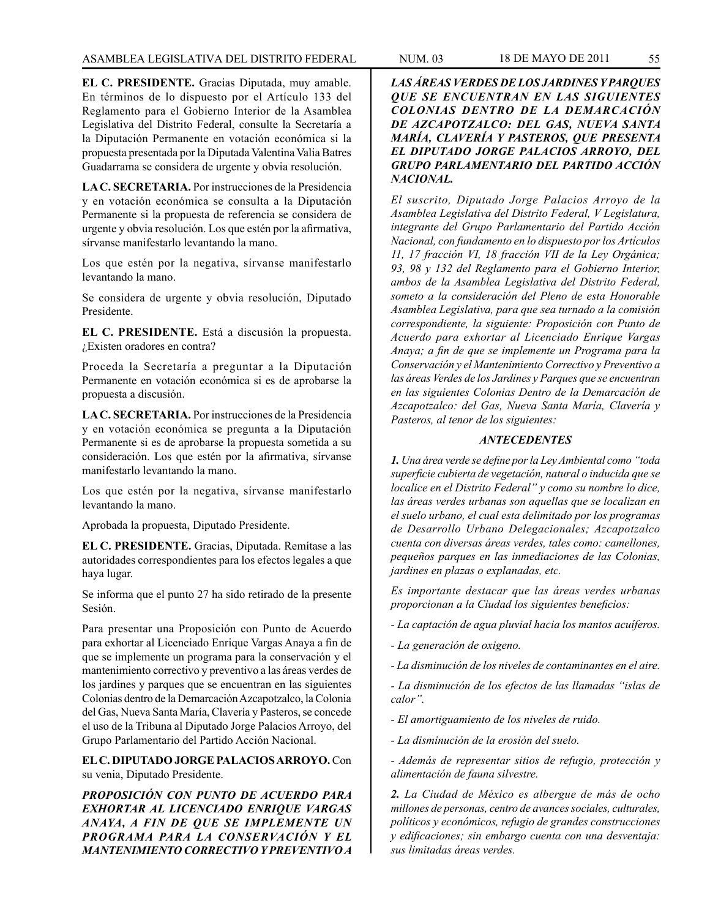**EL C. PRESIDENTE.** Gracias Diputada, muy amable. En términos de lo dispuesto por el Artículo 133 del Reglamento para el Gobierno Interior de la Asamblea Legislativa del Distrito Federal, consulte la Secretaría a la Diputación Permanente en votación económica si la propuesta presentada por la Diputada Valentina Valia Batres Guadarrama se considera de urgente y obvia resolución.

**LA C. SECRETARIA.** Por instrucciones de la Presidencia y en votación económica se consulta a la Diputación Permanente si la propuesta de referencia se considera de urgente y obvia resolución. Los que estén por la afirmativa, sírvanse manifestarlo levantando la mano.

Los que estén por la negativa, sírvanse manifestarlo levantando la mano.

Se considera de urgente y obvia resolución, Diputado Presidente.

**EL C. PRESIDENTE.** Está a discusión la propuesta. ¿Existen oradores en contra?

Proceda la Secretaría a preguntar a la Diputación Permanente en votación económica si es de aprobarse la propuesta a discusión.

**LA C. SECRETARIA.** Por instrucciones de la Presidencia y en votación económica se pregunta a la Diputación Permanente si es de aprobarse la propuesta sometida a su consideración. Los que estén por la afirmativa, sírvanse manifestarlo levantando la mano.

Los que estén por la negativa, sírvanse manifestarlo levantando la mano.

Aprobada la propuesta, Diputado Presidente.

**EL C. PRESIDENTE.** Gracias, Diputada. Remítase a las autoridades correspondientes para los efectos legales a que haya lugar.

Se informa que el punto 27 ha sido retirado de la presente Sesión.

Para presentar una Proposición con Punto de Acuerdo para exhortar al Licenciado Enrique Vargas Anaya a fin de que se implemente un programa para la conservación y el mantenimiento correctivo y preventivo a las áreas verdes de los jardines y parques que se encuentran en las siguientes Colonias dentro de la Demarcación Azcapotzalco, la Colonia del Gas, Nueva Santa María, Clavería y Pasteros, se concede el uso de la Tribuna al Diputado Jorge Palacios Arroyo, del Grupo Parlamentario del Partido Acción Nacional.

**EL C. DIPUTADO JORGE PALACIOS ARROYO.** Con su venia, Diputado Presidente.

*PROPOSICIÓN CON PUNTO DE ACUERDO PARA EXHORTAR AL LICENCIADO ENRIQUE VARGAS ANAYA, A FIN DE QUE SE IMPLEMENTE UN PROGRAMA PARA LA CONSERVACIÓN Y EL MANTENIMIENTO CORRECTIVO Y PREVENTIVO A* 

*LAS ÁREAS VERDES DE LOS JARDINES Y PARQUES QUE SE ENCUENTRAN EN LAS SIGUIENTES COLONIAS DENTRO DE LA DEMARCACIÓN DE AZCAPOTZALCO: DEL GAS, NUEVA SANTA MARÍA, CLAVERÍA Y PASTEROS, QUE PRESENTA EL DIPUTADO JORGE PALACIOS ARROYO, DEL GRUPO PARLAMENTARIO DEL PARTIDO ACCIÓN NACIONAL.*

*El suscrito, Diputado Jorge Palacios Arroyo de la Asamblea Legislativa del Distrito Federal, V Legislatura, integrante del Grupo Parlamentario del Partido Acción Nacional, con fundamento en lo dispuesto por los Artículos 11, 17 fracción VI, 18 fracción VII de la Ley Orgánica; 93, 98 y 132 del Reglamento para el Gobierno Interior, ambos de la Asamblea Legislativa del Distrito Federal, someto a la consideración del Pleno de esta Honorable Asamblea Legislativa, para que sea turnado a la comisión correspondiente, la siguiente: Proposición con Punto de Acuerdo para exhortar al Licenciado Enrique Vargas Anaya; a fin de que se implemente un Programa para la Conservación y el Mantenimiento Correctivo y Preventivo a las áreas Verdes de los Jardines y Parques que se encuentran en las siguientes Colonias Dentro de la Demarcación de Azcapotzalco: del Gas, Nueva Santa María, Clavería y Pasteros, al tenor de los siguientes:*

### *ANTECEDENTES*

*1. Una área verde se define por la Ley Ambiental como "toda superficie cubierta de vegetación, natural o inducida que se localice en el Distrito Federal" y como su nombre lo dice, las áreas verdes urbanas son aquellas que se localizan en el suelo urbano, el cual esta delimitado por los programas de Desarrollo Urbano Delegacionales; Azcapotzalco cuenta con diversas áreas verdes, tales como: camellones, pequeños parques en las inmediaciones de las Colonias, jardines en plazas o explanadas, etc.*

*Es importante destacar que las áreas verdes urbanas proporcionan a la Ciudad los siguientes beneficios:*

*- La captación de agua pluvial hacia los mantos acuíferos.*

*- La generación de oxigeno.*

*- La disminución de los niveles de contaminantes en el aire.*

*- La disminución de los efectos de las llamadas "islas de calor".*

*- El amortiguamiento de los niveles de ruido.*

*- La disminución de la erosión del suelo.*

*- Además de representar sitios de refugio, protección y alimentación de fauna silvestre.*

*2. La Ciudad de México es albergue de más de ocho millones de personas, centro de avances sociales, culturales, políticos y económicos, refugio de grandes construcciones y edificaciones; sin embargo cuenta con una desventaja: sus limitadas áreas verdes.*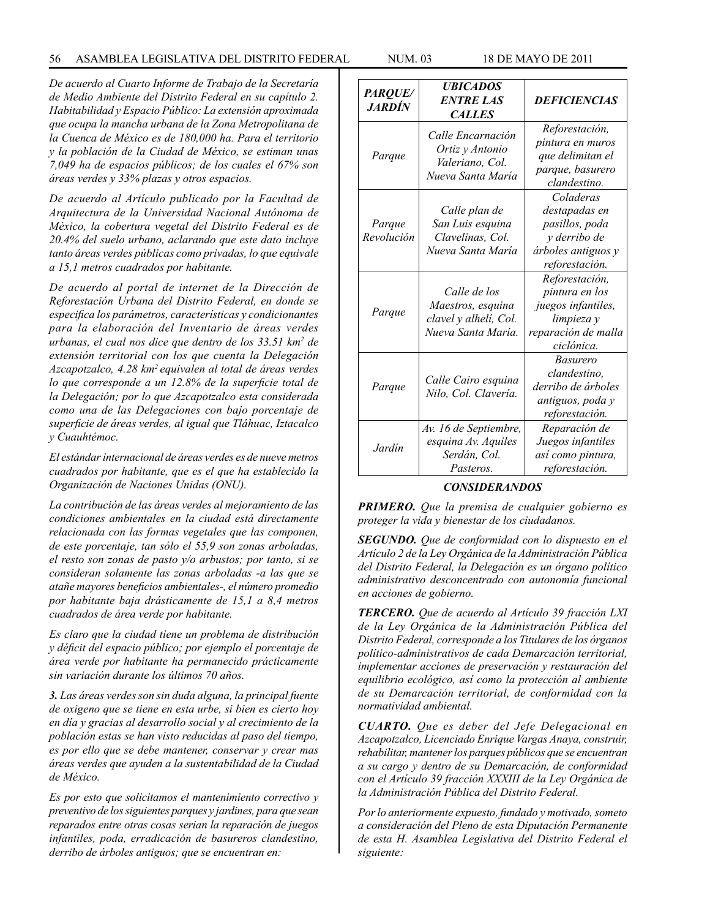#### 56 ASAMBLEA LEGISLATIVA DEL DISTRITO FEDERAL NUM. 03 18 de MAYO de 2011

*De acuerdo al Cuarto Informe de Trabajo de la Secretaría de Medio Ambiente del Distrito Federal en su capítulo 2. Habitabilidad y Espacio Público: La extensión aproximada que ocupa la mancha urbana de la Zona Metropolitana de la Cuenca de México es de 180,000 ha. Para el territorio y la población de la Ciudad de México, se estiman unas 7,049 ha de espacios públicos; de los cuales el 67% son áreas verdes y 33% plazas y otros espacios.*

*De acuerdo al Artículo publicado por la Facultad de Arquitectura de la Universidad Nacional Autónoma de México, la cobertura vegetal del Distrito Federal es de 20.4% del suelo urbano, aclarando que este dato incluye tanto áreas verdes públicas como privadas, lo que equivale a 15,1 metros cuadrados por habitante.*

*De acuerdo al portal de internet de la Dirección de Reforestación Urbana del Distrito Federal, en donde se especifica los parámetros, características y condicionantes para la elaboración del Inventario de áreas verdes urbanas, el cual nos dice que dentro de los 33.51 km2 de extensión territorial con los que cuenta la Delegación Azcapotzalco, 4.28 km2 equivalen al total de áreas verdes lo que corresponde a un 12.8% de la superficie total de la Delegación; por lo que Azcapotzalco esta considerada como una de las Delegaciones con bajo porcentaje de superficie de áreas verdes, al igual que Tláhuac, Iztacalco y Cuauhtémoc.*

*El estándar internacional de áreas verdes es de nueve metros cuadrados por habitante, que es el que ha establecido la Organización de Naciones Unidas (ONU).*

*La contribución de las áreas verdes al mejoramiento de las condiciones ambientales en la ciudad está directamente relacionada con las formas vegetales que las componen, de este porcentaje, tan sólo el 55,9 son zonas arboladas, el resto son zonas de pasto y/o arbustos; por tanto, si se consideran solamente las zonas arboladas -a las que se atañe mayores beneficios ambientales-, el número promedio por habitante baja drásticamente de 15,1 a 8,4 metros cuadrados de área verde por habitante.*

*Es claro que la ciudad tiene un problema de distribución y déficit del espacio público; por ejemplo el porcentaje de área verde por habitante ha permanecido prácticamente sin variación durante los últimos 70 años.*

*3. Las áreas verdes son sin duda alguna, la principal fuente de oxigeno que se tiene en esta urbe, si bien es cierto hoy en día y gracias al desarrollo social y al crecimiento de la población estas se han visto reducidas al paso del tiempo, es por ello que se debe mantener, conservar y crear mas áreas verdes que ayuden a la sustentabilidad de la Ciudad de México.*

*Es por esto que solicitamos el mantenimiento correctivo y preventivo de los siguientes parques y jardines, para que sean reparados entre otras cosas serian la reparación de juegos infantiles, poda, erradicación de basureros clandestino, derribo de árboles antiguos; que se encuentran en:*

| PARQUE/<br><i><b>JARDÍN</b></i> | <b>UBICADOS</b><br><b>ENTRE LAS</b><br><b>CALLES</b>                             | <b>DEFICIENCIAS</b>                                                                                       |
|---------------------------------|----------------------------------------------------------------------------------|-----------------------------------------------------------------------------------------------------------|
| Parque                          | Calle Encarnación<br>Ortiz y Antonio<br>Valeriano, Col.<br>Nueva Santa María     | Reforestación,<br>pintura en muros<br>que delimitan el<br>parque, basurero<br>clandestino.                |
| Parque<br>Revolución            | Calle plan de<br>San Luis esquina<br>Clavelinas, Col.<br>Nueva Santa María       | Coladeras<br>destapadas en<br>pasillos, poda<br>y derribo de<br>árboles antiguos y<br>reforestación.      |
| Parque                          | Calle de los<br>Maestros, esquina<br>clavel y alhelí, Col.<br>Nueva Santa María. | Reforestación,<br>pintura en los<br>juegos infantiles,<br>limpieza y<br>reparación de malla<br>ciclónica. |
| Parque                          | Calle Cairo esquina<br>Nilo, Col. Clavería.                                      | <b>Basurero</b><br>clandestino,<br>derribo de árboles<br>antiguos, poda y<br>reforestación.               |
| Jardín                          | Av. 16 de Septiembre,<br>esquina Av. Aquiles<br>Serdán, Col.<br>Pasteros.        | Reparación de<br>Juegos infantiles<br>así como pintura,<br>reforestación.                                 |

#### *CONSIDERANDOS*

*PRIMERO. Que la premisa de cualquier gobierno es proteger la vida y bienestar de los ciudadanos.*

*SEGUNDO. Que de conformidad con lo dispuesto en el Artículo 2 de la Ley Orgánica de la Administración Pública del Distrito Federal, la Delegación es un órgano político administrativo desconcentrado con autonomía funcional en acciones de gobierno.*

*TERCERO. Que de acuerdo al Artículo 39 fracción LXI de la Ley Orgánica de la Administración Pública del Distrito Federal, corresponde a los Titulares de los órganos político-administrativos de cada Demarcación territorial, implementar acciones de preservación y restauración del equilibrio ecológico, así como la protección al ambiente de su Demarcación territorial, de conformidad con la normatividad ambiental.*

*CUARTO. Que es deber del Jefe Delegacional en Azcapotzalco, Licenciado Enrique Vargas Anaya, construir, rehabilitar, mantener los parques públicos que se encuentran a su cargo y dentro de su Demarcación, de conformidad con el Artículo 39 fracción XXXIII de la Ley Orgánica de la Administración Pública del Distrito Federal.*

*Por lo anteriormente expuesto, fundado y motivado, someto a consideración del Pleno de esta Diputación Permanente de esta H. Asamblea Legislativa del Distrito Federal el siguiente:*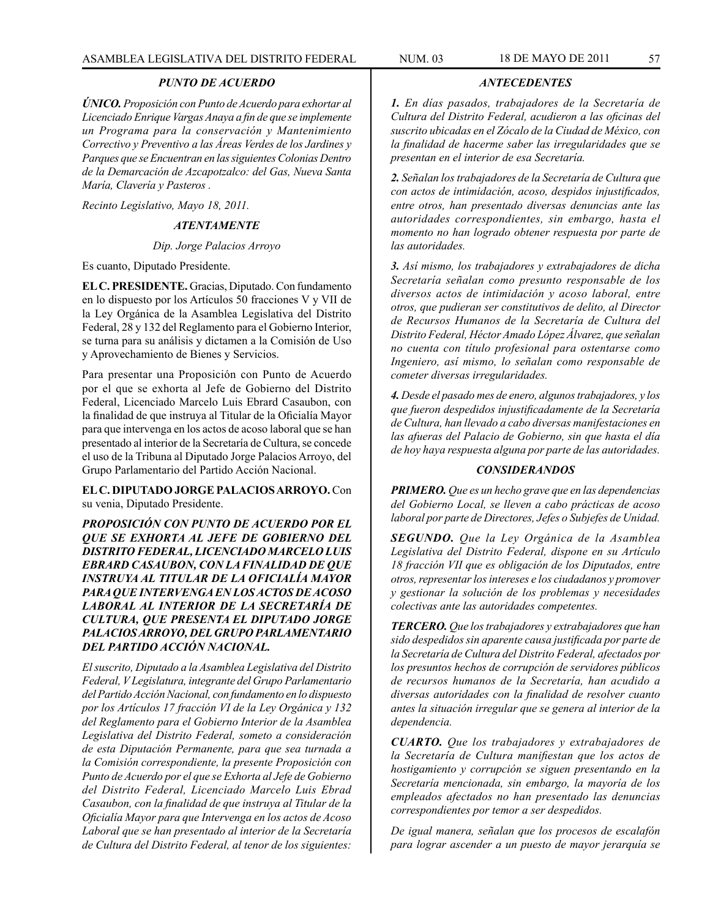### *PUNTO DE ACUERDO*

*ÚNICO. Proposición con Punto de Acuerdo para exhortar al Licenciado Enrique Vargas Anaya a fin de que se implemente un Programa para la conservación y Mantenimiento Correctivo y Preventivo a las Áreas Verdes de los Jardines y Parques que se Encuentran en las siguientes Colonias Dentro de la Demarcación de Azcapotzalco: del Gas, Nueva Santa María, Clavería y Pasteros .*

*Recinto Legislativo, Mayo 18, 2011.*

#### *ATENTAMENTE*

# *Dip. Jorge Palacios Arroyo*

Es cuanto, Diputado Presidente.

**EL C. PRESIDENTE.** Gracias, Diputado. Con fundamento en lo dispuesto por los Artículos 50 fracciones V y VII de la Ley Orgánica de la Asamblea Legislativa del Distrito Federal, 28 y 132 del Reglamento para el Gobierno Interior, se turna para su análisis y dictamen a la Comisión de Uso y Aprovechamiento de Bienes y Servicios.

Para presentar una Proposición con Punto de Acuerdo por el que se exhorta al Jefe de Gobierno del Distrito Federal, Licenciado Marcelo Luis Ebrard Casaubon, con la finalidad de que instruya al Titular de la Oficialía Mayor para que intervenga en los actos de acoso laboral que se han presentado al interior de la Secretaría de Cultura, se concede el uso de la Tribuna al Diputado Jorge Palacios Arroyo, del Grupo Parlamentario del Partido Acción Nacional.

**EL C. DIPUTADO JORGE PALACIOS ARROYO.** Con su venia, Diputado Presidente.

*PROPOSICIÓN CON PUNTO DE ACUERDO POR EL QUE SE EXHORTA AL JEFE DE GOBIERNO DEL DISTRITO FEDERAL, LICENCIADO MARCELO LUIS EBRARD CASAUBON, CON LA FINALIDAD DE QUE INSTRUYA AL TITULAR DE LA OFICIALÍA MAYOR PARA QUE INTERVENGA EN LOS ACTOS DE ACOSO LABORAL AL INTERIOR DE LA SECRETARÍA DE CULTURA, QUE PRESENTA EL DIPUTADO JORGE PALACIOS ARROYO, DEL GRUPO PARLAMENTARIO DEL PARTIDO ACCIÓN NACIONAL.*

*El suscrito, Diputado a la Asamblea Legislativa del Distrito Federal, V Legislatura, integrante del Grupo Parlamentario del Partido Acción Nacional, con fundamento en lo dispuesto por los Artículos 17 fracción VI de la Ley Orgánica y 132 del Reglamento para el Gobierno Interior de la Asamblea Legislativa del Distrito Federal, someto a consideración de esta Diputación Permanente, para que sea turnada a la Comisión correspondiente, la presente Proposición con Punto de Acuerdo por el que se Exhorta al Jefe de Gobierno del Distrito Federal, Licenciado Marcelo Luis Ebrad Casaubon, con la finalidad de que instruya al Titular de la Oficialía Mayor para que Intervenga en los actos de Acoso Laboral que se han presentado al interior de la Secretaría de Cultura del Distrito Federal, al tenor de los siguientes:*

### *ANTECEDENTES*

*1. En días pasados, trabajadores de la Secretaría de Cultura del Distrito Federal, acudieron a las oficinas del suscrito ubicadas en el Zócalo de la Ciudad de México, con la finalidad de hacerme saber las irregularidades que se presentan en el interior de esa Secretaría.*

*2. Señalan los trabajadores de la Secretaría de Cultura que con actos de intimidación, acoso, despidos injustificados, entre otros, han presentado diversas denuncias ante las autoridades correspondientes, sin embargo, hasta el momento no han logrado obtener respuesta por parte de las autoridades.*

*3. Así mismo, los trabajadores y extrabajadores de dicha Secretaría señalan como presunto responsable de los diversos actos de intimidación y acoso laboral, entre otros, que pudieran ser constitutivos de delito, al Director de Recursos Humanos de la Secretaría de Cultura del Distrito Federal, Héctor Amado López Álvarez, que señalan no cuenta con título profesional para ostentarse como Ingeniero, así mismo, lo señalan como responsable de cometer diversas irregularidades.*

*4. Desde el pasado mes de enero, algunos trabajadores, y los que fueron despedidos injustificadamente de la Secretaría de Cultura, han llevado a cabo diversas manifestaciones en las afueras del Palacio de Gobierno, sin que hasta el día de hoy haya respuesta alguna por parte de las autoridades.*

#### *CONSIDERANDOS*

*PRIMERO. Que es un hecho grave que en las dependencias del Gobierno Local, se lleven a cabo prácticas de acoso laboral por parte de Directores, Jefes o Subjefes de Unidad.*

*SEGUNDO. Que la Ley Orgánica de la Asamblea Legislativa del Distrito Federal, dispone en su Artículo 18 fracción VII que es obligación de los Diputados, entre otros, representar los intereses e los ciudadanos y promover y gestionar la solución de los problemas y necesidades colectivas ante las autoridades competentes.*

*TERCERO. Que los trabajadores y extrabajadores que han sido despedidos sin aparente causa justificada por parte de la Secretaría de Cultura del Distrito Federal, afectados por los presuntos hechos de corrupción de servidores públicos de recursos humanos de la Secretaría, han acudido a diversas autoridades con la finalidad de resolver cuanto antes la situación irregular que se genera al interior de la dependencia.*

*CUARTO. Que los trabajadores y extrabajadores de la Secretaría de Cultura manifiestan que los actos de hostigamiento y corrupción se siguen presentando en la Secretaría mencionada, sin embargo, la mayoría de los empleados afectados no han presentado las denuncias correspondientes por temor a ser despedidos.*

*De igual manera, señalan que los procesos de escalafón para lograr ascender a un puesto de mayor jerarquía se*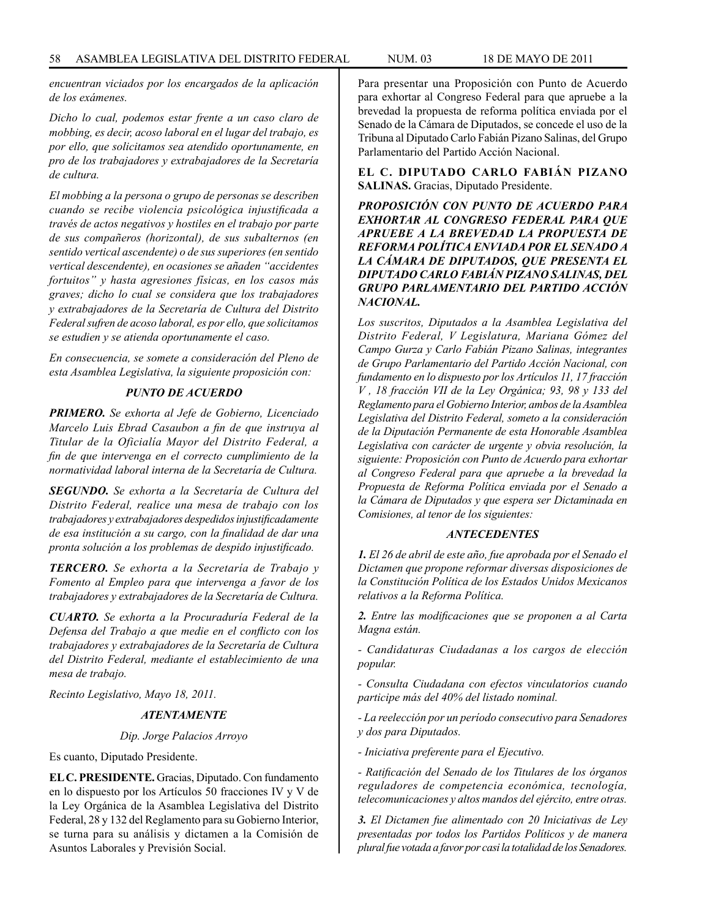*encuentran viciados por los encargados de la aplicación de los exámenes.*

*Dicho lo cual, podemos estar frente a un caso claro de mobbing, es decir, acoso laboral en el lugar del trabajo, es por ello, que solicitamos sea atendido oportunamente, en pro de los trabajadores y extrabajadores de la Secretaría de cultura.*

*El mobbing a la persona o grupo de personas se describen cuando se recibe violencia psicológica injustificada a través de actos negativos y hostiles en el trabajo por parte de sus compañeros (horizontal), de sus subalternos (en sentido vertical ascendente) o de sus superiores (en sentido vertical descendente), en ocasiones se añaden "accidentes fortuitos" y hasta agresiones físicas, en los casos más graves; dicho lo cual se considera que los trabajadores y extrabajadores de la Secretaría de Cultura del Distrito Federal sufren de acoso laboral, es por ello, que solicitamos se estudien y se atienda oportunamente el caso.*

*En consecuencia, se somete a consideración del Pleno de esta Asamblea Legislativa, la siguiente proposición con:*

## *PUNTO DE ACUERDO*

*PRIMERO. Se exhorta al Jefe de Gobierno, Licenciado Marcelo Luis Ebrad Casaubon a fin de que instruya al Titular de la Oficialía Mayor del Distrito Federal, a fin de que intervenga en el correcto cumplimiento de la normatividad laboral interna de la Secretaría de Cultura.*

*SEGUNDO. Se exhorta a la Secretaría de Cultura del Distrito Federal, realice una mesa de trabajo con los trabajadores y extrabajadores despedidos injustificadamente de esa institución a su cargo, con la finalidad de dar una pronta solución a los problemas de despido injustificado.*

*TERCERO. Se exhorta a la Secretaría de Trabajo y Fomento al Empleo para que intervenga a favor de los trabajadores y extrabajadores de la Secretaría de Cultura.*

*CUARTO. Se exhorta a la Procuraduría Federal de la Defensa del Trabajo a que medie en el conflicto con los trabajadores y extrabajadores de la Secretaría de Cultura del Distrito Federal, mediante el establecimiento de una mesa de trabajo.*

*Recinto Legislativo, Mayo 18, 2011.*

# *ATENTAMENTE*

### *Dip. Jorge Palacios Arroyo*

Es cuanto, Diputado Presidente.

**EL C. PRESIDENTE.** Gracias, Diputado. Con fundamento en lo dispuesto por los Artículos 50 fracciones IV y V de la Ley Orgánica de la Asamblea Legislativa del Distrito Federal, 28 y 132 del Reglamento para su Gobierno Interior, se turna para su análisis y dictamen a la Comisión de Asuntos Laborales y Previsión Social.

Para presentar una Proposición con Punto de Acuerdo para exhortar al Congreso Federal para que apruebe a la brevedad la propuesta de reforma política enviada por el Senado de la Cámara de Diputados, se concede el uso de la Tribuna al Diputado Carlo Fabián Pizano Salinas, del Grupo Parlamentario del Partido Acción Nacional.

**EL C. DIPUTADO CARLO FABIÁN PIZANO SALINAS.** Gracias, Diputado Presidente.

*PROPOSICIÓN CON PUNTO DE ACUERDO PARA EXHORTAR AL CONGRESO FEDERAL PARA QUE APRUEBE A LA BREVEDAD LA PROPUESTA DE REFORMA POLÍTICA ENVIADA POR EL SENADO A LA CÁMARA DE DIPUTADOS, QUE PRESENTA EL DIPUTADO CARLO FABIÁN PIZANO SALINAS, DEL GRUPO PARLAMENTARIO DEL PARTIDO ACCIÓN NACIONAL.*

*Los suscritos, Diputados a la Asamblea Legislativa del Distrito Federal, V Legislatura, Mariana Gómez del Campo Gurza y Carlo Fabián Pizano Salinas, integrantes de Grupo Parlamentario del Partido Acción Nacional, con fundamento en lo dispuesto por los Artículos 11, 17 fracción V , 18 fracción VII de la Ley Orgánica; 93, 98 y 133 del Reglamento para el Gobierno Interior, ambos de la Asamblea Legislativa del Distrito Federal, someto a la consideración de la Diputación Permanente de esta Honorable Asamblea Legislativa con carácter de urgente y obvia resolución, la siguiente: Proposición con Punto de Acuerdo para exhortar al Congreso Federal para que apruebe a la brevedad la Propuesta de Reforma Política enviada por el Senado a la Cámara de Diputados y que espera ser Dictaminada en Comisiones, al tenor de los siguientes:*

## *ANTECEDENTES*

*1. El 26 de abril de este año, fue aprobada por el Senado el Dictamen que propone reformar diversas disposiciones de la Constitución Política de los Estados Unidos Mexicanos relativos a la Reforma Política.*

*2. Entre las modificaciones que se proponen a al Carta Magna están.*

*- Candidaturas Ciudadanas a los cargos de elección popular.*

*- Consulta Ciudadana con efectos vinculatorios cuando participe más del 40% del listado nominal.*

*- La reelección por un período consecutivo para Senadores y dos para Diputados.*

*- Iniciativa preferente para el Ejecutivo.*

*- Ratificación del Senado de los Titulares de los órganos reguladores de competencia económica, tecnología, telecomunicaciones y altos mandos del ejército, entre otras.*

*3. El Dictamen fue alimentado con 20 Iniciativas de Ley presentadas por todos los Partidos Políticos y de manera plural fue votada a favor por casi la totalidad de los Senadores.*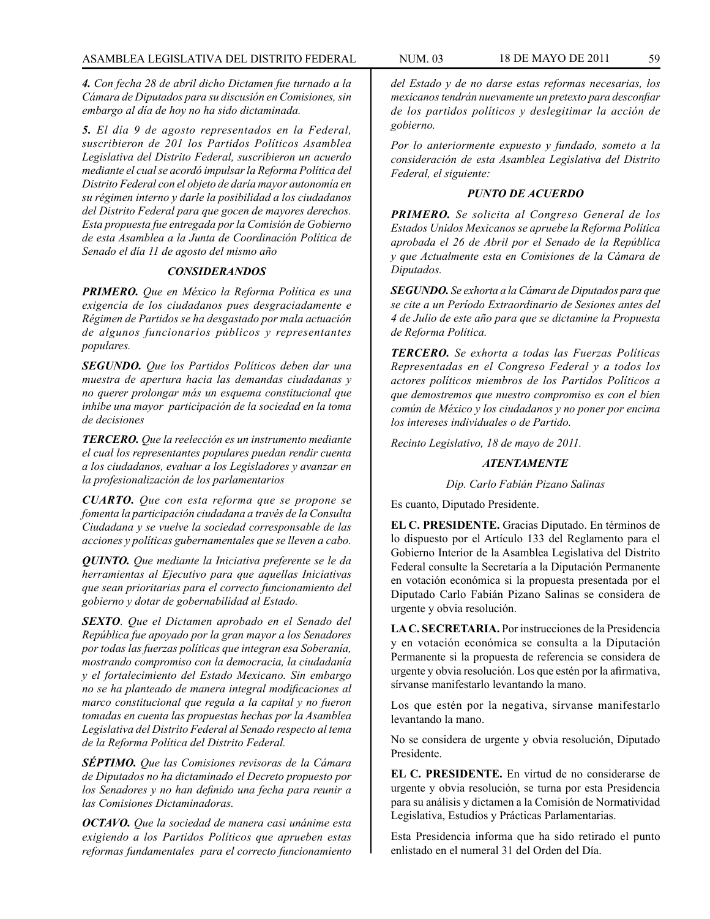*4. Con fecha 28 de abril dicho Dictamen fue turnado a la Cámara de Diputados para su discusión en Comisiones, sin embargo al día de hoy no ha sido dictaminada.*

*5. El día 9 de agosto representados en la Federal, suscribieron de 201 los Partidos Políticos Asamblea Legislativa del Distrito Federal, suscribieron un acuerdo mediante el cual se acordó impulsar la Reforma Política del Distrito Federal con el objeto de daría mayor autonomía en su régimen interno y darle la posibilidad a los ciudadanos del Distrito Federal para que gocen de mayores derechos. Esta propuesta fue entregada por la Comisión de Gobierno de esta Asamblea a la Junta de Coordinación Política de Senado el día 11 de agosto del mismo año*

#### *CONSIDERANDOS*

*PRIMERO. Que en México la Reforma Política es una exigencia de los ciudadanos pues desgraciadamente e Régimen de Partidos se ha desgastado por mala actuación de algunos funcionarios públicos y representantes populares.*

*SEGUNDO. Que los Partidos Políticos deben dar una muestra de apertura hacia las demandas ciudadanas y no querer prolongar más un esquema constitucional que inhibe una mayor participación de la sociedad en la toma de decisiones*

*TERCERO. Que la reelección es un instrumento mediante el cual los representantes populares puedan rendir cuenta a los ciudadanos, evaluar a los Legisladores y avanzar en la profesionalización de los parlamentarios* 

*CUARTO. Que con esta reforma que se propone se fomenta la participación ciudadana a través de la Consulta Ciudadana y se vuelve la sociedad corresponsable de las acciones y políticas gubernamentales que se lleven a cabo.*

*QUINTO. Que mediante la Iniciativa preferente se le da herramientas al Ejecutivo para que aquellas Iniciativas que sean prioritarias para el correcto funcionamiento del gobierno y dotar de gobernabilidad al Estado.*

*SEXTO. Que el Dictamen aprobado en el Senado del República fue apoyado por la gran mayor a los Senadores por todas las fuerzas políticas que integran esa Soberanía, mostrando compromiso con la democracia, la ciudadanía y el fortalecimiento del Estado Mexicano. Sin embargo no se ha planteado de manera integral modificaciones al marco constitucional que regula a la capital y no fueron tomadas en cuenta las propuestas hechas por la Asamblea Legislativa del Distrito Federal al Senado respecto al tema de la Reforma Política del Distrito Federal.*

*SÉPTIMO. Que las Comisiones revisoras de la Cámara de Diputados no ha dictaminado el Decreto propuesto por los Senadores y no han definido una fecha para reunir a las Comisiones Dictaminadoras.*

*OCTAVO. Que la sociedad de manera casi unánime esta exigiendo a los Partidos Políticos que aprueben estas reformas fundamentales para el correcto funcionamiento* 

*del Estado y de no darse estas reformas necesarias, los mexicanos tendrán nuevamente un pretexto para desconfiar de los partidos políticos y deslegitimar la acción de gobierno.*

*Por lo anteriormente expuesto y fundado, someto a la consideración de esta Asamblea Legislativa del Distrito Federal, el siguiente:*

#### *PUNTO DE ACUERDO*

*PRIMERO. Se solicita al Congreso General de los Estados Unidos Mexicanos se apruebe la Reforma Política aprobada el 26 de Abril por el Senado de la República y que Actualmente esta en Comisiones de la Cámara de Diputados.*

*SEGUNDO. Se exhorta a la Cámara de Diputados para que se cite a un Período Extraordinario de Sesiones antes del 4 de Julio de este año para que se dictamine la Propuesta de Reforma Política.*

*TERCERO. Se exhorta a todas las Fuerzas Políticas Representadas en el Congreso Federal y a todos los actores políticos miembros de los Partidos Políticos a que demostremos que nuestro compromiso es con el bien común de México y los ciudadanos y no poner por encima los intereses individuales o de Partido.*

*Recinto Legislativo, 18 de mayo de 2011.*

#### *ATENTAMENTE*

*Dip. Carlo Fabián Pizano Salinas*

Es cuanto, Diputado Presidente.

**EL C. PRESIDENTE.** Gracias Diputado. En términos de lo dispuesto por el Artículo 133 del Reglamento para el Gobierno Interior de la Asamblea Legislativa del Distrito Federal consulte la Secretaría a la Diputación Permanente en votación económica si la propuesta presentada por el Diputado Carlo Fabián Pizano Salinas se considera de urgente y obvia resolución.

**LA C. SECRETARIA.** Por instrucciones de la Presidencia y en votación económica se consulta a la Diputación Permanente si la propuesta de referencia se considera de urgente y obvia resolución. Los que estén por la afirmativa, sírvanse manifestarlo levantando la mano.

Los que estén por la negativa, sírvanse manifestarlo levantando la mano.

No se considera de urgente y obvia resolución, Diputado Presidente.

**EL C. PRESIDENTE.** En virtud de no considerarse de urgente y obvia resolución, se turna por esta Presidencia para su análisis y dictamen a la Comisión de Normatividad Legislativa, Estudios y Prácticas Parlamentarias.

Esta Presidencia informa que ha sido retirado el punto enlistado en el numeral 31 del Orden del Día.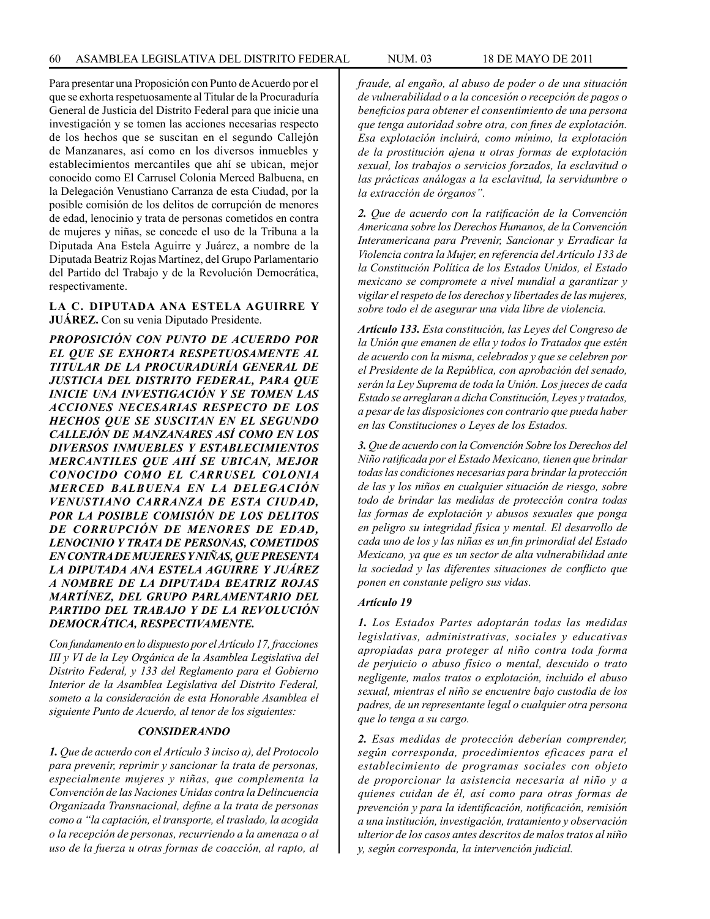Para presentar una Proposición con Punto de Acuerdo por el que se exhorta respetuosamente al Titular de la Procuraduría General de Justicia del Distrito Federal para que inicie una investigación y se tomen las acciones necesarias respecto de los hechos que se suscitan en el segundo Callejón de Manzanares, así como en los diversos inmuebles y establecimientos mercantiles que ahí se ubican, mejor conocido como El Carrusel Colonia Merced Balbuena, en la Delegación Venustiano Carranza de esta Ciudad, por la posible comisión de los delitos de corrupción de menores de edad, lenocinio y trata de personas cometidos en contra de mujeres y niñas, se concede el uso de la Tribuna a la Diputada Ana Estela Aguirre y Juárez, a nombre de la Diputada Beatriz Rojas Martínez, del Grupo Parlamentario del Partido del Trabajo y de la Revolución Democrática, respectivamente.

### **LA C. DIPUTADA ANA ESTELA AGUIRRE Y JUÁREZ.** Con su venia Diputado Presidente.

*PROPOSICIÓN CON PUNTO DE ACUERDO POR EL QUE SE EXHORTA RESPETUOSAMENTE AL TITULAR DE LA PROCURADURÍA GENERAL DE JUSTICIA DEL DISTRITO FEDERAL, PARA QUE INICIE UNA INVESTIGACIÓN Y SE TOMEN LAS ACCIONES NECESARIAS RESPECTO DE LOS HECHOS QUE SE SUSCITAN EN EL SEGUNDO CALLEJÓN DE MANZANARES ASÍ COMO EN LOS DIVERSOS INMUEBLES Y ESTABLECIMIENTOS MERCANTILES QUE AHÍ SE UBICAN, MEJOR CONOCIDO COMO EL CARRUSEL COLONIA MERCED BALBUENA EN LA DELEGACIÓN VENUSTIANO CARRANZA DE ESTA CIUDAD, POR LA POSIBLE COMISIÓN DE LOS DELITOS DE CORRUPCIÓN DE MENORES DE EDAD, LENOCINIO Y TRATA DE PERSONAS, COMETIDOS EN CONTRA DE MUJERES Y NIÑAS, QUE PRESENTA LA DIPUTADA ANA ESTELA AGUIRRE Y JUÁREZ A NOMBRE DE LA DIPUTADA BEATRIZ ROJAS MARTÍNEZ, DEL GRUPO PARLAMENTARIO DEL PARTIDO DEL TRABAJO Y DE LA REVOLUCIÓN DEMOCRÁTICA, RESPECTIVAMENTE.*

*Con fundamento en lo dispuesto por el Artículo 17, fracciones III y VI de la Ley Orgánica de la Asamblea Legislativa del Distrito Federal, y 133 del Reglamento para el Gobierno Interior de la Asamblea Legislativa del Distrito Federal, someto a la consideración de esta Honorable Asamblea el siguiente Punto de Acuerdo, al tenor de los siguientes:*

#### *CONSIDERANDO*

*1. Que de acuerdo con el Artículo 3 inciso a), del Protocolo para prevenir, reprimir y sancionar la trata de personas, especialmente mujeres y niñas, que complementa la Convención de las Naciones Unidas contra la Delincuencia Organizada Transnacional, define a la trata de personas como a "la captación, el transporte, el traslado, la acogida o la recepción de personas, recurriendo a la amenaza o al uso de la fuerza u otras formas de coacción, al rapto, al*  *fraude, al engaño, al abuso de poder o de una situación de vulnerabilidad o a la concesión o recepción de pagos o beneficios para obtener el consentimiento de una persona que tenga autoridad sobre otra, con fines de explotación. Esa explotación incluirá, como mínimo, la explotación de la prostitución ajena u otras formas de explotación sexual, los trabajos o servicios forzados, la esclavitud o las prácticas análogas a la esclavitud, la servidumbre o la extracción de órganos".*

*2. Que de acuerdo con la ratificación de la Convención Americana sobre los Derechos Humanos, de la Convención Interamericana para Prevenir, Sancionar y Erradicar la Violencia contra la Mujer, en referencia del Artículo 133 de la Constitución Política de los Estados Unidos, el Estado mexicano se compromete a nivel mundial a garantizar y vigilar el respeto de los derechos y libertades de las mujeres, sobre todo el de asegurar una vida libre de violencia.*

*Artículo 133. Esta constitución, las Leyes del Congreso de la Unión que emanen de ella y todos lo Tratados que estén de acuerdo con la misma, celebrados y que se celebren por el Presidente de la República, con aprobación del senado, serán la Ley Suprema de toda la Unión. Los jueces de cada Estado se arreglaran a dicha Constitución, Leyes y tratados, a pesar de las disposiciones con contrario que pueda haber en las Constituciones o Leyes de los Estados.*

*3. Que de acuerdo con la Convención Sobre los Derechos del Niño ratificada por el Estado Mexicano, tienen que brindar todas las condiciones necesarias para brindar la protección de las y los niños en cualquier situación de riesgo, sobre todo de brindar las medidas de protección contra todas las formas de explotación y abusos sexuales que ponga en peligro su integridad física y mental. El desarrollo de cada uno de los y las niñas es un fin primordial del Estado Mexicano, ya que es un sector de alta vulnerabilidad ante la sociedad y las diferentes situaciones de conflicto que ponen en constante peligro sus vidas.*

#### *Artículo 19*

*1. Los Estados Partes adoptarán todas las medidas legislativas, administrativas, sociales y educativas apropiadas para proteger al niño contra toda forma de perjuicio o abuso físico o mental, descuido o trato negligente, malos tratos o explotación, incluido el abuso sexual, mientras el niño se encuentre bajo custodia de los padres, de un representante legal o cualquier otra persona que lo tenga a su cargo.*

*2. Esas medidas de protección deberían comprender, según corresponda, procedimientos eficaces para el establecimiento de programas sociales con objeto de proporcionar la asistencia necesaria al niño y a quienes cuidan de él, así como para otras formas de prevención y para la identificación, notificación, remisión a una institución, investigación, tratamiento y observación ulterior de los casos antes descritos de malos tratos al niño y, según corresponda, la intervención judicial.*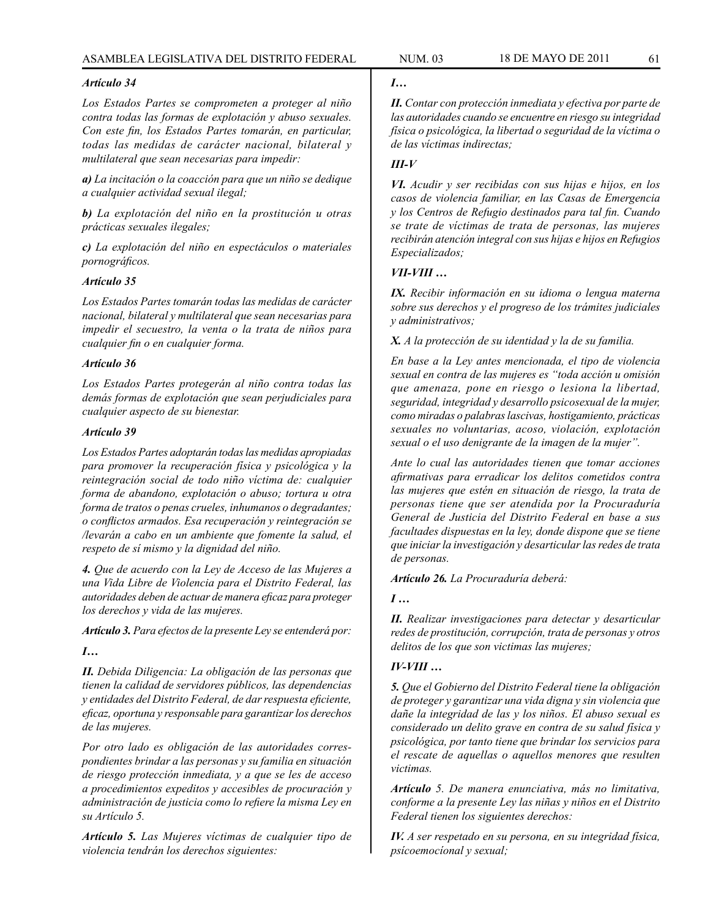### *Artículo 34*

*Los Estados Partes se comprometen a proteger al niño contra todas las formas de explotación y abuso sexuales. Con este fin, los Estados Partes tomarán, en particular, todas las medidas de carácter nacional, bilateral y multilateral que sean necesarias para impedir:*

*a) La incitación o la coacción para que un niño se dedique a cualquier actividad sexual ilegal;*

*b) La explotación del niño en la prostitución u otras prácticas sexuales ilegales;*

*c) La explotación del niño en espectáculos o materiales pornográficos.*

#### *Artículo 35*

*Los Estados Partes tomarán todas las medidas de carácter nacional, bilateral y multilateral que sean necesarias para impedir el secuestro, la venta o la trata de niños para cualquier fin o en cualquier forma.*

### *Artículo 36*

*Los Estados Partes protegerán al niño contra todas las demás formas de explotación que sean perjudiciales para cualquier aspecto de su bienestar.*

#### *Artículo 39*

*Los Estados Partes adoptarán todas las medidas apropiadas para promover la recuperación física y psicológica y la reintegración social de todo niño víctima de: cualquier forma de abandono, explotación o abuso; tortura u otra forma de tratos o penas crueles, inhumanos o degradantes; o conflictos armados. Esa recuperación y reintegración se /levarán a cabo en un ambiente que fomente la salud, el respeto de sí mismo y la dignidad del niño.*

*4. Que de acuerdo con la Ley de Acceso de las Mujeres a una Vida Libre de Violencia para el Distrito Federal, las autoridades deben de actuar de manera eficaz para proteger los derechos y vida de las mujeres.*

*Artículo 3. Para efectos de la presente Ley se entenderá por:*

### *I…*

*II. Debida Diligencia: La obligación de las personas que tienen la calidad de servidores públicos, las dependencias y entidades del Distrito Federal, de dar respuesta eficiente, eficaz, oportuna y responsable para garantizar los derechos de las mujeres.*

*Por otro lado es obligación de las autoridades correspondientes brindar a las personas y su familia en situación de riesgo protección inmediata, y a que se les de acceso a procedimientos expeditos y accesibles de procuración y administración de justicia como lo refiere la misma Ley en su Artículo 5.*

*Artículo 5. Las Mujeres víctimas de cualquier tipo de violencia tendrán los derechos siguientes:*

### *I…*

*II. Contar con protección inmediata y efectiva por parte de las autoridades cuando se encuentre en riesgo su integridad física o psicológica, la libertad o seguridad de la víctima o de las víctimas indirectas;*

### *III-V*

*VI. Acudir y ser recibidas con sus hijas e hijos, en los casos de violencia familiar, en las Casas de Emergencia y los Centros de Refugio destinados para tal fin. Cuando se trate de víctimas de trata de personas, las mujeres recibirán atención integral con sus hijas e hijos en Refugios Especializados;*

### *VII-VIII …*

*IX. Recibir información en su idioma o lengua materna sobre sus derechos y el progreso de los trámites judiciales y administrativos;*

*X. A la protección de su identidad y la de su familia.*

*En base a la Ley antes mencionada, el tipo de violencia sexual en contra de las mujeres es "toda acción u omisión que amenaza, pone en riesgo o lesiona la libertad, seguridad, integridad y desarrollo psicosexual de la mujer, como miradas o palabras lascivas, hostigamiento, prácticas sexuales no voluntarias, acoso, violación, explotación sexual o el uso denigrante de la imagen de la mujer".*

*Ante lo cual las autoridades tienen que tomar acciones afirmativas para erradicar los delitos cometidos contra las mujeres que estén en situación de riesgo, la trata de personas tiene que ser atendida por la Procuraduría General de Justicia del Distrito Federal en base a sus facultades dispuestas en la ley, donde dispone que se tiene que iniciar la investigación y desarticular las redes de trata de personas.*

*Artículo 26. La Procuraduría deberá:*

*I …*

*II. Realizar investigaciones para detectar y desarticular redes de prostitución, corrupción, trata de personas y otros delitos de los que son victimas las mujeres;*

## *IV-VIII …*

*5. Que el Gobierno del Distrito Federal tiene la obligación de proteger y garantizar una vida digna y sin violencia que dañe la integridad de las y los niños. El abuso sexual es considerado un delito grave en contra de su salud física y psicológica, por tanto tiene que brindar los servicios para el rescate de aquellas o aquellos menores que resulten victimas.*

*Artículo 5. De manera enunciativa, más no limitativa, conforme a la presente Ley las niñas y niños en el Distrito Federal tienen los siguientes derechos:*

*IV. A ser respetado en su persona, en su integridad física, psícoemocíonal y sexual;*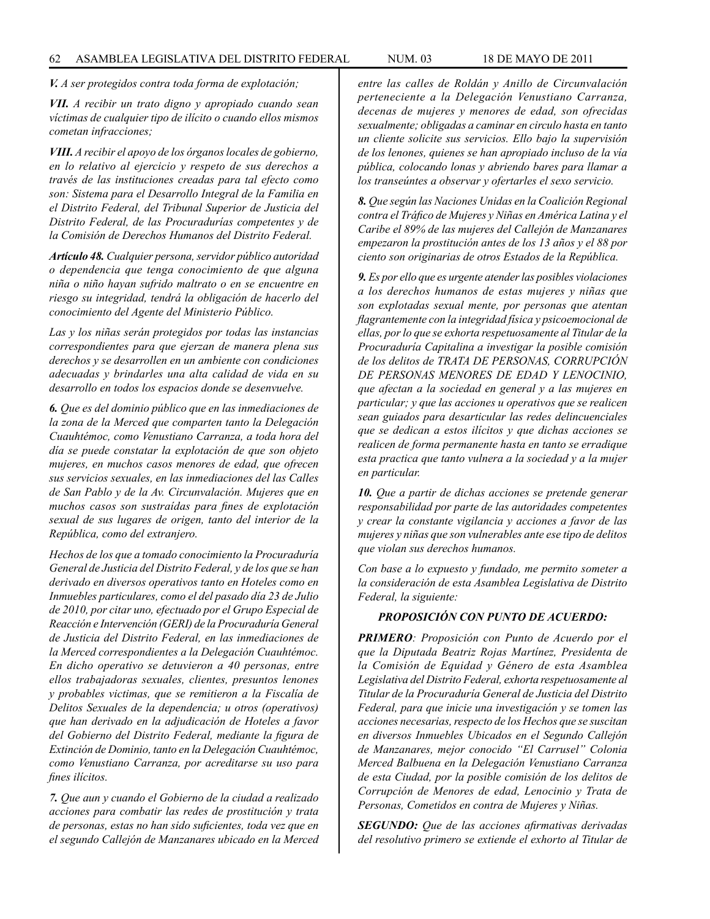*V. A ser protegidos contra toda forma de explotación;*

*VII. A recibir un trato digno y apropiado cuando sean víctimas de cualquier tipo de ilícito o cuando ellos mismos cometan infracciones;*

*VIII. A recibir el apoyo de los órganos locales de gobierno, en lo relativo al ejercicio y respeto de sus derechos a través de las instituciones creadas para tal efecto como son: Sistema para el Desarrollo Integral de la Familia en el Distrito Federal, del Tribunal Superior de Justicia del Distrito Federal, de las Procuradurías competentes y de la Comisión de Derechos Humanos del Distrito Federal.*

*Artículo 48. Cualquier persona, servidor público autoridad o dependencia que tenga conocimiento de que alguna niña o niño hayan sufrido maltrato o en se encuentre en riesgo su integridad, tendrá la obligación de hacerlo del conocimiento del Agente del Ministerio Público.*

*Las y los niñas serán protegidos por todas las instancias correspondientes para que ejerzan de manera plena sus derechos y se desarrollen en un ambiente con condiciones adecuadas y brindarles una alta calidad de vida en su desarrollo en todos los espacios donde se desenvuelve.*

*6. Que es del dominio público que en las inmediaciones de la zona de la Merced que comparten tanto la Delegación Cuauhtémoc, como Venustiano Carranza, a toda hora del día se puede constatar la explotación de que son objeto mujeres, en muchos casos menores de edad, que ofrecen sus servicios sexuales, en las inmediaciones del las Calles de San Pablo y de la Av. Circunvalación. Mujeres que en muchos casos son sustraídas para fines de explotación sexual de sus lugares de origen, tanto del interior de la República, como del extranjero.*

*Hechos de los que a tomado conocimiento la Procuraduría General de Justicia del Distrito Federal, y de los que se han derivado en diversos operativos tanto en Hoteles como en Inmuebles particulares, como el del pasado día 23 de Julio de 2010, por citar uno, efectuado por el Grupo Especial de Reacción e Intervención (GERI) de la Procuraduría General de Justicia del Distrito Federal, en las inmediaciones de la Merced correspondientes a la Delegación Cuauhtémoc. En dicho operativo se detuvieron a 40 personas, entre ellos trabajadoras sexuales, clientes, presuntos lenones y probables victimas, que se remitieron a la Fiscalía de Delitos Sexuales de la dependencia; u otros (operativos) que han derivado en la adjudicación de Hoteles a favor del Gobierno del Distrito Federal, mediante la figura de Extinción de Dominio, tanto en la Delegación Cuauhtémoc, como Venustiano Carranza, por acreditarse su uso para fines ilícitos.*

*7. Que aun y cuando el Gobierno de la ciudad a realizado acciones para combatir las redes de prostitución y trata de personas, estas no han sido suficientes, toda vez que en el segundo Callejón de Manzanares ubicado en la Merced*  *entre las calles de Roldán y Anillo de Circunvalación perteneciente a la Delegación Venustiano Carranza, decenas de mujeres y menores de edad, son ofrecidas sexualmente; obligadas a caminar en circulo hasta en tanto un cliente solicite sus servicios. Ello bajo la supervisión de los lenones, quienes se han apropiado incluso de la vía pública, colocando lonas y abriendo bares para llamar a los transeúntes a observar y ofertarles el sexo servicio.*

*8. Que según las Naciones Unidas en la Coalición Regional contra el Tráfico de Mujeres y Niñas en América Latina y el Caribe el 89% de las mujeres del Callejón de Manzanares empezaron la prostitución antes de los 13 años y el 88 por ciento son originarias de otros Estados de la República.*

*9. Es por ello que es urgente atender las posibles violaciones a los derechos humanos de estas mujeres y niñas que son explotadas sexual mente, por personas que atentan flagrantemente con la integridad física y psicoemocional de ellas, por lo que se exhorta respetuosamente al Titular de la Procuraduría Capitalina a investigar la posible comisión de los delitos de TRATA DE PERSONAS, CORRUPCIÓN DE PERSONAS MENORES DE EDAD Y LENOCINIO, que afectan a la sociedad en general y a las mujeres en particular; y que las acciones u operativos que se realicen sean guiados para desarticular las redes delincuenciales que se dedican a estos ilícitos y que dichas acciones se realicen de forma permanente hasta en tanto se erradique esta practica que tanto vulnera a la sociedad y a la mujer en particular.*

*10. Que a partir de dichas acciones se pretende generar responsabilidad por parte de las autoridades competentes y crear la constante vigilancia y acciones a favor de las mujeres y niñas que son vulnerables ante ese tipo de delitos que violan sus derechos humanos.*

*Con base a lo expuesto y fundado, me permito someter a la consideración de esta Asamblea Legislativa de Distrito Federal, la siguiente:*

#### *PROPOSICIÓN CON PUNTO DE ACUERDO:*

*PRIMERO: Proposición con Punto de Acuerdo por el que la Diputada Beatriz Rojas Martínez, Presidenta de la Comisión de Equidad y Género de esta Asamblea Legislativa del Distrito Federal, exhorta respetuosamente al Titular de la Procuraduría General de Justicia del Distrito Federal, para que inicie una investigación y se tomen las acciones necesarias, respecto de los Hechos que se suscitan en diversos Inmuebles Ubicados en el Segundo Callejón de Manzanares, mejor conocido "El Carrusel" Colonia Merced Balbuena en la Delegación Venustiano Carranza de esta Ciudad, por la posible comisión de los delitos de Corrupción de Menores de edad, Lenocinio y Trata de Personas, Cometidos en contra de Mujeres y Niñas.*

*SEGUNDO: Que de las acciones afirmativas derivadas del resolutivo primero se extiende el exhorto al Titular de*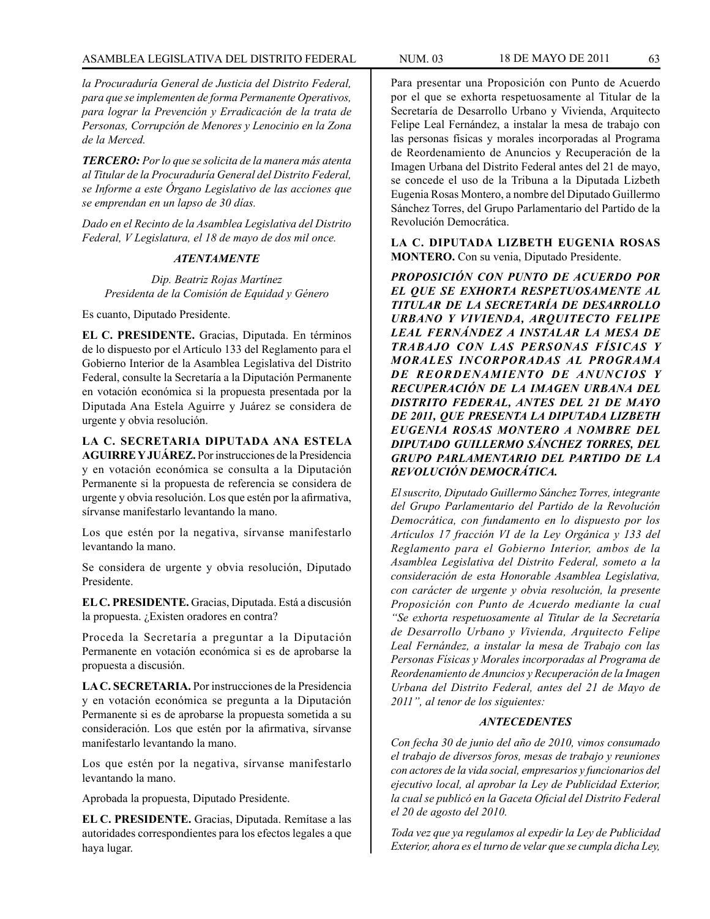*la Procuraduría General de Justicia del Distrito Federal, para que se implementen de forma Permanente Operativos, para lograr la Prevención y Erradicación de la trata de Personas, Corrupción de Menores y Lenocinio en la Zona de la Merced.*

*TERCERO: Por lo que se solicita de la manera más atenta al Titular de la Procuraduría General del Distrito Federal, se Informe a este Órgano Legislativo de las acciones que se emprendan en un lapso de 30 días.*

*Dado en el Recinto de la Asamblea Legislativa del Distrito Federal, V Legislatura, el 18 de mayo de dos mil once.*

## *ATENTAMENTE*

*Dip. Beatriz Rojas Martínez Presidenta de la Comisión de Equidad y Género*

Es cuanto, Diputado Presidente.

**EL C. PRESIDENTE.** Gracias, Diputada. En términos de lo dispuesto por el Artículo 133 del Reglamento para el Gobierno Interior de la Asamblea Legislativa del Distrito Federal, consulte la Secretaría a la Diputación Permanente en votación económica si la propuesta presentada por la Diputada Ana Estela Aguirre y Juárez se considera de urgente y obvia resolución.

**LA C. SECRETARIA DIPUTADA ANA ESTELA AGUIRRE Y JUÁREZ.** Por instrucciones de la Presidencia y en votación económica se consulta a la Diputación Permanente si la propuesta de referencia se considera de urgente y obvia resolución. Los que estén por la afirmativa, sírvanse manifestarlo levantando la mano.

Los que estén por la negativa, sírvanse manifestarlo levantando la mano.

Se considera de urgente y obvia resolución, Diputado Presidente.

**EL C. PRESIDENTE.** Gracias, Diputada. Está a discusión la propuesta. ¿Existen oradores en contra?

Proceda la Secretaría a preguntar a la Diputación Permanente en votación económica si es de aprobarse la propuesta a discusión.

**LA C. SECRETARIA.** Por instrucciones de la Presidencia y en votación económica se pregunta a la Diputación Permanente si es de aprobarse la propuesta sometida a su consideración. Los que estén por la afirmativa, sírvanse manifestarlo levantando la mano.

Los que estén por la negativa, sírvanse manifestarlo levantando la mano.

Aprobada la propuesta, Diputado Presidente.

**EL C. PRESIDENTE.** Gracias, Diputada. Remítase a las autoridades correspondientes para los efectos legales a que haya lugar.

Para presentar una Proposición con Punto de Acuerdo por el que se exhorta respetuosamente al Titular de la Secretaría de Desarrollo Urbano y Vivienda, Arquitecto Felipe Leal Fernández, a instalar la mesa de trabajo con las personas físicas y morales incorporadas al Programa de Reordenamiento de Anuncios y Recuperación de la Imagen Urbana del Distrito Federal antes del 21 de mayo, se concede el uso de la Tribuna a la Diputada Lizbeth Eugenia Rosas Montero, a nombre del Diputado Guillermo Sánchez Torres, del Grupo Parlamentario del Partido de la Revolución Democrática.

**LA C. DIPUTADA LIZBETH EUGENIA ROSAS MONTERO.** Con su venia, Diputado Presidente.

*PROPOSICIÓN CON PUNTO DE ACUERDO POR EL QUE SE EXHORTA RESPETUOSAMENTE AL TITULAR DE LA SECRETARÍA DE DESARROLLO URBANO Y VIVIENDA, ARQUITECTO FELIPE LEAL FERNÁNDEZ A INSTALAR LA MESA DE TRABAJO CON LAS PERSONAS FÍSICAS Y MORALES INCORPORADAS AL PROGRAMA DE REORDENAMIENTO DE ANUNCIOS Y RECUPERACIÓN DE LA IMAGEN URBANA DEL DISTRITO FEDERAL, ANTES DEL 21 DE MAYO DE 2011, QUE PRESENTA LA DIPUTADA LIZBETH EUGENIA ROSAS MONTERO A NOMBRE DEL DIPUTADO GUILLERMO SÁNCHEZ TORRES, DEL GRUPO PARLAMENTARIO DEL PARTIDO DE LA REVOLUCIÓN DEMOCRÁTICA.*

*El suscrito, Diputado Guillermo Sánchez Torres, integrante del Grupo Parlamentario del Partido de la Revolución Democrática, con fundamento en lo dispuesto por los Artículos 17 fracción VI de la Ley Orgánica y 133 del Reglamento para el Gobierno Interior, ambos de la Asamblea Legislativa del Distrito Federal, someto a la consideración de esta Honorable Asamblea Legislativa, con carácter de urgente y obvia resolución, la presente Proposición con Punto de Acuerdo mediante la cual "Se exhorta respetuosamente al Titular de la Secretaría de Desarrollo Urbano y Vivienda, Arquitecto Felipe Leal Fernández, a instalar la mesa de Trabajo con las Personas Físicas y Morales incorporadas al Programa de Reordenamiento de Anuncios y Recuperación de la Imagen Urbana del Distrito Federal, antes del 21 de Mayo de 2011", al tenor de los siguientes:*

## *ANTECEDENTES*

*Con fecha 30 de junio del año de 2010, vimos consumado el trabajo de diversos foros, mesas de trabajo y reuniones con actores de la vida social, empresarios y funcionarios del ejecutivo local, al aprobar la Ley de Publicidad Exterior, la cual se publicó en la Gaceta Oficial del Distrito Federal el 20 de agosto del 2010.*

*Toda vez que ya regulamos al expedir la Ley de Publicidad Exterior, ahora es el turno de velar que se cumpla dicha Ley,*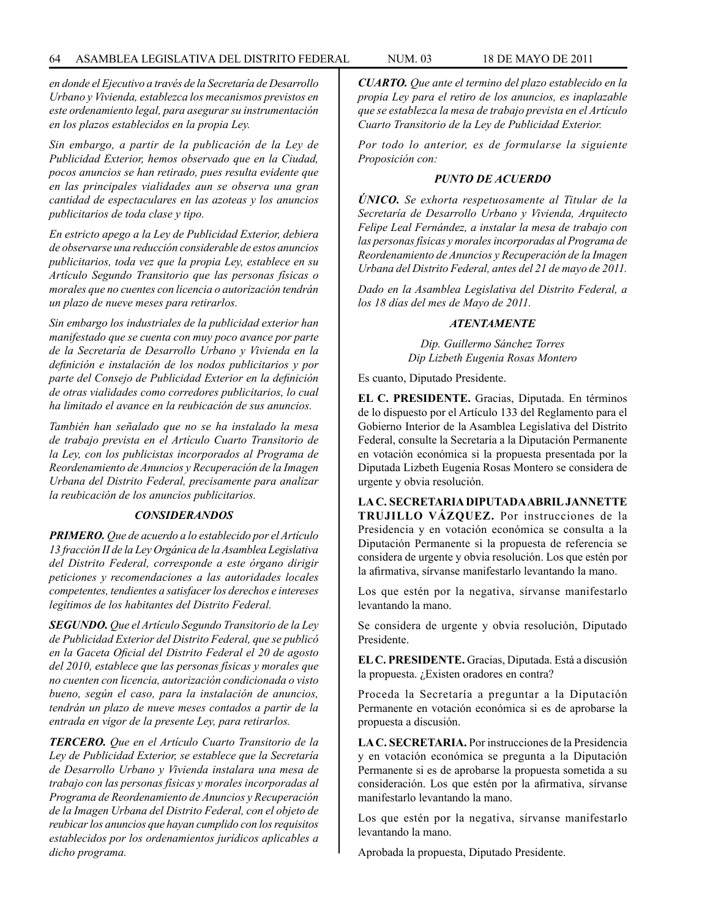*en donde el Ejecutivo a través de la Secretaría de Desarrollo Urbano y Vivienda, establezca los mecanismos previstos en este ordenamiento legal, para asegurar su instrumentación en los plazos establecidos en la propia Ley.*

*Sin embargo, a partir de la publicación de la Ley de Publicidad Exterior, hemos observado que en la Ciudad, pocos anuncios se han retirado, pues resulta evidente que en las principales vialidades aun se observa una gran cantidad de espectaculares en las azoteas y los anuncios publicitarios de toda clase y tipo.*

*En estricto apego a la Ley de Publicidad Exterior, debiera de observarse una reducción considerable de estos anuncios publicitarios, toda vez que la propia Ley, establece en su Artículo Segundo Transitorio que las personas físicas o morales que no cuentes con licencia o autorización tendrán un plazo de nueve meses para retirarlos.*

*Sin embargo los industriales de la publicidad exterior han manifestado que se cuenta con muy poco avance por parte de la Secretaría de Desarrollo Urbano y Vivienda en la definición e instalación de los nodos publicitarios y por parte del Consejo de Publicidad Exterior en la definición de otras vialidades como corredores publicitarios, lo cual ha limitado el avance en la reubicación de sus anuncios.*

*También han señalado que no se ha instalado la mesa de trabajo prevista en el Artículo Cuarto Transitorio de la Ley, con los publicistas incorporados al Programa de Reordenamiento de Anuncios y Recuperación de la Imagen Urbana del Distrito Federal, precisamente para analizar la reubicación de los anuncios publicitarios.*

## *CONSIDERANDOS*

*PRIMERO. Que de acuerdo a lo establecido por el Artículo 13 fracción II de la Ley Orgánica de la Asamblea Legislativa del Distrito Federal, corresponde a este órgano dirigir peticiones y recomendaciones a las autoridades locales competentes, tendientes a satisfacer los derechos e intereses legítimos de los habitantes del Distrito Federal.*

*SEGUNDO. Que el Artículo Segundo Transitorio de la Ley de Publicidad Exterior del Distrito Federal, que se publicó en la Gaceta Oficial del Distrito Federal el 20 de agosto del 2010, establece que las personas físicas y morales que no cuenten con licencia, autorización condicionada o visto bueno, según el caso, para la instalación de anuncios, tendrán un plazo de nueve meses contados a partir de la entrada en vigor de la presente Ley, para retirarlos.*

*TERCERO. Que en el Artículo Cuarto Transitorio de la Ley de Publicidad Exterior, se establece que la Secretaría de Desarrollo Urbano y Vivienda instalara una mesa de trabajo con las personas físicas y morales incorporadas al Programa de Reordenamiento de Anuncios y Recuperación de la Imagen Urbana del Distrito Federal, con el objeto de reubicar los anuncios que hayan cumplido con los requisitos establecidos por los ordenamientos jurídicos aplicables a dicho programa.*

*CUARTO. Que ante el termino del plazo establecido en la propia Ley para el retiro de los anuncios, es inaplazable que se establezca la mesa de trabajo prevista en el Artículo Cuarto Transitorio de la Ley de Publicidad Exterior.*

*Por todo lo anterior, es de formularse la siguiente Proposición con:*

### *PUNTO DE ACUERDO*

*ÚNICO. Se exhorta respetuosamente al Titular de la Secretaría de Desarrollo Urbano y Vivienda, Arquitecto Felipe Leal Fernández, a instalar la mesa de trabajo con las personas físicas y morales incorporadas al Programa de Reordenamiento de Anuncios y Recuperación de la Imagen Urbana del Distrito Federal, antes del 21 de mayo de 2011.*

*Dado en la Asamblea Legislativa del Distrito Federal, a los 18 días del mes de Mayo de 2011.*

## *ATENTAMENTE*

*Dip. Guillermo Sánchez Torres Dip Lizbeth Eugenia Rosas Montero*

Es cuanto, Diputado Presidente.

**EL C. PRESIDENTE.** Gracias, Diputada. En términos de lo dispuesto por el Artículo 133 del Reglamento para el Gobierno Interior de la Asamblea Legislativa del Distrito Federal, consulte la Secretaría a la Diputación Permanente en votación económica si la propuesta presentada por la Diputada Lizbeth Eugenia Rosas Montero se considera de urgente y obvia resolución.

**LA C. SECRETARIA DIPUTADA ABRIL JANNETTE TRUJILLO VÁZQUEZ.** Por instrucciones de la Presidencia y en votación económica se consulta a la Diputación Permanente si la propuesta de referencia se considera de urgente y obvia resolución. Los que estén por la afirmativa, sírvanse manifestarlo levantando la mano.

Los que estén por la negativa, sírvanse manifestarlo levantando la mano.

Se considera de urgente y obvia resolución, Diputado Presidente.

**EL C. PRESIDENTE.** Gracias, Diputada. Está a discusión la propuesta. ¿Existen oradores en contra?

Proceda la Secretaría a preguntar a la Diputación Permanente en votación económica si es de aprobarse la propuesta a discusión.

**LA C. SECRETARIA.** Por instrucciones de la Presidencia y en votación económica se pregunta a la Diputación Permanente si es de aprobarse la propuesta sometida a su consideración. Los que estén por la afirmativa, sírvanse manifestarlo levantando la mano.

Los que estén por la negativa, sírvanse manifestarlo levantando la mano.

Aprobada la propuesta, Diputado Presidente.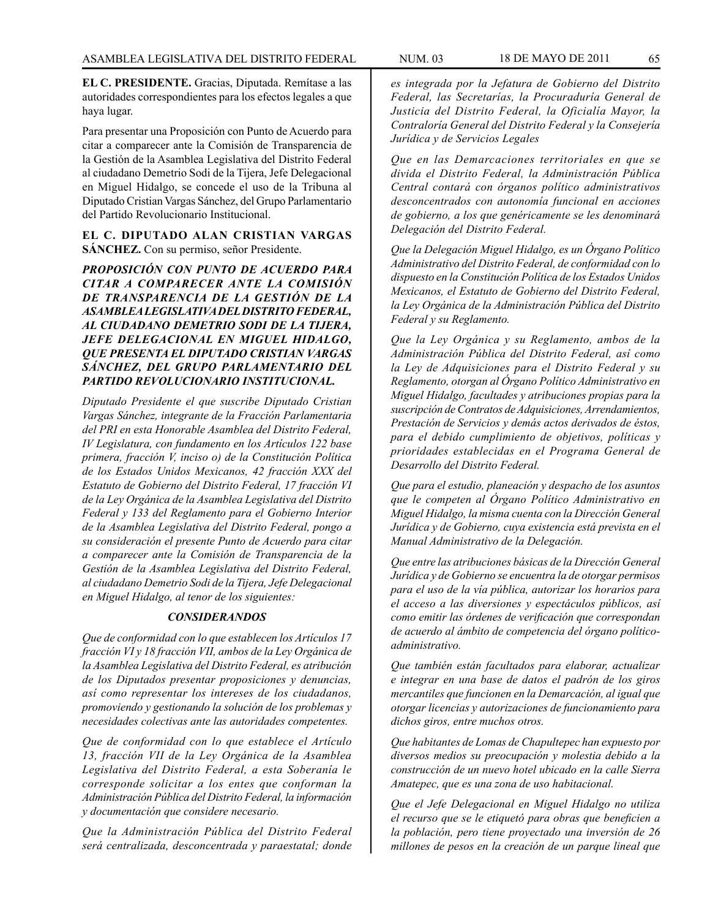**EL C. PRESIDENTE.** Gracias, Diputada. Remítase a las autoridades correspondientes para los efectos legales a que haya lugar.

Para presentar una Proposición con Punto de Acuerdo para citar a comparecer ante la Comisión de Transparencia de la Gestión de la Asamblea Legislativa del Distrito Federal al ciudadano Demetrio Sodi de la Tijera, Jefe Delegacional en Miguel Hidalgo, se concede el uso de la Tribuna al Diputado Cristian Vargas Sánchez, del Grupo Parlamentario del Partido Revolucionario Institucional.

## **EL C. DIPUTADO ALAN CRISTIAN VARGAS SÁNCHEZ.** Con su permiso, señor Presidente.

*PROPOSICIÓN CON PUNTO DE ACUERDO PARA CITAR A COMPARECER ANTE LA COMISIÓN DE TRANSPARENCIA DE LA GESTIÓN DE LA ASAMBLEA LEGISLATIVA DEL DISTRITO FEDERAL, AL CIUDADANO DEMETRIO SODI DE LA TIJERA, JEFE DELEGACIONAL EN MIGUEL HIDALGO, QUE PRESENTA EL DIPUTADO CRISTIAN VARGAS SÁNCHEZ, DEL GRUPO PARLAMENTARIO DEL PARTIDO REVOLUCIONARIO INSTITUCIONAL.*

*Diputado Presidente el que suscribe Diputado Cristian Vargas Sánchez, integrante de la Fracción Parlamentaria del PRI en esta Honorable Asamblea del Distrito Federal, IV Legislatura, con fundamento en los Artículos 122 base primera, fracción V, inciso o) de la Constitución Política de los Estados Unidos Mexicanos, 42 fracción XXX del Estatuto de Gobierno del Distrito Federal, 17 fracción VI de la Ley Orgánica de la Asamblea Legislativa del Distrito Federal y 133 del Reglamento para el Gobierno Interior de la Asamblea Legislativa del Distrito Federal, pongo a su consideración el presente Punto de Acuerdo para citar a comparecer ante la Comisión de Transparencia de la Gestión de la Asamblea Legislativa del Distrito Federal, al ciudadano Demetrio Sodi de la Tijera, Jefe Delegacional en Miguel Hidalgo, al tenor de los siguientes:*

#### *CONSIDERANDOS*

*Que de conformidad con lo que establecen los Artículos 17 fracción VI y 18 fracción VII, ambos de la Ley Orgánica de la Asamblea Legislativa del Distrito Federal, es atribución de los Diputados presentar proposiciones y denuncias, así como representar los intereses de los ciudadanos, promoviendo y gestionando la solución de los problemas y necesidades colectivas ante las autoridades competentes.*

*Que de conformidad con lo que establece el Artículo 13, fracción VII de la Ley Orgánica de la Asamblea Legislativa del Distrito Federal, a esta Soberanía le corresponde solicitar a los entes que conforman la Administración Pública del Distrito Federal, la información y documentación que considere necesario.*

*Que la Administración Pública del Distrito Federal será centralizada, desconcentrada y paraestatal; donde*  *es integrada por la Jefatura de Gobierno del Distrito Federal, las Secretarías, la Procuraduría General de Justicia del Distrito Federal, la Oficialía Mayor, la Contraloría General del Distrito Federal y la Consejería Jurídica y de Servicios Legales*

*Que en las Demarcaciones territoriales en que se divida el Distrito Federal, la Administración Pública Central contará con órganos político administrativos desconcentrados con autonomía funcional en acciones de gobierno, a los que genéricamente se les denominará Delegación del Distrito Federal.*

*Que la Delegación Miguel Hidalgo, es un Órgano Político Administrativo del Distrito Federal, de conformidad con lo dispuesto en la Constitución Política de los Estados Unidos Mexicanos, el Estatuto de Gobierno del Distrito Federal, la Ley Orgánica de la Administración Pública del Distrito Federal y su Reglamento.*

*Que la Ley Orgánica y su Reglamento, ambos de la Administración Pública del Distrito Federal, así como la Ley de Adquisiciones para el Distrito Federal y su Reglamento, otorgan al Órgano Político Administrativo en Miguel Hidalgo, facultades y atribuciones propias para la suscripción de Contratos de Adquisiciones, Arrendamientos, Prestación de Servicios y demás actos derivados de éstos, para el debido cumplimiento de objetivos, políticas y prioridades establecidas en el Programa General de Desarrollo del Distrito Federal.*

*Que para el estudio, planeación y despacho de los asuntos que le competen al Órgano Político Administrativo en Miguel Hidalgo, la misma cuenta con la Dirección General Jurídica y de Gobierno, cuya existencia está prevista en el Manual Administrativo de la Delegación.*

*Que entre las atribuciones básicas de la Dirección General Jurídica y de Gobierno se encuentra la de otorgar permisos para el uso de la vía pública, autorizar los horarios para el acceso a las diversiones y espectáculos públicos, así como emitir las órdenes de verificación que correspondan de acuerdo al ámbito de competencia del órgano políticoadministrativo.*

*Que también están facultados para elaborar, actualizar e integrar en una base de datos el padrón de los giros mercantiles que funcionen en la Demarcación, al igual que otorgar licencias y autorizaciones de funcionamiento para dichos giros, entre muchos otros.*

*Que habitantes de Lomas de Chapultepec han expuesto por diversos medios su preocupación y molestia debido a la construcción de un nuevo hotel ubicado en la calle Sierra Amatepec, que es una zona de uso habitacional.*

*Que el Jefe Delegacional en Miguel Hidalgo no utiliza el recurso que se le etiquetó para obras que beneficien a la población, pero tiene proyectado una inversión de 26 millones de pesos en la creación de un parque lineal que*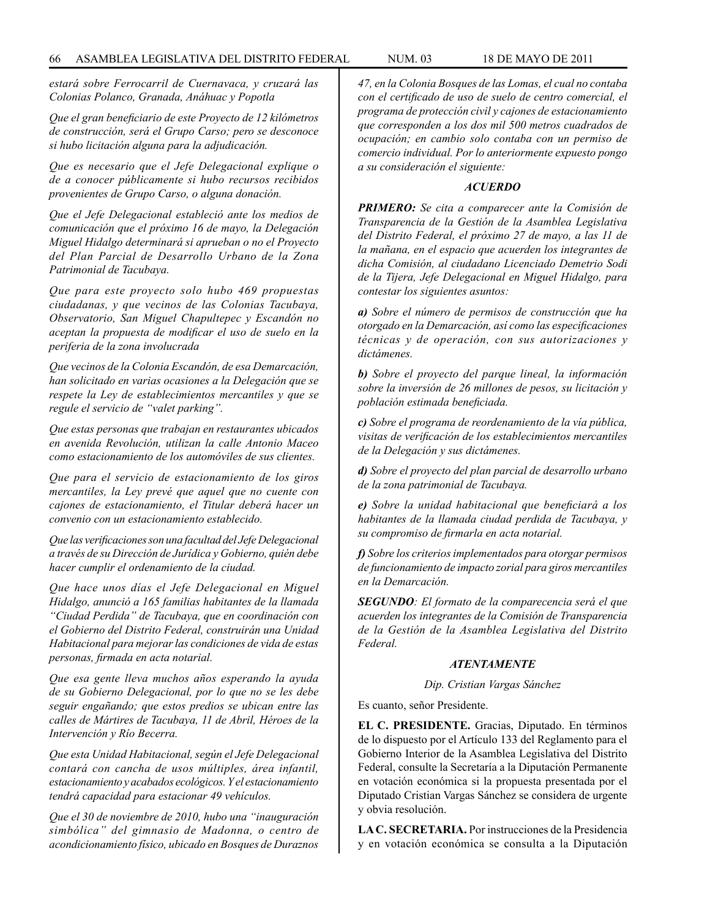*estará sobre Ferrocarril de Cuernavaca, y cruzará las Colonias Polanco, Granada, Anáhuac y Popotla*

*Que el gran beneficiario de este Proyecto de 12 kilómetros de construcción, será el Grupo Carso; pero se desconoce si hubo licitación alguna para la adjudicación.*

*Que es necesario que el Jefe Delegacional explique o de a conocer públicamente si hubo recursos recibidos provenientes de Grupo Carso, o alguna donación.*

*Que el Jefe Delegacional estableció ante los medios de comunicación que el próximo 16 de mayo, la Delegación Miguel Hidalgo determinará si aprueban o no el Proyecto del Plan Parcial de Desarrollo Urbano de la Zona Patrimonial de Tacubaya.*

*Que para este proyecto solo hubo 469 propuestas ciudadanas, y que vecinos de las Colonias Tacubaya, Observatorio, San Miguel Chapultepec y Escandón no aceptan la propuesta de modificar el uso de suelo en la periferia de la zona involucrada*

*Que vecinos de la Colonia Escandón, de esa Demarcación, han solicitado en varias ocasiones a la Delegación que se respete la Ley de establecimientos mercantiles y que se regule el servicio de "valet parking".*

*Que estas personas que trabajan en restaurantes ubicados en avenida Revolución, utilizan la calle Antonio Maceo como estacionamiento de los automóviles de sus clientes.*

*Que para el servicio de estacionamiento de los giros mercantiles, la Ley prevé que aquel que no cuente con cajones de estacionamiento, el Titular deberá hacer un convenio con un estacionamiento establecido.*

*Que las verificaciones son una facultad del Jefe Delegacional a través de su Dirección de Jurídica y Gobierno, quién debe hacer cumplir el ordenamiento de la ciudad.*

*Que hace unos días el Jefe Delegacional en Miguel Hidalgo, anunció a 165 familias habitantes de la llamada "Ciudad Perdida" de Tacubaya, que en coordinación con el Gobierno del Distrito Federal, construirán una Unidad Habitacional para mejorar las condiciones de vida de estas personas, firmada en acta notarial.*

*Que esa gente lleva muchos años esperando la ayuda de su Gobierno Delegacional, por lo que no se les debe seguir engañando; que estos predios se ubican entre las calles de Mártires de Tacubaya, 11 de Abril, Héroes de la Intervención y Río Becerra.*

*Que esta Unidad Habitacional, según el Jefe Delegacional contará con cancha de usos múltiples, área infantil, estacionamiento y acabados ecológicos. Y el estacionamiento tendrá capacidad para estacionar 49 vehículos.*

*Que el 30 de noviembre de 2010, hubo una "inauguración simbólica" del gimnasio de Madonna, o centro de acondicionamiento físico, ubicado en Bosques de Duraznos* 

*47, en la Colonia Bosques de las Lomas, el cual no contaba con el certificado de uso de suelo de centro comercial, el programa de protección civil y cajones de estacionamiento que corresponden a los dos mil 500 metros cuadrados de ocupación; en cambio solo contaba con un permiso de comercio individual. Por lo anteriormente expuesto pongo a su consideración el siguiente:*

### *ACUERDO*

*PRIMERO: Se cita a comparecer ante la Comisión de Transparencia de la Gestión de la Asamblea Legislativa del Distrito Federal, el próximo 27 de mayo, a las 11 de la mañana, en el espacio que acuerden los integrantes de dicha Comisión, al ciudadano Licenciado Demetrio Sodi de la Tijera, Jefe Delegacional en Miguel Hidalgo, para contestar los siguientes asuntos:*

*a) Sobre el número de permisos de construcción que ha otorgado en la Demarcación, así como las especificaciones técnicas y de operación, con sus autorizaciones y dictámenes.*

*b) Sobre el proyecto del parque lineal, la información sobre la inversión de 26 millones de pesos, su licitación y población estimada beneficiada.*

*c) Sobre el programa de reordenamiento de la vía pública, visitas de verificación de los establecimientos mercantiles de la Delegación y sus dictámenes.*

*d) Sobre el proyecto del plan parcial de desarrollo urbano de la zona patrimonial de Tacubaya.*

*e) Sobre la unidad habitacional que beneficiará a los habitantes de la llamada ciudad perdida de Tacubaya, y su compromiso de firmarla en acta notarial.*

*f) Sobre los criterios implementados para otorgar permisos de funcionamiento de impacto zorial para giros mercantiles en la Demarcación.*

*SEGUNDO: El formato de la comparecencia será el que acuerden los integrantes de la Comisión de Transparencia de la Gestión de la Asamblea Legislativa del Distrito Federal.*

#### *ATENTAMENTE*

*Dip. Cristian Vargas Sánchez*

Es cuanto, señor Presidente.

**EL C. PRESIDENTE.** Gracias, Diputado. En términos de lo dispuesto por el Artículo 133 del Reglamento para el Gobierno Interior de la Asamblea Legislativa del Distrito Federal, consulte la Secretaría a la Diputación Permanente en votación económica si la propuesta presentada por el Diputado Cristian Vargas Sánchez se considera de urgente y obvia resolución.

**LA C. SECRETARIA.** Por instrucciones de la Presidencia y en votación económica se consulta a la Diputación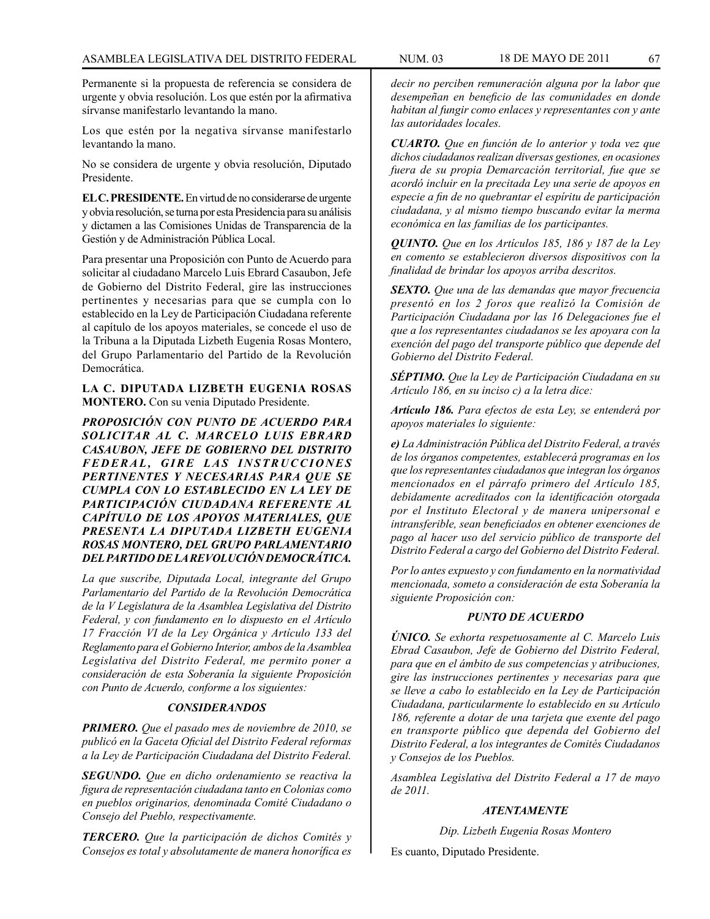Permanente si la propuesta de referencia se considera de urgente y obvia resolución. Los que estén por la afirmativa sírvanse manifestarlo levantando la mano.

Los que estén por la negativa sírvanse manifestarlo levantando la mano.

No se considera de urgente y obvia resolución, Diputado Presidente.

**EL C. PRESIDENTE.** En virtud de no considerarse de urgente y obvia resolución, se turna por esta Presidencia para su análisis y dictamen a las Comisiones Unidas de Transparencia de la Gestión y de Administración Pública Local.

Para presentar una Proposición con Punto de Acuerdo para solicitar al ciudadano Marcelo Luis Ebrard Casaubon, Jefe de Gobierno del Distrito Federal, gire las instrucciones pertinentes y necesarias para que se cumpla con lo establecido en la Ley de Participación Ciudadana referente al capítulo de los apoyos materiales, se concede el uso de la Tribuna a la Diputada Lizbeth Eugenia Rosas Montero, del Grupo Parlamentario del Partido de la Revolución Democrática.

**LA C. DIPUTADA LIZBETH EUGENIA ROSAS MONTERO.** Con su venia Diputado Presidente.

*PROPOSICIÓN CON PUNTO DE ACUERDO PARA SOLICITAR AL C. MARCELO LUIS EBRARD CASAUBON, JEFE DE GOBIERNO DEL DISTRITO*   $FEDERAL$ , GIRE LAS INSTRUCCIONES *PERTINENTES Y NECESARIAS PARA QUE SE CUMPLA CON LO ESTABLECIDO EN LA LEY DE PARTICIPACIÓN CIUDADANA REFERENTE AL CAPÍTULO DE LOS APOYOS MATERIALES, QUE PRESENTA LA DIPUTADA LIZBETH EUGENIA ROSAS MONTERO, DEL GRUPO PARLAMENTARIO DEL PARTIDO DE LA REVOLUCIÓN DEMOCRÁTICA.*

*La que suscribe, Diputada Local, integrante del Grupo Parlamentario del Partido de la Revolución Democrática de la V Legislatura de la Asamblea Legislativa del Distrito Federal, y con fundamento en lo dispuesto en el Artículo 17 Fracción VI de la Ley Orgánica y Artículo 133 del Reglamento para el Gobierno Interior, ambos de la Asamblea Legislativa del Distrito Federal, me permito poner a consideración de esta Soberanía la siguiente Proposición con Punto de Acuerdo, conforme a los siguientes:*

## *CONSIDERANDOS*

*PRIMERO. Que el pasado mes de noviembre de 2010, se publicó en la Gaceta Oficial del Distrito Federal reformas a la Ley de Participación Ciudadana del Distrito Federal.*

*SEGUNDO. Que en dicho ordenamiento se reactiva la figura de representación ciudadana tanto en Colonias como en pueblos originarios, denominada Comité Ciudadano o Consejo del Pueblo, respectivamente.*

*TERCERO. Que la participación de dichos Comités y Consejos es total y absolutamente de manera honorífica es*  *decir no perciben remuneración alguna por la labor que desempeñan en beneficio de las comunidades en donde habitan al fungir como enlaces y representantes con y ante las autoridades locales.*

*CUARTO. Que en función de lo anterior y toda vez que dichos ciudadanos realizan diversas gestiones, en ocasiones fuera de su propia Demarcación territorial, fue que se acordó incluir en la precitada Ley una serie de apoyos en especie a fin de no quebrantar el espíritu de participación ciudadana, y al mismo tiempo buscando evitar la merma económica en las familias de los participantes.*

*QUINTO. Que en los Artículos 185, 186 y 187 de la Ley en comento se establecieron diversos dispositivos con la finalidad de brindar los apoyos arriba descritos.*

*SEXTO. Que una de las demandas que mayor frecuencia presentó en los 2 foros que realizó la Comisión de Participación Ciudadana por las 16 Delegaciones fue el que a los representantes ciudadanos se les apoyara con la exención del pago del transporte público que depende del Gobierno del Distrito Federal.*

*SÉPTIMO. Que la Ley de Participación Ciudadana en su Artículo 186, en su inciso c) a la letra dice:*

*Artículo 186. Para efectos de esta Ley, se entenderá por apoyos materiales lo siguiente:*

*e) La Administración Pública del Distrito Federal, a través de los órganos competentes, establecerá programas en los que los representantes ciudadanos que integran los órganos mencionados en el párrafo primero del Artículo 185, debidamente acreditados con la identificación otorgada por el Instituto Electoral y de manera unipersonal e intransferible, sean beneficiados en obtener exenciones de pago al hacer uso del servicio público de transporte del Distrito Federal a cargo del Gobierno del Distrito Federal.*

*Por lo antes expuesto y con fundamento en la normatividad mencionada, someto a consideración de esta Soberanía la siguiente Proposición con:*

#### *PUNTO DE ACUERDO*

*ÚNICO. Se exhorta respetuosamente al C. Marcelo Luis Ebrad Casaubon, Jefe de Gobierno del Distrito Federal, para que en el ámbito de sus competencias y atribuciones, gire las instrucciones pertinentes y necesarias para que se lleve a cabo lo establecido en la Ley de Participación Ciudadana, particularmente lo establecido en su Artículo 186, referente a dotar de una tarjeta que exente del pago en transporte público que dependa del Gobierno del Distrito Federal, a los integrantes de Comités Ciudadanos y Consejos de los Pueblos.*

*Asamblea Legislativa del Distrito Federal a 17 de mayo de 2011.*

## *ATENTAMENTE*

*Dip. Lizbeth Eugenia Rosas Montero*

Es cuanto, Diputado Presidente.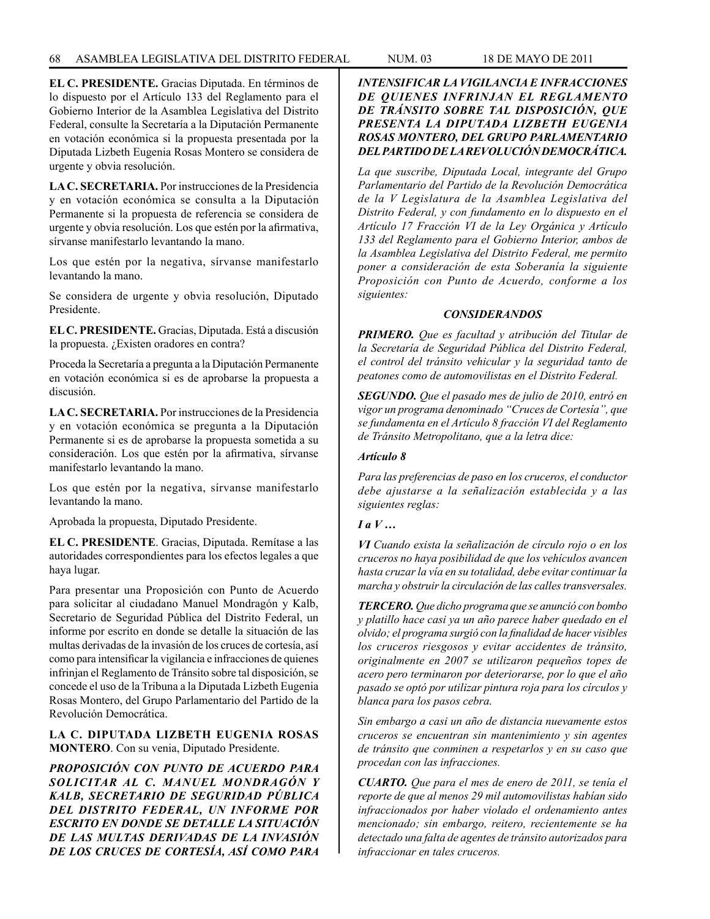**EL C. PRESIDENTE.** Gracias Diputada. En términos de lo dispuesto por el Artículo 133 del Reglamento para el Gobierno Interior de la Asamblea Legislativa del Distrito Federal, consulte la Secretaría a la Diputación Permanente en votación económica si la propuesta presentada por la Diputada Lizbeth Eugenia Rosas Montero se considera de urgente y obvia resolución.

**LA C. SECRETARIA.** Por instrucciones de la Presidencia y en votación económica se consulta a la Diputación Permanente si la propuesta de referencia se considera de urgente y obvia resolución. Los que estén por la afirmativa, sírvanse manifestarlo levantando la mano.

Los que estén por la negativa, sírvanse manifestarlo levantando la mano.

Se considera de urgente y obvia resolución, Diputado Presidente.

**EL C. PRESIDENTE.** Gracias, Diputada. Está a discusión la propuesta. ¿Existen oradores en contra?

Proceda la Secretaría a pregunta a la Diputación Permanente en votación económica si es de aprobarse la propuesta a discusión.

**LA C. SECRETARIA.** Por instrucciones de la Presidencia y en votación económica se pregunta a la Diputación Permanente si es de aprobarse la propuesta sometida a su consideración. Los que estén por la afirmativa, sírvanse manifestarlo levantando la mano.

Los que estén por la negativa, sírvanse manifestarlo levantando la mano.

Aprobada la propuesta, Diputado Presidente.

**EL C. PRESIDENTE**. Gracias, Diputada. Remítase a las autoridades correspondientes para los efectos legales a que haya lugar.

Para presentar una Proposición con Punto de Acuerdo para solicitar al ciudadano Manuel Mondragón y Kalb, Secretario de Seguridad Pública del Distrito Federal, un informe por escrito en donde se detalle la situación de las multas derivadas de la invasión de los cruces de cortesía, así como para intensificar la vigilancia e infracciones de quienes infrinjan el Reglamento de Tránsito sobre tal disposición, se concede el uso de la Tribuna a la Diputada Lizbeth Eugenia Rosas Montero, del Grupo Parlamentario del Partido de la Revolución Democrática.

**LA C. DIPUTADA LIZBETH EUGENIA ROSAS MONTERO**. Con su venia, Diputado Presidente.

*PROPOSICIÓN CON PUNTO DE ACUERDO PARA SOLICITAR AL C. MANUEL MONDRAGÓN Y KALB, SECRETARIO DE SEGURIDAD PÚBLICA DEL DISTRITO FEDERAL, UN INFORME POR ESCRITO EN DONDE SE DETALLE LA SITUACIÓN DE LAS MULTAS DERIVADAS DE LA INVASIÓN DE LOS CRUCES DE CORTESÍA, ASÍ COMO PARA* 

## *INTENSIFICAR LA VIGILANCIA E INFRACCIONES DE QUIENES INFRINJAN EL REGLAMENTO DE TRÁNSITO SOBRE TAL DISPOSICIÓN, QUE PRESENTA LA DIPUTADA LIZBETH EUGENIA ROSAS MONTERO, DEL GRUPO PARLAMENTARIO DEL PARTIDO DE LA REVOLUCIÓN DEMOCRÁTICA.*

*La que suscribe, Diputada Local, integrante del Grupo Parlamentario del Partido de la Revolución Democrática de la V Legislatura de la Asamblea Legislativa del Distrito Federal, y con fundamento en lo dispuesto en el Artículo 17 Fracción VI de la Ley Orgánica y Artículo 133 del Reglamento para el Gobierno Interior, ambos de la Asamblea Legislativa del Distrito Federal, me permito poner a consideración de esta Soberanía la siguiente Proposición con Punto de Acuerdo, conforme a los siguientes:*

### *CONSIDERANDOS*

*PRIMERO. Que es facultad y atribución del Titular de la Secretaría de Seguridad Pública del Distrito Federal, el control del tránsito vehicular y la seguridad tanto de peatones como de automovilistas en el Distrito Federal.*

*SEGUNDO. Que el pasado mes de julio de 2010, entró en vigor un programa denominado "Cruces de Cortesía", que se fundamenta en el Artículo 8 fracción VI del Reglamento de Tránsito Metropolitano, que a la letra dice:*

## *Artículo 8*

*Para las preferencias de paso en los cruceros, el conductor debe ajustarse a la señalización establecida y a las siguientes reglas:*

# *I a V …*

*VI Cuando exista la señalización de círculo rojo o en los cruceros no haya posibilidad de que los vehículos avancen hasta cruzar la vía en su totalidad, debe evitar continuar la marcha y obstruir la circulación de las calles transversales.*

*TERCERO. Que dicho programa que se anunció con bombo y platillo hace casi ya un año parece haber quedado en el olvido; el programa surgió con la finalidad de hacer visibles los cruceros riesgosos y evitar accidentes de tránsito, originalmente en 2007 se utilizaron pequeños topes de acero pero terminaron por deteriorarse, por lo que el año pasado se optó por utilizar pintura roja para los círculos y blanca para los pasos cebra.*

*Sin embargo a casi un año de distancia nuevamente estos cruceros se encuentran sin mantenimiento y sin agentes de tránsito que conminen a respetarlos y en su caso que procedan con las infracciones.*

*CUARTO. Que para el mes de enero de 2011, se tenía el reporte de que al menos 29 mil automovilistas habían sido infraccionados por haber violado el ordenamiento antes mencionado; sin embargo, reitero, recientemente se ha detectado una falta de agentes de tránsito autorizados para infraccionar en tales cruceros.*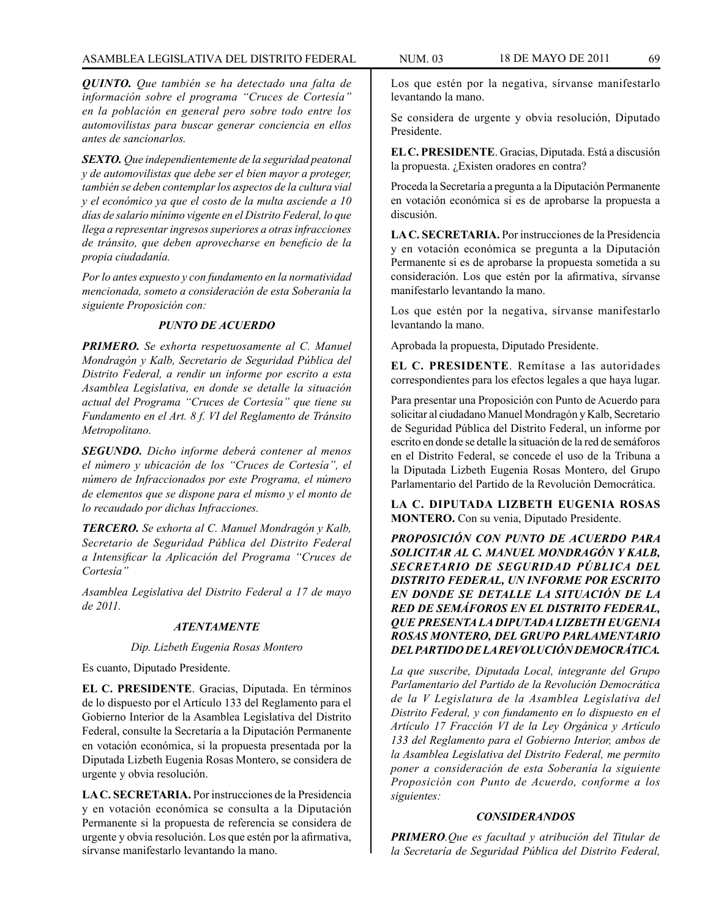*QUINTO. Que también se ha detectado una falta de información sobre el programa "Cruces de Cortesía" en la población en general pero sobre todo entre los automovilistas para buscar generar conciencia en ellos antes de sancionarlos.* 

*SEXTO. Que independientemente de la seguridad peatonal y de automovilistas que debe ser el bien mayor a proteger, también se deben contemplar los aspectos de la cultura vial y el económico ya que el costo de la multa asciende a 10 días de salario mínimo vigente en el Distrito Federal, lo que llega a representar ingresos superiores a otras infracciones de tránsito, que deben aprovecharse en beneficio de la propia ciudadanía.*

*Por lo antes expuesto y con fundamento en la normatividad mencionada, someto a consideración de esta Soberanía la siguiente Proposición con:*

# *PUNTO DE ACUERDO*

*PRIMERO. Se exhorta respetuosamente al C. Manuel Mondragón y Kalb, Secretario de Seguridad Pública del Distrito Federal, a rendir un informe por escrito a esta Asamblea Legislativa, en donde se detalle la situación actual del Programa "Cruces de Cortesía" que tiene su Fundamento en el Art. 8 f. VI del Reglamento de Tránsito Metropolitano.*

*SEGUNDO. Dicho informe deberá contener al menos el número y ubicación de los "Cruces de Cortesía", el número de Infraccionados por este Programa, el número de elementos que se dispone para el mismo y el monto de lo recaudado por dichas Infracciones.*

*TERCERO. Se exhorta al C. Manuel Mondragón y Kalb, Secretario de Seguridad Pública del Distrito Federal a Intensificar la Aplicación del Programa "Cruces de Cortesía"*

*Asamblea Legislativa del Distrito Federal a 17 de mayo de 2011.*

# *ATENTAMENTE*

## *Dip. Lizbeth Eugenia Rosas Montero*

Es cuanto, Diputado Presidente.

**EL C. PRESIDENTE**. Gracias, Diputada. En términos de lo dispuesto por el Artículo 133 del Reglamento para el Gobierno Interior de la Asamblea Legislativa del Distrito Federal, consulte la Secretaría a la Diputación Permanente en votación económica, si la propuesta presentada por la Diputada Lizbeth Eugenia Rosas Montero, se considera de urgente y obvia resolución.

**LA C. SECRETARIA.** Por instrucciones de la Presidencia y en votación económica se consulta a la Diputación Permanente si la propuesta de referencia se considera de urgente y obvia resolución. Los que estén por la afirmativa, sírvanse manifestarlo levantando la mano.

Los que estén por la negativa, sírvanse manifestarlo levantando la mano.

Se considera de urgente y obvia resolución, Diputado Presidente.

**EL C. PRESIDENTE**. Gracias, Diputada. Está a discusión la propuesta. ¿Existen oradores en contra?

Proceda la Secretaría a pregunta a la Diputación Permanente en votación económica si es de aprobarse la propuesta a discusión.

**LA C. SECRETARIA.** Por instrucciones de la Presidencia y en votación económica se pregunta a la Diputación Permanente si es de aprobarse la propuesta sometida a su consideración. Los que estén por la afirmativa, sírvanse manifestarlo levantando la mano.

Los que estén por la negativa, sírvanse manifestarlo levantando la mano.

Aprobada la propuesta, Diputado Presidente.

**EL C. PRESIDENTE**. Remítase a las autoridades correspondientes para los efectos legales a que haya lugar.

Para presentar una Proposición con Punto de Acuerdo para solicitar al ciudadano Manuel Mondragón y Kalb, Secretario de Seguridad Pública del Distrito Federal, un informe por escrito en donde se detalle la situación de la red de semáforos en el Distrito Federal, se concede el uso de la Tribuna a la Diputada Lizbeth Eugenia Rosas Montero, del Grupo Parlamentario del Partido de la Revolución Democrática.

**LA C. DIPUTADA LIZBETH EUGENIA ROSAS MONTERO.** Con su venia, Diputado Presidente.

*PROPOSICIÓN CON PUNTO DE ACUERDO PARA SOLICITAR AL C. MANUEL MONDRAGÓN Y KALB, SECRETARIO DE SEGURIDAD PÚBLICA DEL DISTRITO FEDERAL, UN INFORME POR ESCRITO EN DONDE SE DETALLE LA SITUACIÓN DE LA RED DE SEMÁFOROS EN EL DISTRITO FEDERAL, QUE PRESENTA LA DIPUTADA LIZBETH EUGENIA ROSAS MONTERO, DEL GRUPO PARLAMENTARIO DEL PARTIDO DE LA REVOLUCIÓN DEMOCRÁTICA.*

*La que suscribe, Diputada Local, integrante del Grupo Parlamentario del Partido de la Revolución Democrática de la V Legislatura de la Asamblea Legislativa del Distrito Federal, y con fundamento en lo dispuesto en el Artículo 17 Fracción VI de la Ley Orgánica y Artículo 133 del Reglamento para el Gobierno Interior, ambos de la Asamblea Legislativa del Distrito Federal, me permito poner a consideración de esta Soberanía la siguiente Proposición con Punto de Acuerdo, conforme a los siguientes:*

## *CONSIDERANDOS*

*PRIMERO.Que es facultad y atribución del Titular de la Secretaría de Seguridad Pública del Distrito Federal,*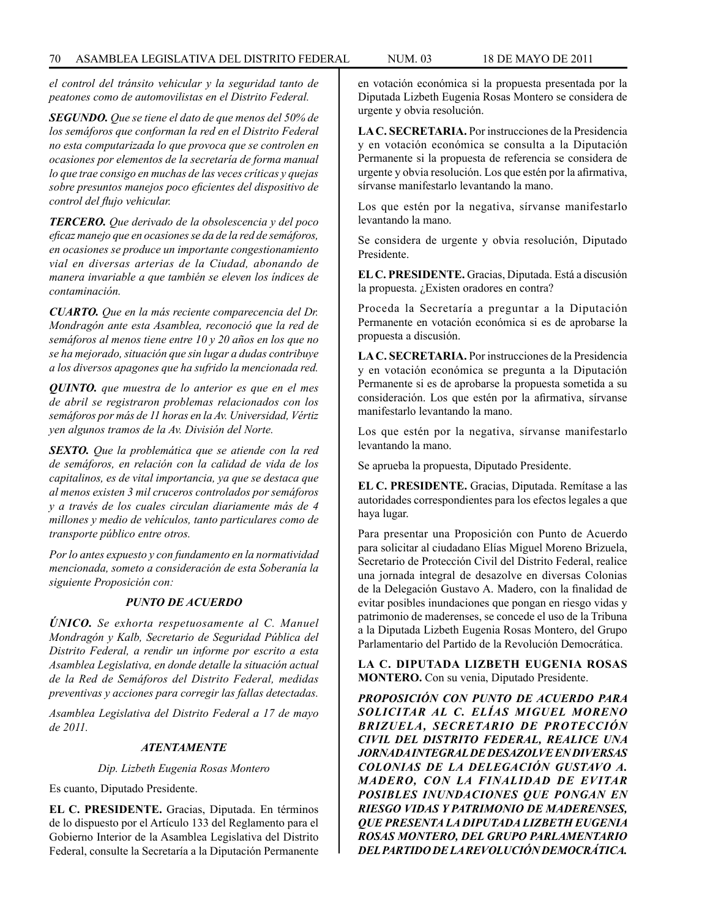*el control del tránsito vehicular y la seguridad tanto de peatones como de automovilistas en el Distrito Federal.*

*SEGUNDO. Que se tiene el dato de que menos del 50% de los semáforos que conforman la red en el Distrito Federal no esta computarizada lo que provoca que se controlen en ocasiones por elementos de la secretaría de forma manual lo que trae consigo en muchas de las veces críticas y quejas sobre presuntos manejos poco eficientes del dispositivo de control del flujo vehicular.*

*TERCERO. Que derivado de la obsolescencia y del poco eficaz manejo que en ocasiones se da de la red de semáforos, en ocasiones se produce un importante congestionamiento vial en diversas arterias de la Ciudad, abonando de manera invariable a que también se eleven los índices de contaminación.*

*CUARTO. Que en la más reciente comparecencia del Dr. Mondragón ante esta Asamblea, reconoció que la red de semáforos al menos tiene entre 10 y 20 años en los que no se ha mejorado, situación que sin lugar a dudas contribuye a los diversos apagones que ha sufrido la mencionada red.*

*QUINTO. que muestra de lo anterior es que en el mes de abril se registraron problemas relacionados con los semáforos por más de 11 horas en la Av. Universidad, Vértiz yen algunos tramos de la Av. División del Norte.*

*SEXTO. Que la problemática que se atiende con la red de semáforos, en relación con la calidad de vida de los capitalinos, es de vital importancia, ya que se destaca que al menos existen 3 mil cruceros controlados por semáforos y a través de los cuales circulan diariamente más de 4 millones y medio de vehículos, tanto particulares como de transporte público entre otros.*

*Por lo antes expuesto y con fundamento en la normatividad mencionada, someto a consideración de esta Soberanía la siguiente Proposición con:*

#### *PUNTO DE ACUERDO*

*ÚNICO. Se exhorta respetuosamente al C. Manuel Mondragón y Kalb, Secretario de Seguridad Pública del Distrito Federal, a rendir un informe por escrito a esta Asamblea Legislativa, en donde detalle la situación actual de la Red de Semáforos del Distrito Federal, medidas preventivas y acciones para corregir las fallas detectadas.*

*Asamblea Legislativa del Distrito Federal a 17 de mayo de 2011.*

#### *ATENTAMENTE*

*Dip. Lizbeth Eugenia Rosas Montero*

Es cuanto, Diputado Presidente.

**EL C. PRESIDENTE.** Gracias, Diputada. En términos de lo dispuesto por el Artículo 133 del Reglamento para el Gobierno Interior de la Asamblea Legislativa del Distrito Federal, consulte la Secretaría a la Diputación Permanente en votación económica si la propuesta presentada por la Diputada Lizbeth Eugenia Rosas Montero se considera de urgente y obvia resolución.

**LA C. SECRETARIA.** Por instrucciones de la Presidencia y en votación económica se consulta a la Diputación Permanente si la propuesta de referencia se considera de urgente y obvia resolución. Los que estén por la afirmativa, sírvanse manifestarlo levantando la mano.

Los que estén por la negativa, sírvanse manifestarlo levantando la mano.

Se considera de urgente y obvia resolución, Diputado Presidente.

**EL C. PRESIDENTE.** Gracias, Diputada. Está a discusión la propuesta. ¿Existen oradores en contra?

Proceda la Secretaría a preguntar a la Diputación Permanente en votación económica si es de aprobarse la propuesta a discusión.

**LA C. SECRETARIA.** Por instrucciones de la Presidencia y en votación económica se pregunta a la Diputación Permanente si es de aprobarse la propuesta sometida a su consideración. Los que estén por la afirmativa, sírvanse manifestarlo levantando la mano.

Los que estén por la negativa, sírvanse manifestarlo levantando la mano.

Se aprueba la propuesta, Diputado Presidente.

**EL C. PRESIDENTE.** Gracias, Diputada. Remítase a las autoridades correspondientes para los efectos legales a que haya lugar.

Para presentar una Proposición con Punto de Acuerdo para solicitar al ciudadano Elías Miguel Moreno Brizuela, Secretario de Protección Civil del Distrito Federal, realice una jornada integral de desazolve en diversas Colonias de la Delegación Gustavo A. Madero, con la finalidad de evitar posibles inundaciones que pongan en riesgo vidas y patrimonio de maderenses, se concede el uso de la Tribuna a la Diputada Lizbeth Eugenia Rosas Montero, del Grupo Parlamentario del Partido de la Revolución Democrática.

**LA C. DIPUTADA LIZBETH EUGENIA ROSAS MONTERO.** Con su venia, Diputado Presidente.

*PROPOSICIÓN CON PUNTO DE ACUERDO PARA SOLICITAR AL C. ELÍAS MIGUEL MORENO BRIZUELA, SECRETARIO DE PROTECCIÓN CIVIL DEL DISTRITO FEDERAL, REALICE UNA JORNADA INTEGRAL DE DESAZOLVE EN DIVERSAS COLONIAS DE LA DELEGACIÓN GUSTAVO A. MADERO, CON LA FINALIDAD DE EVITAR POSIBLES INUNDACIONES QUE PONGAN EN RIESGO VIDAS Y PATRIMONIO DE MADERENSES, QUE PRESENTA LA DIPUTADA LIZBETH EUGENIA ROSAS MONTERO, DEL GRUPO PARLAMENTARIO DEL PARTIDO DE LA REVOLUCIÓN DEMOCRÁTICA.*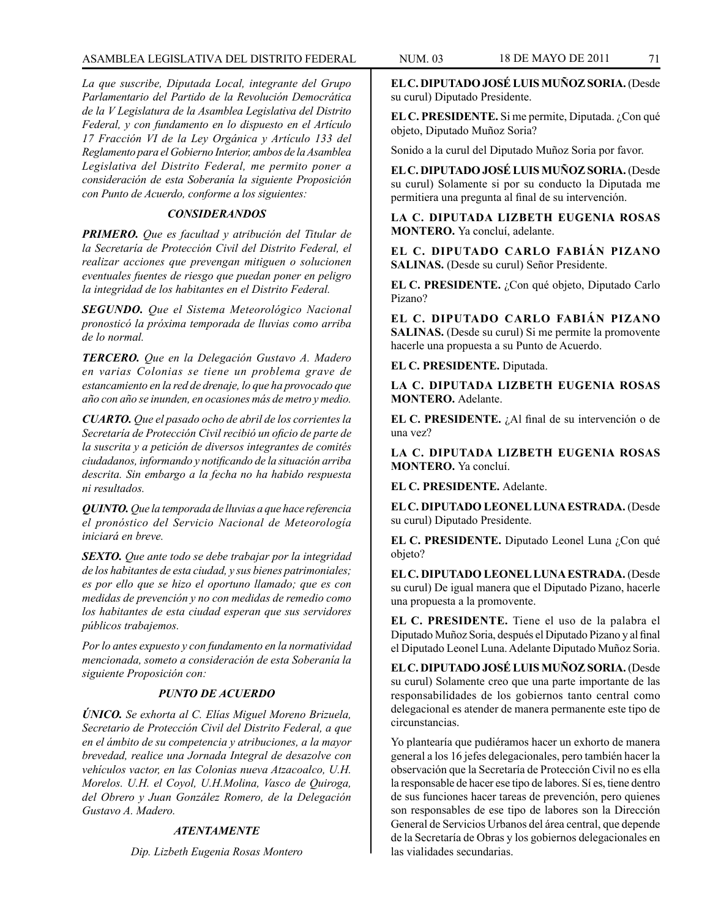# ASAMBLEA LEGISLATIVA DEL DISTRITO FEDERAL NUM. 03 18 de MAYO de 2011 71

*La que suscribe, Diputada Local, integrante del Grupo Parlamentario del Partido de la Revolución Democrática de la V Legislatura de la Asamblea Legislativa del Distrito Federal, y con fundamento en lo dispuesto en el Artículo 17 Fracción VI de la Ley Orgánica y Artículo 133 del Reglamento para el Gobierno Interior, ambos de la Asamblea Legislativa del Distrito Federal, me permito poner a consideración de esta Soberanía la siguiente Proposición con Punto de Acuerdo, conforme a los siguientes:*

# *CONSIDERANDOS*

*PRIMERO. Que es facultad y atribución del Titular de la Secretaría de Protección Civil del Distrito Federal, el realizar acciones que prevengan mitiguen o solucionen eventuales fuentes de riesgo que puedan poner en peligro la integridad de los habitantes en el Distrito Federal.*

*SEGUNDO. Que el Sistema Meteorológico Nacional pronosticó la próxima temporada de lluvias como arriba de lo normal.*

*TERCERO. Que en la Delegación Gustavo A. Madero en varias Colonias se tiene un problema grave de estancamiento en la red de drenaje, lo que ha provocado que año con año se inunden, en ocasiones más de metro y medio.*

*CUARTO. Que el pasado ocho de abril de los corrientes la Secretaría de Protección Civil recibió un oficio de parte de la suscrita y a petición de diversos integrantes de comités ciudadanos, informando y notificando de la situación arriba descrita. Sin embargo a la fecha no ha habido respuesta ni resultados.*

*QUINTO. Que la temporada de lluvias a que hace referencia el pronóstico del Servicio Nacional de Meteorología iniciará en breve.*

*SEXTO. Que ante todo se debe trabajar por la integridad de los habitantes de esta ciudad, y sus bienes patrimoniales; es por ello que se hizo el oportuno llamado; que es con medidas de prevención y no con medidas de remedio como los habitantes de esta ciudad esperan que sus servidores públicos trabajemos.*

*Por lo antes expuesto y con fundamento en la normatividad mencionada, someto a consideración de esta Soberanía la siguiente Proposición con:*

## *PUNTO DE ACUERDO*

*ÚNICO. Se exhorta al C. Elías Miguel Moreno Brizuela, Secretario de Protección Civil del Distrito Federal, a que en el ámbito de su competencia y atribuciones, a la mayor brevedad, realice una Jornada Integral de desazolve con vehículos vactor, en las Colonias nueva Atzacoalco, U.H. Morelos. U.H. el Coyol, U.H.Molina, Vasco de Quiroga, del Obrero y Juan González Romero, de la Delegación Gustavo A. Madero.* 

### *ATENTAMENTE*

*Dip. Lizbeth Eugenia Rosas Montero*

**EL C. DIPUTADO JOSÉ LUIS MUÑOZ SORIA.** (Desde su curul) Diputado Presidente.

**EL C. PRESIDENTE.** Si me permite, Diputada. ¿Con qué objeto, Diputado Muñoz Soria?

Sonido a la curul del Diputado Muñoz Soria por favor.

**EL C. DIPUTADO JOSÉ LUIS MUÑOZ SORIA.** (Desde su curul) Solamente si por su conducto la Diputada me permitiera una pregunta al final de su intervención.

**LA C. DIPUTADA LIZBETH EUGENIA ROSAS MONTERO.** Ya concluí, adelante.

**EL C. DIPUTADO CARLO FABIÁN PIZANO SALINAS.** (Desde su curul) Señor Presidente.

**EL C. PRESIDENTE.** ¿Con qué objeto, Diputado Carlo Pizano?

**EL C. DIPUTADO CARLO FABIÁN PIZANO SALINAS.** (Desde su curul) Si me permite la promovente hacerle una propuesta a su Punto de Acuerdo.

**EL C. PRESIDENTE.** Diputada.

**LA C. DIPUTADA LIZBETH EUGENIA ROSAS MONTERO.** Adelante.

**EL C. PRESIDENTE.** ¿Al final de su intervención o de una vez?

**LA C. DIPUTADA LIZBETH EUGENIA ROSAS MONTERO.** Ya concluí.

**EL C. PRESIDENTE.** Adelante.

**EL C. DIPUTADO LEONEL LUNA ESTRADA.** (Desde su curul) Diputado Presidente.

**EL C. PRESIDENTE.** Diputado Leonel Luna ¿Con qué objeto?

**EL C. DIPUTADO LEONEL LUNA ESTRADA.** (Desde su curul) De igual manera que el Diputado Pizano, hacerle una propuesta a la promovente.

**EL C. PRESIDENTE.** Tiene el uso de la palabra el Diputado Muñoz Soria, después el Diputado Pizano y al final el Diputado Leonel Luna. Adelante Diputado Muñoz Soria.

**EL C. DIPUTADO JOSÉ LUIS MUÑOZ SORIA.** (Desde su curul) Solamente creo que una parte importante de las responsabilidades de los gobiernos tanto central como delegacional es atender de manera permanente este tipo de circunstancias.

Yo plantearía que pudiéramos hacer un exhorto de manera general a los 16 jefes delegacionales, pero también hacer la observación que la Secretaría de Protección Civil no es ella la responsable de hacer ese tipo de labores. Sí es, tiene dentro de sus funciones hacer tareas de prevención, pero quienes son responsables de ese tipo de labores son la Dirección General de Servicios Urbanos del área central, que depende de la Secretaría de Obras y los gobiernos delegacionales en las vialidades secundarias.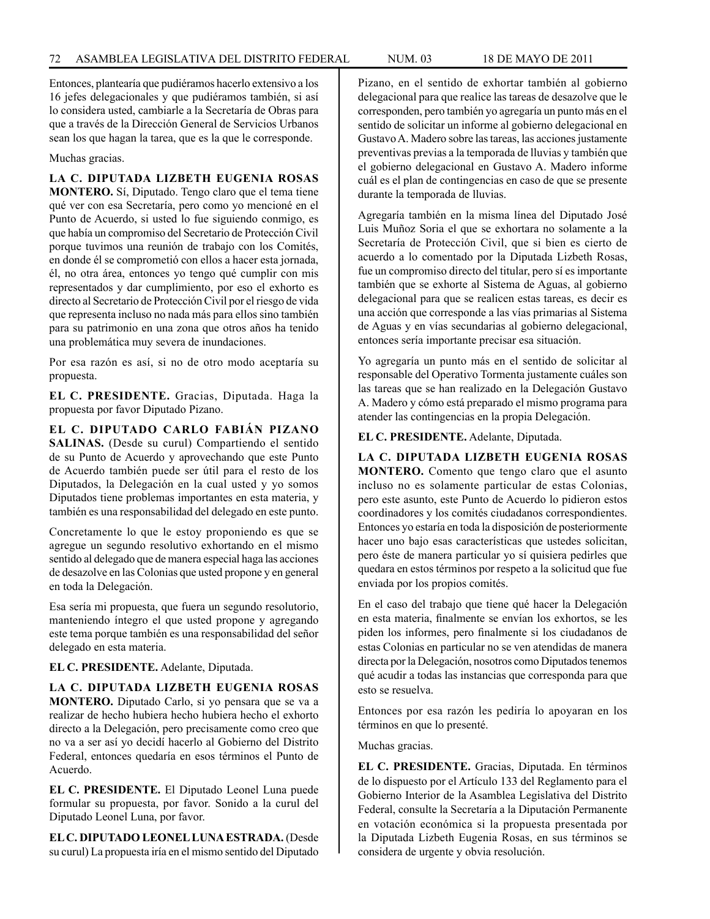Entonces, plantearía que pudiéramos hacerlo extensivo a los 16 jefes delegacionales y que pudiéramos también, si así lo considera usted, cambiarle a la Secretaría de Obras para que a través de la Dirección General de Servicios Urbanos sean los que hagan la tarea, que es la que le corresponde.

Muchas gracias.

## **LA C. DIPUTADA LIZBETH EUGENIA ROSAS**

**MONTERO.** Sí, Diputado. Tengo claro que el tema tiene qué ver con esa Secretaría, pero como yo mencioné en el Punto de Acuerdo, si usted lo fue siguiendo conmigo, es que había un compromiso del Secretario de Protección Civil porque tuvimos una reunión de trabajo con los Comités, en donde él se comprometió con ellos a hacer esta jornada, él, no otra área, entonces yo tengo qué cumplir con mis representados y dar cumplimiento, por eso el exhorto es directo al Secretario de Protección Civil por el riesgo de vida que representa incluso no nada más para ellos sino también para su patrimonio en una zona que otros años ha tenido una problemática muy severa de inundaciones.

Por esa razón es así, si no de otro modo aceptaría su propuesta.

**EL C. PRESIDENTE.** Gracias, Diputada. Haga la propuesta por favor Diputado Pizano.

**EL C. DIPUTADO CARLO FABIÁN PIZANO SALINAS.** (Desde su curul) Compartiendo el sentido de su Punto de Acuerdo y aprovechando que este Punto de Acuerdo también puede ser útil para el resto de los Diputados, la Delegación en la cual usted y yo somos Diputados tiene problemas importantes en esta materia, y también es una responsabilidad del delegado en este punto.

Concretamente lo que le estoy proponiendo es que se agregue un segundo resolutivo exhortando en el mismo sentido al delegado que de manera especial haga las acciones de desazolve en las Colonias que usted propone y en general en toda la Delegación.

Esa sería mi propuesta, que fuera un segundo resolutorio, manteniendo íntegro el que usted propone y agregando este tema porque también es una responsabilidad del señor delegado en esta materia.

## **EL C. PRESIDENTE.** Adelante, Diputada.

**LA C. DIPUTADA LIZBETH EUGENIA ROSAS MONTERO.** Diputado Carlo, si yo pensara que se va a realizar de hecho hubiera hecho hubiera hecho el exhorto directo a la Delegación, pero precisamente como creo que no va a ser así yo decidí hacerlo al Gobierno del Distrito Federal, entonces quedaría en esos términos el Punto de Acuerdo.

**EL C. PRESIDENTE.** El Diputado Leonel Luna puede formular su propuesta, por favor. Sonido a la curul del Diputado Leonel Luna, por favor.

**EL C. DIPUTADO LEONEL LUNA ESTRADA.** (Desde su curul) La propuesta iría en el mismo sentido del Diputado Pizano, en el sentido de exhortar también al gobierno delegacional para que realice las tareas de desazolve que le corresponden, pero también yo agregaría un punto más en el sentido de solicitar un informe al gobierno delegacional en Gustavo A. Madero sobre las tareas, las acciones justamente preventivas previas a la temporada de lluvias y también que el gobierno delegacional en Gustavo A. Madero informe cuál es el plan de contingencias en caso de que se presente durante la temporada de lluvias.

Agregaría también en la misma línea del Diputado José Luis Muñoz Soria el que se exhortara no solamente a la Secretaría de Protección Civil, que si bien es cierto de acuerdo a lo comentado por la Diputada Lizbeth Rosas, fue un compromiso directo del titular, pero sí es importante también que se exhorte al Sistema de Aguas, al gobierno delegacional para que se realicen estas tareas, es decir es una acción que corresponde a las vías primarias al Sistema de Aguas y en vías secundarias al gobierno delegacional, entonces sería importante precisar esa situación.

Yo agregaría un punto más en el sentido de solicitar al responsable del Operativo Tormenta justamente cuáles son las tareas que se han realizado en la Delegación Gustavo A. Madero y cómo está preparado el mismo programa para atender las contingencias en la propia Delegación.

### **EL C. PRESIDENTE.** Adelante, Diputada.

**LA C. DIPUTADA LIZBETH EUGENIA ROSAS MONTERO.** Comento que tengo claro que el asunto incluso no es solamente particular de estas Colonias, pero este asunto, este Punto de Acuerdo lo pidieron estos coordinadores y los comités ciudadanos correspondientes. Entonces yo estaría en toda la disposición de posteriormente hacer uno bajo esas características que ustedes solicitan, pero éste de manera particular yo sí quisiera pedirles que quedara en estos términos por respeto a la solicitud que fue enviada por los propios comités.

En el caso del trabajo que tiene qué hacer la Delegación en esta materia, finalmente se envían los exhortos, se les piden los informes, pero finalmente si los ciudadanos de estas Colonias en particular no se ven atendidas de manera directa por la Delegación, nosotros como Diputados tenemos qué acudir a todas las instancias que corresponda para que esto se resuelva.

Entonces por esa razón les pediría lo apoyaran en los términos en que lo presenté.

### Muchas gracias.

**EL C. PRESIDENTE.** Gracias, Diputada. En términos de lo dispuesto por el Artículo 133 del Reglamento para el Gobierno Interior de la Asamblea Legislativa del Distrito Federal, consulte la Secretaría a la Diputación Permanente en votación económica si la propuesta presentada por la Diputada Lizbeth Eugenia Rosas, en sus términos se considera de urgente y obvia resolución.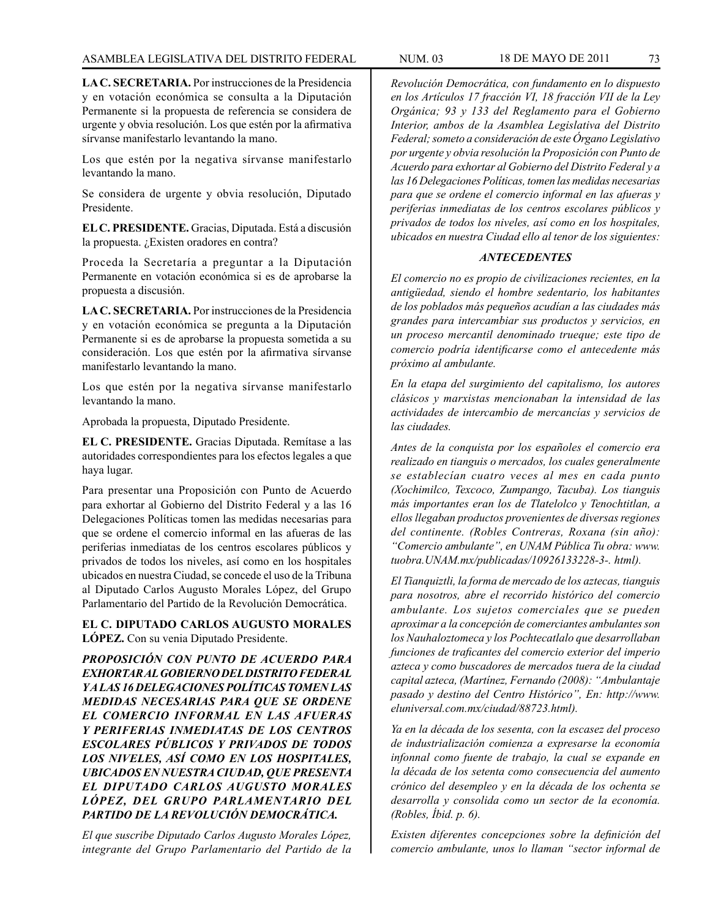**LA C. SECRETARIA.** Por instrucciones de la Presidencia y en votación económica se consulta a la Diputación Permanente si la propuesta de referencia se considera de urgente y obvia resolución. Los que estén por la afirmativa sírvanse manifestarlo levantando la mano.

Los que estén por la negativa sírvanse manifestarlo levantando la mano.

Se considera de urgente y obvia resolución, Diputado Presidente.

**EL C. PRESIDENTE.** Gracias, Diputada. Está a discusión la propuesta. ¿Existen oradores en contra?

Proceda la Secretaría a preguntar a la Diputación Permanente en votación económica si es de aprobarse la propuesta a discusión.

**LA C. SECRETARIA.** Por instrucciones de la Presidencia y en votación económica se pregunta a la Diputación Permanente si es de aprobarse la propuesta sometida a su consideración. Los que estén por la afirmativa sírvanse manifestarlo levantando la mano.

Los que estén por la negativa sírvanse manifestarlo levantando la mano.

Aprobada la propuesta, Diputado Presidente.

**EL C. PRESIDENTE.** Gracias Diputada. Remítase a las autoridades correspondientes para los efectos legales a que haya lugar.

Para presentar una Proposición con Punto de Acuerdo para exhortar al Gobierno del Distrito Federal y a las 16 Delegaciones Políticas tomen las medidas necesarias para que se ordene el comercio informal en las afueras de las periferias inmediatas de los centros escolares públicos y privados de todos los niveles, así como en los hospitales ubicados en nuestra Ciudad, se concede el uso de la Tribuna al Diputado Carlos Augusto Morales López, del Grupo Parlamentario del Partido de la Revolución Democrática.

**EL C. DIPUTADO CARLOS AUGUSTO MORALES LÓPEZ.** Con su venia Diputado Presidente.

*PROPOSICIÓN CON PUNTO DE ACUERDO PARA EXHORTAR AL GOBIERNO DEL DISTRITO FEDERAL Y A LAS 16 DELEGACIONES POLÍTICAS TOMEN LAS MEDIDAS NECESARIAS PARA QUE SE ORDENE EL COMERCIO INFORMAL EN LAS AFUERAS Y PERIFERIAS INMEDIATAS DE LOS CENTROS ESCOLARES PÚBLICOS Y PRIVADOS DE TODOS LOS NIVELES, ASÍ COMO EN LOS HOSPITALES, UBICADOS EN NUESTRA CIUDAD, QUE PRESENTA EL DIPUTADO CARLOS AUGUSTO MORALES LÓPEZ, DEL GRUPO PARLAMENTARIO DEL PARTIDO DE LA REVOLUCIÓN DEMOCRÁTICA.*

*El que suscribe Diputado Carlos Augusto Morales López, integrante del Grupo Parlamentario del Partido de la* 

*Revolución Democrática, con fundamento en lo dispuesto en los Artículos 17 fracción VI, 18 fracción VII de la Ley Orgánica; 93 y 133 del Reglamento para el Gobierno Interior, ambos de la Asamblea Legislativa del Distrito Federal; someto a consideración de este Órgano Legislativo por urgente y obvia resolución la Proposición con Punto de Acuerdo para exhortar al Gobierno del Distrito Federal y a las 16 Delegaciones Políticas, tomen las medidas necesarias para que se ordene el comercio informal en las afueras y periferias inmediatas de los centros escolares públicos y privados de todos los niveles, así como en los hospitales, ubicados en nuestra Ciudad ello al tenor de los siguientes:*

#### *ANTECEDENTES*

*El comercio no es propio de civilizaciones recientes, en la antigüedad, siendo el hombre sedentario, los habitantes de los poblados más pequeños acudían a las ciudades más grandes para intercambiar sus productos y servicios, en un proceso mercantil denominado trueque; este tipo de comercio podría identificarse como el antecedente más próximo al ambulante.*

*En la etapa del surgimiento del capitalismo, los autores clásicos y marxistas mencionaban la intensidad de las actividades de intercambio de mercancías y servicios de las ciudades.*

*Antes de la conquista por los españoles el comercio era realizado en tianguis o mercados, los cuales generalmente se establecían cuatro veces al mes en cada punto (Xochimilco, Texcoco, Zumpango, Tacuba). Los tianguis más importantes eran los de Tlatelolco y Tenochtitlan, a ellos llegaban productos provenientes de diversas regiones del continente. (Robles Contreras, Roxana (sin año): "Comercio ambulante", en UNAM Pública Tu obra: www. tuobra.UNAM.mx/publicadas/10926133228-3-. html).*

*El Tianquiztli, la forma de mercado de los aztecas, tianguis para nosotros, abre el recorrido histórico del comercio ambulante. Los sujetos comerciales que se pueden aproximar a la concepción de comerciantes ambulantes son los Nauhaloztomeca y los Pochtecatlalo que desarrollaban funciones de traficantes del comercio exterior del imperio azteca y como buscadores de mercados tuera de la ciudad capital azteca, (Martínez, Fernando (2008): "Ambulantaje pasado y destino del Centro Histórico", En: http://www. eluniversal.com.mx/ciudad/88723.html).*

*Ya en la década de los sesenta, con la escasez del proceso de industrialización comienza a expresarse la economía infonnal como fuente de trabajo, la cual se expande en la década de los setenta como consecuencia del aumento crónico del desempleo y en la década de los ochenta se desarrolla y consolida como un sector de la economía. (Robles, Íbid. p. 6).*

*Existen diferentes concepciones sobre la definición del comercio ambulante, unos lo llaman "sector informal de*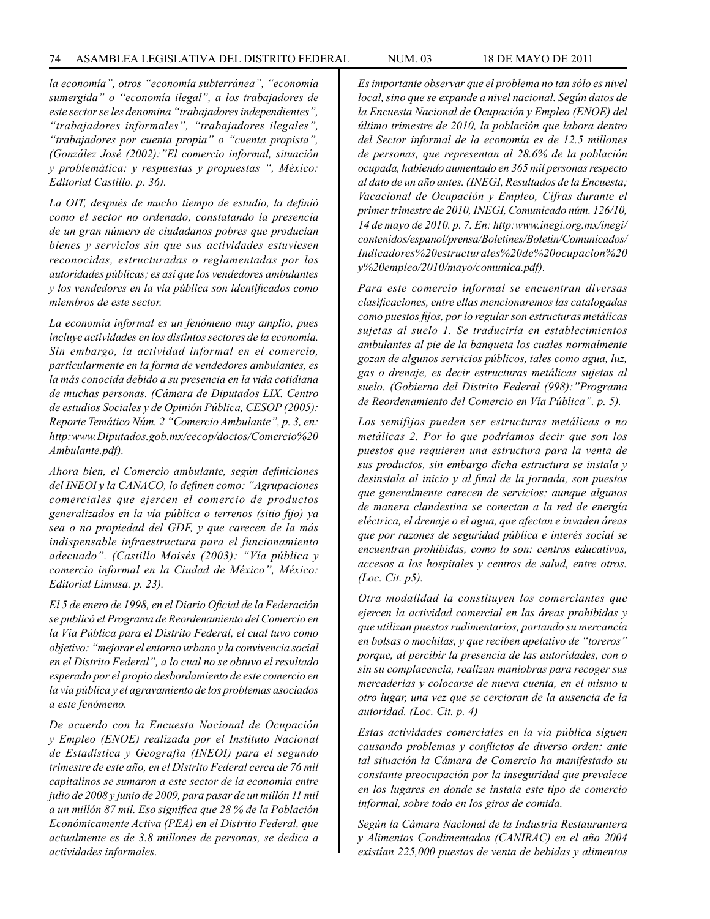*la economía", otros "economía subterránea", "economía sumergida" o "economía ilegal", a los trabajadores de este sector se les denomina "trabajadores independientes", "trabajadores informales", "trabajadores ilegales", "trabajadores por cuenta propia" o "cuenta propista", (González José (2002):"El comercio informal, situación y problemática: y respuestas y propuestas ", México: Editorial Castillo. p. 36).*

*La OIT, después de mucho tiempo de estudio, la definió como el sector no ordenado, constatando la presencia de un gran número de ciudadanos pobres que producían bienes y servicios sin que sus actividades estuviesen reconocidas, estructuradas o reglamentadas por las autoridades públicas; es así que los vendedores ambulantes y los vendedores en la vía pública son identificados como miembros de este sector.*

*La economía informal es un fenómeno muy amplio, pues incluye actividades en los distintos sectores de la economía. Sin embargo, la actividad informal en el comercio, particularmente en la forma de vendedores ambulantes, es la más conocida debido a su presencia en la vida cotidiana de muchas personas. (Cámara de Diputados LIX. Centro de estudios Sociales y de Opinión Pública, CESOP (2005): Reporte Temático Núm. 2 "Comercio Ambulante", p. 3, en: http:www.Diputados.gob.mx/cecop/doctos/Comercio%20 Ambulante.pdf).*

*Ahora bien, el Comercio ambulante, según definiciones del INEOI y la CANACO, lo definen como: "Agrupaciones comerciales que ejercen el comercio de productos generalizados en la vía pública o terrenos (sitio fijo) ya sea o no propiedad del GDF, y que carecen de la más indispensable infraestructura para el funcionamiento adecuado". (Castillo Moisés (2003): "Vía pública y comercio informal en la Ciudad de México", México: Editorial Limusa. p. 23).*

*El 5 de enero de 1998, en el Diario Oficial de la Federación se publicó el Programa de Reordenamiento del Comercio en la Vía Pública para el Distrito Federal, el cual tuvo como objetivo: "mejorar el entorno urbano y la convivencia social en el Distrito Federal", a lo cual no se obtuvo el resultado esperado por el propio desbordamiento de este comercio en la vía pública y el agravamiento de los problemas asociados a este fenómeno.*

*De acuerdo con la Encuesta Nacional de Ocupación y Empleo (ENOE) realizada por el Instituto Nacional de Estadística y Geografía (INEOI) para el segundo trimestre de este año, en el Distrito Federal cerca de 76 mil capitalinos se sumaron a este sector de la economía entre julio de 2008 y junio de 2009, para pasar de un millón 11 mil a un millón 87 mil. Eso significa que 28 % de la Población Económicamente Activa (PEA) en el Distrito Federal, que actualmente es de 3.8 millones de personas, se dedica a actividades informales.*

*Es importante observar que el problema no tan sólo es nivel local, sino que se expande a nivel nacional. Según datos de la Encuesta Nacional de Ocupación y Empleo (ENOE) del último trimestre de 2010, la población que labora dentro del Sector informal de la economía es de 12.5 millones de personas, que representan al 28.6% de la población ocupada, habiendo aumentado en 365 mil personas respecto al dato de un año antes. (INEGI, Resultados de la Encuesta; Vacacional de Ocupación y Empleo, Cifras durante el primer trimestre de 2010, INEGI, Comunicado núm. 126/10, 14 de mayo de 2010. p. 7. En: http:www.inegi.org.mx/inegi/ contenidos/espanol/prensa/Boletines/Boletin/Comunicados/ Indicadores%20estructurales%20de%20ocupacion%20 y%20empleo/2010/mayo/comunica.pdf).* 

*Para este comercio informal se encuentran diversas clasificaciones, entre ellas mencionaremos las catalogadas como puestos fijos, por lo regular son estructuras metálicas sujetas al suelo 1. Se traduciría en establecimientos ambulantes al pie de la banqueta los cuales normalmente gozan de algunos servicios públicos, tales como agua, luz, gas o drenaje, es decir estructuras metálicas sujetas al suelo. (Gobierno del Distrito Federal (998):"Programa de Reordenamiento del Comercio en Vía Pública". p. 5).*

*Los semifijos pueden ser estructuras metálicas o no metálicas 2. Por lo que podríamos decir que son los puestos que requieren una estructura para la venta de sus productos, sin embargo dicha estructura se instala y desinstala al inicio y al final de la jornada, son puestos que generalmente carecen de servicios; aunque algunos de manera clandestina se conectan a la red de energía eléctrica, el drenaje o el agua, que afectan e invaden áreas que por razones de seguridad pública e interés social se encuentran prohibidas, como lo son: centros educativos, accesos a los hospitales y centros de salud, entre otros. (Loc. Cit. p5).*

*Otra modalidad la constituyen los comerciantes que ejercen la actividad comercial en las áreas prohibidas y que utilizan puestos rudimentarios, portando su mercancía en bolsas o mochilas, y que reciben apelativo de "toreros" porque, al percibir la presencia de las autoridades, con o sin su complacencia, realizan maniobras para recoger sus mercaderías y colocarse de nueva cuenta, en el mismo u otro lugar, una vez que se cercioran de la ausencia de la autoridad. (Loc. Cit. p. 4)*

*Estas actividades comerciales en la vía pública siguen causando problemas y conflictos de diverso orden; ante tal situación la Cámara de Comercio ha manifestado su constante preocupación por la inseguridad que prevalece en los lugares en donde se instala este tipo de comercio informal, sobre todo en los giros de comida.*

*Según la Cámara Nacional de la Industria Restaurantera y Alimentos Condimentados (CANIRAC) en el año 2004 existían 225,000 puestos de venta de bebidas y alimentos*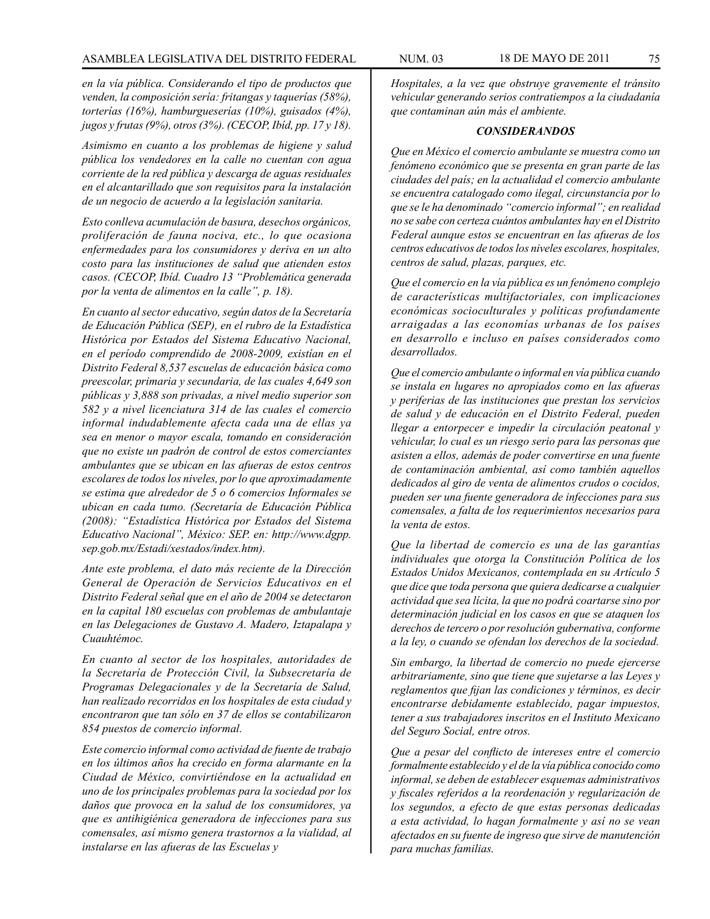*en la vía pública. Considerando el tipo de productos que venden, la composición sería: fritangas y taquerías (58%), torterías (16%), hamburgueserías (10%), guisados (4%), jugos y frutas (9%), otros (3%). (CECOP, Ibíd, pp. 17 y 18).*

*Asimismo en cuanto a los problemas de higiene y salud pública los vendedores en la calle no cuentan con agua corriente de la red pública y descarga de aguas residuales en el alcantarillado que son requisitos para la instalación de un negocio de acuerdo a la legislación sanitaria.*

*Esto conlleva acumulación de basura, desechos orgánicos, proliferación de fauna nociva, etc., lo que ocasiona enfermedades para los consumidores y deriva en un alto costo para las instituciones de salud que atienden estos casos. (CECOP, Ibíd. Cuadro 13 "Problemática generada por la venta de alimentos en la calle", p. 18).*

*En cuanto al sector educativo, según datos de la Secretaría de Educación Pública (SEP), en el rubro de la Estadística Histórica por Estados del Sistema Educativo Nacional, en el período comprendido de 2008-2009, existían en el Distrito Federal 8,537 escuelas de educación básica como preescolar, primaria y secundaria, de las cuales 4,649 son públicas y 3,888 son privadas, a nivel medio superior son 582 y a nivel licenciatura 314 de las cuales el comercio informal indudablemente afecta cada una de ellas ya sea en menor o mayor escala, tomando en consideración que no existe un padrón de control de estos comerciantes ambulantes que se ubican en las afueras de estos centros escolares de todos los niveles, por lo que aproximadamente se estima que alrededor de 5 o 6 comercios Informales se ubican en cada tumo. (Secretaría de Educación Pública (2008): "Estadística Histórica por Estados del Sistema Educativo Nacional", México: SEP. en: http://www.dgpp. sep.gob.mx/Estadi/xestados/index.htm).*

*Ante este problema, el dato más reciente de la Dirección General de Operación de Servicios Educativos en el Distrito Federal señal que en el año de 2004 se detectaron en la capital 180 escuelas con problemas de ambulantaje en las Delegaciones de Gustavo A. Madero, Iztapalapa y Cuauhtémoc.*

*En cuanto al sector de los hospitales, autoridades de la Secretaría de Protección Civil, la Subsecretaría de Programas Delegacionales y de la Secretaría de Salud, han realizado recorridos en los hospitales de esta ciudad y encontraron que tan sólo en 37 de ellos se contabilizaron 854 puestos de comercio informal.*

*Este comercio informal como actividad de fuente de trabajo en los últimos años ha crecido en forma alarmante en la Ciudad de México, convirtiéndose en la actualidad en uno de los principales problemas para la sociedad por los daños que provoca en la salud de los consumidores, ya que es antihigiénica generadora de infecciones para sus comensales, así mismo genera trastornos a la vialidad, al instalarse en las afueras de las Escuelas y*

*Hospitales, a la vez que obstruye gravemente el tránsito vehicular generando serios contratiempos a la ciudadanía que contaminan aún más el ambiente.*

#### *CONSIDERANDOS*

*Que en México el comercio ambulante se muestra como un fenómeno económico que se presenta en gran parte de las ciudades del país; en la actualidad el comercio ambulante se encuentra catalogado como ilegal, circunstancia por lo que se le ha denominado "comercio informal"; en realidad no se sabe con certeza cuántos ambulantes hay en el Distrito Federal aunque estos se encuentran en las afueras de los centros educativos de todos los niveles escolares, hospitales, centros de salud, plazas, parques, etc.*

*Que el comercio en la vía pública es un fenómeno complejo de características multifactoriales, con implicaciones económicas socioculturales y políticas profundamente arraigadas a las economías urbanas de los países en desarrollo e incluso en países considerados como desarrollados.*

*Que el comercio ambulante o informal en vía pública cuando se instala en lugares no apropiados como en las afueras y periferias de las instituciones que prestan los servicios de salud y de educación en el Distrito Federal, pueden llegar a entorpecer e impedir la circulación peatonal y vehicular, lo cual es un riesgo serio para las personas que asisten a ellos, además de poder convertirse en una fuente de contaminación ambiental, así como también aquellos dedicados al giro de venta de alimentos crudos o cocidos, pueden ser una fuente generadora de infecciones para sus comensales, a falta de los requerimientos necesarios para la venta de estos.*

*Que la libertad de comercio es una de las garantías individuales que otorga la Constitución Política de los Estados Unidos Mexicanos, contemplada en su Artículo 5 que dice que toda persona que quiera dedicarse a cualquier actividad que sea lícita, la que no podrá coartarse sino por determinación judicial en los casos en que se ataquen los derechos de tercero o por resolución gubernativa, conforme a la ley, o cuando se ofendan los derechos de la sociedad.*

*Sin embargo, la libertad de comercio no puede ejercerse arbitrariamente, sino que tiene que sujetarse a las Leyes y reglamentos que fijan las condiciones y términos, es decir encontrarse debidamente establecido, pagar impuestos, tener a sus trabajadores inscritos en el Instituto Mexicano del Seguro Social, entre otros.*

*Que a pesar del conflicto de intereses entre el comercio formalmente establecido y el de la vía pública conocido como informal, se deben de establecer esquemas administrativos y fiscales referidos a la reordenación y regularización de los segundos, a efecto de que estas personas dedicadas a esta actividad, lo hagan formalmente y así no se vean afectados en su fuente de ingreso que sirve de manutención para muchas familias.*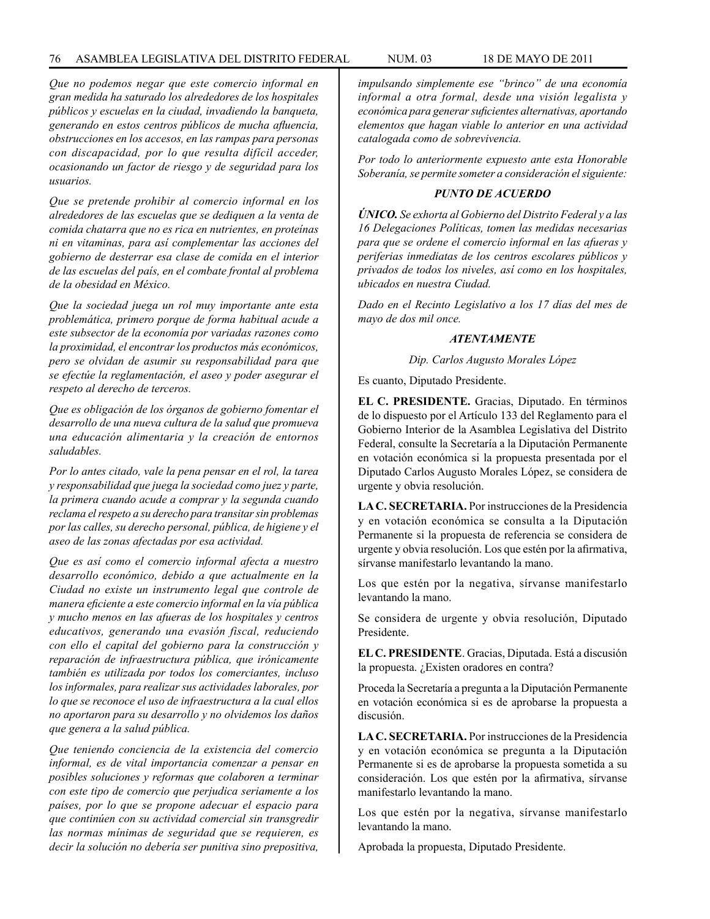#### 76 ASAMBLEA LEGISLATIVA DEL DISTRITO FEDERAL NUM. 03 18 de MAYO de 2011

*Que no podemos negar que este comercio informal en gran medida ha saturado los alrededores de los hospitales públicos y escuelas en la ciudad, invadiendo la banqueta, generando en estos centros públicos de mucha afluencia, obstrucciones en los accesos, en las rampas para personas con discapacidad, por lo que resulta difícil acceder, ocasionando un factor de riesgo y de seguridad para los usuarios.*

*Que se pretende prohibir al comercio informal en los alrededores de las escuelas que se dediquen a la venta de comida chatarra que no es rica en nutrientes, en proteínas ni en vitaminas, para así complementar las acciones del gobierno de desterrar esa clase de comida en el interior de las escuelas del país, en el combate frontal al problema de la obesidad en México.*

*Que la sociedad juega un rol muy importante ante esta problemática, primero porque de forma habitual acude a este subsector de la economía por variadas razones como la proximidad, el encontrar los productos más económicos, pero se olvidan de asumir su responsabilidad para que se efectúe la reglamentación, el aseo y poder asegurar el respeto al derecho de terceros.*

*Que es obligación de los órganos de gobierno fomentar el desarrollo de una nueva cultura de la salud que promueva una educación alimentaria y la creación de entornos saludables.*

*Por lo antes citado, vale la pena pensar en el rol, la tarea y responsabilidad que juega la sociedad como juez y parte, la primera cuando acude a comprar y la segunda cuando reclama el respeto a su derecho para transitar sin problemas por las calles, su derecho personal, pública, de higiene y el aseo de las zonas afectadas por esa actividad.*

*Que es así como el comercio informal afecta a nuestro desarrollo económico, debido a que actualmente en la Ciudad no existe un instrumento legal que controle de manera eficiente a este comercio informal en la vía pública y mucho menos en las afueras de los hospitales y centros educativos, generando una evasión fiscal, reduciendo con ello el capital del gobierno para la construcción y reparación de infraestructura pública, que irónicamente también es utilizada por todos los comerciantes, incluso los informales, para realizar sus actividades laborales, por lo que se reconoce el uso de infraestructura a la cual ellos no aportaron para su desarrollo y no olvidemos los daños que genera a la salud pública.*

*Que teniendo conciencia de la existencia del comercio informal, es de vital importancia comenzar a pensar en posibles soluciones y reformas que colaboren a terminar con este tipo de comercio que perjudica seriamente a los países, por lo que se propone adecuar el espacio para que continúen con su actividad comercial sin transgredir las normas mínimas de seguridad que se requieren, es decir la solución no debería ser punitiva sino prepositiva,* 

*impulsando simplemente ese "brinco" de una economía informal a otra formal, desde una visión legalista y económica para generar suficientes alternativas, aportando elementos que hagan viable lo anterior en una actividad catalogada como de sobrevivencia.*

*Por todo lo anteriormente expuesto ante esta Honorable Soberanía, se permite someter a consideración el siguiente:*

## *PUNTO DE ACUERDO*

*ÚNICO. Se exhorta al Gobierno del Distrito Federal y a las 16 Delegaciones Políticas, tomen las medidas necesarias para que se ordene el comercio informal en las afueras y periferias inmediatas de los centros escolares públicos y privados de todos los niveles, así como en los hospitales, ubicados en nuestra Ciudad.*

*Dado en el Recinto Legislativo a los 17 días del mes de mayo de dos mil once.*

#### *ATENTAMENTE*

*Dip. Carlos Augusto Morales López*

Es cuanto, Diputado Presidente.

**EL C. PRESIDENTE.** Gracias, Diputado. En términos de lo dispuesto por el Artículo 133 del Reglamento para el Gobierno Interior de la Asamblea Legislativa del Distrito Federal, consulte la Secretaría a la Diputación Permanente en votación económica si la propuesta presentada por el Diputado Carlos Augusto Morales López, se considera de urgente y obvia resolución.

**LA C. SECRETARIA.** Por instrucciones de la Presidencia y en votación económica se consulta a la Diputación Permanente si la propuesta de referencia se considera de urgente y obvia resolución. Los que estén por la afirmativa, sírvanse manifestarlo levantando la mano.

Los que estén por la negativa, sírvanse manifestarlo levantando la mano.

Se considera de urgente y obvia resolución, Diputado Presidente.

**EL C. PRESIDENTE**. Gracias, Diputada. Está a discusión la propuesta. ¿Existen oradores en contra?

Proceda la Secretaría a pregunta a la Diputación Permanente en votación económica si es de aprobarse la propuesta a discusión.

**LA C. SECRETARIA.** Por instrucciones de la Presidencia y en votación económica se pregunta a la Diputación Permanente si es de aprobarse la propuesta sometida a su consideración. Los que estén por la afirmativa, sírvanse manifestarlo levantando la mano.

Los que estén por la negativa, sírvanse manifestarlo levantando la mano.

Aprobada la propuesta, Diputado Presidente.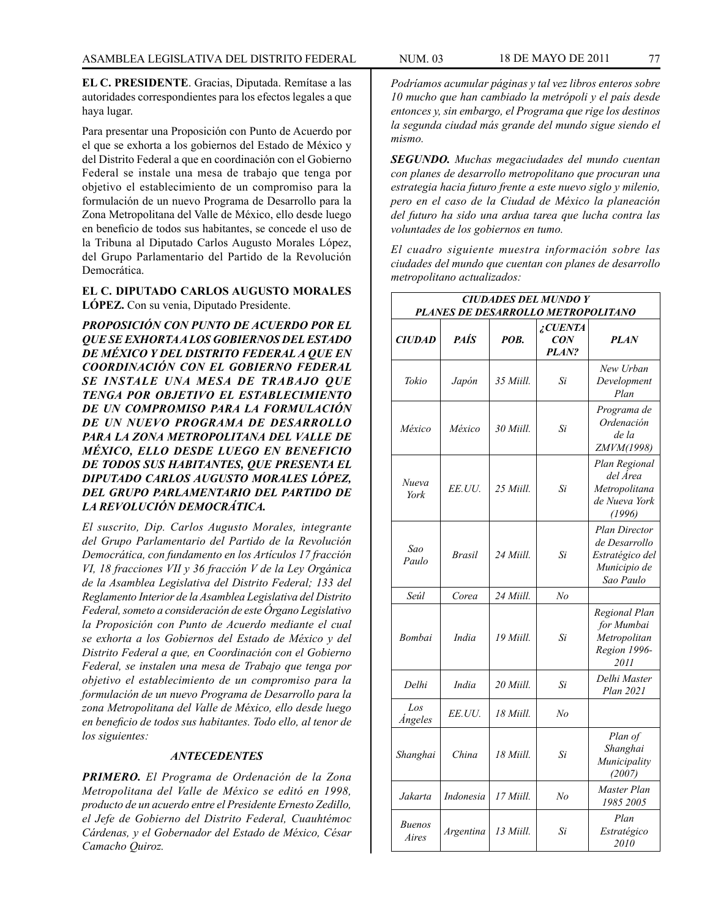**EL C. PRESIDENTE**. Gracias, Diputada. Remítase a las autoridades correspondientes para los efectos legales a que haya lugar.

Para presentar una Proposición con Punto de Acuerdo por el que se exhorta a los gobiernos del Estado de México y del Distrito Federal a que en coordinación con el Gobierno Federal se instale una mesa de trabajo que tenga por objetivo el establecimiento de un compromiso para la formulación de un nuevo Programa de Desarrollo para la Zona Metropolitana del Valle de México, ello desde luego en beneficio de todos sus habitantes, se concede el uso de la Tribuna al Diputado Carlos Augusto Morales López, del Grupo Parlamentario del Partido de la Revolución Democrática.

**EL C. DIPUTADO CARLOS AUGUSTO MORALES LÓPEZ.** Con su venia, Diputado Presidente.

*PROPOSICIÓN CON PUNTO DE ACUERDO POR EL QUE SE EXHORTA A LOS GOBIERNOS DEL ESTADO DE MÉXICO Y DEL DISTRITO FEDERAL A QUE EN COORDINACIÓN CON EL GOBIERNO FEDERAL SE INSTALE UNA MESA DE TRABAJO QUE TENGA POR OBJETIVO EL ESTABLECIMIENTO DE UN COMPROMISO PARA LA FORMULACIÓN DE UN NUEVO PROGRAMA DE DESARROLLO PARA LA ZONA METROPOLITANA DEL VALLE DE MÉXICO, ELLO DESDE LUEGO EN BENEFICIO DE TODOS SUS HABITANTES, QUE PRESENTA EL DIPUTADO CARLOS AUGUSTO MORALES LÓPEZ, DEL GRUPO PARLAMENTARIO DEL PARTIDO DE LA REVOLUCIÓN DEMOCRÁTICA.*

*El suscrito, Dip. Carlos Augusto Morales, integrante del Grupo Parlamentario del Partido de la Revolución Democrática, con fundamento en los Artículos 17 fracción VI, 18 fracciones VII y 36 fracción V de la Ley Orgánica de la Asamblea Legislativa del Distrito Federal; 133 del Reglamento Interior de la Asamblea Legislativa del Distrito Federal, someto a consideración de este Órgano Legislativo la Proposición con Punto de Acuerdo mediante el cual se exhorta a los Gobiernos del Estado de México y del Distrito Federal a que, en Coordinación con el Gobierno Federal, se instalen una mesa de Trabajo que tenga por objetivo el establecimiento de un compromiso para la formulación de un nuevo Programa de Desarrollo para la zona Metropolitana del Valle de México, ello desde luego en beneficio de todos sus habitantes. Todo ello, al tenor de los siguientes:*

### *ANTECEDENTES*

*PRIMERO. El Programa de Ordenación de la Zona Metropolitana del Valle de México se editó en 1998, producto de un acuerdo entre el Presidente Ernesto Zedillo, el Jefe de Gobierno del Distrito Federal, Cuauhtémoc Cárdenas, y el Gobernador del Estado de México, César Camacho Quiroz.*

*la segunda ciudad más grande del mundo sigue siendo el* 

*SEGUNDO. Muchas megaciudades del mundo cuentan con planes de desarrollo metropolitano que procuran una estrategia hacia futuro frente a este nuevo siglo y milenio, pero en el caso de la Ciudad de México la planeación del futuro ha sido una ardua tarea que lucha contra las voluntades de los gobiernos en tumo.*

*El cuadro siguiente muestra información sobre las ciudades del mundo que cuentan con planes de desarrollo metropolitano actualizados:*

| <b>CIUDADES DEL MUNDO Y</b><br>PLANES DE DESARROLLO METROPOLITANO |               |           |                                |                                                                                |  |  |
|-------------------------------------------------------------------|---------------|-----------|--------------------------------|--------------------------------------------------------------------------------|--|--|
| <b>CIUDAD</b>                                                     | <b>PAÍS</b>   | POB.      | iCUENTA<br><b>CON</b><br>PLAN? | <b>PLAN</b>                                                                    |  |  |
| Tokio                                                             | Japón         | 35 Miill. | Si                             | New Urban<br>Development<br>Plan                                               |  |  |
| México                                                            | México        | 30 Miill. | Si                             | Programa de<br>Ordenación<br>de la<br>ZMVM(1998)                               |  |  |
| Nueva<br>York                                                     | EE.UU.        | 25 Miill. | Si                             | Plan Regional<br>del Área<br>Metropolitana<br>de Nueva York<br>(1996)          |  |  |
| Sao<br>Paulo                                                      | <b>Brasil</b> | 24 Miill. | Si                             | Plan Director<br>de Desarrollo<br>Estratégico del<br>Municipio de<br>Sao Paulo |  |  |
| Seúl                                                              | Corea         | 24 Miill. | No                             |                                                                                |  |  |
| Bombai                                                            | India         | 19 Miill. | Si                             | Regional Plan<br>for Mumbai<br>Metropolitan<br>Region 1996-<br>2011            |  |  |
| Delhi                                                             | India         | 20 Miill. | Si                             | Delhi Master<br>Plan 2021                                                      |  |  |
| Los<br><i>Angeles</i>                                             | EE.UU.        | 18 Miill. | No                             |                                                                                |  |  |
| Shanghai                                                          | China         | 18 Miill. | Si                             | Plan of<br>Shanghai<br>Municipality<br>(2007)                                  |  |  |
| Jakarta                                                           | Indonesia     | 17 Miill. | No                             | Master Plan<br>1985 2005                                                       |  |  |
| <b>Buenos</b><br>Aires                                            | Argentina     | 13 Miill. | Si                             | Plan<br>Estratégico<br>2010                                                    |  |  |

*mismo.*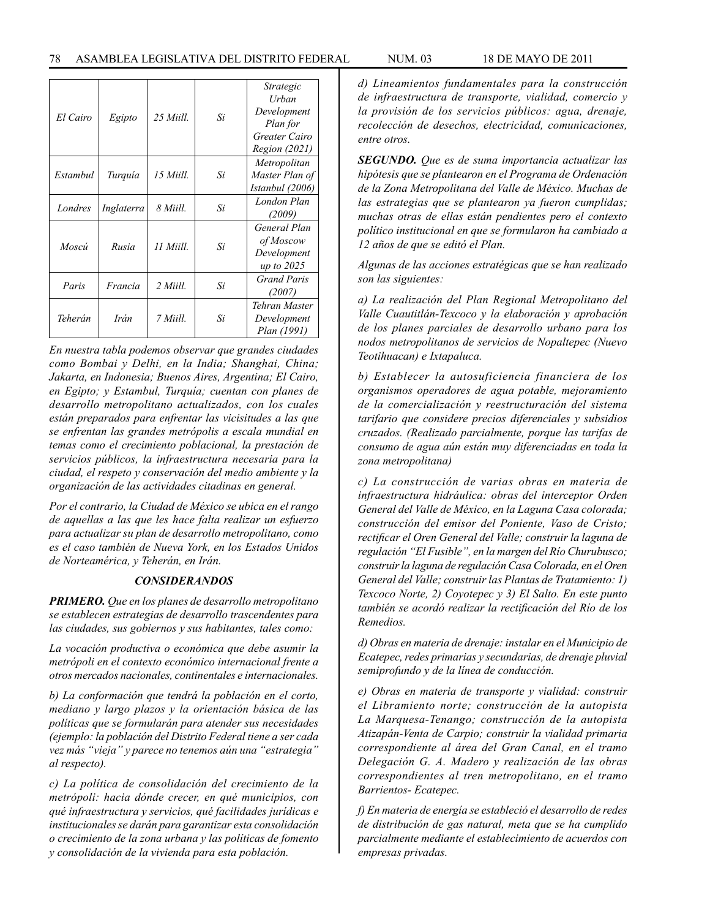| El Cairo | Egipto     | 25 Miill | Si | Strategic<br>Urban<br>Development<br>Plan for<br>Greater Cairo<br><i>Region (2021)</i> |
|----------|------------|----------|----|----------------------------------------------------------------------------------------|
| Estambul | Turquía    | 15 Miill | Si | Metropolitan<br>Master Plan of<br>Istanbul (2006)                                      |
| Londres  | Inglaterra | 8 Miill. | Si | London Plan<br>(2009)                                                                  |
| Moscú    | Rusia      | 11 Miill | Si | General Plan<br>of Moscow<br>Development<br>up to 2025                                 |
| Paris    | Francia    | 2 Miill  | Si | Grand Paris<br>(2007)                                                                  |
| Teherán  | Irán       | 7 Miill. | Si | Tehran Master<br>Development<br>Plan (1991)                                            |

*En nuestra tabla podemos observar que grandes ciudades como Bombai y Delhi, en la India; Shanghai, China; Jakarta, en Indonesia; Buenos Aires, Argentina; El Cairo, en Egipto; y Estambul, Turquía; cuentan con planes de desarrollo metropolitano actualizados, con los cuales están preparados para enfrentar las vicisitudes a las que se enfrentan las grandes metrópolis a escala mundial en temas como el crecimiento poblacional, la prestación de servicios públicos, la infraestructura necesaria para la ciudad, el respeto y conservación del medio ambiente y la organización de las actividades citadinas en general.*

*Por el contrario, la Ciudad de México se ubica en el rango de aquellas a las que les hace falta realizar un esfuerzo para actualizar su plan de desarrollo metropolitano, como es el caso también de Nueva York, en los Estados Unidos de Norteamérica, y Teherán, en Irán.*

### *CONSIDERANDOS*

*PRIMERO. Que en los planes de desarrollo metropolitano se establecen estrategias de desarrollo trascendentes para las ciudades, sus gobiernos y sus habitantes, tales como:*

*La vocación productiva o económica que debe asumir la metrópoli en el contexto económico internacional frente a otros mercados nacionales, continentales e internacionales.*

*b) La conformación que tendrá la población en el corto, mediano y largo plazos y la orientación básica de las políticas que se formularán para atender sus necesidades (ejemplo: la población del Distrito Federal tiene a ser cada vez más "vieja" y parece no tenemos aún una "estrategia" al respecto).*

*c) La política de consolidación del crecimiento de la metrópoli: hacia dónde crecer, en qué municipios, con qué infraestructura y servicios, qué facilidades jurídicas e institucionales se darán para garantizar esta consolidación o crecimiento de la zona urbana y las políticas de fomento y consolidación de la vivienda para esta población.*

*d) Lineamientos fundamentales para la construcción de infraestructura de transporte, vialidad, comercio y la provisión de los servicios públicos: agua, drenaje, recolección de desechos, electricidad, comunicaciones, entre otros.*

*SEGUNDO. Que es de suma importancia actualizar las hipótesis que se plantearon en el Programa de Ordenación de la Zona Metropolitana del Valle de México. Muchas de las estrategias que se plantearon ya fueron cumplidas; muchas otras de ellas están pendientes pero el contexto político institucional en que se formularon ha cambiado a 12 años de que se editó el Plan.*

*Algunas de las acciones estratégicas que se han realizado son las siguientes:*

*a) La realización del Plan Regional Metropolitano del Valle Cuautitlán-Texcoco y la elaboración y aprobación de los planes parciales de desarrollo urbano para los nodos metropolitanos de servicios de Nopaltepec (Nuevo Teotihuacan) e Ixtapaluca.*

*b) Establecer la autosuficiencia financiera de los organismos operadores de agua potable, mejoramiento de la comercialización y reestructuración del sistema tarifario que considere precios diferenciales y subsidios cruzados. (Realizado parcialmente, porque las tarifas de consumo de agua aún están muy diferenciadas en toda la zona metropolitana)*

*c) La construcción de varias obras en materia de infraestructura hidráulica: obras del interceptor Orden General del Valle de México, en la Laguna Casa colorada; construcción del emisor del Poniente, Vaso de Cristo; rectificar el Oren General del Valle; construir la laguna de regulación "El Fusible", en la margen del Río Churubusco; construir la laguna de regulación Casa Colorada, en el Oren General del Valle; construir las Plantas de Tratamiento: 1) Texcoco Norte, 2) Coyotepec y 3) El Salto. En este punto también se acordó realizar la rectificación del Río de los Remedios.*

*d) Obras en materia de drenaje: instalar en el Municipio de Ecatepec, redes primarias y secundarias, de drenaje pluvial semiprofundo y de la línea de conducción.*

*e) Obras en materia de transporte y vialidad: construir el Libramiento norte; construcción de la autopista La Marquesa-Tenango; construcción de la autopista Atizapán-Venta de Carpio; construir la vialidad primaria correspondiente al área del Gran Canal, en el tramo Delegación G. A. Madero y realización de las obras correspondientes al tren metropolitano, en el tramo Barrientos- Ecatepec.*

*f) En materia de energía se estableció el desarrollo de redes de distribución de gas natural, meta que se ha cumplido parcialmente mediante el establecimiento de acuerdos con empresas privadas.*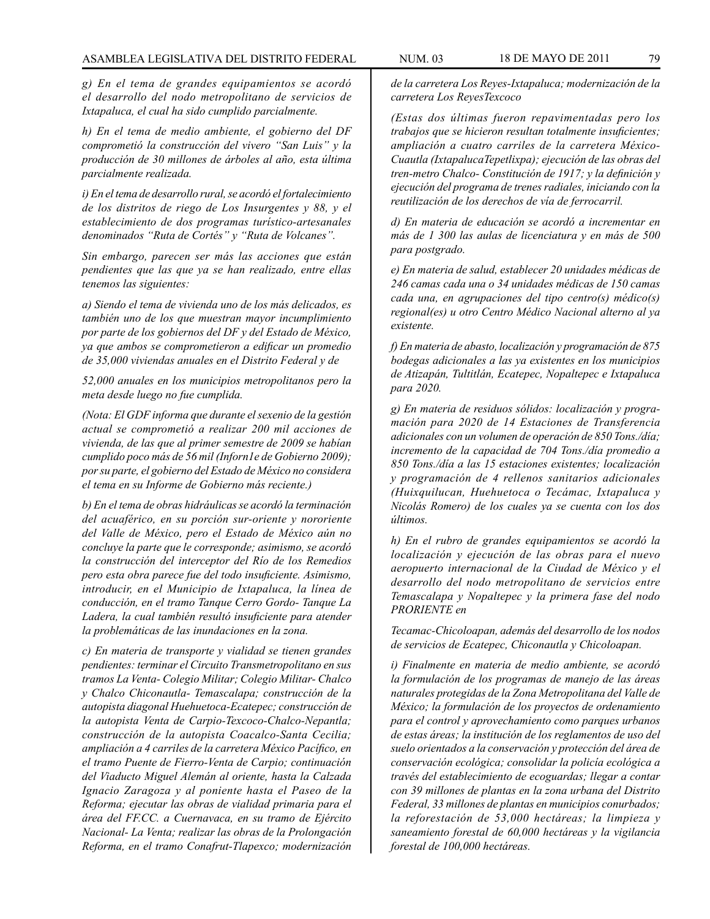*g) En el tema de grandes equipamientos se acordó el desarrollo del nodo metropolitano de servicios de Ixtapaluca, el cual ha sido cumplido parcialmente.*

*h) En el tema de medio ambiente, el gobierno del DF comprometió la construcción del vivero "San Luis" y la producción de 30 millones de árboles al año, esta última parcialmente realizada.*

*i) En el tema de desarrollo rural, se acordó el fortalecimiento de los distritos de riego de Los Insurgentes y 88, y el establecimiento de dos programas turístico-artesanales denominados "Ruta de Cortés" y "Ruta de Volcanes".*

*Sin embargo, parecen ser más las acciones que están pendientes que las que ya se han realizado, entre ellas tenemos las siguientes:*

*a) Siendo el tema de vivienda uno de los más delicados, es también uno de los que muestran mayor incumplimiento por parte de los gobiernos del DF y del Estado de México, ya que ambos se comprometieron a edificar un promedio de 35,000 viviendas anuales en el Distrito Federal y de*

*52,000 anuales en los municipios metropolitanos pero la meta desde luego no fue cumplida.*

*(Nota: El GDF informa que durante el sexenio de la gestión actual se comprometió a realizar 200 mil acciones de vivienda, de las que al primer semestre de 2009 se habían cumplido poco más de 56 mil (Inforn1e de Gobierno 2009); por su parte, el gobierno del Estado de México no considera el tema en su Informe de Gobierno más reciente.)*

*b) En el tema de obras hidráulicas se acordó la terminación del acuaférico, en su porción sur-oriente y nororiente del Valle de México, pero el Estado de México aún no concluye la parte que le corresponde; asimismo, se acordó la construcción del interceptor del Río de los Remedios pero esta obra parece fue del todo insuficiente. Asimismo, introducir, en el Municipio de Ixtapaluca, la línea de conducción, en el tramo Tanque Cerro Gordo- Tanque La Ladera, la cual también resultó insuficiente para atender la problemáticas de las inundaciones en la zona.*

*c) En materia de transporte y vialidad se tienen grandes pendientes: terminar el Circuito Transmetropolitano en sus tramos La Venta- Colegio Militar; Colegio Militar- Chalco y Chalco Chiconautla- Temascalapa; construcción de la autopista diagonal Huehuetoca-Ecatepec; construcción de la autopista Venta de Carpio-Texcoco-Chalco-Nepantla; construcción de la autopista Coacalco-Santa Cecilia; ampliación a 4 carriles de la carretera México Pacífico, en el tramo Puente de Fierro-Venta de Carpio; continuación del Viaducto Miguel Alemán al oriente, hasta la Calzada Ignacio Zaragoza y al poniente hasta el Paseo de la Reforma; ejecutar las obras de vialidad primaria para el área del FF.CC. a Cuernavaca, en su tramo de Ejército Nacional- La Venta; realizar las obras de la Prolongación Reforma, en el tramo Conafrut-Tlapexco; modernización* 

*de la carretera Los Reyes-Ixtapaluca; modernización de la carretera Los ReyesTexcoco*

*(Estas dos últimas fueron repavimentadas pero los trabajos que se hicieron resultan totalmente insuficientes; ampliación a cuatro carriles de la carretera México-Cuautla (IxtapalucaTepetlixpa); ejecución de las obras del tren-metro Chalco- Constitución de 1917; y la definición y ejecución del programa de trenes radiales, iniciando con la reutilización de los derechos de vía de ferrocarril.*

*d) En materia de educación se acordó a incrementar en más de 1 300 las aulas de licenciatura y en más de 500 para postgrado.*

*e) En materia de salud, establecer 20 unidades médicas de 246 camas cada una o 34 unidades médicas de 150 camas cada una, en agrupaciones del tipo centro(s) médico(s) regional(es) u otro Centro Médico Nacional alterno al ya existente.*

*f) En materia de abasto, localización y programación de 875 bodegas adicionales a las ya existentes en los municipios de Atizapán, Tultitlán, Ecatepec, Nopaltepec e Ixtapaluca para 2020.*

*g) En materia de residuos sólidos: localización y programación para 2020 de 14 Estaciones de Transferencia adicionales con un volumen de operación de 850 Tons./día; incremento de la capacidad de 704 Tons./día promedio a 850 Tons./día a las 15 estaciones existentes; localización y programación de 4 rellenos sanitarios adicionales (Huixquilucan, Huehuetoca o Tecámac, Ixtapaluca y Nicolás Romero) de los cuales ya se cuenta con los dos últimos.*

*h) En el rubro de grandes equipamientos se acordó la localización y ejecución de las obras para el nuevo aeropuerto internacional de la Ciudad de México y el desarrollo del nodo metropolitano de servicios entre Temascalapa y Nopaltepec y la primera fase del nodo PRORIENTE en*

*Tecamac-Chicoloapan, además del desarrollo de los nodos de servicios de Ecatepec, Chiconautla y Chicoloapan.*

*i) Finalmente en materia de medio ambiente, se acordó la formulación de los programas de manejo de las áreas naturales protegidas de la Zona Metropolitana del Valle de México; la formulación de los proyectos de ordenamiento para el control y aprovechamiento como parques urbanos de estas áreas; la institución de los reglamentos de uso del suelo orientados a la conservación y protección del área de conservación ecológica; consolidar la policía ecológica a través del establecimiento de ecoguardas; llegar a contar con 39 millones de plantas en la zona urbana del Distrito Federal, 33 millones de plantas en municipios conurbados; la reforestación de 53,000 hectáreas; la limpieza y saneamiento forestal de 60,000 hectáreas y la vigilancia forestal de 100,000 hectáreas.*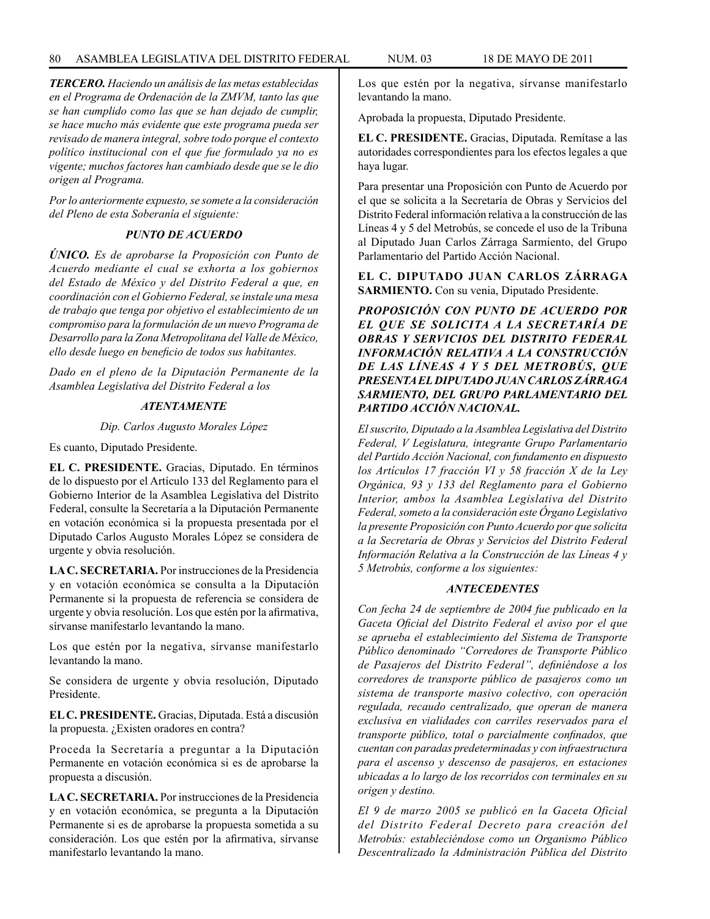*TERCERO. Haciendo un análisis de las metas establecidas en el Programa de Ordenación de la ZMVM, tanto las que se han cumplido como las que se han dejado de cumplir, se hace mucho más evidente que este programa pueda ser revisado de manera integral, sobre todo porque el contexto político institucional con el que fue formulado ya no es vigente; muchos factores han cambiado desde que se le dio origen al Programa.*

*Por lo anteriormente expuesto, se somete a la consideración del Pleno de esta Soberanía el siguiente:*

### *PUNTO DE ACUERDO*

*ÚNICO. Es de aprobarse la Proposición con Punto de Acuerdo mediante el cual se exhorta a los gobiernos del Estado de México y del Distrito Federal a que, en coordinación con el Gobierno Federal, se instale una mesa de trabajo que tenga por objetivo el establecimiento de un compromiso para la formulación de un nuevo Programa de Desarrollo para la Zona Metropolitana del Valle de México, ello desde luego en beneficio de todos sus habitantes.*

*Dado en el pleno de la Diputación Permanente de la Asamblea Legislativa del Distrito Federal a los*

## *ATENTAMENTE*

*Dip. Carlos Augusto Morales López*

Es cuanto, Diputado Presidente.

**EL C. PRESIDENTE.** Gracias, Diputado. En términos de lo dispuesto por el Artículo 133 del Reglamento para el Gobierno Interior de la Asamblea Legislativa del Distrito Federal, consulte la Secretaría a la Diputación Permanente en votación económica si la propuesta presentada por el Diputado Carlos Augusto Morales López se considera de urgente y obvia resolución.

**LA C. SECRETARIA.** Por instrucciones de la Presidencia y en votación económica se consulta a la Diputación Permanente si la propuesta de referencia se considera de urgente y obvia resolución. Los que estén por la afirmativa, sírvanse manifestarlo levantando la mano.

Los que estén por la negativa, sírvanse manifestarlo levantando la mano.

Se considera de urgente y obvia resolución, Diputado Presidente.

**EL C. PRESIDENTE.** Gracias, Diputada. Está a discusión la propuesta. ¿Existen oradores en contra?

Proceda la Secretaría a preguntar a la Diputación Permanente en votación económica si es de aprobarse la propuesta a discusión.

**LA C. SECRETARIA.** Por instrucciones de la Presidencia y en votación económica, se pregunta a la Diputación Permanente si es de aprobarse la propuesta sometida a su consideración. Los que estén por la afirmativa, sírvanse manifestarlo levantando la mano.

Los que estén por la negativa, sírvanse manifestarlo levantando la mano.

Aprobada la propuesta, Diputado Presidente.

**EL C. PRESIDENTE.** Gracias, Diputada. Remítase a las autoridades correspondientes para los efectos legales a que haya lugar.

Para presentar una Proposición con Punto de Acuerdo por el que se solicita a la Secretaría de Obras y Servicios del Distrito Federal información relativa a la construcción de las Líneas 4 y 5 del Metrobús, se concede el uso de la Tribuna al Diputado Juan Carlos Zárraga Sarmiento, del Grupo Parlamentario del Partido Acción Nacional.

**EL C. DIPUTADO JUAN CARLOS ZÁRRAGA SARMIENTO.** Con su venia, Diputado Presidente.

*PROPOSICIÓN CON PUNTO DE ACUERDO POR EL QUE SE SOLICITA A LA SECRETARÍA DE OBRAS Y SERVICIOS DEL DISTRITO FEDERAL INFORMACIÓN RELATIVA A LA CONSTRUCCIÓN DE LAS LÍNEAS 4 Y 5 DEL METROBÚS, QUE PRESENTA EL DIPUTADO JUAN CARLOS ZÁRRAGA SARMIENTO, DEL GRUPO PARLAMENTARIO DEL PARTIDO ACCIÓN NACIONAL.*

*El suscrito, Diputado a la Asamblea Legislativa del Distrito Federal, V Legislatura, integrante Grupo Parlamentario del Partido Acción Nacional, con fundamento en dispuesto los Artículos 17 fracción VI y 58 fracción X de la Ley Orgánica, 93 y 133 del Reglamento para el Gobierno Interior, ambos la Asamblea Legislativa del Distrito Federal, someto a la consideración este Órgano Legislativo la presente Proposición con Punto Acuerdo por que solicita a la Secretaría de Obras y Servicios del Distrito Federal Información Relativa a la Construcción de las Líneas 4 y 5 Metrobús, conforme a los siguientes:*

### *ANTECEDENTES*

*Con fecha 24 de septiembre de 2004 fue publicado en la Gaceta Oficial del Distrito Federal el aviso por el que se aprueba el establecimiento del Sistema de Transporte Público denominado "Corredores de Transporte Público de Pasajeros del Distrito Federal", definiéndose a los corredores de transporte público de pasajeros como un sistema de transporte masivo colectivo, con operación regulada, recaudo centralizado, que operan de manera exclusiva en vialidades con carriles reservados para el transporte público, total o parcialmente confinados, que cuentan con paradas predeterminadas y con infraestructura para el ascenso y descenso de pasajeros, en estaciones ubicadas a lo largo de los recorridos con terminales en su origen y destino.*

*El 9 de marzo 2005 se publicó en la Gaceta Oficial del Distrito Federal Decreto para creación del Metrobús: estableciéndose como un Organismo Público Descentralizado la Administración Pública del Distrito*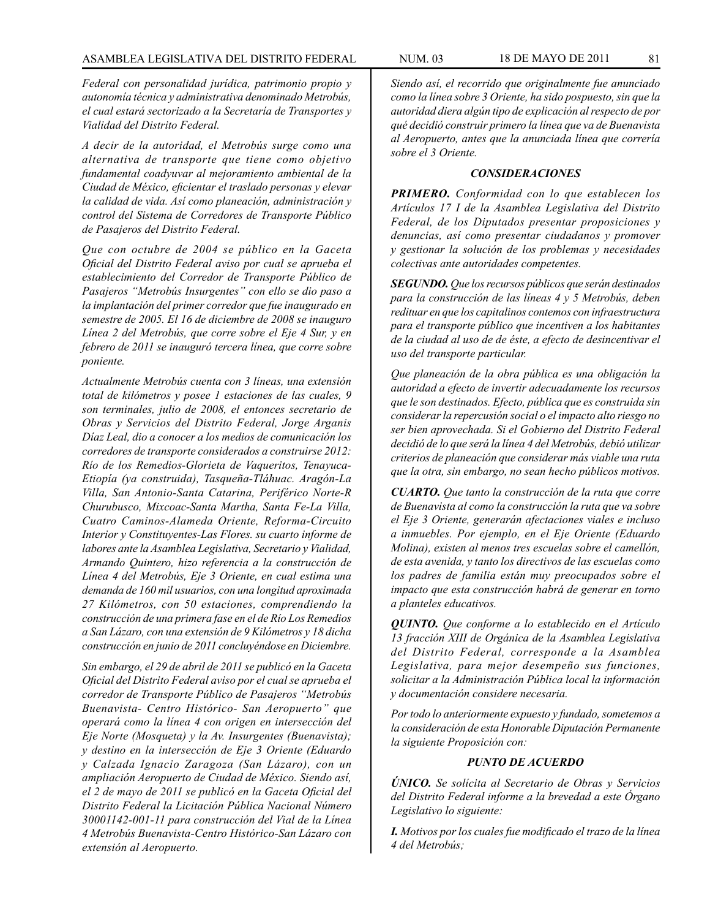*Federal con personalidad jurídica, patrimonio propio y autonomía técnica y administrativa denominado Metrobús, el cual estará sectorizado a la Secretaría de Transportes y Vialidad del Distrito Federal.*

*A decir de la autoridad, el Metrobús surge como una alternativa de transporte que tiene como objetivo fundamental coadyuvar al mejoramiento ambiental de la Ciudad de México, eficientar el traslado personas y elevar la calidad de vida. Así como planeación, administración y control del Sistema de Corredores de Transporte Público de Pasajeros del Distrito Federal.*

*Que con octubre de 2004 se público en la Gaceta Oficial del Distrito Federal aviso por cual se aprueba el establecimiento del Corredor de Transporte Público de Pasajeros "Metrobús Insurgentes" con ello se dio paso a la implantación del primer corredor que fue inaugurado en semestre de 2005. El 16 de diciembre de 2008 se inauguro Línea 2 del Metrobús, que corre sobre el Eje 4 Sur, y en febrero de 2011 se inauguró tercera línea, que corre sobre poniente.*

*Actualmente Metrobús cuenta con 3 líneas, una extensión total de kilómetros y posee 1 estaciones de las cuales, 9 son terminales, julio de 2008, el entonces secretario de Obras y Servicios del Distrito Federal, Jorge Arganis Díaz Leal, dio a conocer a los medios de comunicación los corredores de transporte considerados a construirse 2012: Río de los Remedios-Glorieta de Vaqueritos, Tenayuca-Etiopía (ya construida), Tasqueña-Tláhuac. Aragón-La Villa, San Antonio-Santa Catarina, Periférico Norte-R Churubusco, Mixcoac-Santa Martha, Santa Fe-La Villa, Cuatro Caminos-Alameda Oriente, Reforma-Circuito Interior y Constituyentes-Las Flores. su cuarto informe de labores ante la Asamblea Legislativa, Secretario y Vialidad, Armando Quintero, hizo referencia a la construcción de Línea 4 del Metrobús, Eje 3 Oriente, en cual estima una demanda de 160 mil usuarios, con una longitud aproximada 27 Kilómetros, con 50 estaciones, comprendiendo la construcción de una primera fase en el de Río Los Remedios a San Lázaro, con una extensión de 9 Kilómetros y 18 dicha construcción en junio de 2011 concluyéndose en Diciembre.*

*Sin embargo, el 29 de abril de 2011 se publicó en la Gaceta Oficial del Distrito Federal aviso por el cual se aprueba el corredor de Transporte Público de Pasajeros "Metrobús Buenavista- Centro Histórico- San Aeropuerto" que operará como la línea 4 con origen en intersección del Eje Norte (Mosqueta) y la Av. Insurgentes (Buenavista); y destino en la intersección de Eje 3 Oriente (Eduardo y Calzada Ignacio Zaragoza (San Lázaro), con un ampliación Aeropuerto de Ciudad de México. Siendo así, el 2 de mayo de 2011 se publicó en la Gaceta Oficial del Distrito Federal la Licitación Pública Nacional Número 30001142-001-11 para construcción del Vial de la Línea 4 Metrobús Buenavista-Centro Histórico-San Lázaro con extensión al Aeropuerto.*

*Siendo así, el recorrido que originalmente fue anunciado como la línea sobre 3 Oriente, ha sido pospuesto, sin que la autoridad diera algún tipo de explicación al respecto de por qué decidió construir primero la línea que va de Buenavista al Aeropuerto, antes que la anunciada línea que correría sobre el 3 Oriente.*

#### *CONSIDERACIONES*

*PRIMERO. Conformidad con lo que establecen los Artículos 17 I de la Asamblea Legislativa del Distrito Federal, de los Diputados presentar proposiciones y denuncias, así como presentar ciudadanos y promover y gestionar la solución de los problemas y necesidades colectivas ante autoridades competentes.*

*SEGUNDO. Que los recursos públicos que serán destinados para la construcción de las líneas 4 y 5 Metrobús, deben redituar en que los capitalinos contemos con infraestructura para el transporte público que incentiven a los habitantes de la ciudad al uso de de éste, a efecto de desincentivar el uso del transporte particular.*

*Que planeación de la obra pública es una obligación la autoridad a efecto de invertir adecuadamente los recursos que le son destinados. Efecto, pública que es construida sin considerar la repercusión social o el impacto alto riesgo no ser bien aprovechada. Si el Gobierno del Distrito Federal decidió de lo que será la línea 4 del Metrobús, debió utilizar criterios de planeación que considerar más viable una ruta que la otra, sin embargo, no sean hecho públicos motivos.*

*CUARTO. Que tanto la construcción de la ruta que corre de Buenavista al como la construcción la ruta que va sobre el Eje 3 Oriente, generarán afectaciones viales e incluso a inmuebles. Por ejemplo, en el Eje Oriente (Eduardo Molina), existen al menos tres escuelas sobre el camellón, de esta avenida, y tanto los directivos de las escuelas como los padres de familia están muy preocupados sobre el impacto que esta construcción habrá de generar en torno a planteles educativos.*

*QUINTO. Que conforme a lo establecido en el Artículo 13 fracción XIII de Orgánica de la Asamblea Legislativa del Distrito Federal, corresponde a la Asamblea Legislativa, para mejor desempeño sus funciones, solicitar a la Administración Pública local la información y documentación considere necesaria.*

*Por todo lo anteriormente expuesto y fundado, sometemos a la consideración de esta Honorable Diputación Permanente la siguiente Proposición con:*

#### *PUNTO DE ACUERDO*

*ÚNICO. Se solícita al Secretario de Obras y Servicios del Distrito Federal informe a la brevedad a este Órgano Legislativo lo siguiente:*

*I. Motivos por los cuales fue modificado el trazo de la línea 4 del Metrobús;*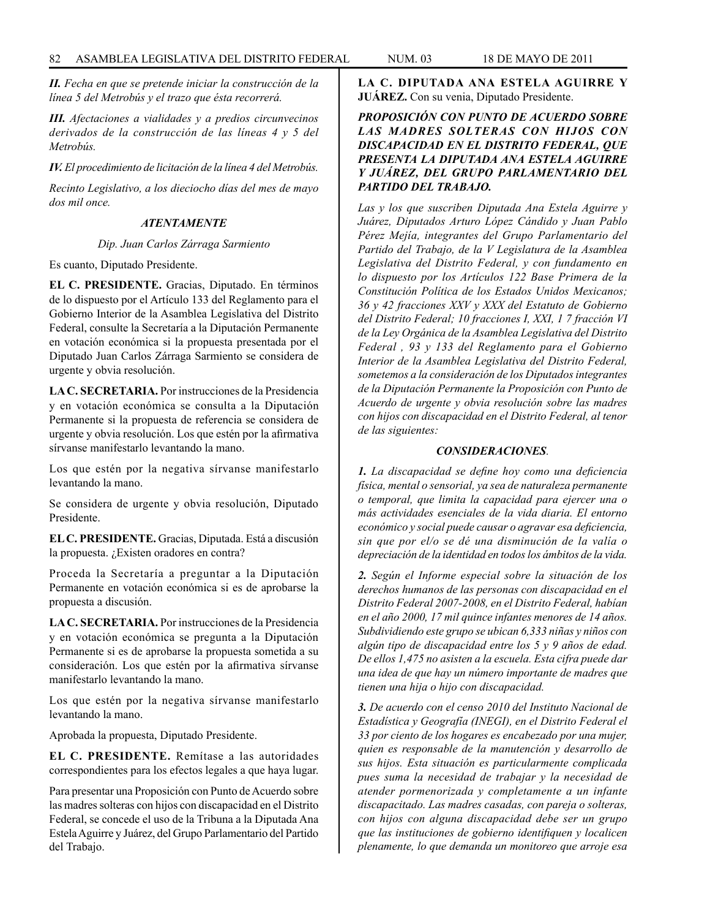*II. Fecha en que se pretende iniciar la construcción de la línea 5 del Metrobús y el trazo que ésta recorrerá.*

*III. Afectaciones a vialidades y a predios circunvecinos derivados de la construcción de las líneas 4 y 5 del Metrobús.*

*IV. El procedimiento de licitación de la línea 4 del Metrobús.*

*Recinto Legislativo, a los dieciocho días del mes de mayo dos mil once.*

# *ATENTAMENTE*

## *Dip. Juan Carlos Zárraga Sarmiento*

Es cuanto, Diputado Presidente.

**EL C. PRESIDENTE.** Gracias, Diputado. En términos de lo dispuesto por el Artículo 133 del Reglamento para el Gobierno Interior de la Asamblea Legislativa del Distrito Federal, consulte la Secretaría a la Diputación Permanente en votación económica si la propuesta presentada por el Diputado Juan Carlos Zárraga Sarmiento se considera de urgente y obvia resolución.

**LA C. SECRETARIA.** Por instrucciones de la Presidencia y en votación económica se consulta a la Diputación Permanente si la propuesta de referencia se considera de urgente y obvia resolución. Los que estén por la afirmativa sírvanse manifestarlo levantando la mano.

Los que estén por la negativa sírvanse manifestarlo levantando la mano.

Se considera de urgente y obvia resolución, Diputado Presidente.

**EL C. PRESIDENTE.** Gracias, Diputada. Está a discusión la propuesta. ¿Existen oradores en contra?

Proceda la Secretaría a preguntar a la Diputación Permanente en votación económica si es de aprobarse la propuesta a discusión.

**LA C. SECRETARIA.** Por instrucciones de la Presidencia y en votación económica se pregunta a la Diputación Permanente si es de aprobarse la propuesta sometida a su consideración. Los que estén por la afirmativa sírvanse manifestarlo levantando la mano.

Los que estén por la negativa sírvanse manifestarlo levantando la mano.

Aprobada la propuesta, Diputado Presidente.

**EL C. PRESIDENTE.** Remítase a las autoridades correspondientes para los efectos legales a que haya lugar.

Para presentar una Proposición con Punto de Acuerdo sobre las madres solteras con hijos con discapacidad en el Distrito Federal, se concede el uso de la Tribuna a la Diputada Ana Estela Aguirre y Juárez, del Grupo Parlamentario del Partido del Trabajo.

**LA C. DIPUTADA ANA ESTELA AGUIRRE Y JUÁREZ.** Con su venia, Diputado Presidente.

# *PROPOSICIÓN CON PUNTO DE ACUERDO SOBRE LAS MADRES SOLTERAS CON HIJOS CON DISCAPACIDAD EN EL DISTRITO FEDERAL, QUE PRESENTA LA DIPUTADA ANA ESTELA AGUIRRE Y JUÁREZ, DEL GRUPO PARLAMENTARIO DEL PARTIDO DEL TRABAJO.*

*Las y los que suscriben Diputada Ana Estela Aguirre y Juárez, Diputados Arturo López Cándido y Juan Pablo Pérez Mejía, integrantes del Grupo Parlamentario del Partido del Trabajo, de la V Legislatura de la Asamblea Legislativa del Distrito Federal, y con fundamento en lo dispuesto por los Artículos 122 Base Primera de la Constitución Política de los Estados Unidos Mexicanos; 36 y 42 fracciones XXV y XXX del Estatuto de Gobierno del Distrito Federal; 10 fracciones I, XXI, 1 7 fracción VI de la Ley Orgánica de la Asamblea Legislativa del Distrito Federal , 93 y 133 del Reglamento para el Gobierno Interior de la Asamblea Legislativa del Distrito Federal, sometemos a la consideración de los Diputados integrantes de la Diputación Permanente la Proposición con Punto de Acuerdo de urgente y obvia resolución sobre las madres con hijos con discapacidad en el Distrito Federal, al tenor de las siguientes:*

### *CONSIDERACIONES.*

*1. La discapacidad se define hoy como una deficiencia física, mental o sensorial, ya sea de naturaleza permanente o temporal, que limita la capacidad para ejercer una o más actividades esenciales de la vida diaria. El entorno económico y social puede causar o agravar esa deficiencia, sin que por el/o se dé una disminución de la valía o depreciación de la identidad en todos los ámbitos de la vida.*

*2. Según el Informe especial sobre la situación de los derechos humanos de las personas con discapacidad en el Distrito Federal 2007-2008, en el Distrito Federal, habían en el año 2000, 17 mil quince infantes menores de 14 años. Subdividiendo este grupo se ubican 6,333 niñas y niños con algún tipo de discapacidad entre los 5 y 9 años de edad. De ellos 1,475 no asisten a la escuela. Esta cifra puede dar una idea de que hay un número importante de madres que tienen una hija o hijo con discapacidad.*

*3. De acuerdo con el censo 2010 del Instituto Nacional de Estadística y Geografía (INEGI), en el Distrito Federal el 33 por ciento de los hogares es encabezado por una mujer, quien es responsable de la manutención y desarrollo de sus hijos. Esta situación es particularmente complicada pues suma la necesidad de trabajar y la necesidad de atender pormenorizada y completamente a un infante discapacitado. Las madres casadas, con pareja o solteras, con hijos con alguna discapacidad debe ser un grupo que las instituciones de gobierno identifiquen y localicen plenamente, lo que demanda un monitoreo que arroje esa*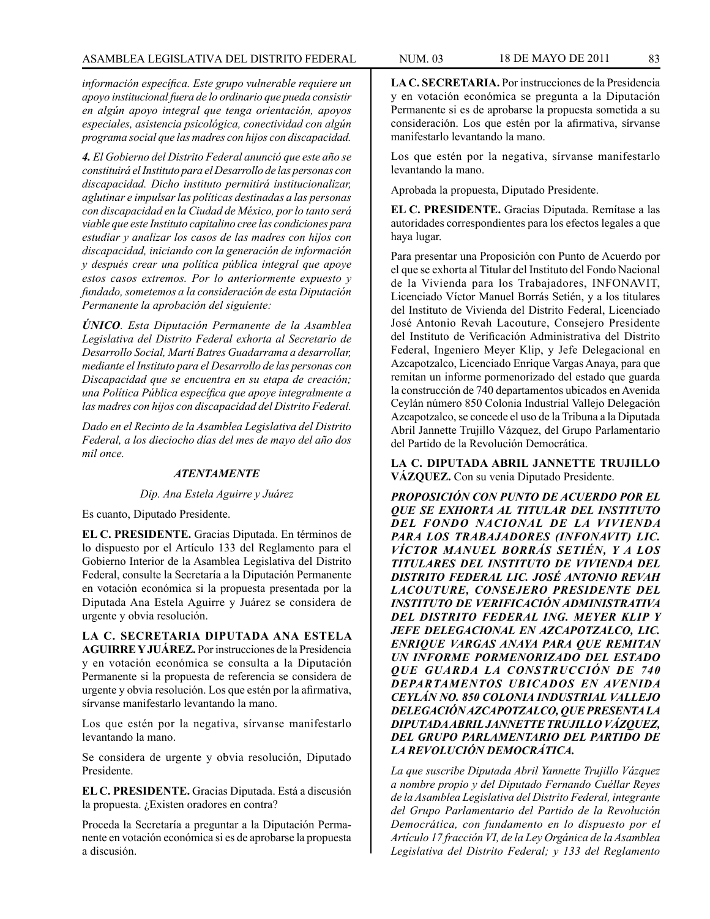*información específica. Este grupo vulnerable requiere un apoyo institucional fuera de lo ordinario que pueda consistir en algún apoyo integral que tenga orientación, apoyos especiales, asistencia psicológica, conectividad con algún programa social que las madres con hijos con discapacidad.*

*4. El Gobierno del Distrito Federal anunció que este año se constituirá el Instituto para el Desarrollo de las personas con discapacidad. Dicho instituto permitirá institucionalizar, aglutinar e impulsar las políticas destinadas a las personas con discapacidad en la Ciudad de México, por lo tanto será viable que este Instituto capitalino cree las condiciones para estudiar y analizar los casos de las madres con hijos con discapacidad, iniciando con la generación de información y después crear una política pública integral que apoye estos casos extremos. Por lo anteriormente expuesto y fundado, sometemos a la consideración de esta Diputación Permanente la aprobación del siguiente:* 

*ÚNICO. Esta Diputación Permanente de la Asamblea Legislativa del Distrito Federal exhorta al Secretario de Desarrollo Social, Martí Batres Guadarrama a desarrollar, mediante el Instituto para el Desarrollo de las personas con Discapacidad que se encuentra en su etapa de creación; una Política Pública específica que apoye integralmente a las madres con hijos con discapacidad del Distrito Federal.*

*Dado en el Recinto de la Asamblea Legislativa del Distrito Federal, a los dieciocho días del mes de mayo del año dos mil once.*

### *ATENTAMENTE*

#### *Dip. Ana Estela Aguirre y Juárez*

Es cuanto, Diputado Presidente.

**EL C. PRESIDENTE.** Gracias Diputada. En términos de lo dispuesto por el Artículo 133 del Reglamento para el Gobierno Interior de la Asamblea Legislativa del Distrito Federal, consulte la Secretaría a la Diputación Permanente en votación económica si la propuesta presentada por la Diputada Ana Estela Aguirre y Juárez se considera de urgente y obvia resolución.

**LA C. SECRETARIA DIPUTADA ANA ESTELA AGUIRRE Y JUÁREZ.** Por instrucciones de la Presidencia y en votación económica se consulta a la Diputación Permanente si la propuesta de referencia se considera de urgente y obvia resolución. Los que estén por la afirmativa, sírvanse manifestarlo levantando la mano.

Los que estén por la negativa, sírvanse manifestarlo levantando la mano.

Se considera de urgente y obvia resolución, Diputado Presidente.

**EL C. PRESIDENTE.** Gracias Diputada. Está a discusión la propuesta. ¿Existen oradores en contra?

Proceda la Secretaría a preguntar a la Diputación Permanente en votación económica si es de aprobarse la propuesta a discusión.

Los que estén por la negativa, sírvanse manifestarlo levantando la mano.

Aprobada la propuesta, Diputado Presidente.

**EL C. PRESIDENTE.** Gracias Diputada. Remítase a las autoridades correspondientes para los efectos legales a que haya lugar.

Para presentar una Proposición con Punto de Acuerdo por el que se exhorta al Titular del Instituto del Fondo Nacional de la Vivienda para los Trabajadores, INFONAVIT, Licenciado Víctor Manuel Borrás Setién, y a los titulares del Instituto de Vivienda del Distrito Federal, Licenciado José Antonio Revah Lacouture, Consejero Presidente del Instituto de Verificación Administrativa del Distrito Federal, Ingeniero Meyer Klip, y Jefe Delegacional en Azcapotzalco, Licenciado Enrique Vargas Anaya, para que remitan un informe pormenorizado del estado que guarda la construcción de 740 departamentos ubicados en Avenida Ceylán número 850 Colonia Industrial Vallejo Delegación Azcapotzalco, se concede el uso de la Tribuna a la Diputada Abril Jannette Trujillo Vázquez, del Grupo Parlamentario del Partido de la Revolución Democrática.

**LA C. DIPUTADA ABRIL JANNETTE TRUJILLO VÁZQUEZ.** Con su venia Diputado Presidente.

*PROPOSICIÓN CON PUNTO DE ACUERDO POR EL QUE SE EXHORTA AL TITULAR DEL INSTITUTO DEL FONDO NACIONAL DE LA VIVIENDA PARA LOS TRABAJADORES (INFONAVIT) LIC. VÍCTOR MANUEL BORRÁS SETIÉN, Y A LOS TITULARES DEL INSTITUTO DE VIVIENDA DEL DISTRITO FEDERAL LIC. JOSÉ ANTONIO REVAH LACOUTURE, CONSEJERO PRESIDENTE DEL INSTITUTO DE VERIFICACIÓN ADMINISTRATIVA DEL DISTRITO FEDERAL ING. MEYER KLIP Y JEFE DELEGACIONAL EN AZCAPOTZALCO, LIC. ENRIQUE VARGAS ANAYA PARA QUE REMITAN UN INFORME PORMENORIZADO DEL ESTADO QUE GUARDA LA CONSTRUCCIÓN DE 740 DEPARTAMENTOS UBICADOS EN AVENIDA CEYLÁN NO. 850 COLONIA INDUSTRIAL VALLEJO DELEGACIÓN AZCAPOTZALCO, QUE PRESENTA LA DIPUTADA ABRIL JANNETTE TRUJILLO VÁZQUEZ, DEL GRUPO PARLAMENTARIO DEL PARTIDO DE LA REVOLUCIÓN DEMOCRÁTICA.* 

*La que suscribe Diputada Abril Yannette Trujillo Vázquez a nombre propio y del Diputado Fernando Cuéllar Reyes de la Asamblea Legislativa del Distrito Federal, integrante del Grupo Parlamentario del Partido de la Revolución Democrática, con fundamento en lo dispuesto por el Artículo 17 fracción VI, de la Ley Orgánica de la Asamblea Legislativa del Distrito Federal; y 133 del Reglamento*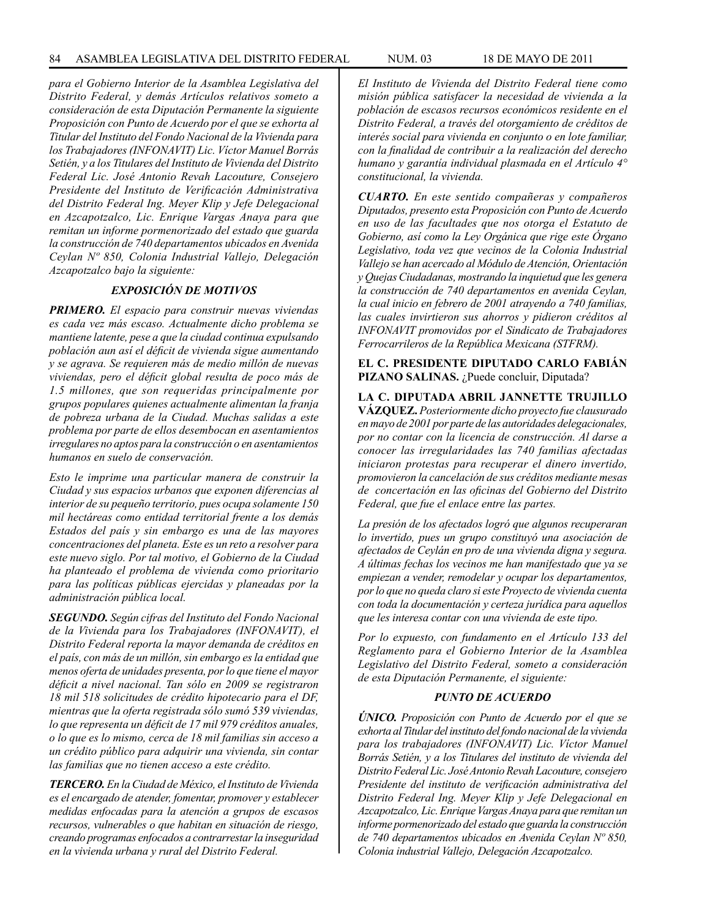*para el Gobierno Interior de la Asamblea Legislativa del Distrito Federal, y demás Artículos relativos someto a consideración de esta Diputación Permanente la siguiente Proposición con Punto de Acuerdo por el que se exhorta al Titular del Instituto del Fondo Nacional de la Vivienda para los Trabajadores (INFONAVIT) Lic. Víctor Manuel Borrás Setién, y a los Titulares del Instituto de Vivienda del Distrito Federal Lic. José Antonio Revah Lacouture, Consejero Presidente del Instituto de Verificación Administrativa del Distrito Federal Ing. Meyer Klip y Jefe Delegacional en Azcapotzalco, Lic. Enrique Vargas Anaya para que remitan un informe pormenorizado del estado que guarda la construcción de 740 departamentos ubicados en Avenida Ceylan Nº 850, Colonia Industrial Vallejo, Delegación Azcapotzalco bajo la siguiente:* 

# *EXPOSICIÓN DE MOTIVOS*

*PRIMERO. El espacio para construir nuevas viviendas es cada vez más escaso. Actualmente dicho problema se mantiene latente, pese a que la ciudad continua expulsando población aun así el déficit de vivienda sigue aumentando y se agrava. Se requieren más de medio millón de nuevas viviendas, pero el déficit global resulta de poco más de 1.5 millones, que son requeridas principalmente por grupos populares quienes actualmente alimentan la franja de pobreza urbana de la Ciudad. Muchas salidas a este problema por parte de ellos desembocan en asentamientos irregulares no aptos para la construcción o en asentamientos humanos en suelo de conservación.*

*Esto le imprime una particular manera de construir la Ciudad y sus espacios urbanos que exponen diferencias al interior de su pequeño territorio, pues ocupa solamente 150 mil hectáreas como entidad territorial frente a los demás Estados del país y sin embargo es una de las mayores concentraciones del planeta. Este es un reto a resolver para este nuevo siglo. Por tal motivo, el Gobierno de la Ciudad ha planteado el problema de vivienda como prioritario para las políticas públicas ejercidas y planeadas por la administración pública local.*

*SEGUNDO. Según cifras del Instituto del Fondo Nacional de la Vivienda para los Trabajadores (INFONAVIT), el Distrito Federal reporta la mayor demanda de créditos en el país, con más de un millón, sin embargo es la entidad que menos oferta de unidades presenta, por lo que tiene el mayor déficit a nivel nacional. Tan sólo en 2009 se registraron 18 mil 518 solicitudes de crédito hipotecario para el DF, mientras que la oferta registrada sólo sumó 539 viviendas, lo que representa un déficit de 17 mil 979 créditos anuales, o lo que es lo mismo, cerca de 18 mil familias sin acceso a un crédito público para adquirir una vivienda, sin contar las familias que no tienen acceso a este crédito.*

*TERCERO. En la Ciudad de México, el Instituto de Vivienda es el encargado de atender, fomentar, promover y establecer medidas enfocadas para la atención a grupos de escasos recursos, vulnerables o que habitan en situación de riesgo, creando programas enfocados a contrarrestar la inseguridad en la vivienda urbana y rural del Distrito Federal.*

*El Instituto de Vivienda del Distrito Federal tiene como misión pública satisfacer la necesidad de vivienda a la población de escasos recursos económicos residente en el Distrito Federal, a través del otorgamiento de créditos de interés social para vivienda en conjunto o en lote familiar, con la finalidad de contribuir a la realización del derecho humano y garantía individual plasmada en el Artículo 4° constitucional, la vivienda.*

*CUARTO. En este sentido compañeras y compañeros Diputados, presento esta Proposición con Punto de Acuerdo en uso de las facultades que nos otorga el Estatuto de Gobierno, así como la Ley Orgánica que rige este Órgano Legislativo, toda vez que vecinos de la Colonia Industrial Vallejo se han acercado al Módulo de Atención, Orientación y Quejas Ciudadanas, mostrando la inquietud que les genera la construcción de 740 departamentos en avenida Ceylan, la cual inicio en febrero de 2001 atrayendo a 740 familias, las cuales invirtieron sus ahorros y pidieron créditos al INFONAVIT promovidos por el Sindicato de Trabajadores Ferrocarrileros de la República Mexicana (STFRM).* 

**EL C. PRESIDENTE DIPUTADO CARLO FABIÁN**  PIZANO SALINAS. ¿Puede concluir, Diputada?

**LA C. DIPUTADA ABRIL JANNETTE TRUJILLO VÁZQUEZ.** *Posteriormente dicho proyecto fue clausurado en mayo de 2001 por parte de las autoridades delegacionales, por no contar con la licencia de construcción. Al darse a conocer las irregularidades las 740 familias afectadas iniciaron protestas para recuperar el dinero invertido, promovieron la cancelación de sus créditos mediante mesas de concertación en las oficinas del Gobierno del Distrito Federal, que fue el enlace entre las partes.* 

*La presión de los afectados logró que algunos recuperaran lo invertido, pues un grupo constituyó una asociación de afectados de Ceylán en pro de una vivienda digna y segura. A últimas fechas los vecinos me han manifestado que ya se empiezan a vender, remodelar y ocupar los departamentos, por lo que no queda claro si este Proyecto de vivienda cuenta con toda la documentación y certeza jurídica para aquellos que les interesa contar con una vivienda de este tipo.* 

*Por lo expuesto, con fundamento en el Artículo 133 del Reglamento para el Gobierno Interior de la Asamblea Legislativo del Distrito Federal, someto a consideración de esta Diputación Permanente, el siguiente:*

#### *PUNTO DE ACUERDO*

*ÚNICO. Proposición con Punto de Acuerdo por el que se exhorta al Titular del instituto del fondo nacional de la vivienda para los trabajadores (INFONAVIT) Lic. Víctor Manuel Borrás Setién, y a los Titulares del instituto de vivienda del Distrito Federal Lic. José Antonio Revah Lacouture, consejero Presidente del instituto de verificación administrativa del Distrito Federal Ing. Meyer Klip y Jefe Delegacional en Azcapotzalco, Lic. Enrique Vargas Anaya para que remitan un informe pormenorizado del estado que guarda la construcción de 740 departamentos ubicados en Avenida Ceylan Nº 850, Colonia industrial Vallejo, Delegación Azcapotzalco.*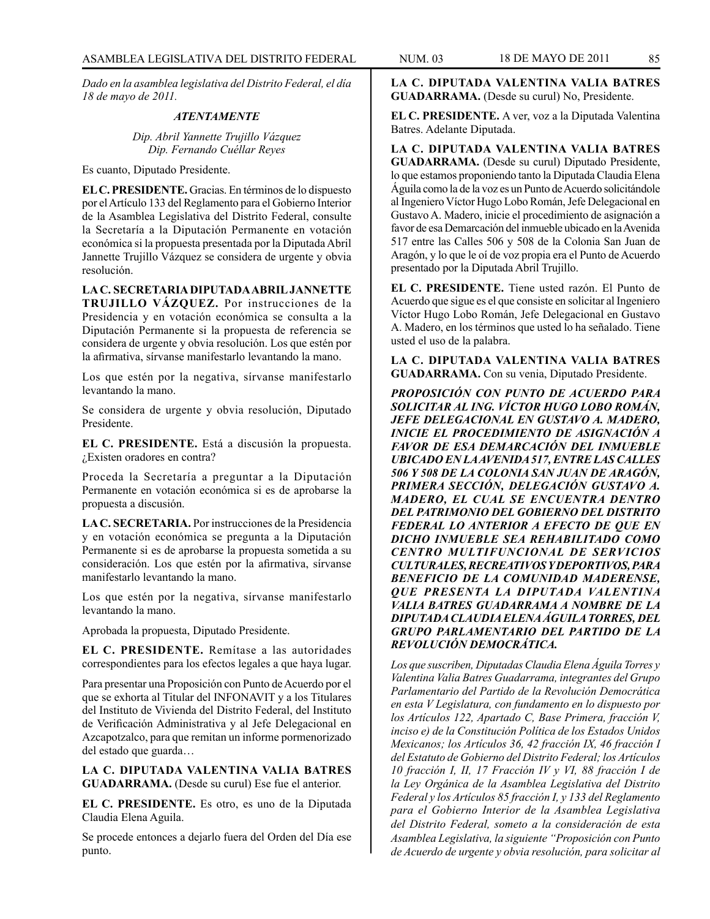*Dado en la asamblea legislativa del Distrito Federal, el día 18 de mayo de 2011.*

#### *ATENTAMENTE*

*Dip. Abril Yannette Trujillo Vázquez Dip. Fernando Cuéllar Reyes* 

Es cuanto, Diputado Presidente.

**EL C. PRESIDENTE.** Gracias. En términos de lo dispuesto por el Artículo 133 del Reglamento para el Gobierno Interior de la Asamblea Legislativa del Distrito Federal, consulte la Secretaría a la Diputación Permanente en votación económica si la propuesta presentada por la Diputada Abril Jannette Trujillo Vázquez se considera de urgente y obvia resolución.

**LA C. SECRETARIA DIPUTADA ABRIL JANNETTE TRUJILLO VÁZQUEZ.** Por instrucciones de la Presidencia y en votación económica se consulta a la Diputación Permanente si la propuesta de referencia se considera de urgente y obvia resolución. Los que estén por la afirmativa, sírvanse manifestarlo levantando la mano.

Los que estén por la negativa, sírvanse manifestarlo levantando la mano.

Se considera de urgente y obvia resolución, Diputado Presidente.

**EL C. PRESIDENTE.** Está a discusión la propuesta. ¿Existen oradores en contra?

Proceda la Secretaría a preguntar a la Diputación Permanente en votación económica si es de aprobarse la propuesta a discusión.

**LA C. SECRETARIA.** Por instrucciones de la Presidencia y en votación económica se pregunta a la Diputación Permanente si es de aprobarse la propuesta sometida a su consideración. Los que estén por la afirmativa, sírvanse manifestarlo levantando la mano.

Los que estén por la negativa, sírvanse manifestarlo levantando la mano.

Aprobada la propuesta, Diputado Presidente.

**EL C. PRESIDENTE.** Remítase a las autoridades correspondientes para los efectos legales a que haya lugar.

Para presentar una Proposición con Punto de Acuerdo por el que se exhorta al Titular del INFONAVIT y a los Titulares del Instituto de Vivienda del Distrito Federal, del Instituto de Verificación Administrativa y al Jefe Delegacional en Azcapotzalco, para que remitan un informe pormenorizado del estado que guarda…

**LA C. DIPUTADA VALENTINA VALIA BATRES GUADARRAMA.** (Desde su curul) Ese fue el anterior.

**EL C. PRESIDENTE.** Es otro, es uno de la Diputada Claudia Elena Aguila.

Se procede entonces a dejarlo fuera del Orden del Día ese punto.

**EL C. PRESIDENTE.** A ver, voz a la Diputada Valentina Batres. Adelante Diputada.

**LA C. DIPUTADA VALENTINA VALIA BATRES GUADARRAMA.** (Desde su curul) Diputado Presidente, lo que estamos proponiendo tanto la Diputada Claudia Elena Águila como la de la voz es un Punto de Acuerdo solicitándole al Ingeniero Víctor Hugo Lobo Román, Jefe Delegacional en Gustavo A. Madero, inicie el procedimiento de asignación a favor de esa Demarcación del inmueble ubicado en la Avenida 517 entre las Calles 506 y 508 de la Colonia San Juan de Aragón, y lo que le oí de voz propia era el Punto de Acuerdo presentado por la Diputada Abril Trujillo.

**EL C. PRESIDENTE.** Tiene usted razón. El Punto de Acuerdo que sigue es el que consiste en solicitar al Ingeniero Víctor Hugo Lobo Román, Jefe Delegacional en Gustavo A. Madero, en los términos que usted lo ha señalado. Tiene usted el uso de la palabra.

**LA C. DIPUTADA VALENTINA VALIA BATRES GUADARRAMA.** Con su venia, Diputado Presidente.

*PROPOSICIÓN CON PUNTO DE ACUERDO PARA SOLICITAR AL ING. VÍCTOR HUGO LOBO ROMÁN, JEFE DELEGACIONAL EN GUSTAVO A. MADERO, INICIE EL PROCEDIMIENTO DE ASIGNACIÓN A FAVOR DE ESA DEMARCACIÓN DEL INMUEBLE UBICADO EN LA AVENIDA 517, ENTRE LAS CALLES 506 Y 508 DE LA COLONIA SAN JUAN DE ARAGÓN, PRIMERA SECCIÓN, DELEGACIÓN GUSTAVO A. MADERO, EL CUAL SE ENCUENTRA DENTRO DEL PATRIMONIO DEL GOBIERNO DEL DISTRITO FEDERAL LO ANTERIOR A EFECTO DE QUE EN DICHO INMUEBLE SEA REHABILITADO COMO CENTRO MULTIFUNCIONAL DE SERVICIOS CULTURALES, RECREATIVOS Y DEPORTIVOS, PARA BENEFICIO DE LA COMUNIDAD MADERENSE, QUE PRESENTA LA DIPUTADA VALENTINA VALIA BATRES GUADARRAMA A NOMBRE DE LA DIPUTADA CLAUDIA ELENA ÁGUILA TORRES, DEL GRUPO PARLAMENTARIO DEL PARTIDO DE LA REVOLUCIÓN DEMOCRÁTICA.*

*Los que suscriben, Diputadas Claudia Elena Águila Torres y Valentina Valia Batres Guadarrama, integrantes del Grupo Parlamentario del Partido de la Revolución Democrática en esta V Legislatura, con fundamento en lo dispuesto por los Artículos 122, Apartado C, Base Primera, fracción V, inciso e) de la Constitución Política de los Estados Unidos Mexicanos; los Artículos 36, 42 fracción IX, 46 fracción I del Estatuto de Gobierno del Distrito Federal; los Artículos 10 fracción I, II, 17 Fracción IV y VI, 88 fracción I de la Ley Orgánica de la Asamblea Legislativa del Distrito Federal y los Artículos 85 fracción I, y 133 del Reglamento para el Gobierno Interior de la Asamblea Legislativa del Distrito Federal, someto a la consideración de esta Asamblea Legislativa, la siguiente "Proposición con Punto de Acuerdo de urgente y obvia resolución, para solicitar al*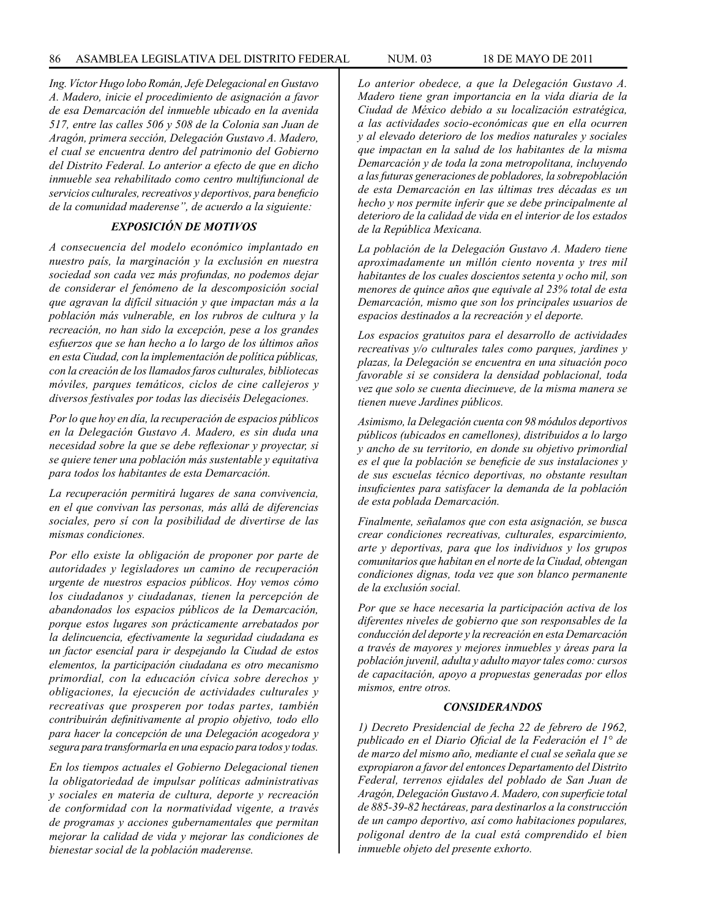*Ing. Víctor Hugo lobo Román, Jefe Delegacional en Gustavo A. Madero, inicie el procedimiento de asignación a favor de esa Demarcación del inmueble ubicado en la avenida 517, entre las calles 506 y 508 de la Colonia san Juan de Aragón, primera sección, Delegación Gustavo A. Madero, el cual se encuentra dentro del patrimonio del Gobierno del Distrito Federal. Lo anterior a efecto de que en dicho inmueble sea rehabilitado como centro multifuncional de servicios culturales, recreativos y deportivos, para beneficio de la comunidad maderense", de acuerdo a la siguiente:* 

# *EXPOSICIÓN DE MOTIVOS*

*A consecuencia del modelo económico implantado en nuestro país, la marginación y la exclusión en nuestra sociedad son cada vez más profundas, no podemos dejar de considerar el fenómeno de la descomposición social que agravan la difícil situación y que impactan más a la población más vulnerable, en los rubros de cultura y la recreación, no han sido la excepción, pese a los grandes esfuerzos que se han hecho a lo largo de los últimos años en esta Ciudad, con la implementación de política públicas, con la creación de los llamados faros culturales, bibliotecas móviles, parques temáticos, ciclos de cine callejeros y diversos festivales por todas las dieciséis Delegaciones.* 

*Por lo que hoy en día, la recuperación de espacios públicos en la Delegación Gustavo A. Madero, es sin duda una necesidad sobre la que se debe reflexionar y proyectar, si se quiere tener una población más sustentable y equitativa para todos los habitantes de esta Demarcación.* 

*La recuperación permitirá lugares de sana convivencia, en el que convivan las personas, más allá de diferencias sociales, pero sí con la posibilidad de divertirse de las mismas condiciones.* 

*Por ello existe la obligación de proponer por parte de autoridades y legisladores un camino de recuperación urgente de nuestros espacios públicos. Hoy vemos cómo los ciudadanos y ciudadanas, tienen la percepción de abandonados los espacios públicos de la Demarcación, porque estos lugares son prácticamente arrebatados por la delincuencia, efectivamente la seguridad ciudadana es un factor esencial para ir despejando la Ciudad de estos elementos, la participación ciudadana es otro mecanismo primordial, con la educación cívica sobre derechos y obligaciones, la ejecución de actividades culturales y recreativas que prosperen por todas partes, también contribuirán definitivamente al propio objetivo, todo ello para hacer la concepción de una Delegación acogedora y segura para transformarla en una espacio para todos y todas.*

*En los tiempos actuales el Gobierno Delegacional tienen la obligatoriedad de impulsar políticas administrativas y sociales en materia de cultura, deporte y recreación de conformidad con la normatividad vigente, a través de programas y acciones gubernamentales que permitan mejorar la calidad de vida y mejorar las condiciones de bienestar social de la población maderense.* 

*Lo anterior obedece, a que la Delegación Gustavo A. Madero tiene gran importancia en la vida diaria de la Ciudad de México debido a su localización estratégica, a las actividades socio-económicas que en ella ocurren y al elevado deterioro de los medios naturales y sociales que impactan en la salud de los habitantes de la misma Demarcación y de toda la zona metropolitana, incluyendo a las futuras generaciones de pobladores, la sobrepoblación de esta Demarcación en las últimas tres décadas es un hecho y nos permite inferir que se debe principalmente al deterioro de la calidad de vida en el interior de los estados de la República Mexicana.* 

*La población de la Delegación Gustavo A. Madero tiene aproximadamente un millón ciento noventa y tres mil habitantes de los cuales doscientos setenta y ocho mil, son menores de quince años que equivale al 23% total de esta Demarcación, mismo que son los principales usuarios de espacios destinados a la recreación y el deporte.* 

*Los espacios gratuitos para el desarrollo de actividades recreativas y/o culturales tales como parques, jardines y plazas, la Delegación se encuentra en una situación poco favorable si se considera la densidad poblacional, toda vez que solo se cuenta diecinueve, de la misma manera se tienen nueve Jardines públicos.* 

*Asimismo, la Delegación cuenta con 98 módulos deportivos públicos (ubicados en camellones), distribuidos a lo largo y ancho de su territorio, en donde su objetivo primordial es el que la población se beneficie de sus instalaciones y de sus escuelas técnico deportivas, no obstante resultan insuficientes para satisfacer la demanda de la población de esta poblada Demarcación.* 

*Finalmente, señalamos que con esta asignación, se busca crear condiciones recreativas, culturales, esparcimiento, arte y deportivas, para que los individuos y los grupos comunitarios que habitan en el norte de la Ciudad, obtengan condiciones dignas, toda vez que son blanco permanente de la exclusión social.* 

*Por que se hace necesaria la participación activa de los diferentes niveles de gobierno que son responsables de la conducción del deporte y la recreación en esta Demarcación a través de mayores y mejores inmuebles y áreas para la población juvenil, adulta y adulto mayor tales como: cursos de capacitación, apoyo a propuestas generadas por ellos mismos, entre otros.*

## *CONSIDERANDOS*

*1) Decreto Presidencial de fecha 22 de febrero de 1962, publicado en el Diario Oficial de la Federación el 1° de de marzo del mismo año, mediante el cual se señala que se expropiaron a favor del entonces Departamento del Distrito Federal, terrenos ejidales del poblado de San Juan de Aragón, Delegación Gustavo A. Madero, con superficie total de 885-39-82 hectáreas, para destinarlos a la construcción de un campo deportivo, así como habitaciones populares, poligonal dentro de la cual está comprendido el bien inmueble objeto del presente exhorto.*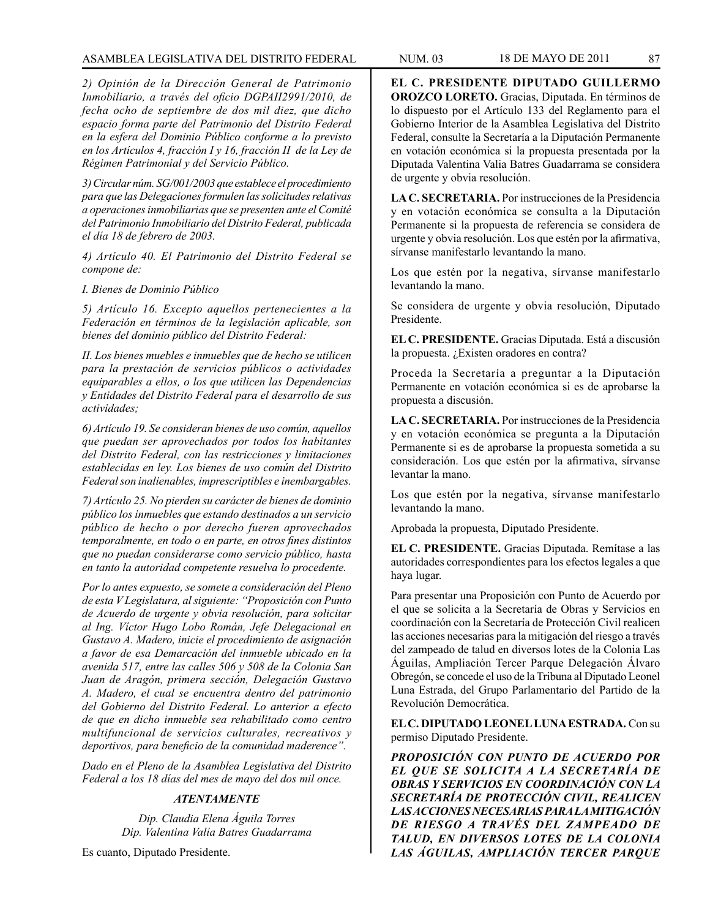# ASAMBLEA LEGISLATIVA DEL DISTRITO FEDERAL NUM. 03 18 DE MAYO DE 2011 87

*2) Opinión de la Dirección General de Patrimonio Inmobiliario, a través del oficio DGPAII2991/2010, de fecha ocho de septiembre de dos mil diez, que dicho espacio forma parte del Patrimonio del Distrito Federal en la esfera del Dominio Público conforme a lo previsto en los Artículos 4, fracción I y 16, fracción II de la Ley de Régimen Patrimonial y del Servicio Público.*

*3) Circular núm. SG/001/2003 que establece el procedimiento para que las Delegaciones formulen las solicitudes relativas a operaciones inmobiliarias que se presenten ante el Comité del Patrimonio Inmobiliario del Distrito Federal, publicada el día 18 de febrero de 2003.*

*4) Artículo 40. El Patrimonio del Distrito Federal se compone de:*

*I. Bienes de Dominio Público*

*5) Artículo 16. Excepto aquellos pertenecientes a la Federación en términos de la legislación aplicable, son bienes del dominio público del Distrito Federal:*

*II. Los bienes muebles e inmuebles que de hecho se utilicen para la prestación de servicios públicos o actividades equiparables a ellos, o los que utilicen las Dependencias y Entidades del Distrito Federal para el desarrollo de sus actividades;*

*6) Artículo 19. Se consideran bienes de uso común, aquellos que puedan ser aprovechados por todos los habitantes del Distrito Federal, con las restricciones y limitaciones establecidas en ley. Los bienes de uso común del Distrito Federal son inalienables, imprescriptibles e inembargables.*

*7) Artículo 25. No pierden su carácter de bienes de dominio público los inmuebles que estando destinados a un servicio público de hecho o por derecho fueren aprovechados temporalmente, en todo o en parte, en otros fines distintos que no puedan considerarse como servicio público, hasta en tanto la autoridad competente resuelva lo procedente.* 

*Por lo antes expuesto, se somete a consideración del Pleno de esta V Legislatura, al siguiente: "Proposición con Punto de Acuerdo de urgente y obvia resolución, para solicitar al Ing. Víctor Hugo Lobo Román, Jefe Delegacional en Gustavo A. Madero, inicie el procedimiento de asignación a favor de esa Demarcación del inmueble ubicado en la avenida 517, entre las calles 506 y 508 de la Colonia San Juan de Aragón, primera sección, Delegación Gustavo A. Madero, el cual se encuentra dentro del patrimonio del Gobierno del Distrito Federal. Lo anterior a efecto de que en dicho inmueble sea rehabilitado como centro multifuncional de servicios culturales, recreativos y deportivos, para beneficio de la comunidad maderence".*

*Dado en el Pleno de la Asamblea Legislativa del Distrito Federal a los 18 días del mes de mayo del dos mil once.*

# *ATENTAMENTE*

*Dip. Claudia Elena Águila Torres Dip. Valentina Valía Batres Guadarrama*

Es cuanto, Diputado Presidente.

**EL C. PRESIDENTE DIPUTADO GUILLERMO OROZCO LORETO.** Gracias, Diputada. En términos de lo dispuesto por el Artículo 133 del Reglamento para el Gobierno Interior de la Asamblea Legislativa del Distrito Federal, consulte la Secretaría a la Diputación Permanente en votación económica si la propuesta presentada por la Diputada Valentina Valia Batres Guadarrama se considera de urgente y obvia resolución.

**LA C. SECRETARIA.** Por instrucciones de la Presidencia y en votación económica se consulta a la Diputación Permanente si la propuesta de referencia se considera de urgente y obvia resolución. Los que estén por la afirmativa, sírvanse manifestarlo levantando la mano.

Los que estén por la negativa, sírvanse manifestarlo levantando la mano.

Se considera de urgente y obvia resolución, Diputado Presidente.

**EL C. PRESIDENTE.** Gracias Diputada. Está a discusión la propuesta. ¿Existen oradores en contra?

Proceda la Secretaría a preguntar a la Diputación Permanente en votación económica si es de aprobarse la propuesta a discusión.

**LA C. SECRETARIA.** Por instrucciones de la Presidencia y en votación económica se pregunta a la Diputación Permanente si es de aprobarse la propuesta sometida a su consideración. Los que estén por la afirmativa, sírvanse levantar la mano.

Los que estén por la negativa, sírvanse manifestarlo levantando la mano.

Aprobada la propuesta, Diputado Presidente.

**EL C. PRESIDENTE.** Gracias Diputada. Remítase a las autoridades correspondientes para los efectos legales a que haya lugar.

Para presentar una Proposición con Punto de Acuerdo por el que se solicita a la Secretaría de Obras y Servicios en coordinación con la Secretaría de Protección Civil realicen las acciones necesarias para la mitigación del riesgo a través del zampeado de talud en diversos lotes de la Colonia Las Águilas, Ampliación Tercer Parque Delegación Álvaro Obregón, se concede el uso de la Tribuna al Diputado Leonel Luna Estrada, del Grupo Parlamentario del Partido de la Revolución Democrática.

**EL C. DIPUTADO LEONEL LUNA ESTRADA.** Con su permiso Diputado Presidente.

*PROPOSICIÓN CON PUNTO DE ACUERDO POR EL QUE SE SOLICITA A LA SECRETARÍA DE OBRAS Y SERVICIOS EN COORDINACIÓN CON LA SECRETARÍA DE PROTECCIÓN CIVIL, REALICEN LAS ACCIONES NECESARIAS PARA LA MITIGACIÓN DE RIESGO A TRAVÉS DEL ZAMPEADO DE TALUD, EN DIVERSOS LOTES DE LA COLONIA LAS ÁGUILAS, AMPLIACIÓN TERCER PARQUE*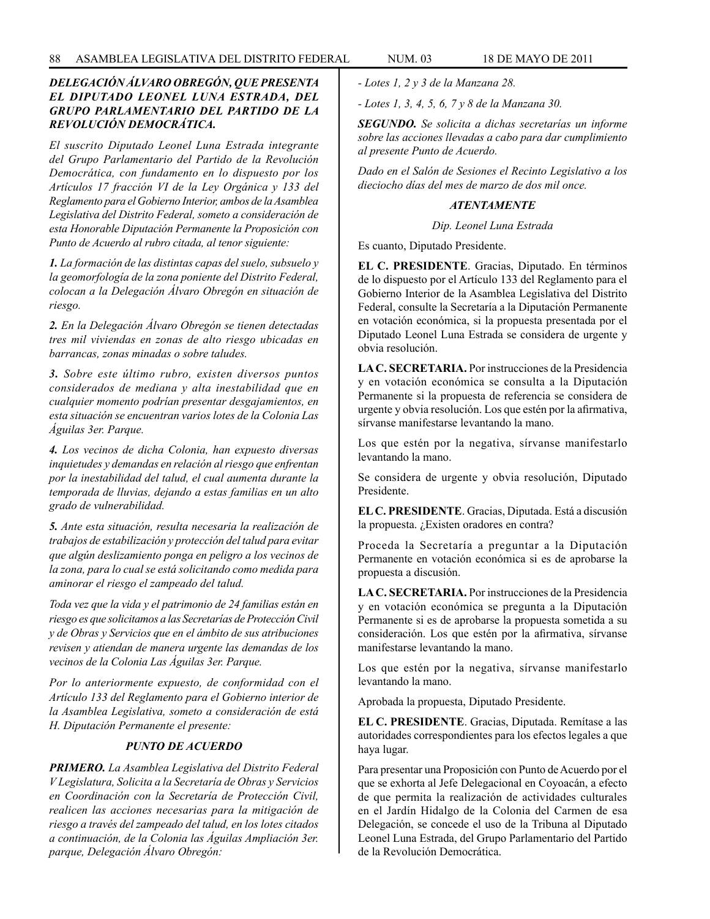# *DELEGACIÓN ÁLVARO OBREGÓN, QUE PRESENTA EL DIPUTADO LEONEL LUNA ESTRADA, DEL GRUPO PARLAMENTARIO DEL PARTIDO DE LA REVOLUCIÓN DEMOCRÁTICA.*

*El suscrito Diputado Leonel Luna Estrada integrante del Grupo Parlamentario del Partido de la Revolución Democrática, con fundamento en lo dispuesto por los Artículos 17 fracción VI de la Ley Orgánica y 133 del Reglamento para el Gobierno Interior, ambos de la Asamblea Legislativa del Distrito Federal, someto a consideración de esta Honorable Diputación Permanente la Proposición con Punto de Acuerdo al rubro citada, al tenor siguiente:*

*1. La formación de las distintas capas del suelo, subsuelo y la geomorfología de la zona poniente del Distrito Federal, colocan a la Delegación Álvaro Obregón en situación de riesgo.*

*2. En la Delegación Álvaro Obregón se tienen detectadas tres mil viviendas en zonas de alto riesgo ubicadas en barrancas, zonas minadas o sobre taludes.*

*3. Sobre este último rubro, existen diversos puntos considerados de mediana y alta inestabilidad que en cualquier momento podrían presentar desgajamientos, en esta situación se encuentran varios lotes de la Colonia Las Águilas 3er. Parque.*

*4. Los vecinos de dicha Colonia, han expuesto diversas inquietudes y demandas en relación al riesgo que enfrentan por la inestabilidad del talud, el cual aumenta durante la temporada de lluvias, dejando a estas familias en un alto grado de vulnerabilidad.*

*5. Ante esta situación, resulta necesaria la realización de trabajos de estabilización y protección del talud para evitar que algún deslizamiento ponga en peligro a los vecinos de la zona, para lo cual se está solicitando como medida para aminorar el riesgo el zampeado del talud.*

*Toda vez que la vida y el patrimonio de 24 familias están en riesgo es que solicitamos a las Secretarías de Protección Civil y de Obras y Servicios que en el ámbito de sus atribuciones revisen y atiendan de manera urgente las demandas de los vecinos de la Colonia Las Águilas 3er. Parque.*

*Por lo anteriormente expuesto, de conformidad con el Artículo 133 del Reglamento para el Gobierno interior de la Asamblea Legislativa, someto a consideración de está H. Diputación Permanente el presente:* 

# *PUNTO DE ACUERDO*

*PRIMERO. La Asamblea Legislativa del Distrito Federal V Legislatura, Solicita a la Secretaría de Obras y Servicios en Coordinación con la Secretaría de Protección Civil, realicen las acciones necesarias para la mitigación de riesgo a través del zampeado del talud, en los lotes citados a continuación, de la Colonia las Águilas Ampliación 3er. parque, Delegación Álvaro Obregón:*

*- Lotes 1, 2 y 3 de la Manzana 28.*

*- Lotes 1, 3, 4, 5, 6, 7 y 8 de la Manzana 30.*

*SEGUNDO. Se solicita a dichas secretarías un informe sobre las acciones llevadas a cabo para dar cumplimiento al presente Punto de Acuerdo.*

*Dado en el Salón de Sesiones el Recinto Legislativo a los dieciocho días del mes de marzo de dos mil once.*

# *ATENTAMENTE*

*Dip. Leonel Luna Estrada*

Es cuanto, Diputado Presidente.

**EL C. PRESIDENTE**. Gracias, Diputado. En términos de lo dispuesto por el Artículo 133 del Reglamento para el Gobierno Interior de la Asamblea Legislativa del Distrito Federal, consulte la Secretaría a la Diputación Permanente en votación económica, si la propuesta presentada por el Diputado Leonel Luna Estrada se considera de urgente y obvia resolución.

**LA C. SECRETARIA.** Por instrucciones de la Presidencia y en votación económica se consulta a la Diputación Permanente si la propuesta de referencia se considera de urgente y obvia resolución. Los que estén por la afirmativa, sírvanse manifestarse levantando la mano.

Los que estén por la negativa, sírvanse manifestarlo levantando la mano.

Se considera de urgente y obvia resolución, Diputado Presidente.

**EL C. PRESIDENTE**. Gracias, Diputada. Está a discusión la propuesta. ¿Existen oradores en contra?

Proceda la Secretaría a preguntar a la Diputación Permanente en votación económica si es de aprobarse la propuesta a discusión.

**LA C. SECRETARIA.** Por instrucciones de la Presidencia y en votación económica se pregunta a la Diputación Permanente si es de aprobarse la propuesta sometida a su consideración. Los que estén por la afirmativa, sírvanse manifestarse levantando la mano.

Los que estén por la negativa, sírvanse manifestarlo levantando la mano.

Aprobada la propuesta, Diputado Presidente.

**EL C. PRESIDENTE**. Gracias, Diputada. Remítase a las autoridades correspondientes para los efectos legales a que haya lugar.

Para presentar una Proposición con Punto de Acuerdo por el que se exhorta al Jefe Delegacional en Coyoacán, a efecto de que permita la realización de actividades culturales en el Jardín Hidalgo de la Colonia del Carmen de esa Delegación, se concede el uso de la Tribuna al Diputado Leonel Luna Estrada, del Grupo Parlamentario del Partido de la Revolución Democrática.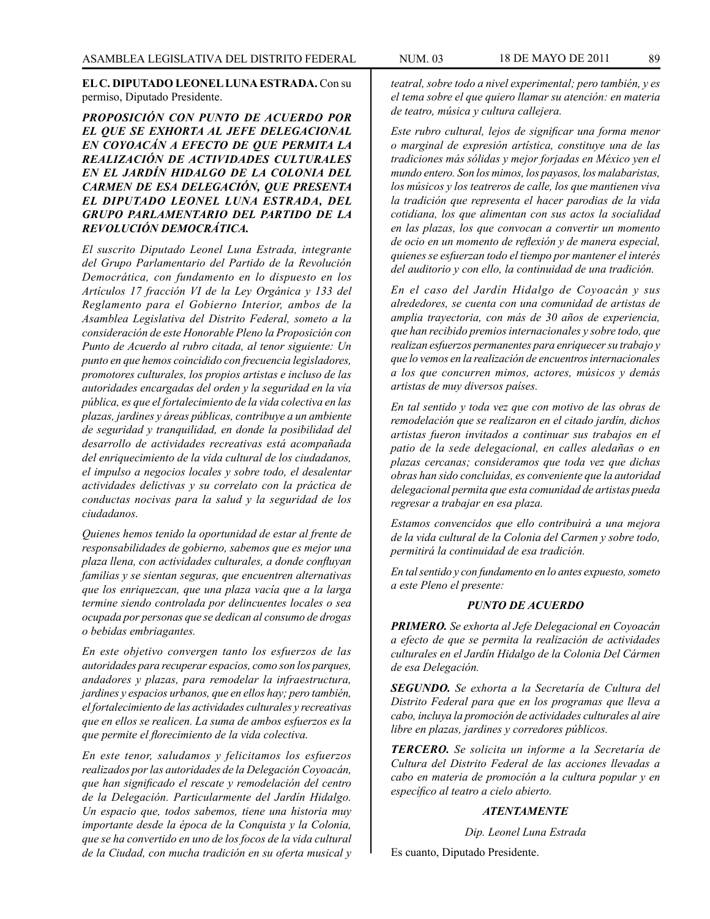**EL C. DIPUTADO LEONEL LUNA ESTRADA.** Con su permiso, Diputado Presidente.

# *PROPOSICIÓN CON PUNTO DE ACUERDO POR EL QUE SE EXHORTA AL JEFE DELEGACIONAL EN COYOACÁN A EFECTO DE QUE PERMITA LA REALIZACIÓN DE ACTIVIDADES CULTURALES EN EL JARDÍN HIDALGO DE LA COLONIA DEL CARMEN DE ESA DELEGACIÓN, QUE PRESENTA EL DIPUTADO LEONEL LUNA ESTRADA, DEL GRUPO PARLAMENTARIO DEL PARTIDO DE LA REVOLUCIÓN DEMOCRÁTICA.*

*El suscrito Diputado Leonel Luna Estrada, integrante del Grupo Parlamentario del Partido de la Revolución Democrática, con fundamento en lo dispuesto en los Artículos 17 fracción VI de la Ley Orgánica y 133 del Reglamento para el Gobierno Interior, ambos de la Asamblea Legislativa del Distrito Federal, someto a la consideración de este Honorable Pleno la Proposición con Punto de Acuerdo al rubro citada, al tenor siguiente: Un punto en que hemos coincidido con frecuencia legisladores, promotores culturales, los propios artistas e incluso de las autoridades encargadas del orden y la seguridad en la vía pública, es que el fortalecimiento de la vida colectiva en las plazas, jardines y áreas públicas, contribuye a un ambiente de seguridad y tranquilidad, en donde la posibilidad del desarrollo de actividades recreativas está acompañada del enriquecimiento de la vida cultural de los ciudadanos, el impulso a negocios locales y sobre todo, el desalentar actividades delictivas y su correlato con la práctica de conductas nocivas para la salud y la seguridad de los ciudadanos.*

*Quienes hemos tenido la oportunidad de estar al frente de responsabilidades de gobierno, sabemos que es mejor una plaza llena, con actividades culturales, a donde confluyan familias y se sientan seguras, que encuentren alternativas que los enriquezcan, que una plaza vacía que a la larga termine siendo controlada por delincuentes locales o sea ocupada por personas que se dedican al consumo de drogas o bebidas embriagantes.* 

*En este objetivo convergen tanto los esfuerzos de las autoridades para recuperar espacios, como son los parques, andadores y plazas, para remodelar la infraestructura, jardines y espacios urbanos, que en ellos hay; pero también, el fortalecimiento de las actividades culturales y recreativas que en ellos se realicen. La suma de ambos esfuerzos es la que permite el florecimiento de la vida colectiva.*

*En este tenor, saludamos y felicitamos los esfuerzos realizados por las autoridades de la Delegación Coyoacán, que han significado el rescate y remodelación del centro de la Delegación. Particularmente del Jardín Hidalgo. Un espacio que, todos sabemos, tiene una historia muy importante desde la época de la Conquista y la Colonia, que se ha convertido en uno de los focos de la vida cultural de la Ciudad, con mucha tradición en su oferta musical y* 

*teatral, sobre todo a nivel experimental; pero también, y es el tema sobre el que quiero llamar su atención: en materia de teatro, música y cultura callejera.*

*Este rubro cultural, lejos de significar una forma menor o marginal de expresión artística, constituye una de las tradiciones más sólidas y mejor forjadas en México yen el mundo entero. Son los mimos, los payasos, los malabaristas, los músicos y los teatreros de calle, los que mantienen viva la tradición que representa el hacer parodias de la vida cotidiana, los que alimentan con sus actos la socialidad en las plazas, los que convocan a convertir un momento de ocio en un momento de reflexión y de manera especial, quienes se esfuerzan todo el tiempo por mantener el interés del auditorio y con ello, la continuidad de una tradición.*

*En el caso del Jardín Hidalgo de Coyoacán y sus alrededores, se cuenta con una comunidad de artistas de amplia trayectoria, con más de 30 años de experiencia, que han recibido premios internacionales y sobre todo, que realizan esfuerzos permanentes para enriquecer su trabajo y que lo vemos en la realización de encuentros internacionales a los que concurren mimos, actores, músicos y demás artistas de muy diversos países.*

*En tal sentido y toda vez que con motivo de las obras de remodelación que se realizaron en el citado jardín, dichos artistas fueron invitados a continuar sus trabajos en el patio de la sede delegacional, en calles aledañas o en plazas cercanas; consideramos que toda vez que dichas obras han sido concluidas, es conveniente que la autoridad delegacional permita que esta comunidad de artistas pueda regresar a trabajar en esa plaza.*

*Estamos convencidos que ello contribuirá a una mejora de la vida cultural de la Colonia del Carmen y sobre todo, permitirá la continuidad de esa tradición.*

*En tal sentido y con fundamento en lo antes expuesto, someto a este Pleno el presente:*

### *PUNTO DE ACUERDO*

*PRIMERO. Se exhorta al Jefe Delegacional en Coyoacán a efecto de que se permita la realización de actividades culturales en el Jardín Hidalgo de la Colonia Del Cármen de esa Delegación.*

*SEGUNDO. Se exhorta a la Secretaría de Cultura del Distrito Federal para que en los programas que lleva a cabo, incluya la promoción de actividades culturales al aire libre en plazas, jardines y corredores públicos.*

*TERCERO. Se solicita un informe a la Secretaría de Cultura del Distrito Federal de las acciones llevadas a cabo en materia de promoción a la cultura popular y en específico al teatro a cielo abierto.*

## *ATENTAMENTE*

*Dip. Leonel Luna Estrada*

Es cuanto, Diputado Presidente.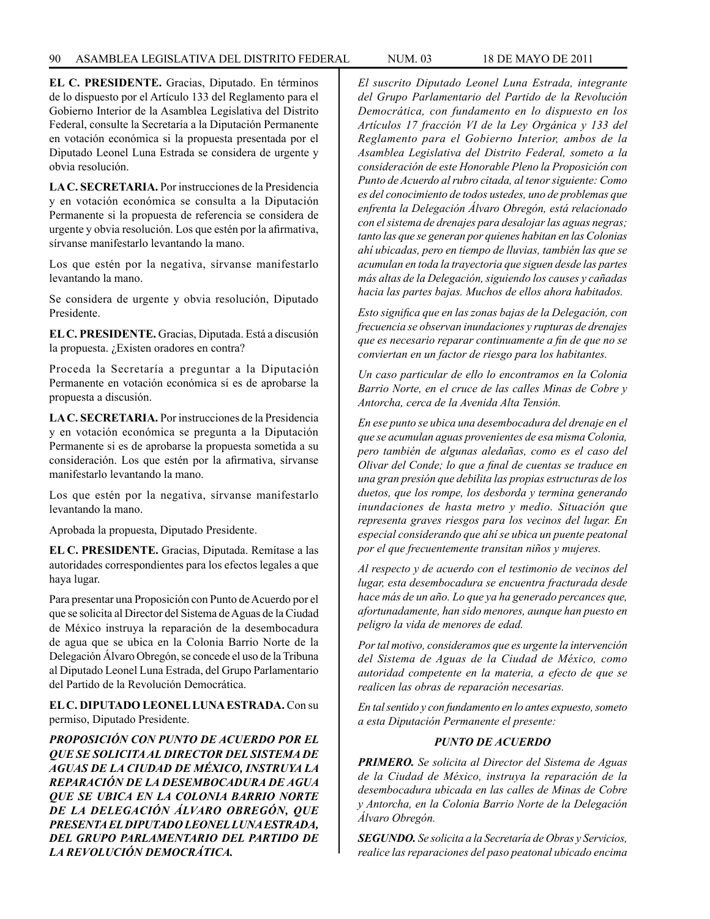**EL C. PRESIDENTE.** Gracias, Diputado. En términos de lo dispuesto por el Artículo 133 del Reglamento para el Gobierno Interior de la Asamblea Legislativa del Distrito Federal, consulte la Secretaría a la Diputación Permanente en votación económica si la propuesta presentada por el Diputado Leonel Luna Estrada se considera de urgente y obvia resolución.

**LA C. SECRETARIA.** Por instrucciones de la Presidencia y en votación económica se consulta a la Diputación Permanente si la propuesta de referencia se considera de urgente y obvia resolución. Los que estén por la afirmativa, sírvanse manifestarlo levantando la mano.

Los que estén por la negativa, sírvanse manifestarlo levantando la mano.

Se considera de urgente y obvia resolución, Diputado Presidente.

**EL C. PRESIDENTE.** Gracias, Diputada. Está a discusión la propuesta. ¿Existen oradores en contra?

Proceda la Secretaría a preguntar a la Diputación Permanente en votación económica si es de aprobarse la propuesta a discusión.

**LA C. SECRETARIA.** Por instrucciones de la Presidencia y en votación económica se pregunta a la Diputación Permanente si es de aprobarse la propuesta sometida a su consideración. Los que estén por la afirmativa, sírvanse manifestarlo levantando la mano.

Los que estén por la negativa, sírvanse manifestarlo levantando la mano.

Aprobada la propuesta, Diputado Presidente.

**EL C. PRESIDENTE.** Gracias, Diputada. Remítase a las autoridades correspondientes para los efectos legales a que haya lugar.

Para presentar una Proposición con Punto de Acuerdo por el que se solicita al Director del Sistema de Aguas de la Ciudad de México instruya la reparación de la desembocadura de agua que se ubica en la Colonia Barrio Norte de la Delegación Álvaro Obregón, se concede el uso de la Tribuna al Diputado Leonel Luna Estrada, del Grupo Parlamentario del Partido de la Revolución Democrática.

**EL C. DIPUTADO LEONEL LUNA ESTRADA.** Con su permiso, Diputado Presidente.

*PROPOSICIÓN CON PUNTO DE ACUERDO POR EL QUE SE SOLICITA AL DIRECTOR DEL SISTEMA DE AGUAS DE LA CIUDAD DE MÉXICO, INSTRUYA LA REPARACIÓN DE LA DESEMBOCADURA DE AGUA QUE SE UBICA EN LA COLONIA BARRIO NORTE DE LA DELEGACIÓN ÁLVARO OBREGÓN, QUE PRESENTA EL DIPUTADO LEONEL LUNA ESTRADA, DEL GRUPO PARLAMENTARIO DEL PARTIDO DE LA REVOLUCIÓN DEMOCRÁTICA.*

*El suscrito Diputado Leonel Luna Estrada, integrante del Grupo Parlamentario del Partido de la Revolución Democrática, con fundamento en lo dispuesto en los Artículos 17 fracción VI de la Ley Orgánica y 133 del Reglamento para el Gobierno Interior, ambos de la Asamblea Legislativa del Distrito Federal, someto a la consideración de este Honorable Pleno la Proposición con Punto de Acuerdo al rubro citada, al tenor siguiente: Como es del conocimiento de todos ustedes, uno de problemas que enfrenta la Delegación Álvaro Obregón, está relacionado con el sistema de drenajes para desalojar las aguas negras; tanto las que se generan por quienes habitan en las Colonias ahí ubicadas, pero en tiempo de lluvias, también las que se acumulan en toda la trayectoria que siguen desde las partes más altas de la Delegación, siguiendo los causes y cañadas hacia las partes bajas. Muchos de ellos ahora habitados.*

*Esto significa que en las zonas bajas de la Delegación, con frecuencia se observan inundaciones y rupturas de drenajes que es necesario reparar continuamente a fin de que no se conviertan en un factor de riesgo para los habitantes.*

*Un caso particular de ello lo encontramos en la Colonia Barrio Norte, en el cruce de las calles Minas de Cobre y Antorcha, cerca de la Avenida Alta Tensión.*

*En ese punto se ubica una desembocadura del drenaje en el que se acumulan aguas provenientes de esa misma Colonia, pero también de algunas aledañas, como es el caso del Olivar del Conde; lo que a final de cuentas se traduce en una gran presión que debilita las propias estructuras de los duetos, que los rompe, los desborda y termina generando inundaciones de hasta metro y medio. Situación que representa graves riesgos para los vecinos del lugar. En especial considerando que ahí se ubica un puente peatonal por el que frecuentemente transitan niños y mujeres.* 

*Al respecto y de acuerdo con el testimonio de vecinos del lugar, esta desembocadura se encuentra fracturada desde hace más de un año. Lo que ya ha generado percances que, afortunadamente, han sido menores, aunque han puesto en peligro la vida de menores de edad.*

*Por tal motivo, consideramos que es urgente la intervención del Sistema de Aguas de la Ciudad de México, como autoridad competente en la materia, a efecto de que se realicen las obras de reparación necesarias.* 

*En tal sentido y con fundamento en lo antes expuesto, someto a esta Diputación Permanente el presente:*

# *PUNTO DE ACUERDO*

*PRIMERO. Se solicita al Director del Sistema de Aguas de la Ciudad de México, instruya la reparación de la desembocadura ubicada en las calles de Minas de Cobre y Antorcha, en la Colonia Barrio Norte de la Delegación Álvaro Obregón.*

*SEGUNDO. Se solicita a la Secretaría de Obras y Servicios, realice las reparaciones del paso peatonal ubicado encima*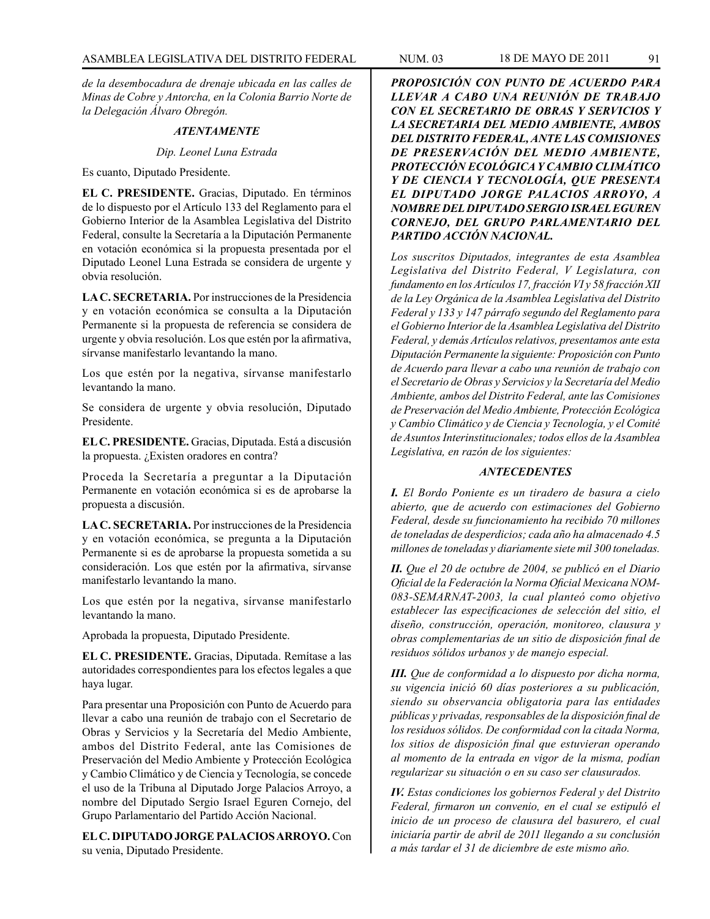*de la desembocadura de drenaje ubicada en las calles de Minas de Cobre y Antorcha, en la Colonia Barrio Norte de la Delegación Álvaro Obregón.*

#### *ATENTAMENTE*

*Dip. Leonel Luna Estrada*

Es cuanto, Diputado Presidente.

**EL C. PRESIDENTE.** Gracias, Diputado. En términos de lo dispuesto por el Artículo 133 del Reglamento para el Gobierno Interior de la Asamblea Legislativa del Distrito Federal, consulte la Secretaría a la Diputación Permanente en votación económica si la propuesta presentada por el Diputado Leonel Luna Estrada se considera de urgente y obvia resolución.

**LA C. SECRETARIA.** Por instrucciones de la Presidencia y en votación económica se consulta a la Diputación Permanente si la propuesta de referencia se considera de urgente y obvia resolución. Los que estén por la afirmativa, sírvanse manifestarlo levantando la mano.

Los que estén por la negativa, sírvanse manifestarlo levantando la mano.

Se considera de urgente y obvia resolución, Diputado Presidente.

**EL C. PRESIDENTE.** Gracias, Diputada. Está a discusión la propuesta. ¿Existen oradores en contra?

Proceda la Secretaría a preguntar a la Diputación Permanente en votación económica si es de aprobarse la propuesta a discusión.

**LA C. SECRETARIA.** Por instrucciones de la Presidencia y en votación económica, se pregunta a la Diputación Permanente si es de aprobarse la propuesta sometida a su consideración. Los que estén por la afirmativa, sírvanse manifestarlo levantando la mano.

Los que estén por la negativa, sírvanse manifestarlo levantando la mano.

Aprobada la propuesta, Diputado Presidente.

**EL C. PRESIDENTE.** Gracias, Diputada. Remítase a las autoridades correspondientes para los efectos legales a que haya lugar.

Para presentar una Proposición con Punto de Acuerdo para llevar a cabo una reunión de trabajo con el Secretario de Obras y Servicios y la Secretaría del Medio Ambiente, ambos del Distrito Federal, ante las Comisiones de Preservación del Medio Ambiente y Protección Ecológica y Cambio Climático y de Ciencia y Tecnología, se concede el uso de la Tribuna al Diputado Jorge Palacios Arroyo, a nombre del Diputado Sergio Israel Eguren Cornejo, del Grupo Parlamentario del Partido Acción Nacional.

**EL C. DIPUTADO JORGE PALACIOS ARROYO.** Con su venia, Diputado Presidente.

*PROPOSICIÓN CON PUNTO DE ACUERDO PARA LLEVAR A CABO UNA REUNIÓN DE TRABAJO CON EL SECRETARIO DE OBRAS Y SERVICIOS Y LA SECRETARIA DEL MEDIO AMBIENTE, AMBOS DEL DISTRITO FEDERAL, ANTE LAS COMISIONES DE PRESERVACIÓN DEL MEDIO AMBIENTE, PROTECCIÓN ECOLÓGICA Y CAMBIO CLIMÁTICO Y DE CIENCIA Y TECNOLOGÍA, QUE PRESENTA EL DIPUTADO JORGE PALACIOS ARROYO, A NOMBRE DEL DIPUTADO SERGIO ISRAEL EGUREN CORNEJO, DEL GRUPO PARLAMENTARIO DEL PARTIDO ACCIÓN NACIONAL.*

*Los suscritos Diputados, integrantes de esta Asamblea Legislativa del Distrito Federal, V Legislatura, con fundamento en los Artículos 17, fracción VI y 58 fracción XII de la Ley Orgánica de la Asamblea Legislativa del Distrito Federal y 133 y 147 párrafo segundo del Reglamento para el Gobierno Interior de la Asamblea Legislativa del Distrito Federal, y demás Artículos relativos, presentamos ante esta Diputación Permanente la siguiente: Proposición con Punto de Acuerdo para llevar a cabo una reunión de trabajo con el Secretario de Obras y Servicios y la Secretaría del Medio Ambiente, ambos del Distrito Federal, ante las Comisiones de Preservación del Medio Ambiente, Protección Ecológica y Cambio Climático y de Ciencia y Tecnología, y el Comité de Asuntos Interinstitucionales; todos ellos de la Asamblea Legislativa, en razón de los siguientes:*

# *ANTECEDENTES*

*I. El Bordo Poniente es un tiradero de basura a cielo abierto, que de acuerdo con estimaciones del Gobierno Federal, desde su funcionamiento ha recibido 70 millones de toneladas de desperdicios; cada año ha almacenado 4.5 millones de toneladas y diariamente siete mil 300 toneladas.*

*II. Que el 20 de octubre de 2004, se publicó en el Diario Oficial de la Federación la Norma Oficial Mexicana NOM-083-SEMARNAT-2003, la cual planteó como objetivo establecer las especificaciones de selección del sitio, el diseño, construcción, operación, monitoreo, clausura y obras complementarias de un sitio de disposición final de residuos sólidos urbanos y de manejo especial.*

*III. Que de conformidad a lo dispuesto por dicha norma, su vigencia inició 60 días posteriores a su publicación, siendo su observancia obligatoria para las entidades públicas y privadas, responsables de la disposición final de los residuos sólidos. De conformidad con la citada Norma, los sitios de disposición final que estuvieran operando al momento de la entrada en vigor de la misma, podían regularizar su situación o en su caso ser clausurados.*

*IV. Estas condiciones los gobiernos Federal y del Distrito Federal, firmaron un convenio, en el cual se estipuló el inicio de un proceso de clausura del basurero, el cual iniciaría partir de abril de 2011 llegando a su conclusión a más tardar el 31 de diciembre de este mismo año.*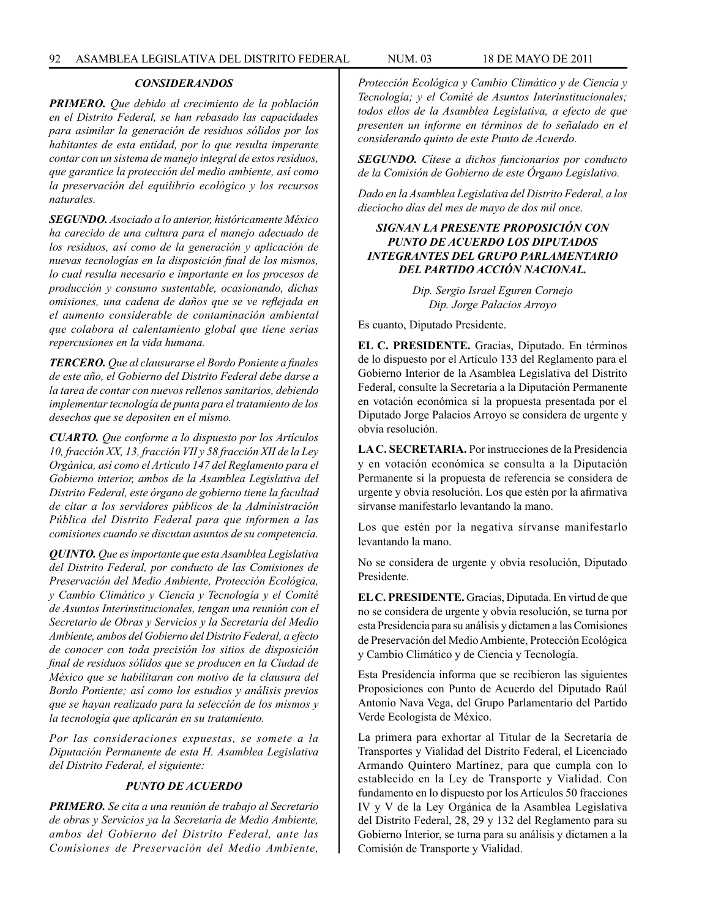# *CONSIDERANDOS*

*PRIMERO. Que debido al crecimiento de la población en el Distrito Federal, se han rebasado las capacidades para asimilar la generación de residuos sólidos por los habitantes de esta entidad, por lo que resulta imperante contar con un sistema de manejo integral de estos residuos, que garantice la protección del medio ambiente, así como la preservación del equilibrio ecológico y los recursos naturales.*

*SEGUNDO. Asociado a lo anterior, históricamente México ha carecido de una cultura para el manejo adecuado de los residuos, así como de la generación y aplicación de nuevas tecnologías en la disposición final de los mismos, lo cual resulta necesario e importante en los procesos de producción y consumo sustentable, ocasionando, dichas omisiones, una cadena de daños que se ve reflejada en el aumento considerable de contaminación ambiental que colabora al calentamiento global que tiene serias repercusiones en la vida humana.*

*TERCERO. Que al clausurarse el Bordo Poniente a finales de este año, el Gobierno del Distrito Federal debe darse a la tarea de contar con nuevos rellenos sanitarios, debiendo implementar tecnología de punta para el tratamiento de los desechos que se depositen en el mismo.*

*CUARTO. Que conforme a lo dispuesto por los Artículos 10, fracción XX, 13, fracción VII y 58 fracción XII de la Ley Orgánica, así como el Artículo 147 del Reglamento para el Gobierno interior, ambos de la Asamblea Legislativa del Distrito Federal, este órgano de gobierno tiene la facultad de citar a los servidores públicos de la Administración Pública del Distrito Federal para que informen a las comisiones cuando se discutan asuntos de su competencia.*

*QUINTO. Que es importante que esta Asamblea Legislativa del Distrito Federal, por conducto de las Comisiones de Preservación del Medio Ambiente, Protección Ecológica, y Cambio Climático y Ciencia y Tecnología y el Comité de Asuntos Interinstitucionales, tengan una reunión con el Secretario de Obras y Servicios y la Secretaría del Medio Ambiente, ambos del Gobierno del Distrito Federal, a efecto de conocer con toda precisión los sitios de disposición final de residuos sólidos que se producen en la Ciudad de México que se habilitaran con motivo de la clausura del Bordo Poniente; así como los estudios y análisis previos que se hayan realizado para la selección de los mismos y la tecnología que aplicarán en su tratamiento.*

*Por las consideraciones expuestas, se somete a la Diputación Permanente de esta H. Asamblea Legislativa del Distrito Federal, el siguiente:*

## *PUNTO DE ACUERDO*

*PRIMERO. Se cita a una reunión de trabajo al Secretario de obras y Servicios ya la Secretaría de Medio Ambiente, ambos del Gobierno del Distrito Federal, ante las Comisiones de Preservación del Medio Ambiente,*  *Protección Ecológica y Cambio Climático y de Ciencia y Tecnología; y el Comité de Asuntos Interinstitucionales; todos ellos de la Asamblea Legislativa, a efecto de que presenten un informe en términos de lo señalado en el considerando quinto de este Punto de Acuerdo.*

*SEGUNDO. Cítese a dichos funcionarios por conducto de la Comisión de Gobierno de este Órgano Legislativo.*

*Dado en la Asamblea Legislativa del Distrito Federal, a los dieciocho días del mes de mayo de dos mil once.*

# *SIGNAN LA PRESENTE PROPOSICIÓN CON PUNTO DE ACUERDO LOS DIPUTADOS INTEGRANTES DEL GRUPO PARLAMENTARIO DEL PARTIDO ACCIÓN NACIONAL.*

*Dip. Sergio Israel Eguren Cornejo Dip. Jorge Palacios Arroyo*

Es cuanto, Diputado Presidente.

**EL C. PRESIDENTE.** Gracias, Diputado. En términos de lo dispuesto por el Artículo 133 del Reglamento para el Gobierno Interior de la Asamblea Legislativa del Distrito Federal, consulte la Secretaría a la Diputación Permanente en votación económica si la propuesta presentada por el Diputado Jorge Palacios Arroyo se considera de urgente y obvia resolución.

**LA C. SECRETARIA.** Por instrucciones de la Presidencia y en votación económica se consulta a la Diputación Permanente si la propuesta de referencia se considera de urgente y obvia resolución. Los que estén por la afirmativa sírvanse manifestarlo levantando la mano.

Los que estén por la negativa sírvanse manifestarlo levantando la mano.

No se considera de urgente y obvia resolución, Diputado Presidente.

**EL C. PRESIDENTE.** Gracias, Diputada. En virtud de que no se considera de urgente y obvia resolución, se turna por esta Presidencia para su análisis y dictamen a las Comisiones de Preservación del Medio Ambiente, Protección Ecológica y Cambio Climático y de Ciencia y Tecnología.

Esta Presidencia informa que se recibieron las siguientes Proposiciones con Punto de Acuerdo del Diputado Raúl Antonio Nava Vega, del Grupo Parlamentario del Partido Verde Ecologista de México.

La primera para exhortar al Titular de la Secretaría de Transportes y Vialidad del Distrito Federal, el Licenciado Armando Quintero Martínez, para que cumpla con lo establecido en la Ley de Transporte y Vialidad. Con fundamento en lo dispuesto por los Artículos 50 fracciones IV y V de la Ley Orgánica de la Asamblea Legislativa del Distrito Federal, 28, 29 y 132 del Reglamento para su Gobierno Interior, se turna para su análisis y dictamen a la Comisión de Transporte y Vialidad.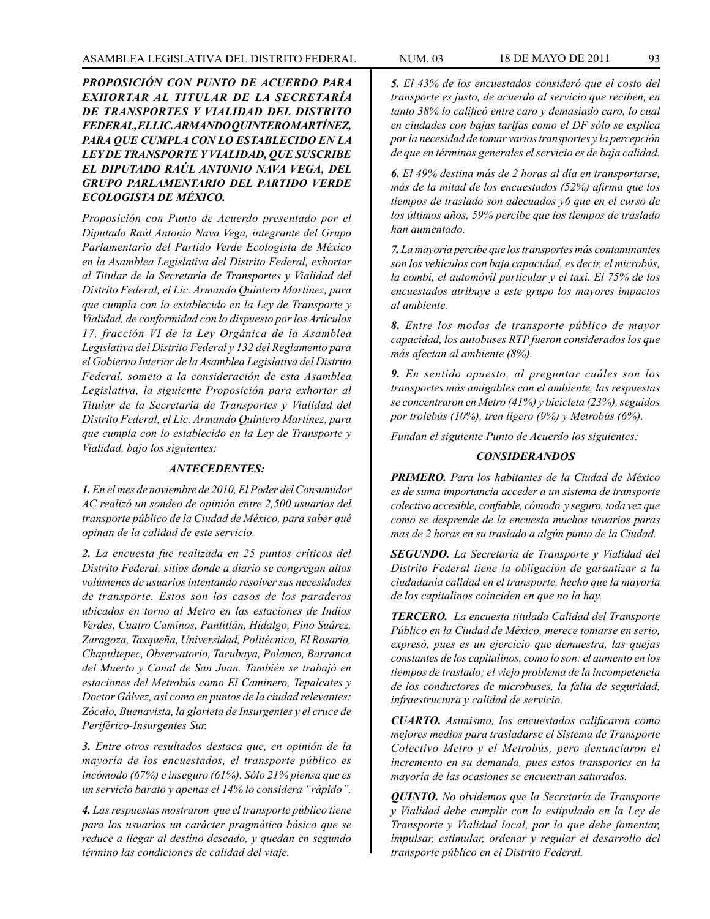*PROPOSICIÓN CON PUNTO DE ACUERDO PARA EXHORTAR AL TITULAR DE LA SECRETARÍA DE TRANSPORTES Y VIALIDAD DEL DISTRITO FEDERAL, EL LIC. ARMANDO QUINTERO MARTÍNEZ, PARA QUE CUMPLA CON LO ESTABLECIDO EN LA LEY DE TRANSPORTE Y VIALIDAD, QUE SUSCRIBE EL DIPUTADO RAÚL ANTONIO NAVA VEGA, DEL GRUPO PARLAMENTARIO DEL PARTIDO VERDE ECOLOGISTA DE MÉXICO.*

*Proposición con Punto de Acuerdo presentado por el Diputado Raúl Antonio Nava Vega, integrante del Grupo Parlamentario del Partido Verde Ecologista de México en la Asamblea Legislativa del Distrito Federal, exhortar al Titular de la Secretaría de Transportes y Vialidad del Distrito Federal, el Lic. Armando Quintero Martínez, para que cumpla con lo establecido en la Ley de Transporte y Vialidad, de conformidad con lo dispuesto por los Artículos 17, fracción VI de la Ley Orgánica de la Asamblea Legislativa del Distrito Federal y 132 del Reglamento para el Gobierno Interior de la Asamblea Legislativa del Distrito Federal, someto a la consideración de esta Asamblea Legislativa, la siguiente Proposición para exhortar al Titular de la Secretaría de Transportes y Vialidad del Distrito Federal, el Lic. Armando Quintero Martínez, para que cumpla con lo establecido en la Ley de Transporte y Vialidad, bajo los siguientes:*

### *ANTECEDENTES:*

*1. En el mes de noviembre de 2010, El Poder del Consumidor AC realizó un sondeo de opinión entre 2,500 usuarios del transporte público de la Ciudad de México, para saber qué opinan de la calidad de este servicio.*

*2. La encuesta fue realizada en 25 puntos críticos del Distrito Federal, sitios donde a diario se congregan altos volúmenes de usuarios intentando resolver sus necesidades de transporte. Estos son los casos de los paraderos ubicados en torno al Metro en las estaciones de Indios Verdes, Cuatro Caminos, Pantitlán, Hidalgo, Pino Suárez, Zaragoza, Taxqueña, Universidad, Politécnico, El Rosario, Chapultepec, Observatorio, Tacubaya, Polanco, Barranca del Muerto y Canal de San Juan. También se trabajó en estaciones del Metrobús como El Caminero, Tepalcates y Doctor Gálvez, así como en puntos de la ciudad relevantes: Zócalo, Buenavista, la glorieta de Insurgentes y el cruce de Periférico-Insurgentes Sur.*

*3. Entre otros resultados destaca que, en opinión de la mayoría de los encuestados, el transporte público es incómodo (67%) e inseguro (61%). Sólo 21% piensa que es un servicio barato y apenas el 14% lo considera "rápido".* 

*4. Las respuestas mostraron que el transporte público tiene para los usuarios un carácter pragmático básico que se reduce a llegar al destino deseado, y quedan en segundo término las condiciones de calidad del viaje.*

*5. El 43% de los encuestados consideró que el costo del transporte es justo, de acuerdo al servicio que reciben, en tanto 38% lo calificó entre caro y demasiado caro, lo cual en ciudades con bajas tarifas como el DF sólo se explica por la necesidad de tomar varios transportes y la percepción de que en términos generales el servicio es de baja calidad.*

*6. El 49% destina más de 2 horas al día en transportarse, más de la mitad de los encuestados (52%) afirma que los tiempos de traslado son adecuados y6 que en el curso de los últimos años, 59% percibe que los tiempos de traslado han aumentado.*

*7. La mayoría percibe que los transportes más contaminantes son los vehículos con baja capacidad, es decir, el microbús, la combi, el automóvil particular y el taxi. El 75% de los encuestados atribuye a este grupo los mayores impactos al ambiente.* 

*8. Entre los modos de transporte público de mayor capacidad, los autobuses RTP fueron considerados los que más afectan al ambiente (8%).*

*9. En sentido opuesto, al preguntar cuáles son los transportes más amigables con el ambiente, las respuestas se concentraron en Metro (41%) y bicicleta (23%), seguidos por trolebús (10%), tren ligero (9%) y Metrobús (6%).*

*Fundan el siguiente Punto de Acuerdo los siguientes:* 

# *CONSIDERANDOS*

*PRIMERO. Para los habitantes de la Ciudad de México es de suma importancia acceder a un sistema de transporte colectivo accesible, confiable, cómodo y seguro, toda vez que como se desprende de la encuesta muchos usuarios paras mas de 2 horas en su traslado a algún punto de la Ciudad.*

*SEGUNDO. La Secretaría de Transporte y Vialidad del Distrito Federal tiene la obligación de garantizar a la ciudadanía calidad en el transporte, hecho que la mayoría de los capitalinos coinciden en que no la hay.*

*TERCERO. La encuesta titulada Calidad del Transporte Público en la Ciudad de México, merece tomarse en serio, expresó, pues es un ejercicio que demuestra, las quejas constantes de los capitalinos, como lo son: el aumento en los tiempos de traslado; el viejo problema de la incompetencia de los conductores de microbuses, la falta de seguridad, infraestructura y calidad de servicio.*

*CUARTO. Asimismo, los encuestados calificaron como mejores medios para trasladarse el Sistema de Transporte Colectivo Metro y el Metrobús, pero denunciaron el incremento en su demanda, pues estos transportes en la mayoría de las ocasiones se encuentran saturados.*

*QUINTO. No olvidemos que la Secretaría de Transporte y Vialidad debe cumplir con lo estipulado en la Ley de Transporte y Vialidad local, por lo que debe fomentar, impulsar, estimular, ordenar y regular el desarrollo del transporte público en el Distrito Federal.*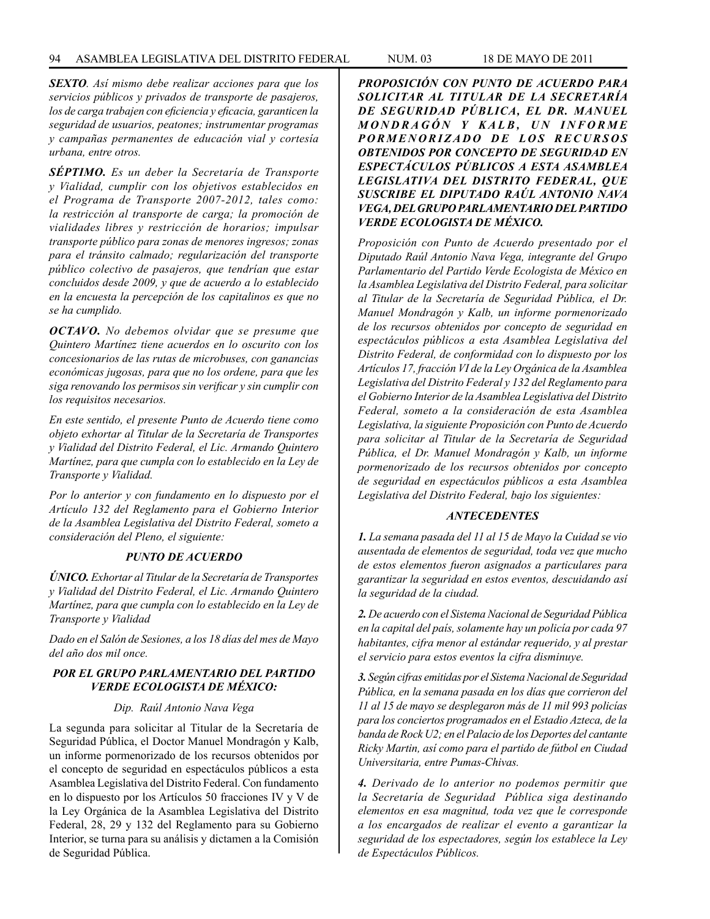*SEXTO. Así mismo debe realizar acciones para que los servicios públicos y privados de transporte de pasajeros, los de carga trabajen con eficiencia y eficacia, garanticen la seguridad de usuarios, peatones; instrumentar programas y campañas permanentes de educación vial y cortesía urbana, entre otros.*

*SÉPTIMO. Es un deber la Secretaría de Transporte y Vialidad, cumplir con los objetivos establecidos en el Programa de Transporte 2007-2012, tales como: la restricción al transporte de carga; la promoción de vialidades libres y restricción de horarios; impulsar transporte público para zonas de menores ingresos; zonas para el tránsito calmado; regularización del transporte público colectivo de pasajeros, que tendrían que estar concluidos desde 2009, y que de acuerdo a lo establecido en la encuesta la percepción de los capitalinos es que no se ha cumplido.*

*OCTAVO. No debemos olvidar que se presume que Quintero Martínez tiene acuerdos en lo oscurito con los concesionarios de las rutas de microbuses, con ganancias económicas jugosas, para que no los ordene, para que les siga renovando los permisos sin verificar y sin cumplir con los requisitos necesarios.*

*En este sentido, el presente Punto de Acuerdo tiene como objeto exhortar al Titular de la Secretaría de Transportes y Vialidad del Distrito Federal, el Lic. Armando Quintero Martínez, para que cumpla con lo establecido en la Ley de Transporte y Vialidad.*

*Por lo anterior y con fundamento en lo dispuesto por el Artículo 132 del Reglamento para el Gobierno Interior de la Asamblea Legislativa del Distrito Federal, someto a consideración del Pleno, el siguiente:*

# *PUNTO DE ACUERDO*

*ÚNICO. Exhortar al Titular de la Secretaría de Transportes y Vialidad del Distrito Federal, el Lic. Armando Quintero Martínez, para que cumpla con lo establecido en la Ley de Transporte y Vialidad*

*Dado en el Salón de Sesiones, a los 18 días del mes de Mayo del año dos mil once.*

# *POR EL GRUPO PARLAMENTARIO DEL PARTIDO VERDE ECOLOGISTA DE MÉXICO:*

*Dip. Raúl Antonio Nava Vega*

La segunda para solicitar al Titular de la Secretaría de Seguridad Pública, el Doctor Manuel Mondragón y Kalb, un informe pormenorizado de los recursos obtenidos por el concepto de seguridad en espectáculos públicos a esta Asamblea Legislativa del Distrito Federal. Con fundamento en lo dispuesto por los Artículos 50 fracciones IV y V de la Ley Orgánica de la Asamblea Legislativa del Distrito Federal, 28, 29 y 132 del Reglamento para su Gobierno Interior, se turna para su análisis y dictamen a la Comisión de Seguridad Pública.

*PROPOSICIÓN CON PUNTO DE ACUERDO PARA SOLICITAR AL TITULAR DE LA SECRETARÍA DE SEGURIDAD PÚBLICA, EL DR. MANUEL M O N D R A G Ó N Y K A L B , U N I N F O R M E PORMENORIZADO DE LOS RECURSOS OBTENIDOS POR CONCEPTO DE SEGURIDAD EN ESPECTÁCULOS PÚBLICOS A ESTA ASAMBLEA LEGISLATIVA DEL DISTRITO FEDERAL, QUE SUSCRIBE EL DIPUTADO RAÚL ANTONIO NAVA VEGA, DEL GRUPO PARLAMENTARIO DEL PARTIDO VERDE ECOLOGISTA DE MÉXICO.*

*Proposición con Punto de Acuerdo presentado por el Diputado Raúl Antonio Nava Vega, integrante del Grupo Parlamentario del Partido Verde Ecologista de México en la Asamblea Legislativa del Distrito Federal, para solicitar al Titular de la Secretaría de Seguridad Pública, el Dr. Manuel Mondragón y Kalb, un informe pormenorizado de los recursos obtenidos por concepto de seguridad en espectáculos públicos a esta Asamblea Legislativa del Distrito Federal, de conformidad con lo dispuesto por los Artículos 17, fracción VI de la Ley Orgánica de la Asamblea Legislativa del Distrito Federal y 132 del Reglamento para el Gobierno Interior de la Asamblea Legislativa del Distrito Federal, someto a la consideración de esta Asamblea Legislativa, la siguiente Proposición con Punto de Acuerdo para solicitar al Titular de la Secretaría de Seguridad Pública, el Dr. Manuel Mondragón y Kalb, un informe pormenorizado de los recursos obtenidos por concepto de seguridad en espectáculos públicos a esta Asamblea Legislativa del Distrito Federal, bajo los siguientes:*

# *ANTECEDENTES*

*1. La semana pasada del 11 al 15 de Mayo la Cuidad se vio ausentada de elementos de seguridad, toda vez que mucho de estos elementos fueron asignados a particulares para garantizar la seguridad en estos eventos, descuidando así la seguridad de la ciudad.* 

*2. De acuerdo con el Sistema Nacional de Seguridad Pública en la capital del país, solamente hay un policía por cada 97 habitantes, cifra menor al estándar requerido, y al prestar el servicio para estos eventos la cifra disminuye.*

*3. Según cifras emitidas por el Sistema Nacional de Seguridad Pública, en la semana pasada en los días que corrieron del 11 al 15 de mayo se desplegaron más de 11 mil 993 policías para los conciertos programados en el Estadio Azteca, de la banda de Rock U2; en el Palacio de los Deportes del cantante Ricky Martin, así como para el partido de fútbol en Ciudad Universitaria, entre Pumas-Chivas.*

*4. Derivado de lo anterior no podemos permitir que la Secretaría de Seguridad Pública siga destinando elementos en esa magnitud, toda vez que le corresponde a los encargados de realizar el evento a garantizar la seguridad de los espectadores, según los establece la Ley de Espectáculos Públicos.*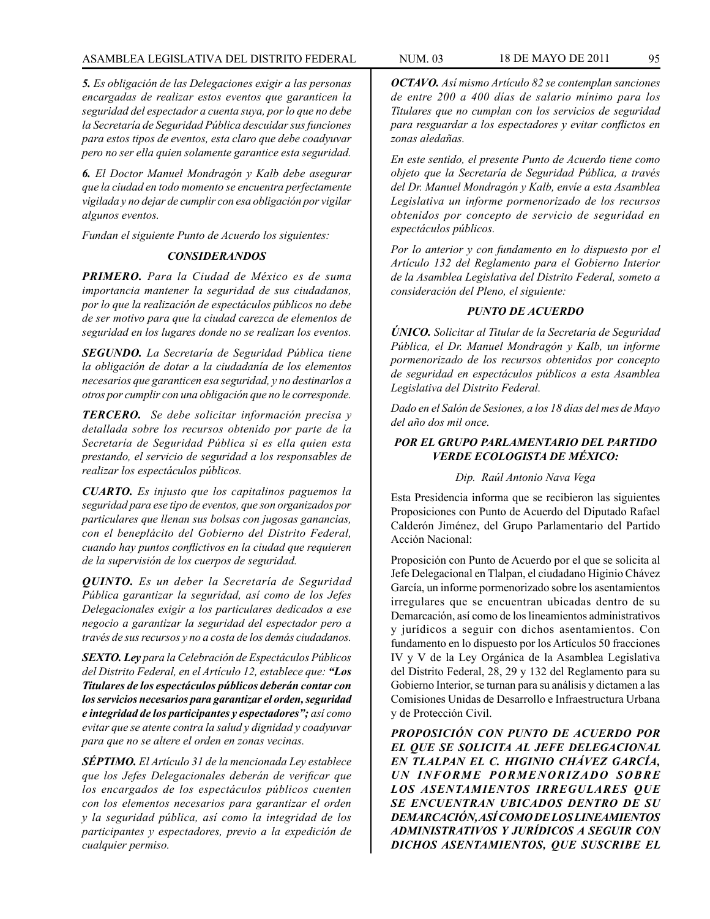*5. Es obligación de las Delegaciones exigir a las personas encargadas de realizar estos eventos que garanticen la seguridad del espectador a cuenta suya, por lo que no debe la Secretaría de Seguridad Pública descuidar sus funciones para estos tipos de eventos, esta claro que debe coadyuvar pero no ser ella quien solamente garantice esta seguridad.*

*6. El Doctor Manuel Mondragón y Kalb debe asegurar que la ciudad en todo momento se encuentra perfectamente vigilada y no dejar de cumplir con esa obligación por vigilar algunos eventos.*

*Fundan el siguiente Punto de Acuerdo los siguientes:* 

# *CONSIDERANDOS*

*PRIMERO. Para la Ciudad de México es de suma importancia mantener la seguridad de sus ciudadanos, por lo que la realización de espectáculos públicos no debe de ser motivo para que la ciudad carezca de elementos de seguridad en los lugares donde no se realizan los eventos.* 

*SEGUNDO. La Secretaría de Seguridad Pública tiene la obligación de dotar a la ciudadanía de los elementos necesarios que garanticen esa seguridad, y no destinarlos a otros por cumplir con una obligación que no le corresponde.*

*TERCERO. Se debe solicitar información precisa y detallada sobre los recursos obtenido por parte de la Secretaría de Seguridad Pública si es ella quien esta prestando, el servicio de seguridad a los responsables de realizar los espectáculos públicos.*

*CUARTO. Es injusto que los capitalinos paguemos la seguridad para ese tipo de eventos, que son organizados por particulares que llenan sus bolsas con jugosas ganancias, con el beneplácito del Gobierno del Distrito Federal, cuando hay puntos conflictivos en la ciudad que requieren de la supervisión de los cuerpos de seguridad.*

*QUINTO. Es un deber la Secretaría de Seguridad Pública garantizar la seguridad, así como de los Jefes Delegacionales exigir a los particulares dedicados a ese negocio a garantizar la seguridad del espectador pero a través de sus recursos y no a costa de los demás ciudadanos.*

*SEXTO. Ley para la Celebración de Espectáculos Públicos del Distrito Federal, en el Artículo 12, establece que: "Los Titulares de los espectáculos públicos deberán contar con los servicios necesarios para garantizar el orden, seguridad e integridad de los participantes y espectadores"; así como evitar que se atente contra la salud y dignidad y coadyuvar para que no se altere el orden en zonas vecinas.*

*SÉPTIMO. El Artículo 31 de la mencionada Ley establece que los Jefes Delegacionales deberán de verificar que los encargados de los espectáculos públicos cuenten con los elementos necesarios para garantizar el orden y la seguridad pública, así como la integridad de los participantes y espectadores, previo a la expedición de cualquier permiso.*

*OCTAVO. Así mismo Artículo 82 se contemplan sanciones de entre 200 a 400 días de salario mínimo para los Titulares que no cumplan con los servicios de seguridad para resguardar a los espectadores y evitar conflictos en zonas aledañas.*

*En este sentido, el presente Punto de Acuerdo tiene como objeto que la Secretaría de Seguridad Pública, a través del Dr. Manuel Mondragón y Kalb, envíe a esta Asamblea Legislativa un informe pormenorizado de los recursos obtenidos por concepto de servicio de seguridad en espectáculos públicos.*

*Por lo anterior y con fundamento en lo dispuesto por el Artículo 132 del Reglamento para el Gobierno Interior de la Asamblea Legislativa del Distrito Federal, someto a consideración del Pleno, el siguiente:*

# *PUNTO DE ACUERDO*

*ÚNICO. Solicitar al Titular de la Secretaría de Seguridad Pública, el Dr. Manuel Mondragón y Kalb, un informe pormenorizado de los recursos obtenidos por concepto de seguridad en espectáculos públicos a esta Asamblea Legislativa del Distrito Federal.*

*Dado en el Salón de Sesiones, a los 18 días del mes de Mayo del año dos mil once.*

# *POR EL GRUPO PARLAMENTARIO DEL PARTIDO VERDE ECOLOGISTA DE MÉXICO:*

### *Dip. Raúl Antonio Nava Vega*

Esta Presidencia informa que se recibieron las siguientes Proposiciones con Punto de Acuerdo del Diputado Rafael Calderón Jiménez, del Grupo Parlamentario del Partido Acción Nacional:

Proposición con Punto de Acuerdo por el que se solicita al Jefe Delegacional en Tlalpan, el ciudadano Higinio Chávez García, un informe pormenorizado sobre los asentamientos irregulares que se encuentran ubicadas dentro de su Demarcación, así como de los lineamientos administrativos y jurídicos a seguir con dichos asentamientos. Con fundamento en lo dispuesto por los Artículos 50 fracciones IV y V de la Ley Orgánica de la Asamblea Legislativa del Distrito Federal, 28, 29 y 132 del Reglamento para su Gobierno Interior, se turnan para su análisis y dictamen a las Comisiones Unidas de Desarrollo e Infraestructura Urbana y de Protección Civil.

*PROPOSICIÓN CON PUNTO DE ACUERDO POR EL QUE SE SOLICITA AL JEFE DELEGACIONAL EN TLALPAN EL C. HIGINIO CHÁVEZ GARCÍA, UN INFORME PORMENORIZADO SOBRE LOS ASENTAMIENTOS IRREGULARES QUE SE ENCUENTRAN UBICADOS DENTRO DE SU DEMARCACIÓN, ASÍ COMO DE LOS LINEAMIENTOS ADMINISTRATIVOS Y JURÍDICOS A SEGUIR CON DICHOS ASENTAMIENTOS, QUE SUSCRIBE EL*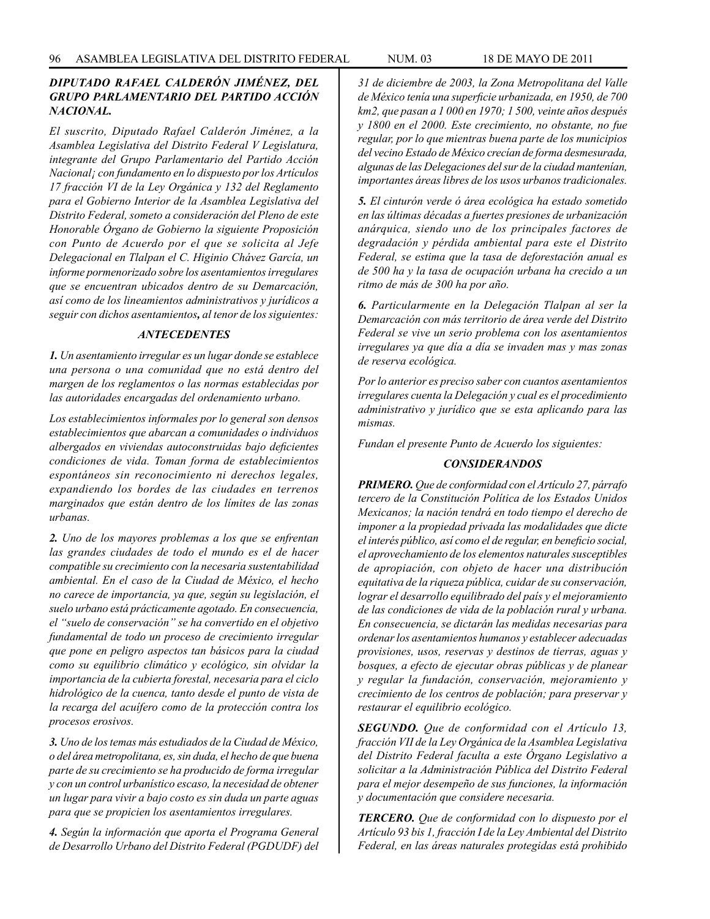# *DIPUTADO RAFAEL CALDERÓN JIMÉNEZ, DEL GRUPO PARLAMENTARIO DEL PARTIDO ACCIÓN NACIONAL.*

*El suscrito, Diputado Rafael Calderón Jiménez, a la Asamblea Legislativa del Distrito Federal V Legislatura, integrante del Grupo Parlamentario del Partido Acción Nacional¡ con fundamento en lo dispuesto por los Artículos 17 fracción VI de la Ley Orgánica y 132 del Reglamento para el Gobierno Interior de la Asamblea Legislativa del Distrito Federal, someto a consideración del Pleno de este Honorable Órgano de Gobierno la siguiente Proposición con Punto de Acuerdo por el que se solicita al Jefe Delegacional en Tlalpan el C. Higinio Chávez García, un informe pormenorizado sobre los asentamientos irregulares que se encuentran ubicados dentro de su Demarcación, así como de los lineamientos administrativos y jurídicos a seguir con dichos asentamientos, al tenor de los siguientes:*

#### *ANTECEDENTES*

*1. Un asentamiento irregular es un lugar donde se establece una persona o una comunidad que no está dentro del margen de los reglamentos o las normas establecidas por las autoridades encargadas del ordenamiento urbano.*

*Los establecimientos informales por lo general son densos establecimientos que abarcan a comunidades o individuos albergados en viviendas autoconstruidas bajo deficientes condiciones de vida. Toman forma de establecimientos espontáneos sin reconocimiento ni derechos legales, expandiendo los bordes de las ciudades en terrenos marginados que están dentro de los límites de las zonas urbanas.*

*2. Uno de los mayores problemas a los que se enfrentan las grandes ciudades de todo el mundo es el de hacer compatible su crecimiento con la necesaria sustentabilidad ambiental. En el caso de la Ciudad de México, el hecho no carece de importancia, ya que, según su legislación, el suelo urbano está prácticamente agotado. En consecuencia, el "suelo de conservación" se ha convertido en el objetivo fundamental de todo un proceso de crecimiento irregular que pone en peligro aspectos tan básicos para la ciudad como su equilibrio climático y ecológico, sin olvidar la importancia de la cubierta forestal, necesaria para el ciclo hidrológico de la cuenca, tanto desde el punto de vista de la recarga del acuífero como de la protección contra los procesos erosivos.*

*3. Uno de los temas más estudiados de la Ciudad de México, o del área metropolitana, es, sin duda, el hecho de que buena parte de su crecimiento se ha producido de forma irregular y con un control urbanístico escaso, la necesidad de obtener un lugar para vivir a bajo costo es sin duda un parte aguas para que se propicien los asentamientos irregulares.*

*4. Según la información que aporta el Programa General de Desarrollo Urbano del Distrito Federal (PGDUDF) del*  *31 de diciembre de 2003, la Zona Metropolitana del Valle de México tenía una superficie urbanizada, en 1950, de 700 km2, que pasan a 1 000 en 1970; 1 500, veinte años después y 1800 en el 2000. Este crecimiento, no obstante, no fue regular, por lo que mientras buena parte de los municipios del vecino Estado de México crecían de forma desmesurada, algunas de las Delegaciones del sur de la ciudad mantenían, importantes áreas libres de los usos urbanos tradicionales.*

*5. El cinturón verde ó área ecológica ha estado sometido en las últimas décadas a fuertes presiones de urbanización anárquica, siendo uno de los principales factores de degradación y pérdida ambiental para este el Distrito Federal, se estima que la tasa de deforestación anual es de 500 ha y la tasa de ocupación urbana ha crecido a un ritmo de más de 300 ha por año.* 

*6. Particularmente en la Delegación Tlalpan al ser la Demarcación con más territorio de área verde del Distrito Federal se vive un serio problema con los asentamientos irregulares ya que día a día se invaden mas y mas zonas de reserva ecológica.*

*Por lo anterior es preciso saber con cuantos asentamientos irregulares cuenta la Delegación y cual es el procedimiento administrativo y jurídico que se esta aplicando para las mismas.*

*Fundan el presente Punto de Acuerdo los siguientes:*

### *CONSIDERANDOS*

*PRIMERO. Que de conformidad con el Artículo 27, párrafo tercero de la Constitución Política de los Estados Unidos Mexicanos; la nación tendrá en todo tiempo el derecho de imponer a la propiedad privada las modalidades que dicte el interés público, así como el de regular, en beneficio social, el aprovechamiento de los elementos naturales susceptibles de apropiación, con objeto de hacer una distribución equitativa de la riqueza pública, cuidar de su conservación, lograr el desarrollo equilibrado del país y el mejoramiento de las condiciones de vida de la población rural y urbana. En consecuencia, se dictarán las medidas necesarias para ordenar los asentamientos humanos y establecer adecuadas provisiones, usos, reservas y destinos de tierras, aguas y bosques, a efecto de ejecutar obras públicas y de planear y regular la fundación, conservación, mejoramiento y crecimiento de los centros de población; para preservar y restaurar el equilibrio ecológico.*

*SEGUNDO. Que de conformidad con el Artículo 13, fracción VII de la Ley Orgánica de la Asamblea Legislativa del Distrito Federal faculta a este Órgano Legislativo a solicitar a la Administración Pública del Distrito Federal para el mejor desempeño de sus funciones, la información y documentación que considere necesaria.*

*TERCERO. Que de conformidad con lo dispuesto por el Artículo 93 bis 1, fracción I de la Ley Ambiental del Distrito Federal, en las áreas naturales protegidas está prohibido*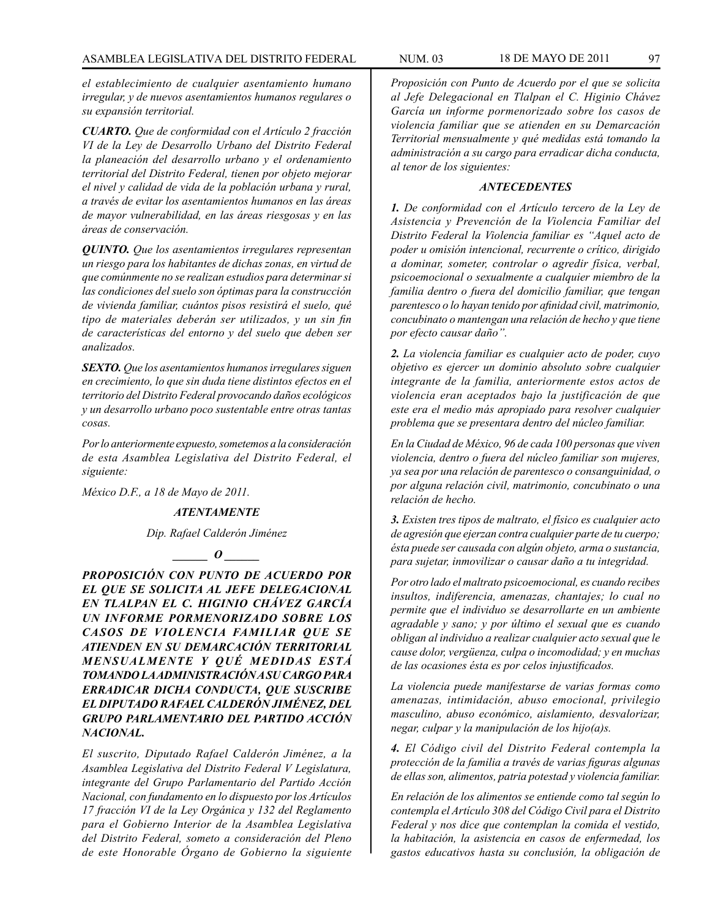*el establecimiento de cualquier asentamiento humano irregular, y de nuevos asentamientos humanos regulares o su expansión territorial.*

*CUARTO. Que de conformidad con el Artículo 2 fracción VI de la Ley de Desarrollo Urbano del Distrito Federal la planeación del desarrollo urbano y el ordenamiento territorial del Distrito Federal, tienen por objeto mejorar el nivel y calidad de vida de la población urbana y rural, a través de evitar los asentamientos humanos en las áreas de mayor vulnerabilidad, en las áreas riesgosas y en las áreas de conservación.*

*QUINTO. Que los asentamientos irregulares representan un riesgo para los habitantes de dichas zonas, en virtud de que comúnmente no se realizan estudios para determinar si las condiciones del suelo son óptimas para la construcción de vivienda familiar, cuántos pisos resistirá el suelo, qué tipo de materiales deberán ser utilizados, y un sin fin de características del entorno y del suelo que deben ser analizados.*

*SEXTO. Que los asentamientos humanos irregulares siguen en crecimiento, lo que sin duda tiene distintos efectos en el territorio del Distrito Federal provocando daños ecológicos y un desarrollo urbano poco sustentable entre otras tantas cosas.*

*Por lo anteriormente expuesto, sometemos a la consideración de esta Asamblea Legislativa del Distrito Federal, el siguiente:*

*México D.F., a 18 de Mayo de 2011.*

#### *ATENTAMENTE*

*Dip. Rafael Calderón Jiménez*

 $\frac{a}{a}$ 

*PROPOSICIÓN CON PUNTO DE ACUERDO POR EL QUE SE SOLICITA AL JEFE DELEGACIONAL EN TLALPAN EL C. HIGINIO CHÁVEZ GARCÍA UN INFORME PORMENORIZADO SOBRE LOS CASOS DE VIOLENCIA FAMILIAR QUE SE ATIENDEN EN SU DEMARCACIÓN TERRITORIAL MENSUALMENTE Y QUÉ MEDIDAS ESTÁ TOMANDO LA ADMINISTRACIÓN A SU CARGO PARA ERRADICAR DICHA CONDUCTA, QUE SUSCRIBE EL DIPUTADO RAFAEL CALDERÓN JIMÉNEZ, DEL GRUPO PARLAMENTARIO DEL PARTIDO ACCIÓN NACIONAL.*

*El suscrito, Diputado Rafael Calderón Jiménez, a la Asamblea Legislativa del Distrito Federal V Legislatura, integrante del Grupo Parlamentario del Partido Acción Nacional, con fundamento en lo dispuesto por los Artículos 17 fracción VI de la Ley Orgánica y 132 del Reglamento para el Gobierno Interior de la Asamblea Legislativa del Distrito Federal, someto a consideración del Pleno de este Honorable Órgano de Gobierno la siguiente* 

*Proposición con Punto de Acuerdo por el que se solicita al Jefe Delegacional en Tlalpan el C. Higinio Chávez García un informe pormenorizado sobre los casos de violencia familiar que se atienden en su Demarcación Territorial mensualmente y qué medidas está tomando la administración a su cargo para erradicar dicha conducta, al tenor de los siguientes:*

#### *ANTECEDENTES*

*1. De conformidad con el Artículo tercero de la Ley de Asistencia y Prevención de la Violencia Familiar del Distrito Federal la Violencia familiar es "Aquel acto de poder u omisión intencional, recurrente o crítico, dirigido a dominar, someter, controlar o agredir física, verbal, psicoemocional o sexualmente a cualquier miembro de la familia dentro o fuera del domicilio familiar, que tengan parentesco o lo hayan tenido por afinidad civil, matrimonio, concubinato o mantengan una relación de hecho y que tiene por efecto causar daño".*

*2. La violencia familiar es cualquier acto de poder, cuyo objetivo es ejercer un dominio absoluto sobre cualquier integrante de la familia, anteriormente estos actos de violencia eran aceptados bajo la justificación de que este era el medio más apropiado para resolver cualquier problema que se presentara dentro del núcleo familiar.*

*En la Ciudad de México, 96 de cada 100 personas que viven violencia, dentro o fuera del núcleo familiar son mujeres, ya sea por una relación de parentesco o consanguinidad, o por alguna relación civil, matrimonio, concubinato o una relación de hecho.*

*3. Existen tres tipos de maltrato, el físico es cualquier acto de agresión que ejerzan contra cualquier parte de tu cuerpo; ésta puede ser causada con algún objeto, arma o sustancia, para sujetar, inmovilizar o causar daño a tu integridad.*

*Por otro lado el maltrato psicoemocional, es cuando recibes insultos, indiferencia, amenazas, chantajes; lo cual no permite que el individuo se desarrollarte en un ambiente agradable y sano; y por último el sexual que es cuando obligan al individuo a realizar cualquier acto sexual que le cause dolor, vergüenza, culpa o incomodidad; y en muchas de las ocasiones ésta es por celos injustificados.*

*La violencia puede manifestarse de varias formas como amenazas, intimidación, abuso emocional, privilegio masculino, abuso económico, aislamiento, desvalorizar, negar, culpar y la manipulación de los hijo(a)s.*

*4. El Código civil del Distrito Federal contempla la protección de la familia a través de varias figuras algunas de ellas son, alimentos, patria potestad y violencia familiar.*

*En relación de los alimentos se entiende como tal según lo contempla el Artículo 308 del Código Civil para el Distrito Federal y nos dice que contemplan la comida el vestido, la habitación, la asistencia en casos de enfermedad, los gastos educativos hasta su conclusión, la obligación de*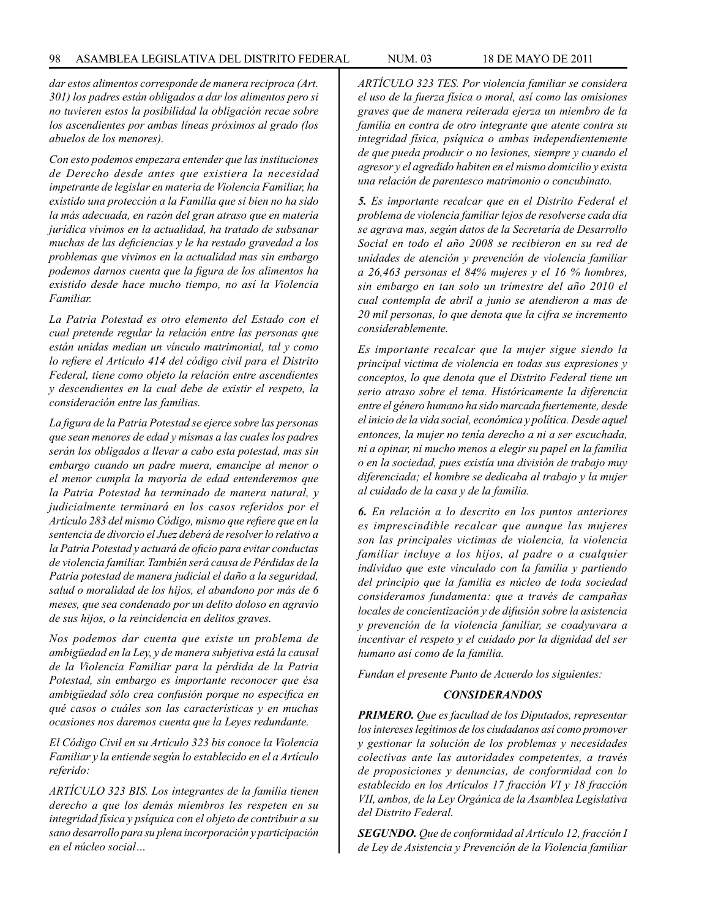*dar estos alimentos corresponde de manera reciproca (Art. 301) los padres están obligados a dar los alimentos pero si no tuvieren estos la posibilidad la obligación recae sobre los ascendientes por ambas líneas próximos al grado (los abuelos de los menores).*

*Con esto podemos empezara entender que las instituciones de Derecho desde antes que existiera la necesidad impetrante de legislar en materia de Violencia Familiar, ha existido una protección a la Familia que si bien no ha sido la más adecuada, en razón del gran atraso que en materia jurídica vivimos en la actualidad, ha tratado de subsanar muchas de las deficiencias y le ha restado gravedad a los problemas que vivimos en la actualidad mas sin embargo podemos darnos cuenta que la figura de los alimentos ha existido desde hace mucho tiempo, no así la Violencia Familiar.*

*La Patria Potestad es otro elemento del Estado con el cual pretende regular la relación entre las personas que están unidas median un vínculo matrimonial, tal y como lo refiere el Artículo 414 del código civil para el Distrito Federal, tiene como objeto la relación entre ascendientes y descendientes en la cual debe de existir el respeto, la consideración entre las familias.*

*La figura de la Patria Potestad se ejerce sobre las personas que sean menores de edad y mismas a las cuales los padres serán los obligados a llevar a cabo esta potestad, mas sin embargo cuando un padre muera, emancipe al menor o el menor cumpla la mayoría de edad entenderemos que la Patria Potestad ha terminado de manera natural, y judicialmente terminará en los casos referidos por el Artículo 283 del mismo Código, mismo que refiere que en la sentencia de divorcio el Juez deberá de resolver lo relativo a la Patria Potestad y actuará de oficio para evitar conductas de violencia familiar. También será causa de Pérdidas de la Patria potestad de manera judicial el daño a la seguridad, salud o moralidad de los hijos, el abandono por más de 6 meses, que sea condenado por un delito doloso en agravio de sus hijos, o la reincidencia en delitos graves.*

*Nos podemos dar cuenta que existe un problema de ambigüedad en la Ley, y de manera subjetiva está la causal de la Violencia Familiar para la pérdida de la Patria Potestad, sin embargo es importante reconocer que ésa ambigüedad sólo crea confusión porque no especifica en qué casos o cuáles son las características y en muchas ocasiones nos daremos cuenta que la Leyes redundante.*

*El Código Civil en su Artículo 323 bis conoce la Violencia Familiar y la entiende según lo establecido en el a Artículo referido:*

*ARTÍCULO 323 BIS. Los integrantes de la familia tienen derecho a que los demás miembros les respeten en su integridad física y psíquica con el objeto de contribuir a su sano desarrollo para su plena incorporación y participación en el núcleo social…*

*ARTÍCULO 323 TES. Por violencia familiar se considera el uso de la fuerza física o moral, así como las omisiones graves que de manera reiterada ejerza un miembro de la familia en contra de otro integrante que atente contra su integridad física, psíquica o ambas independientemente de que pueda producir o no lesiones, siempre y cuando el agresor y el agredido habiten en el mismo domicilio y exista una relación de parentesco matrimonio o concubinato.*

*5. Es importante recalcar que en el Distrito Federal el problema de violencia familiar lejos de resolverse cada día se agrava mas, según datos de la Secretaría de Desarrollo Social en todo el año 2008 se recibieron en su red de unidades de atención y prevención de violencia familiar a 26,463 personas el 84% mujeres y el 16 % hombres, sin embargo en tan solo un trimestre del año 2010 el cual contempla de abril a junio se atendieron a mas de 20 mil personas, lo que denota que la cifra se incremento considerablemente.*

*Es importante recalcar que la mujer sigue siendo la principal victima de violencia en todas sus expresiones y conceptos, lo que denota que el Distrito Federal tiene un serio atraso sobre el tema. Históricamente la diferencia entre el género humano ha sido marcada fuertemente, desde el inicio de la vida social, económica y política. Desde aquel entonces, la mujer no tenía derecho a ni a ser escuchada, ni a opinar, ni mucho menos a elegir su papel en la familia o en la sociedad, pues existía una división de trabajo muy diferenciada; el hombre se dedicaba al trabajo y la mujer al cuidado de la casa y de la familia.*

*6. En relación a lo descrito en los puntos anteriores es imprescindible recalcar que aunque las mujeres son las principales victimas de violencia, la violencia familiar incluye a los hijos, al padre o a cualquier individuo que este vinculado con la familia y partiendo del principio que la familia es núcleo de toda sociedad consideramos fundamenta: que a través de campañas locales de concientización y de difusión sobre la asistencia y prevención de la violencia familiar, se coadyuvara a incentivar el respeto y el cuidado por la dignidad del ser humano así como de la familia.*

*Fundan el presente Punto de Acuerdo los siguientes:*

### *CONSIDERANDOS*

*PRIMERO. Que es facultad de los Diputados, representar los intereses legítimos de los ciudadanos así como promover y gestionar la solución de los problemas y necesidades colectivas ante las autoridades competentes, a través de proposiciones y denuncias, de conformidad con lo establecido en los Artículos 17 fracción VI y 18 fracción VII, ambos, de la Ley Orgánica de la Asamblea Legislativa del Distrito Federal.*

*SEGUNDO. Que de conformidad al Artículo 12, fracción I de Ley de Asistencia y Prevención de la Violencia familiar*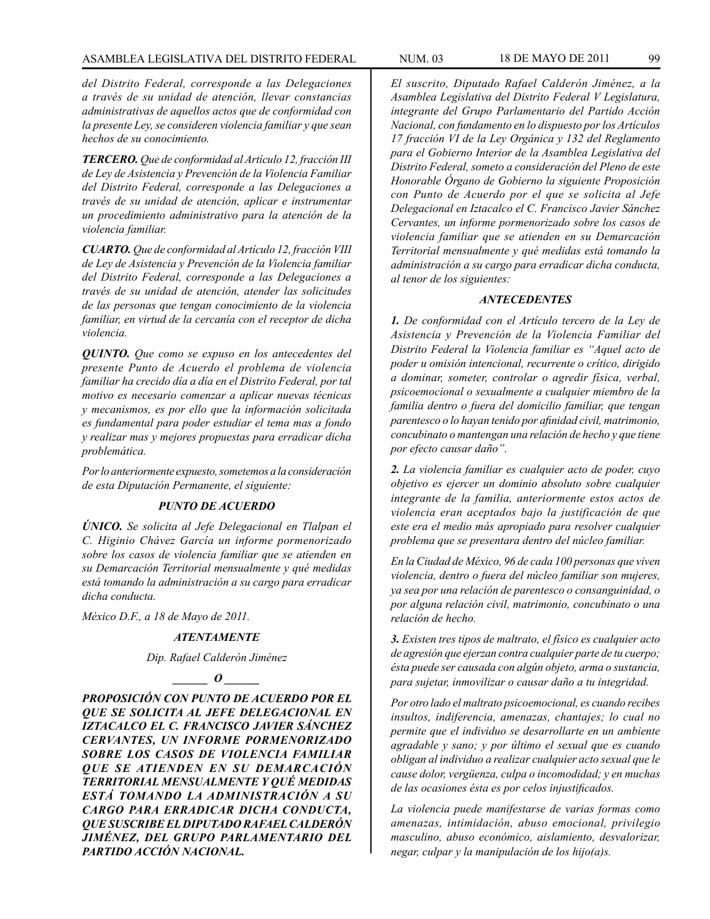*del Distrito Federal, corresponde a las Delegaciones a través de su unidad de atención, llevar constancias administrativas de aquellos actos que de conformidad con la presente Ley, se consideren violencia familiar y que sean hechos de su conocimiento.*

*TERCERO. Que de conformidad al Artículo 12, fracción III de Ley de Asistencia y Prevención de la Violencia Familiar del Distrito Federal, corresponde a las Delegaciones a través de su unidad de atención, aplicar e instrumentar un procedimiento administrativo para la atención de la violencia familiar.*

*CUARTO. Que de conformidad al Artículo 12, fracción VIII de Ley de Asistencia y Prevención de la Violencia familiar del Distrito Federal, corresponde a las Delegaciones a través de su unidad de atención, atender las solicitudes de las personas que tengan conocimiento de la violencia familiar, en virtud de la cercanía con el receptor de dicha violencia.*

*QUINTO. Que como se expuso en los antecedentes del presente Punto de Acuerdo el problema de violencia familiar ha crecido día a día en el Distrito Federal, por tal motivo es necesario comenzar a aplicar nuevas técnicas y mecanismos, es por ello que la información solicitada es fundamental para poder estudiar el tema mas a fondo y realizar mas y mejores propuestas para erradicar dicha problemática.*

*Por lo anteriormente expuesto, sometemos a la consideración de esta Diputación Permanente, el siguiente:*

## *PUNTO DE ACUERDO*

*ÚNICO. Se solicita al Jefe Delegacional en Tlalpan el C. Higinio Chávez García un informe pormenorizado sobre los casos de violencia familiar que se atienden en su Demarcación Territorial mensualmente y qué medidas está tomando la administración a su cargo para erradicar dicha conducta.*

*México D.F., a 18 de Mayo de 2011.*

#### *ATENTAMENTE*

*Dip. Rafael Calderón Jiménez*

## *\_\_\_\_\_\_ O \_\_\_\_\_\_*

*PROPOSICIÓN CON PUNTO DE ACUERDO POR EL QUE SE SOLICITA AL JEFE DELEGACIONAL EN IZTACALCO EL C. FRANCISCO JAVIER SÁNCHEZ CERVANTES, UN INFORME PORMENORIZADO SOBRE LOS CASOS DE VIOLENCIA FAMILIAR QUE SE ATIENDEN EN SU DEMARCACIÓN TERRITORIAL MENSUALMENTE Y QUÉ MEDIDAS ESTÁ TOMANDO LA ADMINISTRACIÓN A SU CARGO PARA ERRADICAR DICHA CONDUCTA, QUE SUSCRIBE EL DIPUTADO RAFAEL CALDERÓN JIMÉNEZ, DEL GRUPO PARLAMENTARIO DEL PARTIDO ACCIÓN NACIONAL.*

*El suscrito, Diputado Rafael Calderón Jiménez, a la Asamblea Legislativa del Distrito Federal V Legislatura, integrante del Grupo Parlamentario del Partido Acción Nacional, con fundamento en lo dispuesto por los Artículos 17 fracción VI de la Ley Orgánica y 132 del Reglamento para el Gobierno Interior de la Asamblea Legislativa del Distrito Federal, someto a consideración del Pleno de este Honorable Órgano de Gobierno la siguiente Proposición con Punto de Acuerdo por el que se solicita al Jefe Delegacional en Iztacalco el C. Francisco Javier Sánchez Cervantes, un informe pormenorizado sobre los casos de violencia familiar que se atienden en su Demarcación Territorial mensualmente y qué medidas está tomando la administración a su cargo para erradicar dicha conducta, al tenor de los siguientes:*

#### *ANTECEDENTES*

*1. De conformidad con el Artículo tercero de la Ley de Asistencia y Prevención de la Violencia Familiar del Distrito Federal la Violencia familiar es "Aquel acto de poder u omisión intencional, recurrente o crítico, dirigido a dominar, someter, controlar o agredir física, verbal, psicoemocional o sexualmente a cualquier miembro de la familia dentro o fuera del domicilio familiar, que tengan parentesco o lo hayan tenido por afinidad civil, matrimonio, concubinato o mantengan una relación de hecho y que tiene por efecto causar daño".*

*2. La violencia familiar es cualquier acto de poder, cuyo objetivo es ejercer un dominio absoluto sobre cualquier integrante de la familia, anteriormente estos actos de violencia eran aceptados bajo la justificación de que este era el medio más apropiado para resolver cualquier problema que se presentara dentro del núcleo familiar.*

*En la Ciudad de México, 96 de cada 100 personas que viven violencia, dentro o fuera del núcleo familiar son mujeres, ya sea por una relación de parentesco o consanguinidad, o por alguna relación civil, matrimonio, concubinato o una relación de hecho.*

*3. Existen tres tipos de maltrato, el físico es cualquier acto de agresión que ejerzan contra cualquier parte de tu cuerpo; ésta puede ser causada con algún objeto, arma o sustancia, para sujetar, inmovilizar o causar daño a tu integridad.*

*Por otro lado el maltrato psicoemocional, es cuando recibes insultos, indiferencia, amenazas, chantajes; lo cual no permite que el individuo se desarrollarte en un ambiente agradable y sano; y por último el sexual que es cuando obligan al individuo a realizar cualquier acto sexual que le cause dolor, vergüenza, culpa o incomodidad; y en muchas de las ocasiones ésta es por celos injustificados.*

*La violencia puede manifestarse de varias formas como amenazas, intimidación, abuso emocional, privilegio masculino, abuso económico, aislamiento, desvalorizar, negar, culpar y la manipulación de los hijo(a)s.*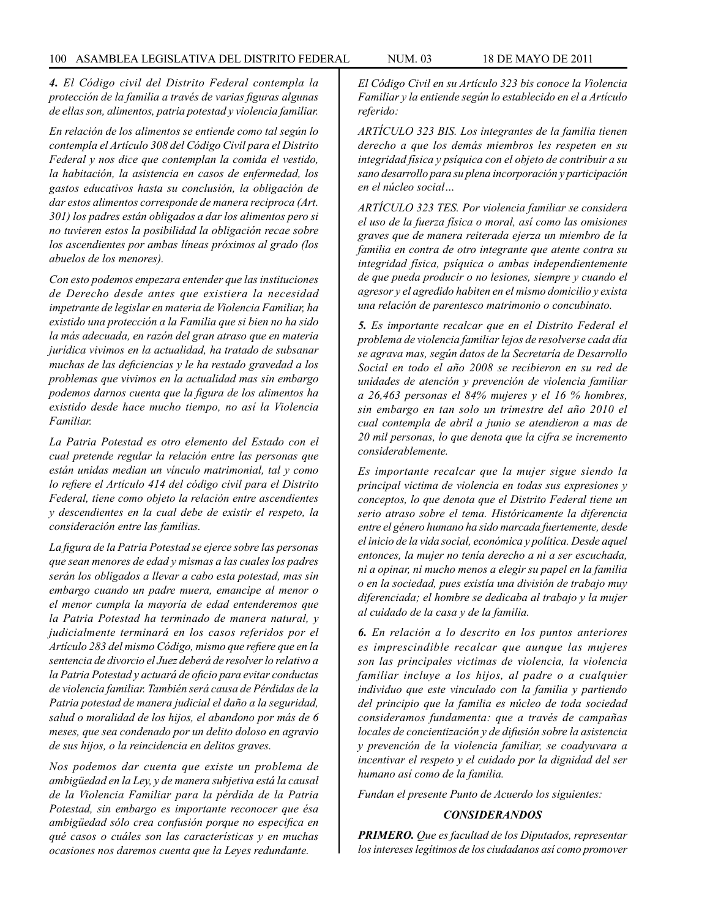*4. El Código civil del Distrito Federal contempla la protección de la familia a través de varias figuras algunas de ellas son, alimentos, patria potestad y violencia familiar.*

*En relación de los alimentos se entiende como tal según lo contempla el Artículo 308 del Código Civil para el Distrito Federal y nos dice que contemplan la comida el vestido, la habitación, la asistencia en casos de enfermedad, los gastos educativos hasta su conclusión, la obligación de dar estos alimentos corresponde de manera reciproca (Art. 301) los padres están obligados a dar los alimentos pero si no tuvieren estos la posibilidad la obligación recae sobre los ascendientes por ambas líneas próximos al grado (los abuelos de los menores).*

*Con esto podemos empezara entender que las instituciones de Derecho desde antes que existiera la necesidad impetrante de legislar en materia de Violencia Familiar, ha existido una protección a la Familia que si bien no ha sido la más adecuada, en razón del gran atraso que en materia jurídica vivimos en la actualidad, ha tratado de subsanar muchas de las deficiencias y le ha restado gravedad a los problemas que vivimos en la actualidad mas sin embargo podemos darnos cuenta que la figura de los alimentos ha existido desde hace mucho tiempo, no así la Violencia Familiar.*

*La Patria Potestad es otro elemento del Estado con el cual pretende regular la relación entre las personas que están unidas median un vínculo matrimonial, tal y como lo refiere el Artículo 414 del código civil para el Distrito Federal, tiene como objeto la relación entre ascendientes y descendientes en la cual debe de existir el respeto, la consideración entre las familias.*

*La figura de la Patria Potestad se ejerce sobre las personas que sean menores de edad y mismas a las cuales los padres serán los obligados a llevar a cabo esta potestad, mas sin embargo cuando un padre muera, emancipe al menor o el menor cumpla la mayoría de edad entenderemos que la Patria Potestad ha terminado de manera natural, y judicialmente terminará en los casos referidos por el Artículo 283 del mismo Código, mismo que refiere que en la sentencia de divorcio el Juez deberá de resolver lo relativo a la Patria Potestad y actuará de oficio para evitar conductas de violencia familiar. También será causa de Pérdidas de la Patria potestad de manera judicial el daño a la seguridad, salud o moralidad de los hijos, el abandono por más de 6 meses, que sea condenado por un delito doloso en agravio de sus hijos, o la reincidencia en delitos graves.*

*Nos podemos dar cuenta que existe un problema de ambigüedad en la Ley, y de manera subjetiva está la causal de la Violencia Familiar para la pérdida de la Patria Potestad, sin embargo es importante reconocer que ésa ambigüedad sólo crea confusión porque no especifica en qué casos o cuáles son las características y en muchas ocasiones nos daremos cuenta que la Leyes redundante.*

*El Código Civil en su Artículo 323 bis conoce la Violencia Familiar y la entiende según lo establecido en el a Artículo referido:*

*ARTÍCULO 323 BIS. Los integrantes de la familia tienen derecho a que los demás miembros les respeten en su integridad física y psíquica con el objeto de contribuir a su sano desarrollo para su plena incorporación y participación en el núcleo social…*

*ARTÍCULO 323 TES. Por violencia familiar se considera el uso de la fuerza física o moral, así como las omisiones graves que de manera reiterada ejerza un miembro de la familia en contra de otro integrante que atente contra su integridad física, psíquica o ambas independientemente de que pueda producir o no lesiones, siempre y cuando el agresor y el agredido habiten en el mismo domicilio y exista una relación de parentesco matrimonio o concubinato.*

*5. Es importante recalcar que en el Distrito Federal el problema de violencia familiar lejos de resolverse cada día se agrava mas, según datos de la Secretaría de Desarrollo Social en todo el año 2008 se recibieron en su red de unidades de atención y prevención de violencia familiar a 26,463 personas el 84% mujeres y el 16 % hombres, sin embargo en tan solo un trimestre del año 2010 el cual contempla de abril a junio se atendieron a mas de 20 mil personas, lo que denota que la cifra se incremento considerablemente.*

*Es importante recalcar que la mujer sigue siendo la principal victima de violencia en todas sus expresiones y conceptos, lo que denota que el Distrito Federal tiene un serio atraso sobre el tema. Históricamente la diferencia entre el género humano ha sido marcada fuertemente, desde el inicio de la vida social, económica y política. Desde aquel entonces, la mujer no tenía derecho a ni a ser escuchada, ni a opinar, ni mucho menos a elegir su papel en la familia o en la sociedad, pues existía una división de trabajo muy diferenciada; el hombre se dedicaba al trabajo y la mujer al cuidado de la casa y de la familia.*

*6. En relación a lo descrito en los puntos anteriores es imprescindible recalcar que aunque las mujeres son las principales victimas de violencia, la violencia familiar incluye a los hijos, al padre o a cualquier individuo que este vinculado con la familia y partiendo del principio que la familia es núcleo de toda sociedad consideramos fundamenta: que a través de campañas locales de concientización y de difusión sobre la asistencia y prevención de la violencia familiar, se coadyuvara a incentivar el respeto y el cuidado por la dignidad del ser humano así como de la familia.*

*Fundan el presente Punto de Acuerdo los siguientes:*

### *CONSIDERANDOS*

*PRIMERO. Que es facultad de los Diputados, representar los intereses legítimos de los ciudadanos así como promover*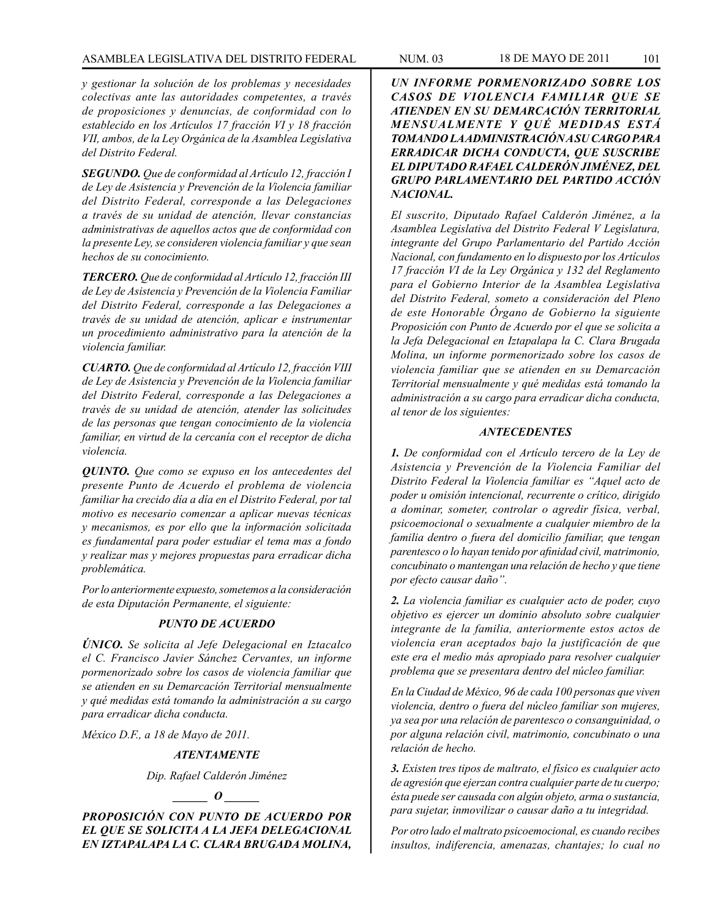# ASAMBLEA LEGISLATIVA DEL DISTRITO FEDERAL NUM. 03 18 DE MAYO DE 2011 101

*y gestionar la solución de los problemas y necesidades colectivas ante las autoridades competentes, a través de proposiciones y denuncias, de conformidad con lo establecido en los Artículos 17 fracción VI y 18 fracción VII, ambos, de la Ley Orgánica de la Asamblea Legislativa del Distrito Federal.*

*SEGUNDO. Que de conformidad al Artículo 12, fracción I de Ley de Asistencia y Prevención de la Violencia familiar del Distrito Federal, corresponde a las Delegaciones a través de su unidad de atención, llevar constancias administrativas de aquellos actos que de conformidad con la presente Ley, se consideren violencia familiar y que sean hechos de su conocimiento.*

*TERCERO. Que de conformidad al Artículo 12, fracción III de Ley de Asistencia y Prevención de la Violencia Familiar del Distrito Federal, corresponde a las Delegaciones a través de su unidad de atención, aplicar e instrumentar un procedimiento administrativo para la atención de la violencia familiar.*

*CUARTO. Que de conformidad al Artículo 12, fracción VIII de Ley de Asistencia y Prevención de la Violencia familiar del Distrito Federal, corresponde a las Delegaciones a través de su unidad de atención, atender las solicitudes de las personas que tengan conocimiento de la violencia familiar, en virtud de la cercanía con el receptor de dicha violencia.*

*QUINTO. Que como se expuso en los antecedentes del presente Punto de Acuerdo el problema de violencia familiar ha crecido día a día en el Distrito Federal, por tal motivo es necesario comenzar a aplicar nuevas técnicas y mecanismos, es por ello que la información solicitada es fundamental para poder estudiar el tema mas a fondo y realizar mas y mejores propuestas para erradicar dicha problemática.*

*Por lo anteriormente expuesto, sometemos a la consideración de esta Diputación Permanente, el siguiente:*

## *PUNTO DE ACUERDO*

*ÚNICO. Se solicita al Jefe Delegacional en Iztacalco el C. Francisco Javier Sánchez Cervantes, un informe pormenorizado sobre los casos de violencia familiar que se atienden en su Demarcación Territorial mensualmente y qué medidas está tomando la administración a su cargo para erradicar dicha conducta.*

*México D.F., a 18 de Mayo de 2011.*

### *ATENTAMENTE*

*Dip. Rafael Calderón Jiménez*

*\_\_\_\_\_\_ O \_\_\_\_\_\_*

*PROPOSICIÓN CON PUNTO DE ACUERDO POR EL QUE SE SOLICITA A LA JEFA DELEGACIONAL EN IZTAPALAPA LA C. CLARA BRUGADA MOLINA,* 

*UN INFORME PORMENORIZADO SOBRE LOS CASOS DE VIOLENCIA FAMILIAR QUE SE ATIENDEN EN SU DEMARCACIÓN TERRITORIAL MENSUALMENTE Y QUÉ MEDIDAS ESTÁ TOMANDO LA ADMINISTRACIÓN A SU CARGO PARA ERRADICAR DICHA CONDUCTA, QUE SUSCRIBE EL DIPUTADO RAFAEL CALDERÓN JIMÉNEZ, DEL GRUPO PARLAMENTARIO DEL PARTIDO ACCIÓN NACIONAL.*

*El suscrito, Diputado Rafael Calderón Jiménez, a la Asamblea Legislativa del Distrito Federal V Legislatura, integrante del Grupo Parlamentario del Partido Acción Nacional, con fundamento en lo dispuesto por los Artículos 17 fracción VI de la Ley Orgánica y 132 del Reglamento para el Gobierno Interior de la Asamblea Legislativa del Distrito Federal, someto a consideración del Pleno de este Honorable Órgano de Gobierno la siguiente Proposición con Punto de Acuerdo por el que se solicita a la Jefa Delegacional en Iztapalapa la C. Clara Brugada Molina, un informe pormenorizado sobre los casos de violencia familiar que se atienden en su Demarcación Territorial mensualmente y qué medidas está tomando la administración a su cargo para erradicar dicha conducta, al tenor de los siguientes:*

#### *ANTECEDENTES*

*1. De conformidad con el Artículo tercero de la Ley de Asistencia y Prevención de la Violencia Familiar del Distrito Federal la Violencia familiar es "Aquel acto de poder u omisión intencional, recurrente o crítico, dirigido a dominar, someter, controlar o agredir física, verbal, psicoemocional o sexualmente a cualquier miembro de la familia dentro o fuera del domicilio familiar, que tengan parentesco o lo hayan tenido por afinidad civil, matrimonio, concubinato o mantengan una relación de hecho y que tiene por efecto causar daño".*

*2. La violencia familiar es cualquier acto de poder, cuyo objetivo es ejercer un dominio absoluto sobre cualquier integrante de la familia, anteriormente estos actos de violencia eran aceptados bajo la justificación de que este era el medio más apropiado para resolver cualquier problema que se presentara dentro del núcleo familiar.*

*En la Ciudad de México, 96 de cada 100 personas que viven violencia, dentro o fuera del núcleo familiar son mujeres, ya sea por una relación de parentesco o consanguinidad, o por alguna relación civil, matrimonio, concubinato o una relación de hecho.*

*3. Existen tres tipos de maltrato, el físico es cualquier acto de agresión que ejerzan contra cualquier parte de tu cuerpo; ésta puede ser causada con algún objeto, arma o sustancia, para sujetar, inmovilizar o causar daño a tu integridad.*

*Por otro lado el maltrato psicoemocional, es cuando recibes insultos, indiferencia, amenazas, chantajes; lo cual no*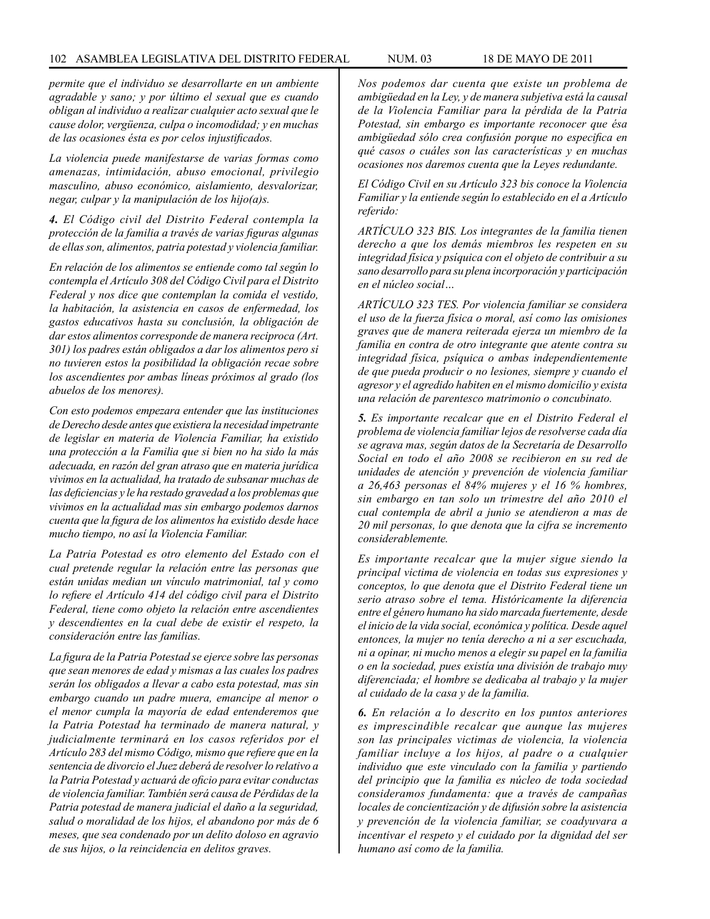*permite que el individuo se desarrollarte en un ambiente agradable y sano; y por último el sexual que es cuando obligan al individuo a realizar cualquier acto sexual que le cause dolor, vergüenza, culpa o incomodidad; y en muchas de las ocasiones ésta es por celos injustificados.*

*La violencia puede manifestarse de varias formas como amenazas, intimidación, abuso emocional, privilegio masculino, abuso económico, aislamiento, desvalorizar, negar, culpar y la manipulación de los hijo(a)s.*

*4. El Código civil del Distrito Federal contempla la protección de la familia a través de varias figuras algunas de ellas son, alimentos, patria potestad y violencia familiar.*

*En relación de los alimentos se entiende como tal según lo contempla el Artículo 308 del Código Civil para el Distrito Federal y nos dice que contemplan la comida el vestido, la habitación, la asistencia en casos de enfermedad, los gastos educativos hasta su conclusión, la obligación de dar estos alimentos corresponde de manera reciproca (Art. 301) los padres están obligados a dar los alimentos pero si no tuvieren estos la posibilidad la obligación recae sobre los ascendientes por ambas líneas próximos al grado (los abuelos de los menores).*

*Con esto podemos empezara entender que las instituciones de Derecho desde antes que existiera la necesidad impetrante de legislar en materia de Violencia Familiar, ha existido una protección a la Familia que si bien no ha sido la más adecuada, en razón del gran atraso que en materia jurídica vivimos en la actualidad, ha tratado de subsanar muchas de las deficiencias y le ha restado gravedad a los problemas que vivimos en la actualidad mas sin embargo podemos darnos cuenta que la figura de los alimentos ha existido desde hace mucho tiempo, no así la Violencia Familiar.*

*La Patria Potestad es otro elemento del Estado con el cual pretende regular la relación entre las personas que están unidas median un vínculo matrimonial, tal y como lo refiere el Artículo 414 del código civil para el Distrito Federal, tiene como objeto la relación entre ascendientes y descendientes en la cual debe de existir el respeto, la consideración entre las familias.*

*La figura de la Patria Potestad se ejerce sobre las personas que sean menores de edad y mismas a las cuales los padres serán los obligados a llevar a cabo esta potestad, mas sin embargo cuando un padre muera, emancipe al menor o el menor cumpla la mayoría de edad entenderemos que la Patria Potestad ha terminado de manera natural, y judicialmente terminará en los casos referidos por el Artículo 283 del mismo Código, mismo que refiere que en la sentencia de divorcio el Juez deberá de resolver lo relativo a la Patria Potestad y actuará de oficio para evitar conductas de violencia familiar. También será causa de Pérdidas de la Patria potestad de manera judicial el daño a la seguridad, salud o moralidad de los hijos, el abandono por más de 6 meses, que sea condenado por un delito doloso en agravio de sus hijos, o la reincidencia en delitos graves.*

*Nos podemos dar cuenta que existe un problema de ambigüedad en la Ley, y de manera subjetiva está la causal de la Violencia Familiar para la pérdida de la Patria Potestad, sin embargo es importante reconocer que ésa ambigüedad sólo crea confusión porque no especifica en qué casos o cuáles son las características y en muchas ocasiones nos daremos cuenta que la Leyes redundante.*

*El Código Civil en su Artículo 323 bis conoce la Violencia Familiar y la entiende según lo establecido en el a Artículo referido:*

*ARTÍCULO 323 BIS. Los integrantes de la familia tienen derecho a que los demás miembros les respeten en su integridad física y psíquica con el objeto de contribuir a su sano desarrollo para su plena incorporación y participación en el núcleo social…*

*ARTÍCULO 323 TES. Por violencia familiar se considera el uso de la fuerza física o moral, así como las omisiones graves que de manera reiterada ejerza un miembro de la familia en contra de otro integrante que atente contra su integridad física, psíquica o ambas independientemente de que pueda producir o no lesiones, siempre y cuando el agresor y el agredido habiten en el mismo domicilio y exista una relación de parentesco matrimonio o concubinato.*

*5. Es importante recalcar que en el Distrito Federal el problema de violencia familiar lejos de resolverse cada día se agrava mas, según datos de la Secretaría de Desarrollo Social en todo el año 2008 se recibieron en su red de unidades de atención y prevención de violencia familiar a 26,463 personas el 84% mujeres y el 16 % hombres, sin embargo en tan solo un trimestre del año 2010 el cual contempla de abril a junio se atendieron a mas de 20 mil personas, lo que denota que la cifra se incremento considerablemente.*

*Es importante recalcar que la mujer sigue siendo la principal victima de violencia en todas sus expresiones y conceptos, lo que denota que el Distrito Federal tiene un serio atraso sobre el tema. Históricamente la diferencia entre el género humano ha sido marcada fuertemente, desde el inicio de la vida social, económica y política. Desde aquel entonces, la mujer no tenía derecho a ni a ser escuchada, ni a opinar, ni mucho menos a elegir su papel en la familia o en la sociedad, pues existía una división de trabajo muy diferenciada; el hombre se dedicaba al trabajo y la mujer al cuidado de la casa y de la familia.*

*6. En relación a lo descrito en los puntos anteriores es imprescindible recalcar que aunque las mujeres son las principales victimas de violencia, la violencia familiar incluye a los hijos, al padre o a cualquier individuo que este vinculado con la familia y partiendo del principio que la familia es núcleo de toda sociedad consideramos fundamenta: que a través de campañas locales de concientización y de difusión sobre la asistencia y prevención de la violencia familiar, se coadyuvara a incentivar el respeto y el cuidado por la dignidad del ser humano así como de la familia.*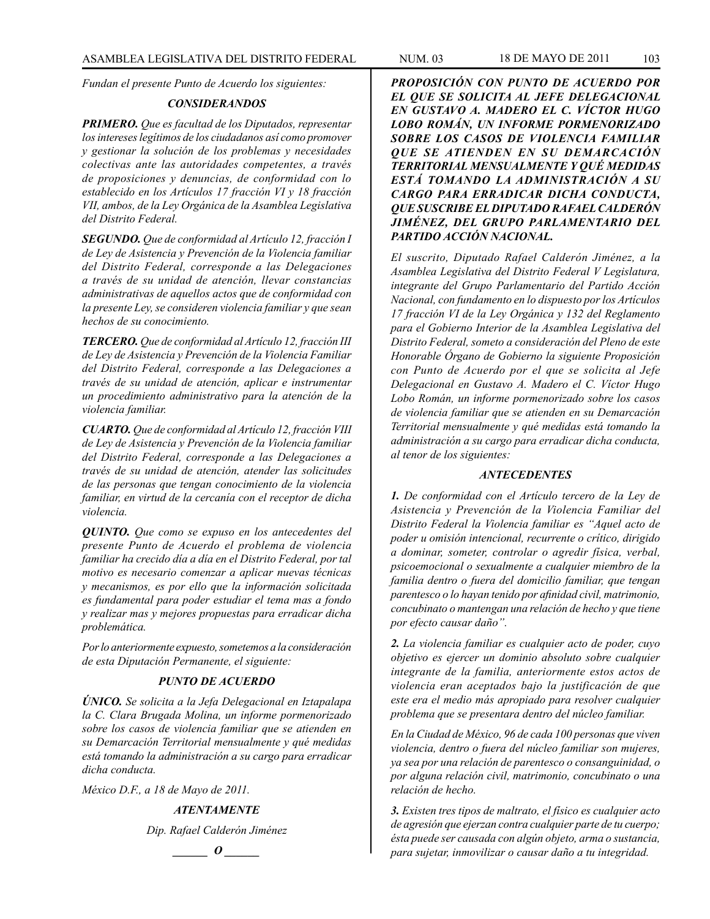*Fundan el presente Punto de Acuerdo los siguientes:*

## *CONSIDERANDOS*

*PRIMERO. Que es facultad de los Diputados, representar los intereses legítimos de los ciudadanos así como promover y gestionar la solución de los problemas y necesidades colectivas ante las autoridades competentes, a través de proposiciones y denuncias, de conformidad con lo establecido en los Artículos 17 fracción VI y 18 fracción VII, ambos, de la Ley Orgánica de la Asamblea Legislativa del Distrito Federal.*

*SEGUNDO. Que de conformidad al Artículo 12, fracción I de Ley de Asistencia y Prevención de la Violencia familiar del Distrito Federal, corresponde a las Delegaciones a través de su unidad de atención, llevar constancias administrativas de aquellos actos que de conformidad con la presente Ley, se consideren violencia familiar y que sean hechos de su conocimiento.*

*TERCERO. Que de conformidad al Artículo 12, fracción III de Ley de Asistencia y Prevención de la Violencia Familiar del Distrito Federal, corresponde a las Delegaciones a través de su unidad de atención, aplicar e instrumentar un procedimiento administrativo para la atención de la violencia familiar.*

*CUARTO. Que de conformidad al Artículo 12, fracción VIII de Ley de Asistencia y Prevención de la Violencia familiar del Distrito Federal, corresponde a las Delegaciones a través de su unidad de atención, atender las solicitudes de las personas que tengan conocimiento de la violencia familiar, en virtud de la cercanía con el receptor de dicha violencia.*

*QUINTO. Que como se expuso en los antecedentes del presente Punto de Acuerdo el problema de violencia familiar ha crecido día a día en el Distrito Federal, por tal motivo es necesario comenzar a aplicar nuevas técnicas y mecanismos, es por ello que la información solicitada es fundamental para poder estudiar el tema mas a fondo y realizar mas y mejores propuestas para erradicar dicha problemática.*

*Por lo anteriormente expuesto, sometemos a la consideración de esta Diputación Permanente, el siguiente:*

## *PUNTO DE ACUERDO*

*ÚNICO. Se solicita a la Jefa Delegacional en Iztapalapa la C. Clara Brugada Molina, un informe pormenorizado sobre los casos de violencia familiar que se atienden en su Demarcación Territorial mensualmente y qué medidas está tomando la administración a su cargo para erradicar dicha conducta.*

*México D.F., a 18 de Mayo de 2011.*

# *ATENTAMENTE*

*Dip. Rafael Calderón Jiménez*



*PROPOSICIÓN CON PUNTO DE ACUERDO POR EL QUE SE SOLICITA AL JEFE DELEGACIONAL EN GUSTAVO A. MADERO EL C. VÍCTOR HUGO LOBO ROMÁN, UN INFORME PORMENORIZADO SOBRE LOS CASOS DE VIOLENCIA FAMILIAR QUE SE ATIENDEN EN SU DEMARCACIÓN TERRITORIAL MENSUALMENTE Y QUÉ MEDIDAS ESTÁ TOMANDO LA ADMINISTRACIÓN A SU CARGO PARA ERRADICAR DICHA CONDUCTA, QUE SUSCRIBE EL DIPUTADO RAFAEL CALDERÓN JIMÉNEZ, DEL GRUPO PARLAMENTARIO DEL PARTIDO ACCIÓN NACIONAL.*

*El suscrito, Diputado Rafael Calderón Jiménez, a la Asamblea Legislativa del Distrito Federal V Legislatura, integrante del Grupo Parlamentario del Partido Acción Nacional, con fundamento en lo dispuesto por los Artículos 17 fracción VI de la Ley Orgánica y 132 del Reglamento para el Gobierno Interior de la Asamblea Legislativa del Distrito Federal, someto a consideración del Pleno de este Honorable Órgano de Gobierno la siguiente Proposición con Punto de Acuerdo por el que se solicita al Jefe Delegacional en Gustavo A. Madero el C. Víctor Hugo Lobo Román, un informe pormenorizado sobre los casos de violencia familiar que se atienden en su Demarcación Territorial mensualmente y qué medidas está tomando la administración a su cargo para erradicar dicha conducta, al tenor de los siguientes:*

### *ANTECEDENTES*

*1. De conformidad con el Artículo tercero de la Ley de Asistencia y Prevención de la Violencia Familiar del Distrito Federal la Violencia familiar es "Aquel acto de poder u omisión intencional, recurrente o crítico, dirigido a dominar, someter, controlar o agredir física, verbal, psicoemocional o sexualmente a cualquier miembro de la familia dentro o fuera del domicilio familiar, que tengan parentesco o lo hayan tenido por afinidad civil, matrimonio, concubinato o mantengan una relación de hecho y que tiene por efecto causar daño".*

*2. La violencia familiar es cualquier acto de poder, cuyo objetivo es ejercer un dominio absoluto sobre cualquier integrante de la familia, anteriormente estos actos de violencia eran aceptados bajo la justificación de que este era el medio más apropiado para resolver cualquier problema que se presentara dentro del núcleo familiar.*

*En la Ciudad de México, 96 de cada 100 personas que viven violencia, dentro o fuera del núcleo familiar son mujeres, ya sea por una relación de parentesco o consanguinidad, o por alguna relación civil, matrimonio, concubinato o una relación de hecho.*

*3. Existen tres tipos de maltrato, el físico es cualquier acto de agresión que ejerzan contra cualquier parte de tu cuerpo; ésta puede ser causada con algún objeto, arma o sustancia, para sujetar, inmovilizar o causar daño a tu integridad.*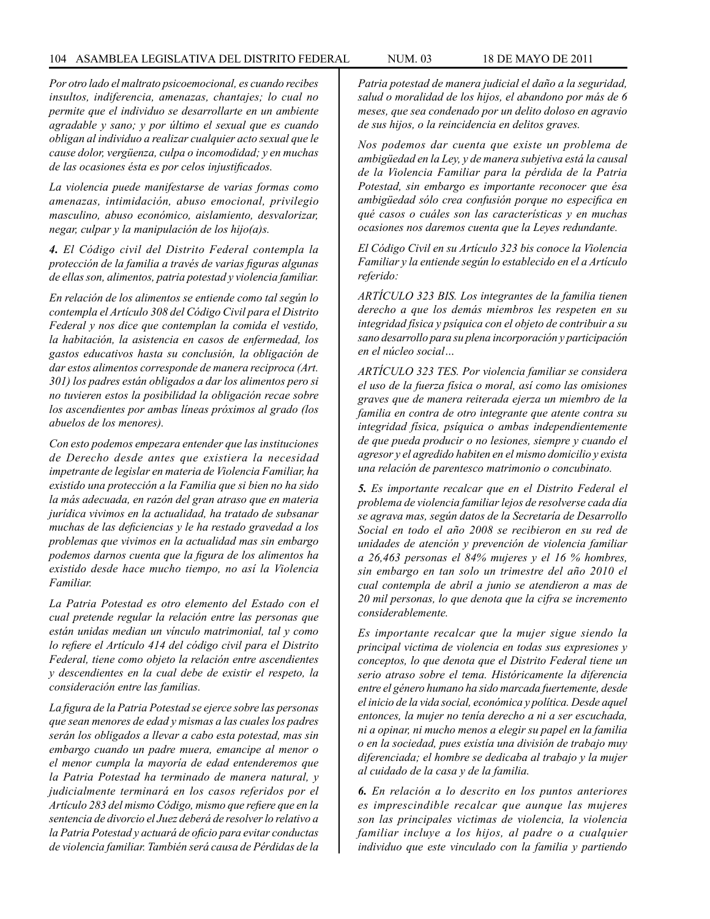*Por otro lado el maltrato psicoemocional, es cuando recibes insultos, indiferencia, amenazas, chantajes; lo cual no permite que el individuo se desarrollarte en un ambiente agradable y sano; y por último el sexual que es cuando obligan al individuo a realizar cualquier acto sexual que le cause dolor, vergüenza, culpa o incomodidad; y en muchas de las ocasiones ésta es por celos injustificados.*

*La violencia puede manifestarse de varias formas como amenazas, intimidación, abuso emocional, privilegio masculino, abuso económico, aislamiento, desvalorizar, negar, culpar y la manipulación de los hijo(a)s.*

*4. El Código civil del Distrito Federal contempla la protección de la familia a través de varias figuras algunas de ellas son, alimentos, patria potestad y violencia familiar.*

*En relación de los alimentos se entiende como tal según lo contempla el Artículo 308 del Código Civil para el Distrito Federal y nos dice que contemplan la comida el vestido, la habitación, la asistencia en casos de enfermedad, los gastos educativos hasta su conclusión, la obligación de dar estos alimentos corresponde de manera reciproca (Art. 301) los padres están obligados a dar los alimentos pero si no tuvieren estos la posibilidad la obligación recae sobre los ascendientes por ambas líneas próximos al grado (los abuelos de los menores).*

*Con esto podemos empezara entender que las instituciones de Derecho desde antes que existiera la necesidad impetrante de legislar en materia de Violencia Familiar, ha existido una protección a la Familia que si bien no ha sido la más adecuada, en razón del gran atraso que en materia jurídica vivimos en la actualidad, ha tratado de subsanar muchas de las deficiencias y le ha restado gravedad a los problemas que vivimos en la actualidad mas sin embargo podemos darnos cuenta que la figura de los alimentos ha existido desde hace mucho tiempo, no así la Violencia Familiar.*

*La Patria Potestad es otro elemento del Estado con el cual pretende regular la relación entre las personas que están unidas median un vínculo matrimonial, tal y como lo refiere el Artículo 414 del código civil para el Distrito Federal, tiene como objeto la relación entre ascendientes y descendientes en la cual debe de existir el respeto, la consideración entre las familias.*

*La figura de la Patria Potestad se ejerce sobre las personas que sean menores de edad y mismas a las cuales los padres serán los obligados a llevar a cabo esta potestad, mas sin embargo cuando un padre muera, emancipe al menor o el menor cumpla la mayoría de edad entenderemos que la Patria Potestad ha terminado de manera natural, y judicialmente terminará en los casos referidos por el Artículo 283 del mismo Código, mismo que refiere que en la sentencia de divorcio el Juez deberá de resolver lo relativo a la Patria Potestad y actuará de oficio para evitar conductas de violencia familiar. También será causa de Pérdidas de la* 

*Patria potestad de manera judicial el daño a la seguridad, salud o moralidad de los hijos, el abandono por más de 6 meses, que sea condenado por un delito doloso en agravio de sus hijos, o la reincidencia en delitos graves.*

*Nos podemos dar cuenta que existe un problema de ambigüedad en la Ley, y de manera subjetiva está la causal de la Violencia Familiar para la pérdida de la Patria Potestad, sin embargo es importante reconocer que ésa ambigüedad sólo crea confusión porque no especifica en qué casos o cuáles son las características y en muchas ocasiones nos daremos cuenta que la Leyes redundante.*

*El Código Civil en su Artículo 323 bis conoce la Violencia Familiar y la entiende según lo establecido en el a Artículo referido:*

*ARTÍCULO 323 BIS. Los integrantes de la familia tienen derecho a que los demás miembros les respeten en su integridad física y psíquica con el objeto de contribuir a su sano desarrollo para su plena incorporación y participación en el núcleo social…*

*ARTÍCULO 323 TES. Por violencia familiar se considera el uso de la fuerza física o moral, así como las omisiones graves que de manera reiterada ejerza un miembro de la familia en contra de otro integrante que atente contra su integridad física, psíquica o ambas independientemente de que pueda producir o no lesiones, siempre y cuando el agresor y el agredido habiten en el mismo domicilio y exista una relación de parentesco matrimonio o concubinato.*

*5. Es importante recalcar que en el Distrito Federal el problema de violencia familiar lejos de resolverse cada día se agrava mas, según datos de la Secretaría de Desarrollo Social en todo el año 2008 se recibieron en su red de unidades de atención y prevención de violencia familiar a 26,463 personas el 84% mujeres y el 16 % hombres, sin embargo en tan solo un trimestre del año 2010 el cual contempla de abril a junio se atendieron a mas de 20 mil personas, lo que denota que la cifra se incremento considerablemente.*

*Es importante recalcar que la mujer sigue siendo la principal victima de violencia en todas sus expresiones y conceptos, lo que denota que el Distrito Federal tiene un serio atraso sobre el tema. Históricamente la diferencia entre el género humano ha sido marcada fuertemente, desde el inicio de la vida social, económica y política. Desde aquel entonces, la mujer no tenía derecho a ni a ser escuchada, ni a opinar, ni mucho menos a elegir su papel en la familia o en la sociedad, pues existía una división de trabajo muy diferenciada; el hombre se dedicaba al trabajo y la mujer al cuidado de la casa y de la familia.*

*6. En relación a lo descrito en los puntos anteriores es imprescindible recalcar que aunque las mujeres son las principales victimas de violencia, la violencia familiar incluye a los hijos, al padre o a cualquier individuo que este vinculado con la familia y partiendo*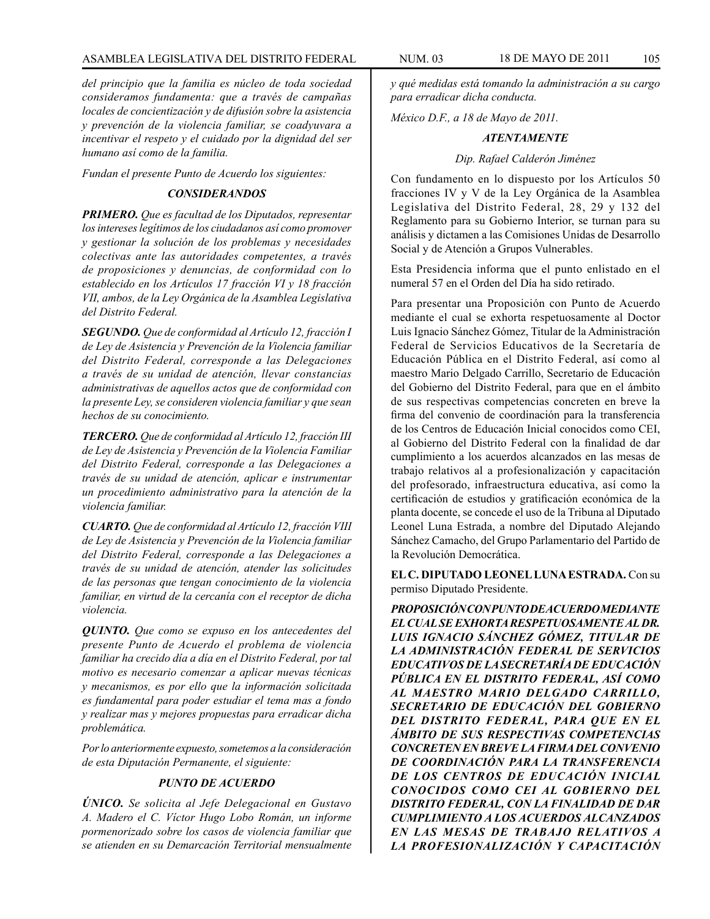*del principio que la familia es núcleo de toda sociedad consideramos fundamenta: que a través de campañas locales de concientización y de difusión sobre la asistencia y prevención de la violencia familiar, se coadyuvara a incentivar el respeto y el cuidado por la dignidad del ser humano así como de la familia.*

*Fundan el presente Punto de Acuerdo los siguientes:*

# *CONSIDERANDOS*

*PRIMERO. Que es facultad de los Diputados, representar los intereses legítimos de los ciudadanos así como promover y gestionar la solución de los problemas y necesidades colectivas ante las autoridades competentes, a través de proposiciones y denuncias, de conformidad con lo establecido en los Artículos 17 fracción VI y 18 fracción VII, ambos, de la Ley Orgánica de la Asamblea Legislativa del Distrito Federal.*

*SEGUNDO. Que de conformidad al Artículo 12, fracción I de Ley de Asistencia y Prevención de la Violencia familiar del Distrito Federal, corresponde a las Delegaciones a través de su unidad de atención, llevar constancias administrativas de aquellos actos que de conformidad con la presente Ley, se consideren violencia familiar y que sean hechos de su conocimiento.*

*TERCERO. Que de conformidad al Artículo 12, fracción III de Ley de Asistencia y Prevención de la Violencia Familiar del Distrito Federal, corresponde a las Delegaciones a través de su unidad de atención, aplicar e instrumentar un procedimiento administrativo para la atención de la violencia familiar.*

*CUARTO. Que de conformidad al Artículo 12, fracción VIII de Ley de Asistencia y Prevención de la Violencia familiar del Distrito Federal, corresponde a las Delegaciones a través de su unidad de atención, atender las solicitudes de las personas que tengan conocimiento de la violencia familiar, en virtud de la cercanía con el receptor de dicha violencia.*

*QUINTO. Que como se expuso en los antecedentes del presente Punto de Acuerdo el problema de violencia familiar ha crecido día a día en el Distrito Federal, por tal motivo es necesario comenzar a aplicar nuevas técnicas y mecanismos, es por ello que la información solicitada es fundamental para poder estudiar el tema mas a fondo y realizar mas y mejores propuestas para erradicar dicha problemática.*

*Por lo anteriormente expuesto, sometemos a la consideración de esta Diputación Permanente, el siguiente:*

# *PUNTO DE ACUERDO*

*ÚNICO. Se solicita al Jefe Delegacional en Gustavo A. Madero el C. Víctor Hugo Lobo Román, un informe pormenorizado sobre los casos de violencia familiar que se atienden en su Demarcación Territorial mensualmente* 

*y qué medidas está tomando la administración a su cargo para erradicar dicha conducta.*

*México D.F., a 18 de Mayo de 2011.*

# *ATENTAMENTE*

# *Dip. Rafael Calderón Jiménez*

Con fundamento en lo dispuesto por los Artículos 50 fracciones IV y V de la Ley Orgánica de la Asamblea Legislativa del Distrito Federal, 28, 29 y 132 del Reglamento para su Gobierno Interior, se turnan para su análisis y dictamen a las Comisiones Unidas de Desarrollo Social y de Atención a Grupos Vulnerables.

Esta Presidencia informa que el punto enlistado en el numeral 57 en el Orden del Día ha sido retirado.

Para presentar una Proposición con Punto de Acuerdo mediante el cual se exhorta respetuosamente al Doctor Luis Ignacio Sánchez Gómez, Titular de la Administración Federal de Servicios Educativos de la Secretaría de Educación Pública en el Distrito Federal, así como al maestro Mario Delgado Carrillo, Secretario de Educación del Gobierno del Distrito Federal, para que en el ámbito de sus respectivas competencias concreten en breve la firma del convenio de coordinación para la transferencia de los Centros de Educación Inicial conocidos como CEI, al Gobierno del Distrito Federal con la finalidad de dar cumplimiento a los acuerdos alcanzados en las mesas de trabajo relativos al a profesionalización y capacitación del profesorado, infraestructura educativa, así como la certificación de estudios y gratificación económica de la planta docente, se concede el uso de la Tribuna al Diputado Leonel Luna Estrada, a nombre del Diputado Alejando Sánchez Camacho, del Grupo Parlamentario del Partido de la Revolución Democrática.

**EL C. DIPUTADO LEONEL LUNA ESTRADA.** Con su permiso Diputado Presidente.

*PROPOSICIÓN CON PUNTO DE ACUERDO MEDIANTE EL CUAL SE EXHORTA RESPETUOSAMENTE AL DR. LUIS IGNACIO SÁNCHEZ GÓMEZ, TITULAR DE LA ADMINISTRACIÓN FEDERAL DE SERVICIOS EDUCATIVOS DE LA SECRETARÍA DE EDUCACIÓN PÚBLICA EN EL DISTRITO FEDERAL, ASÍ COMO AL MAESTRO MARIO DELGADO CARRILLO, SECRETARIO DE EDUCACIÓN DEL GOBIERNO DEL DISTRITO FEDERAL, PARA QUE EN EL ÁMBITO DE SUS RESPECTIVAS COMPETENCIAS CONCRETEN EN BREVE LA FIRMA DEL CONVENIO DE COORDINACIÓN PARA LA TRANSFERENCIA DE LOS CENTROS DE EDUCACIÓN INICIAL CONOCIDOS COMO CEI AL GOBIERNO DEL DISTRITO FEDERAL, CON LA FINALIDAD DE DAR CUMPLIMIENTO A LOS ACUERDOS ALCANZADOS EN LAS MESAS DE TRABAJO RELATIVOS A LA PROFESIONALIZACIÓN Y CAPACITACIÓN*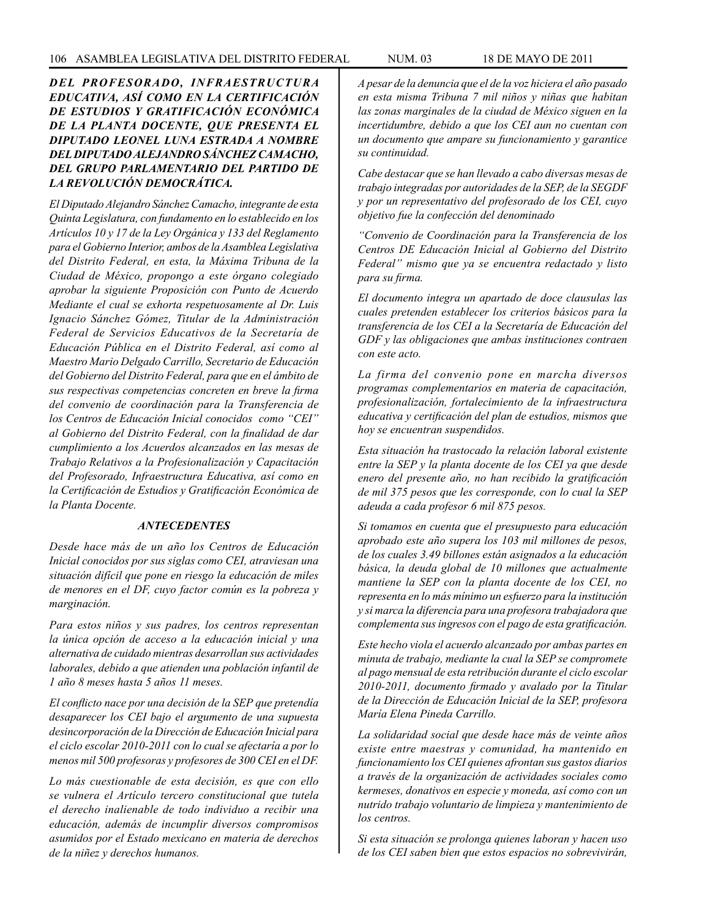*DEL PROFESORADO, INFRAESTRUCTURA EDUCATIVA, ASÍ COMO EN LA CERTIFICACIÓN DE ESTUDIOS Y GRATIFICACIÓN ECONÓMICA DE LA PLANTA DOCENTE, QUE PRESENTA EL DIPUTADO LEONEL LUNA ESTRADA A NOMBRE DEL DIPUTADO ALEJANDRO SÁNCHEZ CAMACHO, DEL GRUPO PARLAMENTARIO DEL PARTIDO DE LA REVOLUCIÓN DEMOCRÁTICA.*

*El Diputado Alejandro Sánchez Camacho, integrante de esta Quinta Legislatura, con fundamento en lo establecido en los Artículos 10 y 17 de la Ley Orgánica y 133 del Reglamento para el Gobierno Interior, ambos de la Asamblea Legislativa del Distrito Federal, en esta, la Máxima Tribuna de la Ciudad de México, propongo a este órgano colegiado aprobar la siguiente Proposición con Punto de Acuerdo Mediante el cual se exhorta respetuosamente al Dr. Luis Ignacio Sánchez Gómez, Titular de la Administración Federal de Servicios Educativos de la Secretaría de Educación Pública en el Distrito Federal, así como al Maestro Mario Delgado Carrillo, Secretario de Educación del Gobierno del Distrito Federal, para que en el ámbito de sus respectivas competencias concreten en breve la firma del convenio de coordinación para la Transferencia de los Centros de Educación Inicial conocidos como "CEI" al Gobierno del Distrito Federal, con la finalidad de dar cumplimiento a los Acuerdos alcanzados en las mesas de Trabajo Relativos a la Profesionalización y Capacitación del Profesorado, Infraestructura Educativa, así como en la Certificación de Estudios y Gratificación Económica de la Planta Docente.*

### *ANTECEDENTES*

*Desde hace más de un año los Centros de Educación Inicial conocidos por sus siglas como CEI, atraviesan una situación difícil que pone en riesgo la educación de miles de menores en el DF, cuyo factor común es la pobreza y marginación.*

*Para estos niños y sus padres, los centros representan la única opción de acceso a la educación inicial y una alternativa de cuidado mientras desarrollan sus actividades laborales, debido a que atienden una población infantil de 1 año 8 meses hasta 5 años 11 meses.*

*El conflicto nace por una decisión de la SEP que pretendía desaparecer los CEI bajo el argumento de una supuesta desincorporación de la Dirección de Educación Inicial para el ciclo escolar 2010-2011 con lo cual se afectaría a por lo menos mil 500 profesoras y profesores de 300 CEI en el DF.*

*Lo más cuestionable de esta decisión, es que con ello se vulnera el Artículo tercero constitucional que tutela el derecho inalienable de todo individuo a recibir una educación, además de incumplir diversos compromisos asumidos por el Estado mexicano en materia de derechos de la niñez y derechos humanos.*

*A pesar de la denuncia que el de la voz hiciera el año pasado en esta misma Tribuna 7 mil niños y niñas que habitan las zonas marginales de la ciudad de México siguen en la incertidumbre, debido a que los CEI aun no cuentan con un documento que ampare su funcionamiento y garantice su continuidad.*

*Cabe destacar que se han llevado a cabo diversas mesas de trabajo integradas por autoridades de la SEP, de la SEGDF y por un representativo del profesorado de los CEI, cuyo objetivo fue la confección del denominado*

*"Convenio de Coordinación para la Transferencia de los Centros DE Educación Inicial al Gobierno del Distrito Federal" mismo que ya se encuentra redactado y listo para su firma.*

*El documento integra un apartado de doce clausulas las cuales pretenden establecer los criterios básicos para la transferencia de los CEI a la Secretaría de Educación del GDF y las obligaciones que ambas instituciones contraen con este acto.*

*La firma del convenio pone en marcha diversos programas complementarios en materia de capacitación, profesionalización, fortalecimiento de la infraestructura educativa y certificación del plan de estudios, mismos que hoy se encuentran suspendidos.*

*Esta situación ha trastocado la relación laboral existente entre la SEP y la planta docente de los CEI ya que desde enero del presente año, no han recibido la gratificación de mil 375 pesos que les corresponde, con lo cual la SEP adeuda a cada profesor 6 mil 875 pesos.*

*Si tomamos en cuenta que el presupuesto para educación aprobado este año supera los 103 mil millones de pesos, de los cuales 3.49 billones están asignados a la educación básica, la deuda global de 10 millones que actualmente mantiene la SEP con la planta docente de los CEI, no representa en lo más mínimo un esfuerzo para la institución y si marca la diferencia para una profesora trabajadora que complementa sus ingresos con el pago de esta gratificación.*

*Este hecho viola el acuerdo alcanzado por ambas partes en minuta de trabajo, mediante la cual la SEP se compromete al pago mensual de esta retribución durante el ciclo escolar 2010-2011, documento firmado y avalado por la Titular de la Dirección de Educación Inicial de la SEP, profesora María Elena Pineda Carrillo.*

*La solidaridad social que desde hace más de veinte años existe entre maestras y comunidad, ha mantenido en funcionamiento los CEI quienes afrontan sus gastos diarios a través de la organización de actividades sociales como kermeses, donativos en especie y moneda, así como con un nutrido trabajo voluntario de limpieza y mantenimiento de los centros.*

*Si esta situación se prolonga quienes laboran y hacen uso de los CEI saben bien que estos espacios no sobrevivirán,*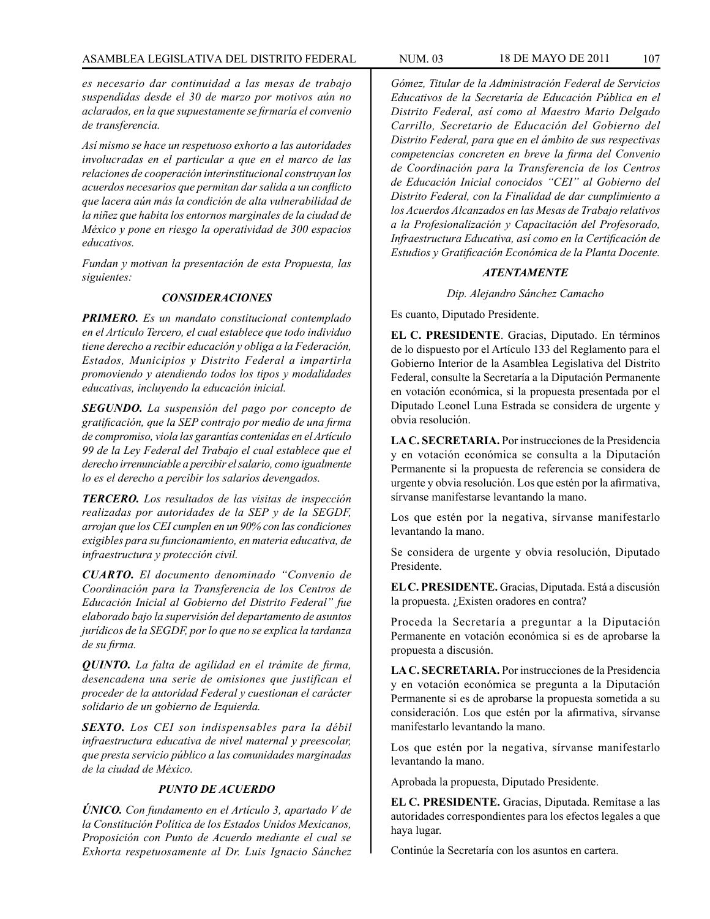*es necesario dar continuidad a las mesas de trabajo suspendidas desde el 30 de marzo por motivos aún no aclarados, en la que supuestamente se firmaría el convenio de transferencia.*

*Así mismo se hace un respetuoso exhorto a las autoridades involucradas en el particular a que en el marco de las relaciones de cooperación interinstitucional construyan los acuerdos necesarios que permitan dar salida a un conflicto que lacera aún más la condición de alta vulnerabilidad de la niñez que habita los entornos marginales de la ciudad de México y pone en riesgo la operatividad de 300 espacios educativos.*

*Fundan y motivan la presentación de esta Propuesta, las siguientes:*

## *CONSIDERACIONES*

*PRIMERO. Es un mandato constitucional contemplado en el Artículo Tercero, el cual establece que todo individuo tiene derecho a recibir educación y obliga a la Federación, Estados, Municipios y Distrito Federal a impartirla promoviendo y atendiendo todos los tipos y modalidades educativas, incluyendo la educación inicial.*

*SEGUNDO. La suspensión del pago por concepto de gratificación, que la SEP contrajo por medio de una firma de compromiso, viola las garantías contenidas en el Artículo 99 de la Ley Federal del Trabajo el cual establece que el derecho irrenunciable a percibir el salario, como igualmente lo es el derecho a percibir los salarios devengados.*

*TERCERO. Los resultados de las visitas de inspección realizadas por autoridades de la SEP y de la SEGDF, arrojan que los CEI cumplen en un 90% con las condiciones exigibles para su funcionamiento, en materia educativa, de infraestructura y protección civil.*

*CUARTO. El documento denominado "Convenio de Coordinación para la Transferencia de los Centros de Educación Inicial al Gobierno del Distrito Federal" fue elaborado bajo la supervisión del departamento de asuntos jurídicos de la SEGDF, por lo que no se explica la tardanza de su firma.*

*QUINTO. La falta de agilidad en el trámite de firma, desencadena una serie de omisiones que justifican el proceder de la autoridad Federal y cuestionan el carácter solidario de un gobierno de Izquierda.*

*SEXTO. Los CEI son indispensables para la débil infraestructura educativa de nivel maternal y preescolar, que presta servicio público a las comunidades marginadas de la ciudad de México.*

# *PUNTO DE ACUERDO*

*ÚNICO. Con fundamento en el Artículo 3, apartado V de la Constitución Política de los Estados Unidos Mexicanos, Proposición con Punto de Acuerdo mediante el cual se Exhorta respetuosamente al Dr. Luis Ignacio Sánchez* 

*Gómez, Titular de la Administración Federal de Servicios Educativos de la Secretaría de Educación Pública en el Distrito Federal, así como al Maestro Mario Delgado Carrillo, Secretario de Educación del Gobierno del Distrito Federal, para que en el ámbito de sus respectivas competencias concreten en breve la firma del Convenio de Coordinación para la Transferencia de los Centros de Educación Inicial conocidos "CEI" al Gobierno del Distrito Federal, con la Finalidad de dar cumplimiento a los Acuerdos Alcanzados en las Mesas de Trabajo relativos a la Profesionalización y Capacitación del Profesorado, Infraestructura Educativa, así como en la Certificación de Estudios y Gratificación Económica de la Planta Docente.*

### *ATENTAMENTE*

*Dip. Alejandro Sánchez Camacho*

Es cuanto, Diputado Presidente.

**EL C. PRESIDENTE**. Gracias, Diputado. En términos de lo dispuesto por el Artículo 133 del Reglamento para el Gobierno Interior de la Asamblea Legislativa del Distrito Federal, consulte la Secretaría a la Diputación Permanente en votación económica, si la propuesta presentada por el Diputado Leonel Luna Estrada se considera de urgente y obvia resolución.

**LA C. SECRETARIA.** Por instrucciones de la Presidencia y en votación económica se consulta a la Diputación Permanente si la propuesta de referencia se considera de urgente y obvia resolución. Los que estén por la afirmativa, sírvanse manifestarse levantando la mano.

Los que estén por la negativa, sírvanse manifestarlo levantando la mano.

Se considera de urgente y obvia resolución, Diputado Presidente.

**EL C. PRESIDENTE.** Gracias, Diputada. Está a discusión la propuesta. ¿Existen oradores en contra?

Proceda la Secretaría a preguntar a la Diputación Permanente en votación económica si es de aprobarse la propuesta a discusión.

**LA C. SECRETARIA.** Por instrucciones de la Presidencia y en votación económica se pregunta a la Diputación Permanente si es de aprobarse la propuesta sometida a su consideración. Los que estén por la afirmativa, sírvanse manifestarlo levantando la mano.

Los que estén por la negativa, sírvanse manifestarlo levantando la mano.

Aprobada la propuesta, Diputado Presidente.

**EL C. PRESIDENTE.** Gracias, Diputada. Remítase a las autoridades correspondientes para los efectos legales a que haya lugar.

Continúe la Secretaría con los asuntos en cartera.